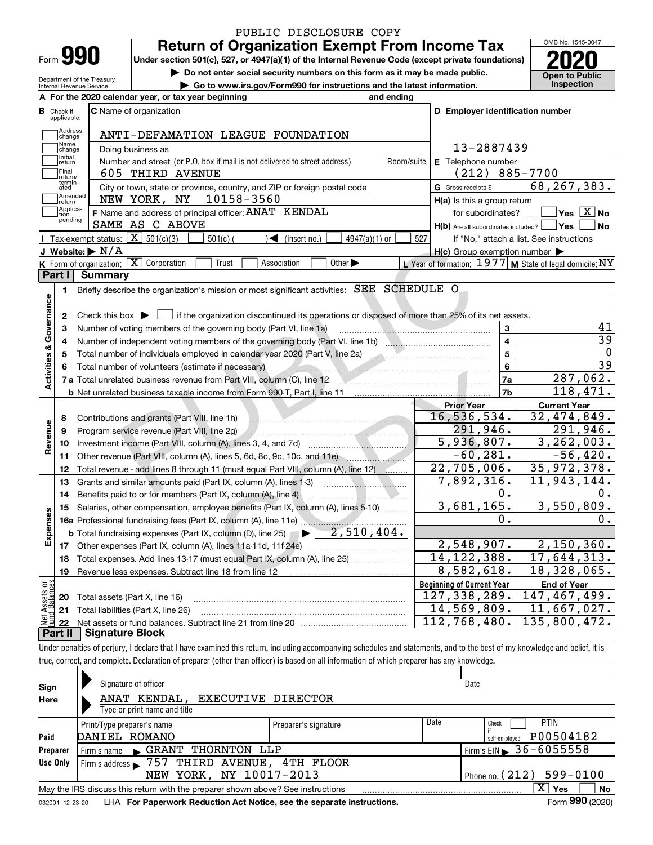| <b>Form</b> |  |
|-------------|--|

Department of the Treasury Internal Revenue Service

### **Return of Organization Exempt From Income Tax** PUBLIC DISCLOSURE COPY

**Under section 501(c), 527, or 4947(a)(1) of the Internal Revenue Code (except private foundations) 2020**

**| Do not enter social security numbers on this form as it may be made public.**

**| Go to www.irs.gov/Form990 for instructions and the latest information. Inspection**

OMB No. 1545-0047 **Open to Public** 

| В<br><b>C</b> Name of organization<br>D Employer identification number<br>Check if<br>applicable:<br>Address<br>ANTI-DEFAMATION LEAGUE FOUNDATION<br>change<br>Name<br>13-2887439<br>Doing business as<br>change<br>Initial<br>Number and street (or P.O. box if mail is not delivered to street address)<br>Room/suite<br>E Telephone number<br>return<br>Final<br>$(212) 885 - 7700$<br>605 THIRD AVENUE<br>return/<br>termin-<br>ated<br>68, 267, 383.<br>City or town, state or province, country, and ZIP or foreign postal code<br>G Gross receipts \$<br>Amended<br>10158-3560<br>NEW YORK, NY<br>H(a) Is this a group return<br>Ireturn<br>Applica-<br>$\Box$ Yes $[\overline{\mathrm{X}}]$ No<br>F Name and address of principal officer: ANAT KENDAL<br>for subordinates?<br>tion<br>pending<br>SAME AS C ABOVE<br>$H(b)$ Are all subordinates included? $\Box$ Yes $\Box$<br>∣No<br>Tax-exempt status: $\boxed{\mathbf{X}}$ 501(c)(3)<br>$501(c)$ (<br>$4947(a)(1)$ or<br>$\sqrt{\bullet}$ (insert no.)<br>527<br>If "No," attach a list. See instructions<br>J Website: $\triangleright$ N/A<br>$H(c)$ Group exemption number $\blacktriangleright$<br>K Form of organization: X Corporation<br>Trust<br>Other $\blacktriangleright$<br>L Year of formation: $1977$ M State of legal domicile: NY<br>Association<br>Part I  <br>Summary<br>Briefly describe the organization's mission or most significant activities: SEE SCHEDULE O<br>1<br>Activities & Governance<br>Check this box $\blacktriangleright$ $\blacksquare$ if the organization discontinued its operations or disposed of more than 25% of its net assets.<br>2<br>41<br>3<br>Number of voting members of the governing body (Part VI, line 1a)<br>3<br>39<br>$\overline{4}$<br>4<br>$\mathbf 0$<br>5<br>5<br>$\overline{39}$<br>6<br>Total number of volunteers (estimate if necessary) manufactured and contact the contract of the contract of the<br>287,062.<br>7a<br>118,471.<br>7 <sub>b</sub><br><b>b</b> Net unrelated business taxable income from Form 990-T, Part I, line 11<br><b>Current Year</b><br><b>Prior Year</b><br>16,536,534.<br>32,474,849.<br>Contributions and grants (Part VIII, line 1h)<br>8<br>Revenue<br>291,946.<br>291,946.<br>Program service revenue (Part VIII, line 2g)<br>9<br>5,936,807.<br>10<br>$-60, 281.$<br>$-56,420.$<br>Other revenue (Part VIII, column (A), lines 5, 6d, 8c, 9c, 10c, and 11e)<br>11<br>$\overline{22,705}$ , 006.<br>35, 972, 378.<br>Total revenue - add lines 8 through 11 (must equal Part VIII, column (A), line 12)<br>12<br>7,892,316.<br>11,943,144.<br>13<br>0.<br>0.<br>14<br>3,681,165.<br>3,550,809.<br>Salaries, other compensation, employee benefits (Part IX, column (A), lines 5-10)<br>15<br>Expenses<br>0.<br>0.<br>$\blacktriangleright$ 2,510,404.<br><b>b</b> Total fundraising expenses (Part IX, column (D), line 25)<br>2,548,907.<br>2,150,360.<br>14, 122, 388.<br>17,644,313.<br>Total expenses. Add lines 13-17 (must equal Part IX, column (A), line 25)<br>18<br>8,582,618.<br>18,328,065.<br>19<br><b>Beginning of Current Year</b><br>έğ<br><b>End of Year</b><br>127, 338, 289.<br>147,467,499.<br>Total assets (Part X, line 16)<br>20<br>14,569,809.<br>11,667,027.<br>21<br>Total liabilities (Part X, line 26)<br>112,768,480.<br>135,800,472.<br>22<br><b>Signature Block</b><br>Part II |  | A For the 2020 calendar year, or tax year beginning | and ending |  |
|------------------------------------------------------------------------------------------------------------------------------------------------------------------------------------------------------------------------------------------------------------------------------------------------------------------------------------------------------------------------------------------------------------------------------------------------------------------------------------------------------------------------------------------------------------------------------------------------------------------------------------------------------------------------------------------------------------------------------------------------------------------------------------------------------------------------------------------------------------------------------------------------------------------------------------------------------------------------------------------------------------------------------------------------------------------------------------------------------------------------------------------------------------------------------------------------------------------------------------------------------------------------------------------------------------------------------------------------------------------------------------------------------------------------------------------------------------------------------------------------------------------------------------------------------------------------------------------------------------------------------------------------------------------------------------------------------------------------------------------------------------------------------------------------------------------------------------------------------------------------------------------------------------------------------------------------------------------------------------------------------------------------------------------------------------------------------------------------------------------------------------------------------------------------------------------------------------------------------------------------------------------------------------------------------------------------------------------------------------------------------------------------------------------------------------------------------------------------------------------------------------------------------------------------------------------------------------------------------------------------------------------------------------------------------------------------------------------------------------------------------------------------------------------------------------------------------------------------------------------------------------------------------------------------------------------------------------------------------------------------------------------------------------------------------------------------------------------------------------------------------------------------------------------------------------------------------------------------------------------------------------------------------------------------------------------------------------------------------------------------------|--|-----------------------------------------------------|------------|--|
| $\overline{3,262},003.$                                                                                                                                                                                                                                                                                                                                                                                                                                                                                                                                                                                                                                                                                                                                                                                                                                                                                                                                                                                                                                                                                                                                                                                                                                                                                                                                                                                                                                                                                                                                                                                                                                                                                                                                                                                                                                                                                                                                                                                                                                                                                                                                                                                                                                                                                                                                                                                                                                                                                                                                                                                                                                                                                                                                                                                                                                                                                                                                                                                                                                                                                                                                                                                                                                                                                                                                                      |  |                                                     |            |  |
|                                                                                                                                                                                                                                                                                                                                                                                                                                                                                                                                                                                                                                                                                                                                                                                                                                                                                                                                                                                                                                                                                                                                                                                                                                                                                                                                                                                                                                                                                                                                                                                                                                                                                                                                                                                                                                                                                                                                                                                                                                                                                                                                                                                                                                                                                                                                                                                                                                                                                                                                                                                                                                                                                                                                                                                                                                                                                                                                                                                                                                                                                                                                                                                                                                                                                                                                                                              |  |                                                     |            |  |
|                                                                                                                                                                                                                                                                                                                                                                                                                                                                                                                                                                                                                                                                                                                                                                                                                                                                                                                                                                                                                                                                                                                                                                                                                                                                                                                                                                                                                                                                                                                                                                                                                                                                                                                                                                                                                                                                                                                                                                                                                                                                                                                                                                                                                                                                                                                                                                                                                                                                                                                                                                                                                                                                                                                                                                                                                                                                                                                                                                                                                                                                                                                                                                                                                                                                                                                                                                              |  |                                                     |            |  |
|                                                                                                                                                                                                                                                                                                                                                                                                                                                                                                                                                                                                                                                                                                                                                                                                                                                                                                                                                                                                                                                                                                                                                                                                                                                                                                                                                                                                                                                                                                                                                                                                                                                                                                                                                                                                                                                                                                                                                                                                                                                                                                                                                                                                                                                                                                                                                                                                                                                                                                                                                                                                                                                                                                                                                                                                                                                                                                                                                                                                                                                                                                                                                                                                                                                                                                                                                                              |  |                                                     |            |  |
|                                                                                                                                                                                                                                                                                                                                                                                                                                                                                                                                                                                                                                                                                                                                                                                                                                                                                                                                                                                                                                                                                                                                                                                                                                                                                                                                                                                                                                                                                                                                                                                                                                                                                                                                                                                                                                                                                                                                                                                                                                                                                                                                                                                                                                                                                                                                                                                                                                                                                                                                                                                                                                                                                                                                                                                                                                                                                                                                                                                                                                                                                                                                                                                                                                                                                                                                                                              |  |                                                     |            |  |
|                                                                                                                                                                                                                                                                                                                                                                                                                                                                                                                                                                                                                                                                                                                                                                                                                                                                                                                                                                                                                                                                                                                                                                                                                                                                                                                                                                                                                                                                                                                                                                                                                                                                                                                                                                                                                                                                                                                                                                                                                                                                                                                                                                                                                                                                                                                                                                                                                                                                                                                                                                                                                                                                                                                                                                                                                                                                                                                                                                                                                                                                                                                                                                                                                                                                                                                                                                              |  |                                                     |            |  |
|                                                                                                                                                                                                                                                                                                                                                                                                                                                                                                                                                                                                                                                                                                                                                                                                                                                                                                                                                                                                                                                                                                                                                                                                                                                                                                                                                                                                                                                                                                                                                                                                                                                                                                                                                                                                                                                                                                                                                                                                                                                                                                                                                                                                                                                                                                                                                                                                                                                                                                                                                                                                                                                                                                                                                                                                                                                                                                                                                                                                                                                                                                                                                                                                                                                                                                                                                                              |  |                                                     |            |  |
|                                                                                                                                                                                                                                                                                                                                                                                                                                                                                                                                                                                                                                                                                                                                                                                                                                                                                                                                                                                                                                                                                                                                                                                                                                                                                                                                                                                                                                                                                                                                                                                                                                                                                                                                                                                                                                                                                                                                                                                                                                                                                                                                                                                                                                                                                                                                                                                                                                                                                                                                                                                                                                                                                                                                                                                                                                                                                                                                                                                                                                                                                                                                                                                                                                                                                                                                                                              |  |                                                     |            |  |
|                                                                                                                                                                                                                                                                                                                                                                                                                                                                                                                                                                                                                                                                                                                                                                                                                                                                                                                                                                                                                                                                                                                                                                                                                                                                                                                                                                                                                                                                                                                                                                                                                                                                                                                                                                                                                                                                                                                                                                                                                                                                                                                                                                                                                                                                                                                                                                                                                                                                                                                                                                                                                                                                                                                                                                                                                                                                                                                                                                                                                                                                                                                                                                                                                                                                                                                                                                              |  |                                                     |            |  |
|                                                                                                                                                                                                                                                                                                                                                                                                                                                                                                                                                                                                                                                                                                                                                                                                                                                                                                                                                                                                                                                                                                                                                                                                                                                                                                                                                                                                                                                                                                                                                                                                                                                                                                                                                                                                                                                                                                                                                                                                                                                                                                                                                                                                                                                                                                                                                                                                                                                                                                                                                                                                                                                                                                                                                                                                                                                                                                                                                                                                                                                                                                                                                                                                                                                                                                                                                                              |  |                                                     |            |  |
|                                                                                                                                                                                                                                                                                                                                                                                                                                                                                                                                                                                                                                                                                                                                                                                                                                                                                                                                                                                                                                                                                                                                                                                                                                                                                                                                                                                                                                                                                                                                                                                                                                                                                                                                                                                                                                                                                                                                                                                                                                                                                                                                                                                                                                                                                                                                                                                                                                                                                                                                                                                                                                                                                                                                                                                                                                                                                                                                                                                                                                                                                                                                                                                                                                                                                                                                                                              |  |                                                     |            |  |
|                                                                                                                                                                                                                                                                                                                                                                                                                                                                                                                                                                                                                                                                                                                                                                                                                                                                                                                                                                                                                                                                                                                                                                                                                                                                                                                                                                                                                                                                                                                                                                                                                                                                                                                                                                                                                                                                                                                                                                                                                                                                                                                                                                                                                                                                                                                                                                                                                                                                                                                                                                                                                                                                                                                                                                                                                                                                                                                                                                                                                                                                                                                                                                                                                                                                                                                                                                              |  |                                                     |            |  |
|                                                                                                                                                                                                                                                                                                                                                                                                                                                                                                                                                                                                                                                                                                                                                                                                                                                                                                                                                                                                                                                                                                                                                                                                                                                                                                                                                                                                                                                                                                                                                                                                                                                                                                                                                                                                                                                                                                                                                                                                                                                                                                                                                                                                                                                                                                                                                                                                                                                                                                                                                                                                                                                                                                                                                                                                                                                                                                                                                                                                                                                                                                                                                                                                                                                                                                                                                                              |  |                                                     |            |  |
|                                                                                                                                                                                                                                                                                                                                                                                                                                                                                                                                                                                                                                                                                                                                                                                                                                                                                                                                                                                                                                                                                                                                                                                                                                                                                                                                                                                                                                                                                                                                                                                                                                                                                                                                                                                                                                                                                                                                                                                                                                                                                                                                                                                                                                                                                                                                                                                                                                                                                                                                                                                                                                                                                                                                                                                                                                                                                                                                                                                                                                                                                                                                                                                                                                                                                                                                                                              |  |                                                     |            |  |
|                                                                                                                                                                                                                                                                                                                                                                                                                                                                                                                                                                                                                                                                                                                                                                                                                                                                                                                                                                                                                                                                                                                                                                                                                                                                                                                                                                                                                                                                                                                                                                                                                                                                                                                                                                                                                                                                                                                                                                                                                                                                                                                                                                                                                                                                                                                                                                                                                                                                                                                                                                                                                                                                                                                                                                                                                                                                                                                                                                                                                                                                                                                                                                                                                                                                                                                                                                              |  |                                                     |            |  |
|                                                                                                                                                                                                                                                                                                                                                                                                                                                                                                                                                                                                                                                                                                                                                                                                                                                                                                                                                                                                                                                                                                                                                                                                                                                                                                                                                                                                                                                                                                                                                                                                                                                                                                                                                                                                                                                                                                                                                                                                                                                                                                                                                                                                                                                                                                                                                                                                                                                                                                                                                                                                                                                                                                                                                                                                                                                                                                                                                                                                                                                                                                                                                                                                                                                                                                                                                                              |  |                                                     |            |  |
|                                                                                                                                                                                                                                                                                                                                                                                                                                                                                                                                                                                                                                                                                                                                                                                                                                                                                                                                                                                                                                                                                                                                                                                                                                                                                                                                                                                                                                                                                                                                                                                                                                                                                                                                                                                                                                                                                                                                                                                                                                                                                                                                                                                                                                                                                                                                                                                                                                                                                                                                                                                                                                                                                                                                                                                                                                                                                                                                                                                                                                                                                                                                                                                                                                                                                                                                                                              |  |                                                     |            |  |
|                                                                                                                                                                                                                                                                                                                                                                                                                                                                                                                                                                                                                                                                                                                                                                                                                                                                                                                                                                                                                                                                                                                                                                                                                                                                                                                                                                                                                                                                                                                                                                                                                                                                                                                                                                                                                                                                                                                                                                                                                                                                                                                                                                                                                                                                                                                                                                                                                                                                                                                                                                                                                                                                                                                                                                                                                                                                                                                                                                                                                                                                                                                                                                                                                                                                                                                                                                              |  |                                                     |            |  |
|                                                                                                                                                                                                                                                                                                                                                                                                                                                                                                                                                                                                                                                                                                                                                                                                                                                                                                                                                                                                                                                                                                                                                                                                                                                                                                                                                                                                                                                                                                                                                                                                                                                                                                                                                                                                                                                                                                                                                                                                                                                                                                                                                                                                                                                                                                                                                                                                                                                                                                                                                                                                                                                                                                                                                                                                                                                                                                                                                                                                                                                                                                                                                                                                                                                                                                                                                                              |  |                                                     |            |  |
|                                                                                                                                                                                                                                                                                                                                                                                                                                                                                                                                                                                                                                                                                                                                                                                                                                                                                                                                                                                                                                                                                                                                                                                                                                                                                                                                                                                                                                                                                                                                                                                                                                                                                                                                                                                                                                                                                                                                                                                                                                                                                                                                                                                                                                                                                                                                                                                                                                                                                                                                                                                                                                                                                                                                                                                                                                                                                                                                                                                                                                                                                                                                                                                                                                                                                                                                                                              |  |                                                     |            |  |
|                                                                                                                                                                                                                                                                                                                                                                                                                                                                                                                                                                                                                                                                                                                                                                                                                                                                                                                                                                                                                                                                                                                                                                                                                                                                                                                                                                                                                                                                                                                                                                                                                                                                                                                                                                                                                                                                                                                                                                                                                                                                                                                                                                                                                                                                                                                                                                                                                                                                                                                                                                                                                                                                                                                                                                                                                                                                                                                                                                                                                                                                                                                                                                                                                                                                                                                                                                              |  |                                                     |            |  |
|                                                                                                                                                                                                                                                                                                                                                                                                                                                                                                                                                                                                                                                                                                                                                                                                                                                                                                                                                                                                                                                                                                                                                                                                                                                                                                                                                                                                                                                                                                                                                                                                                                                                                                                                                                                                                                                                                                                                                                                                                                                                                                                                                                                                                                                                                                                                                                                                                                                                                                                                                                                                                                                                                                                                                                                                                                                                                                                                                                                                                                                                                                                                                                                                                                                                                                                                                                              |  |                                                     |            |  |
|                                                                                                                                                                                                                                                                                                                                                                                                                                                                                                                                                                                                                                                                                                                                                                                                                                                                                                                                                                                                                                                                                                                                                                                                                                                                                                                                                                                                                                                                                                                                                                                                                                                                                                                                                                                                                                                                                                                                                                                                                                                                                                                                                                                                                                                                                                                                                                                                                                                                                                                                                                                                                                                                                                                                                                                                                                                                                                                                                                                                                                                                                                                                                                                                                                                                                                                                                                              |  |                                                     |            |  |
|                                                                                                                                                                                                                                                                                                                                                                                                                                                                                                                                                                                                                                                                                                                                                                                                                                                                                                                                                                                                                                                                                                                                                                                                                                                                                                                                                                                                                                                                                                                                                                                                                                                                                                                                                                                                                                                                                                                                                                                                                                                                                                                                                                                                                                                                                                                                                                                                                                                                                                                                                                                                                                                                                                                                                                                                                                                                                                                                                                                                                                                                                                                                                                                                                                                                                                                                                                              |  |                                                     |            |  |
|                                                                                                                                                                                                                                                                                                                                                                                                                                                                                                                                                                                                                                                                                                                                                                                                                                                                                                                                                                                                                                                                                                                                                                                                                                                                                                                                                                                                                                                                                                                                                                                                                                                                                                                                                                                                                                                                                                                                                                                                                                                                                                                                                                                                                                                                                                                                                                                                                                                                                                                                                                                                                                                                                                                                                                                                                                                                                                                                                                                                                                                                                                                                                                                                                                                                                                                                                                              |  |                                                     |            |  |
|                                                                                                                                                                                                                                                                                                                                                                                                                                                                                                                                                                                                                                                                                                                                                                                                                                                                                                                                                                                                                                                                                                                                                                                                                                                                                                                                                                                                                                                                                                                                                                                                                                                                                                                                                                                                                                                                                                                                                                                                                                                                                                                                                                                                                                                                                                                                                                                                                                                                                                                                                                                                                                                                                                                                                                                                                                                                                                                                                                                                                                                                                                                                                                                                                                                                                                                                                                              |  |                                                     |            |  |
|                                                                                                                                                                                                                                                                                                                                                                                                                                                                                                                                                                                                                                                                                                                                                                                                                                                                                                                                                                                                                                                                                                                                                                                                                                                                                                                                                                                                                                                                                                                                                                                                                                                                                                                                                                                                                                                                                                                                                                                                                                                                                                                                                                                                                                                                                                                                                                                                                                                                                                                                                                                                                                                                                                                                                                                                                                                                                                                                                                                                                                                                                                                                                                                                                                                                                                                                                                              |  |                                                     |            |  |
|                                                                                                                                                                                                                                                                                                                                                                                                                                                                                                                                                                                                                                                                                                                                                                                                                                                                                                                                                                                                                                                                                                                                                                                                                                                                                                                                                                                                                                                                                                                                                                                                                                                                                                                                                                                                                                                                                                                                                                                                                                                                                                                                                                                                                                                                                                                                                                                                                                                                                                                                                                                                                                                                                                                                                                                                                                                                                                                                                                                                                                                                                                                                                                                                                                                                                                                                                                              |  |                                                     |            |  |
|                                                                                                                                                                                                                                                                                                                                                                                                                                                                                                                                                                                                                                                                                                                                                                                                                                                                                                                                                                                                                                                                                                                                                                                                                                                                                                                                                                                                                                                                                                                                                                                                                                                                                                                                                                                                                                                                                                                                                                                                                                                                                                                                                                                                                                                                                                                                                                                                                                                                                                                                                                                                                                                                                                                                                                                                                                                                                                                                                                                                                                                                                                                                                                                                                                                                                                                                                                              |  |                                                     |            |  |
|                                                                                                                                                                                                                                                                                                                                                                                                                                                                                                                                                                                                                                                                                                                                                                                                                                                                                                                                                                                                                                                                                                                                                                                                                                                                                                                                                                                                                                                                                                                                                                                                                                                                                                                                                                                                                                                                                                                                                                                                                                                                                                                                                                                                                                                                                                                                                                                                                                                                                                                                                                                                                                                                                                                                                                                                                                                                                                                                                                                                                                                                                                                                                                                                                                                                                                                                                                              |  |                                                     |            |  |
|                                                                                                                                                                                                                                                                                                                                                                                                                                                                                                                                                                                                                                                                                                                                                                                                                                                                                                                                                                                                                                                                                                                                                                                                                                                                                                                                                                                                                                                                                                                                                                                                                                                                                                                                                                                                                                                                                                                                                                                                                                                                                                                                                                                                                                                                                                                                                                                                                                                                                                                                                                                                                                                                                                                                                                                                                                                                                                                                                                                                                                                                                                                                                                                                                                                                                                                                                                              |  |                                                     |            |  |
|                                                                                                                                                                                                                                                                                                                                                                                                                                                                                                                                                                                                                                                                                                                                                                                                                                                                                                                                                                                                                                                                                                                                                                                                                                                                                                                                                                                                                                                                                                                                                                                                                                                                                                                                                                                                                                                                                                                                                                                                                                                                                                                                                                                                                                                                                                                                                                                                                                                                                                                                                                                                                                                                                                                                                                                                                                                                                                                                                                                                                                                                                                                                                                                                                                                                                                                                                                              |  |                                                     |            |  |
|                                                                                                                                                                                                                                                                                                                                                                                                                                                                                                                                                                                                                                                                                                                                                                                                                                                                                                                                                                                                                                                                                                                                                                                                                                                                                                                                                                                                                                                                                                                                                                                                                                                                                                                                                                                                                                                                                                                                                                                                                                                                                                                                                                                                                                                                                                                                                                                                                                                                                                                                                                                                                                                                                                                                                                                                                                                                                                                                                                                                                                                                                                                                                                                                                                                                                                                                                                              |  |                                                     |            |  |
|                                                                                                                                                                                                                                                                                                                                                                                                                                                                                                                                                                                                                                                                                                                                                                                                                                                                                                                                                                                                                                                                                                                                                                                                                                                                                                                                                                                                                                                                                                                                                                                                                                                                                                                                                                                                                                                                                                                                                                                                                                                                                                                                                                                                                                                                                                                                                                                                                                                                                                                                                                                                                                                                                                                                                                                                                                                                                                                                                                                                                                                                                                                                                                                                                                                                                                                                                                              |  |                                                     |            |  |
|                                                                                                                                                                                                                                                                                                                                                                                                                                                                                                                                                                                                                                                                                                                                                                                                                                                                                                                                                                                                                                                                                                                                                                                                                                                                                                                                                                                                                                                                                                                                                                                                                                                                                                                                                                                                                                                                                                                                                                                                                                                                                                                                                                                                                                                                                                                                                                                                                                                                                                                                                                                                                                                                                                                                                                                                                                                                                                                                                                                                                                                                                                                                                                                                                                                                                                                                                                              |  |                                                     |            |  |
|                                                                                                                                                                                                                                                                                                                                                                                                                                                                                                                                                                                                                                                                                                                                                                                                                                                                                                                                                                                                                                                                                                                                                                                                                                                                                                                                                                                                                                                                                                                                                                                                                                                                                                                                                                                                                                                                                                                                                                                                                                                                                                                                                                                                                                                                                                                                                                                                                                                                                                                                                                                                                                                                                                                                                                                                                                                                                                                                                                                                                                                                                                                                                                                                                                                                                                                                                                              |  |                                                     |            |  |
|                                                                                                                                                                                                                                                                                                                                                                                                                                                                                                                                                                                                                                                                                                                                                                                                                                                                                                                                                                                                                                                                                                                                                                                                                                                                                                                                                                                                                                                                                                                                                                                                                                                                                                                                                                                                                                                                                                                                                                                                                                                                                                                                                                                                                                                                                                                                                                                                                                                                                                                                                                                                                                                                                                                                                                                                                                                                                                                                                                                                                                                                                                                                                                                                                                                                                                                                                                              |  |                                                     |            |  |
|                                                                                                                                                                                                                                                                                                                                                                                                                                                                                                                                                                                                                                                                                                                                                                                                                                                                                                                                                                                                                                                                                                                                                                                                                                                                                                                                                                                                                                                                                                                                                                                                                                                                                                                                                                                                                                                                                                                                                                                                                                                                                                                                                                                                                                                                                                                                                                                                                                                                                                                                                                                                                                                                                                                                                                                                                                                                                                                                                                                                                                                                                                                                                                                                                                                                                                                                                                              |  |                                                     |            |  |
|                                                                                                                                                                                                                                                                                                                                                                                                                                                                                                                                                                                                                                                                                                                                                                                                                                                                                                                                                                                                                                                                                                                                                                                                                                                                                                                                                                                                                                                                                                                                                                                                                                                                                                                                                                                                                                                                                                                                                                                                                                                                                                                                                                                                                                                                                                                                                                                                                                                                                                                                                                                                                                                                                                                                                                                                                                                                                                                                                                                                                                                                                                                                                                                                                                                                                                                                                                              |  |                                                     |            |  |

Under penalties of perjury, I declare that I have examined this return, including accompanying schedules and statements, and to the best of my knowledge and belief, it is true, correct, and complete. Declaration of preparer (other than officer) is based on all information of which preparer has any knowledge.

| Sign            | Signature of officer                                                            |                      | Date |                                          |
|-----------------|---------------------------------------------------------------------------------|----------------------|------|------------------------------------------|
| Here            | ANAT KENDAL,<br><b>EXECUTIVE DIRECTOR</b>                                       |                      |      |                                          |
|                 | Type or print name and title                                                    |                      |      |                                          |
|                 | Print/Type preparer's name                                                      | Preparer's signature | Date | <b>PTIN</b><br>Check                     |
| Paid            | DANIEL ROMANO                                                                   |                      |      | P00504182<br>self-emploved               |
| Preparer        | GRANT<br>THORNTON<br>LLP<br>Firm's name                                         |                      |      | Firm's $EIN \triangleright 36 - 6055558$ |
| Use Only        | Firm's address > 757 THIRD AVENUE, 4TH FLOOR                                    |                      |      |                                          |
|                 | NEW YORK, NY 10017-2013                                                         |                      |      | Phone no. $(212)$ 599-0100               |
|                 | May the IRS discuss this return with the preparer shown above? See instructions |                      |      | X.<br><b>No</b><br>Yes                   |
| 032001 12-23-20 | LHA For Paperwork Reduction Act Notice, see the separate instructions.          |                      |      | Form 990 (2020)                          |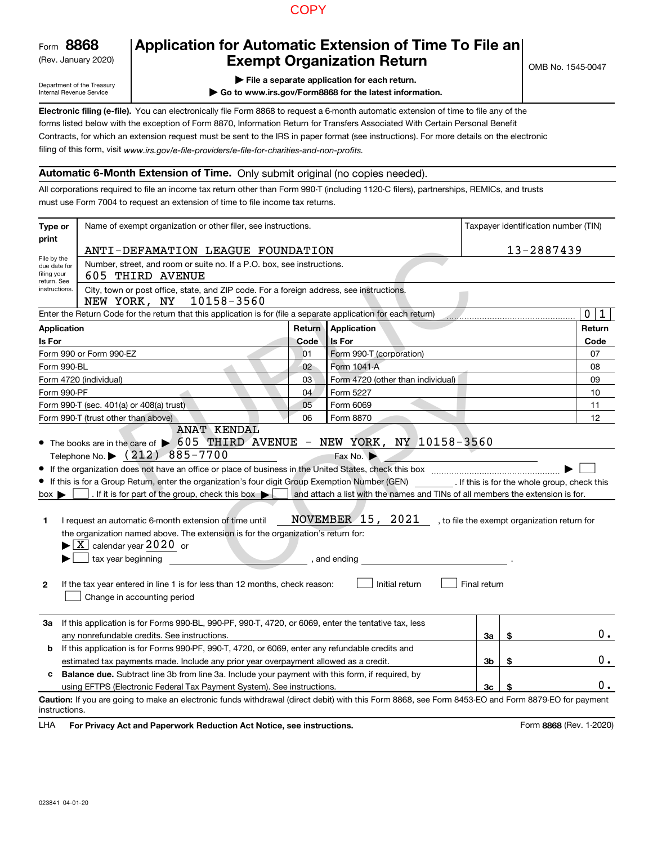## **COPY**

Form**8868**

#### (Rev. January 2020)

# **Application for Automatic Extension of Time To File an Exempt Organization Return**

OMB No. 1545-0047

Department of the Treasury Internal Revenue Service

- **| File a separate application for each return.**
- **| Go to www.irs.gov/Form8868 for the latest information.**

**Electronic filing (e-file).**  You can electronically file Form 8868 to request a 6-month automatic extension of time to file any of the filing of this form, visit www.irs.gov/e-file-providers/e-file-for-charities-and-non-profits. forms listed below with the exception of Form 8870, Information Return for Transfers Associated With Certain Personal Benefit Contracts, for which an extension request must be sent to the IRS in paper format (see instructions). For more details on the electronic

### **Automatic 6-Month Extension of Time.** Only submit original (no copies needed).

All corporations required to file an income tax return other than Form 990-T (including 1120-C filers), partnerships, REMICs, and trusts must use Form 7004 to request an extension of time to file income tax returns.

| Type or                                        | Name of exempt organization or other filer, see instructions.                                                                                                                                                                                                                                                                                                                                                                                                                                                                                                                                                                                                                                                                              |        |                                                                                                                                                  |              | Taxpayer identification number (TIN)         |        |
|------------------------------------------------|--------------------------------------------------------------------------------------------------------------------------------------------------------------------------------------------------------------------------------------------------------------------------------------------------------------------------------------------------------------------------------------------------------------------------------------------------------------------------------------------------------------------------------------------------------------------------------------------------------------------------------------------------------------------------------------------------------------------------------------------|--------|--------------------------------------------------------------------------------------------------------------------------------------------------|--------------|----------------------------------------------|--------|
| print                                          | ANTI-DEFAMATION LEAGUE FOUNDATION                                                                                                                                                                                                                                                                                                                                                                                                                                                                                                                                                                                                                                                                                                          |        |                                                                                                                                                  |              | 13-2887439                                   |        |
| File by the<br>due date for<br>filing your     | Number, street, and room or suite no. If a P.O. box, see instructions.<br>605 THIRD AVENUE                                                                                                                                                                                                                                                                                                                                                                                                                                                                                                                                                                                                                                                 |        |                                                                                                                                                  |              |                                              |        |
| return. See<br>instructions.                   | City, town or post office, state, and ZIP code. For a foreign address, see instructions.<br>10158-3560<br>NEW YORK, NY                                                                                                                                                                                                                                                                                                                                                                                                                                                                                                                                                                                                                     |        |                                                                                                                                                  |              |                                              |        |
|                                                | Enter the Return Code for the return that this application is for (file a separate application for each return)                                                                                                                                                                                                                                                                                                                                                                                                                                                                                                                                                                                                                            |        |                                                                                                                                                  |              |                                              | 0<br>1 |
| <b>Application</b>                             |                                                                                                                                                                                                                                                                                                                                                                                                                                                                                                                                                                                                                                                                                                                                            | Return | Application                                                                                                                                      |              |                                              | Return |
| Is For                                         |                                                                                                                                                                                                                                                                                                                                                                                                                                                                                                                                                                                                                                                                                                                                            | Code   | <b>Is For</b>                                                                                                                                    |              |                                              | Code   |
|                                                | Form 990 or Form 990-EZ                                                                                                                                                                                                                                                                                                                                                                                                                                                                                                                                                                                                                                                                                                                    | 01     | Form 990-T (corporation)                                                                                                                         |              |                                              | 07     |
| Form 990-BL                                    |                                                                                                                                                                                                                                                                                                                                                                                                                                                                                                                                                                                                                                                                                                                                            | 02     | Form 1041-A                                                                                                                                      |              |                                              | 08     |
|                                                | Form 4720 (individual)                                                                                                                                                                                                                                                                                                                                                                                                                                                                                                                                                                                                                                                                                                                     | 03     | Form 4720 (other than individual)                                                                                                                |              |                                              | 09     |
| Form 990-PF                                    |                                                                                                                                                                                                                                                                                                                                                                                                                                                                                                                                                                                                                                                                                                                                            | 04     | Form 5227                                                                                                                                        |              |                                              | 10     |
|                                                | Form 990-T (sec. 401(a) or 408(a) trust)                                                                                                                                                                                                                                                                                                                                                                                                                                                                                                                                                                                                                                                                                                   | 05     | Form 6069                                                                                                                                        |              |                                              | 11     |
|                                                | Form 990-T (trust other than above)                                                                                                                                                                                                                                                                                                                                                                                                                                                                                                                                                                                                                                                                                                        | 06     | Form 8870                                                                                                                                        |              |                                              | 12     |
| $box \blacktriangleright$<br>1<br>$\mathbf{2}$ | <b>ANAT KENDAL</b><br>• The books are in the care of $\triangleright$ 605 THIRD AVENUE - NEW YORK, NY 10158-3560<br>Telephone No. \ (212) 885-7700<br>If this is for a Group Return, enter the organization's four digit Group Exemption Number (GEN) _________. If this is for the whole group, check this<br>. If it is for part of the group, check this box $\blacktriangleright$<br>I request an automatic 6-month extension of time until<br>the organization named above. The extension is for the organization's return for:<br>$\blacktriangleright$ $\boxed{\text{X}}$ calendar year 2020 or<br>tax year beginning<br>If the tax year entered in line 1 is for less than 12 months, check reason:<br>Change in accounting period |        | Fax No.<br>and attach a list with the names and TINs of all members the extension is for.<br>NOVEMBER 15, 2021<br>, and ending<br>Initial return | Final return | , to file the exempt organization return for |        |
| За                                             | If this application is for Forms 990-BL, 990-PF, 990-T, 4720, or 6069, enter the tentative tax, less                                                                                                                                                                                                                                                                                                                                                                                                                                                                                                                                                                                                                                       |        |                                                                                                                                                  |              |                                              |        |
|                                                | any nonrefundable credits. See instructions.                                                                                                                                                                                                                                                                                                                                                                                                                                                                                                                                                                                                                                                                                               |        |                                                                                                                                                  | За           | \$                                           | 0.     |
| b                                              | If this application is for Forms 990-PF, 990-T, 4720, or 6069, enter any refundable credits and                                                                                                                                                                                                                                                                                                                                                                                                                                                                                                                                                                                                                                            |        |                                                                                                                                                  |              |                                              |        |
|                                                | estimated tax payments made. Include any prior year overpayment allowed as a credit.                                                                                                                                                                                                                                                                                                                                                                                                                                                                                                                                                                                                                                                       |        |                                                                                                                                                  | 3b           | \$                                           | 0.     |
| C.                                             | <b>Balance due.</b> Subtract line 3b from line 3a. Include your payment with this form, if required, by                                                                                                                                                                                                                                                                                                                                                                                                                                                                                                                                                                                                                                    |        |                                                                                                                                                  |              |                                              | 0.     |
| instructions.                                  | using EFTPS (Electronic Federal Tax Payment System). See instructions.<br>Caution: If you are going to make an electronic funds withdrawal (direct debit) with this Form 8868, see Form 8453-EO and Form 8879-EO for payment                                                                                                                                                                                                                                                                                                                                                                                                                                                                                                               |        |                                                                                                                                                  | 3c           |                                              |        |

**HA** For Privacy Act and Paperwork Reduction Act Notice, see instructions. **Both Conservant Conservant Conservant Conservant Conservant Conservant Conservation Act Notice, see instructions.** LHA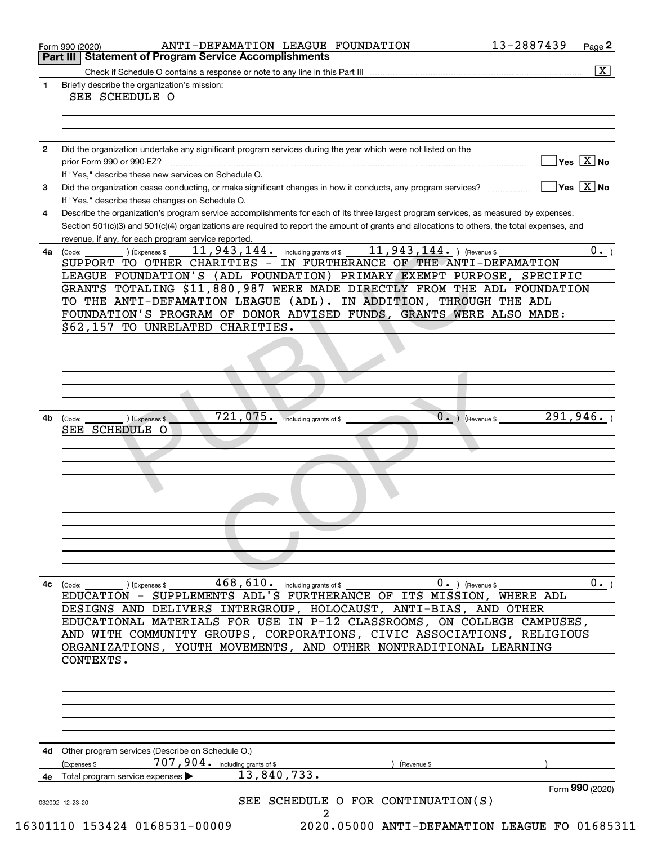|    | $\overline{\mathbf{x}}$                                                                                                                                                                                                                                                                                                 |
|----|-------------------------------------------------------------------------------------------------------------------------------------------------------------------------------------------------------------------------------------------------------------------------------------------------------------------------|
| 1  | Briefly describe the organization's mission:<br>SEE SCHEDULE O                                                                                                                                                                                                                                                          |
|    |                                                                                                                                                                                                                                                                                                                         |
| 2  | Did the organization undertake any significant program services during the year which were not listed on the                                                                                                                                                                                                            |
|    | $\sqrt{}$ Yes $\sqrt{X}$ No<br>prior Form 990 or 990-EZ?<br>If "Yes," describe these new services on Schedule O.                                                                                                                                                                                                        |
| 3  | $\sqrt{}$ Yes $\sqrt{}$ X $\sqrt{}$ No<br>Did the organization cease conducting, or make significant changes in how it conducts, any program services?<br>If "Yes," describe these changes on Schedule O.                                                                                                               |
| 4  | Describe the organization's program service accomplishments for each of its three largest program services, as measured by expenses.<br>Section 501(c)(3) and 501(c)(4) organizations are required to report the amount of grants and allocations to others, the total expenses, and                                    |
| 4a | revenue, if any, for each program service reported.<br>11, 943, 144. ) (Revenue \$<br>$\overline{0}$ .<br>11,943,144. including grants of \$<br>) (Expenses \$<br>(Code:<br>SUPPORT TO OTHER CHARITIES - IN FURTHERANCE OF THE ANTI-DEFAMATION<br>LEAGUE FOUNDATION'S (ADL FOUNDATION) PRIMARY EXEMPT PURPOSE, SPECIFIC |
|    | GRANTS TOTALING \$11,880,987 WERE MADE DIRECTLY FROM THE ADL FOUNDATION<br>TO THE ANTI-DEFAMATION LEAGUE (ADL). IN ADDITION, THROUGH THE ADL<br>FOUNDATION'S PROGRAM OF DONOR ADVISED FUNDS, GRANTS WERE ALSO MADE:<br>\$62,157 TO UNRELATED CHARITIES.                                                                 |
|    |                                                                                                                                                                                                                                                                                                                         |
|    |                                                                                                                                                                                                                                                                                                                         |
|    |                                                                                                                                                                                                                                                                                                                         |
| 4b | $\overline{0}$ .)<br>721,075. including grants of \$<br>291, 946.<br>(Expenses \$<br>(Revenue \$<br>(Code:                                                                                                                                                                                                              |
|    | SEE SCHEDULE O                                                                                                                                                                                                                                                                                                          |
|    |                                                                                                                                                                                                                                                                                                                         |
|    |                                                                                                                                                                                                                                                                                                                         |
|    |                                                                                                                                                                                                                                                                                                                         |
|    |                                                                                                                                                                                                                                                                                                                         |
|    |                                                                                                                                                                                                                                                                                                                         |
|    |                                                                                                                                                                                                                                                                                                                         |
| 4с | $468,610$ . including grants of \$<br>$0.$ ) (Revenue \$<br>0.<br>(Code:<br>(Expenses \$<br>EDUCATION - SUPPLEMENTS ADL'S FURTHERANCE OF ITS MISSION,<br>WHERE ADL                                                                                                                                                      |
|    | DESIGNS AND DELIVERS INTERGROUP, HOLOCAUST, ANTI-BIAS, AND OTHER<br>EDUCATIONAL MATERIALS FOR USE IN P-12 CLASSROOMS, ON COLLEGE CAMPUSES,                                                                                                                                                                              |
|    | AND WITH COMMUNITY GROUPS, CORPORATIONS, CIVIC ASSOCIATIONS, RELIGIOUS<br>ORGANIZATIONS, YOUTH MOVEMENTS, AND OTHER NONTRADITIONAL LEARNING<br>CONTEXTS.                                                                                                                                                                |
|    |                                                                                                                                                                                                                                                                                                                         |
|    |                                                                                                                                                                                                                                                                                                                         |
|    | 4d Other program services (Describe on Schedule O.)<br>707,904. including grants of \$<br>Expenses \$<br>(Revenue \$                                                                                                                                                                                                    |
|    | 13,840,733.<br>4e Total program service expenses<br>Form 990 (2020)                                                                                                                                                                                                                                                     |
|    | SEE SCHEDULE O FOR CONTINUATION(S)                                                                                                                                                                                                                                                                                      |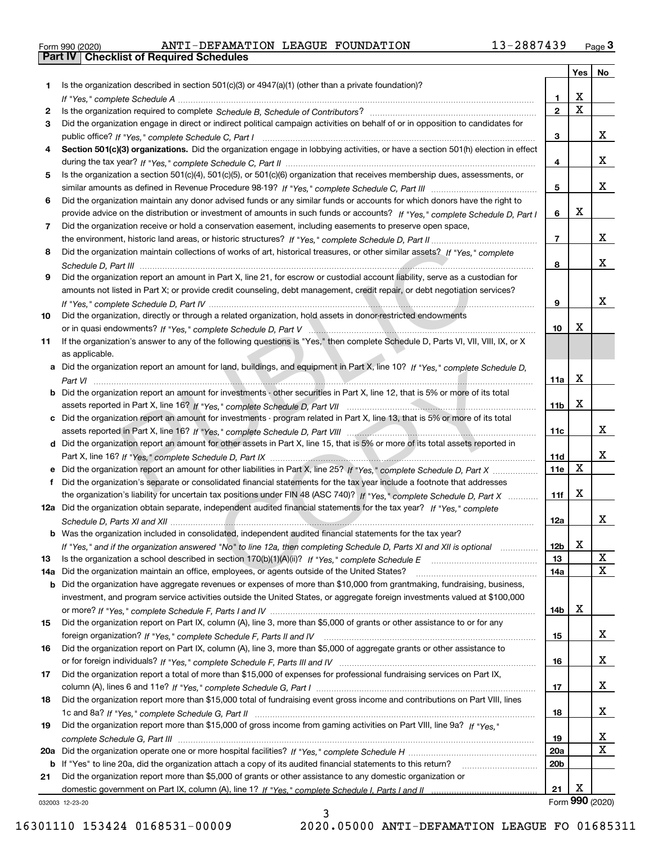|  | Form 990 (2020) |
|--|-----------------|

|         |                                                                                                                                                                                                                                                           |                        | Yes                     | No              |
|---------|-----------------------------------------------------------------------------------------------------------------------------------------------------------------------------------------------------------------------------------------------------------|------------------------|-------------------------|-----------------|
| 1       | Is the organization described in section $501(c)(3)$ or $4947(a)(1)$ (other than a private foundation)?                                                                                                                                                   |                        |                         |                 |
|         |                                                                                                                                                                                                                                                           | 1.                     | X                       |                 |
| 2       |                                                                                                                                                                                                                                                           | $\overline{2}$         | $\overline{\mathbf{x}}$ |                 |
| 3       | Did the organization engage in direct or indirect political campaign activities on behalf of or in opposition to candidates for                                                                                                                           |                        |                         |                 |
|         |                                                                                                                                                                                                                                                           | 3                      |                         | x               |
| 4       | Section 501(c)(3) organizations. Did the organization engage in lobbying activities, or have a section 501(h) election in effect                                                                                                                          |                        |                         |                 |
|         |                                                                                                                                                                                                                                                           | 4                      |                         | x               |
| 5       | Is the organization a section 501(c)(4), 501(c)(5), or 501(c)(6) organization that receives membership dues, assessments, or                                                                                                                              |                        |                         | x               |
|         |                                                                                                                                                                                                                                                           | 5                      |                         |                 |
| 6       | Did the organization maintain any donor advised funds or any similar funds or accounts for which donors have the right to<br>provide advice on the distribution or investment of amounts in such funds or accounts? If "Yes," complete Schedule D, Part I | 6                      | X                       |                 |
| 7       | Did the organization receive or hold a conservation easement, including easements to preserve open space,                                                                                                                                                 |                        |                         |                 |
|         |                                                                                                                                                                                                                                                           | $\overline{7}$         |                         | x               |
| 8       | Did the organization maintain collections of works of art, historical treasures, or other similar assets? If "Yes," complete                                                                                                                              |                        |                         |                 |
|         |                                                                                                                                                                                                                                                           | 8                      |                         | х               |
| 9       | Did the organization report an amount in Part X, line 21, for escrow or custodial account liability, serve as a custodian for                                                                                                                             |                        |                         |                 |
|         | amounts not listed in Part X; or provide credit counseling, debt management, credit repair, or debt negotiation services?                                                                                                                                 |                        |                         |                 |
|         |                                                                                                                                                                                                                                                           | 9                      |                         | x               |
| 10      | Did the organization, directly or through a related organization, hold assets in donor-restricted endowments                                                                                                                                              |                        |                         |                 |
|         |                                                                                                                                                                                                                                                           | 10                     | Х                       |                 |
| 11      | If the organization's answer to any of the following questions is "Yes," then complete Schedule D, Parts VI, VIII, VIII, IX, or X                                                                                                                         |                        |                         |                 |
|         | as applicable.                                                                                                                                                                                                                                            |                        |                         |                 |
|         | a Did the organization report an amount for land, buildings, and equipment in Part X, line 10? If "Yes," complete Schedule D,                                                                                                                             |                        |                         |                 |
|         |                                                                                                                                                                                                                                                           | 11a                    | X                       |                 |
|         | Did the organization report an amount for investments - other securities in Part X, line 12, that is 5% or more of its total                                                                                                                              |                        |                         |                 |
|         |                                                                                                                                                                                                                                                           | 11 <sub>b</sub>        | X                       |                 |
|         | Did the organization report an amount for investments - program related in Part X, line 13, that is 5% or more of its total                                                                                                                               |                        |                         |                 |
|         |                                                                                                                                                                                                                                                           | 11c                    |                         | x               |
| d       | Did the organization report an amount for other assets in Part X, line 15, that is 5% or more of its total assets reported in                                                                                                                             |                        |                         |                 |
|         |                                                                                                                                                                                                                                                           | 11d                    | $\mathbf X$             | x               |
|         |                                                                                                                                                                                                                                                           | 11e                    |                         |                 |
|         | Did the organization's separate or consolidated financial statements for the tax year include a footnote that addresses                                                                                                                                   |                        | X                       |                 |
|         | the organization's liability for uncertain tax positions under FIN 48 (ASC 740)? If "Yes," complete Schedule D, Part X<br>12a Did the organization obtain separate, independent audited financial statements for the tax year? If "Yes," complete         | 11f                    |                         |                 |
|         |                                                                                                                                                                                                                                                           | 12a                    |                         | x               |
|         | <b>b</b> Was the organization included in consolidated, independent audited financial statements for the tax year?                                                                                                                                        |                        |                         |                 |
|         | If "Yes," and if the organization answered "No" to line 12a, then completing Schedule D, Parts XI and XII is optional                                                                                                                                     | 12b                    | X                       |                 |
| 13      |                                                                                                                                                                                                                                                           | 13                     |                         | X               |
| 14a     | Did the organization maintain an office, employees, or agents outside of the United States?                                                                                                                                                               | 14a                    |                         | X               |
| b       | Did the organization have aggregate revenues or expenses of more than \$10,000 from grantmaking, fundraising, business,                                                                                                                                   |                        |                         |                 |
|         | investment, and program service activities outside the United States, or aggregate foreign investments valued at \$100,000                                                                                                                                |                        |                         |                 |
|         |                                                                                                                                                                                                                                                           | 14b                    | х                       |                 |
| 15      | Did the organization report on Part IX, column (A), line 3, more than \$5,000 of grants or other assistance to or for any                                                                                                                                 |                        |                         |                 |
|         |                                                                                                                                                                                                                                                           | 15                     |                         | x               |
| 16      | Did the organization report on Part IX, column (A), line 3, more than \$5,000 of aggregate grants or other assistance to                                                                                                                                  |                        |                         |                 |
|         |                                                                                                                                                                                                                                                           | 16                     |                         | x               |
| 17      | Did the organization report a total of more than \$15,000 of expenses for professional fundraising services on Part IX,                                                                                                                                   |                        |                         |                 |
|         |                                                                                                                                                                                                                                                           | 17                     |                         | x               |
| 18      | Did the organization report more than \$15,000 total of fundraising event gross income and contributions on Part VIII, lines                                                                                                                              |                        |                         |                 |
|         |                                                                                                                                                                                                                                                           | 18                     |                         | x               |
| 19      | Did the organization report more than \$15,000 of gross income from gaming activities on Part VIII, line 9a? If "Yes."                                                                                                                                    |                        |                         |                 |
|         |                                                                                                                                                                                                                                                           | 19                     |                         | x<br>X          |
| 20a     |                                                                                                                                                                                                                                                           | 20a<br>20 <sub>b</sub> |                         |                 |
| b<br>21 | If "Yes" to line 20a, did the organization attach a copy of its audited financial statements to this return?<br>Did the organization report more than \$5,000 of grants or other assistance to any domestic organization or                               |                        |                         |                 |
|         |                                                                                                                                                                                                                                                           | 21                     | х                       |                 |
|         | 032003 12-23-20                                                                                                                                                                                                                                           |                        |                         | Form 990 (2020) |

3

032003 12-23-20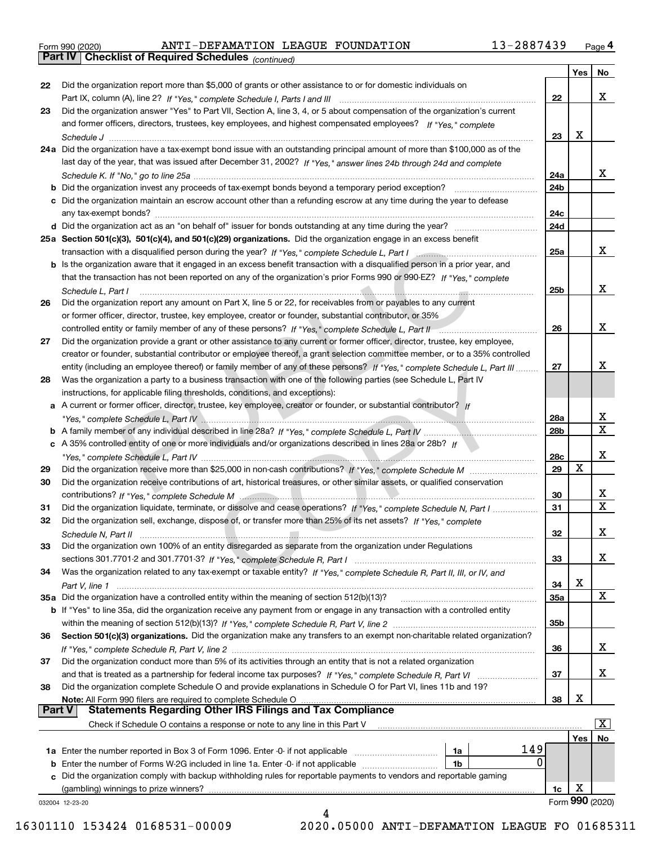|  | Form 990 (2020) |
|--|-----------------|
|  |                 |

*(continued)*

|               |                                                                                                                                                                                             |                 | Yes | No              |
|---------------|---------------------------------------------------------------------------------------------------------------------------------------------------------------------------------------------|-----------------|-----|-----------------|
| 22            | Did the organization report more than \$5,000 of grants or other assistance to or for domestic individuals on                                                                               |                 |     |                 |
|               |                                                                                                                                                                                             | 22              |     | x               |
| 23            | Did the organization answer "Yes" to Part VII, Section A, line 3, 4, or 5 about compensation of the organization's current                                                                  |                 |     |                 |
|               | and former officers, directors, trustees, key employees, and highest compensated employees? If "Yes." complete                                                                              |                 |     |                 |
|               |                                                                                                                                                                                             | 23              | х   |                 |
|               | 24a Did the organization have a tax-exempt bond issue with an outstanding principal amount of more than \$100,000 as of the                                                                 |                 |     |                 |
|               | last day of the year, that was issued after December 31, 2002? If "Yes," answer lines 24b through 24d and complete                                                                          |                 |     |                 |
|               |                                                                                                                                                                                             | 24a             |     | x               |
|               |                                                                                                                                                                                             | 24 <sub>b</sub> |     |                 |
|               | c Did the organization maintain an escrow account other than a refunding escrow at any time during the year to defease                                                                      |                 |     |                 |
|               |                                                                                                                                                                                             | 24c             |     |                 |
|               |                                                                                                                                                                                             | 24d             |     |                 |
|               | 25a Section 501(c)(3), 501(c)(4), and 501(c)(29) organizations. Did the organization engage in an excess benefit                                                                            |                 |     |                 |
|               | transaction with a disqualified person during the year? If "Yes," complete Schedule L, Part I manufaction with a disqualified person during the year? If "Yes," complete Schedule L, Part I | 25a             |     | x               |
|               | b Is the organization aware that it engaged in an excess benefit transaction with a disqualified person in a prior year, and                                                                |                 |     |                 |
|               | that the transaction has not been reported on any of the organization's prior Forms 990 or 990-EZ? If "Yes," complete                                                                       |                 |     |                 |
|               |                                                                                                                                                                                             | 25 <sub>b</sub> |     | x               |
|               | Schedule L, Part I                                                                                                                                                                          |                 |     |                 |
| 26            | Did the organization report any amount on Part X, line 5 or 22, for receivables from or payables to any current                                                                             |                 |     |                 |
|               | or former officer, director, trustee, key employee, creator or founder, substantial contributor, or 35%                                                                                     |                 |     |                 |
|               |                                                                                                                                                                                             | 26              |     | x               |
| 27            | Did the organization provide a grant or other assistance to any current or former officer, director, trustee, key employee,                                                                 |                 |     |                 |
|               | creator or founder, substantial contributor or employee thereof, a grant selection committee member, or to a 35% controlled                                                                 |                 |     |                 |
|               | entity (including an employee thereof) or family member of any of these persons? If "Yes," complete Schedule L, Part III                                                                    | 27              |     | х               |
| 28            | Was the organization a party to a business transaction with one of the following parties (see Schedule L, Part IV                                                                           |                 |     |                 |
|               | instructions, for applicable filing thresholds, conditions, and exceptions):                                                                                                                |                 |     |                 |
|               | a A current or former officer, director, trustee, key employee, creator or founder, or substantial contributor? If                                                                          |                 |     |                 |
|               |                                                                                                                                                                                             | 28a             |     | х               |
|               |                                                                                                                                                                                             | 28b             |     | X               |
|               | c A 35% controlled entity of one or more individuals and/or organizations described in lines 28a or 28b? If                                                                                 |                 |     |                 |
|               |                                                                                                                                                                                             | 28c             |     | х               |
| 29            |                                                                                                                                                                                             | 29              | X   |                 |
| 30            | Did the organization receive contributions of art, historical treasures, or other similar assets, or qualified conservation                                                                 |                 |     |                 |
|               |                                                                                                                                                                                             | 30              |     | х               |
| 31            | Did the organization liquidate, terminate, or dissolve and cease operations? If "Yes," complete Schedule N, Part I                                                                          | 31              |     | X.              |
| 32            | Did the organization sell, exchange, dispose of, or transfer more than 25% of its net assets? If "Yes," complete                                                                            |                 |     |                 |
|               | Schedule N, Part II                                                                                                                                                                         | 32              |     | х               |
| 33            | Did the organization own 100% of an entity disregarded as separate from the organization under Regulations                                                                                  |                 |     |                 |
|               |                                                                                                                                                                                             | 33              |     | x               |
| 34            | Was the organization related to any tax-exempt or taxable entity? If "Yes," complete Schedule R, Part II, III, or IV, and                                                                   |                 |     |                 |
|               |                                                                                                                                                                                             | 34              | х   |                 |
|               | 35a Did the organization have a controlled entity within the meaning of section 512(b)(13)?                                                                                                 | 35a             |     | x               |
|               | b If "Yes" to line 35a, did the organization receive any payment from or engage in any transaction with a controlled entity                                                                 |                 |     |                 |
|               |                                                                                                                                                                                             | 35b             |     |                 |
| 36            | Section 501(c)(3) organizations. Did the organization make any transfers to an exempt non-charitable related organization?                                                                  |                 |     |                 |
|               |                                                                                                                                                                                             |                 |     | x               |
|               |                                                                                                                                                                                             | 36              |     |                 |
| 37            | Did the organization conduct more than 5% of its activities through an entity that is not a related organization                                                                            |                 |     | X.              |
|               |                                                                                                                                                                                             | 37              |     |                 |
| 38            | Did the organization complete Schedule O and provide explanations in Schedule O for Part VI, lines 11b and 19?                                                                              |                 |     |                 |
| <b>Part V</b> | Note: All Form 990 filers are required to complete Schedule O<br><b>Statements Regarding Other IRS Filings and Tax Compliance</b>                                                           | 38              | х   |                 |
|               |                                                                                                                                                                                             |                 |     |                 |
|               | Check if Schedule O contains a response or note to any line in this Part V                                                                                                                  |                 |     | $\mathbf{x}$    |
|               |                                                                                                                                                                                             |                 | Yes | No              |
|               | 149<br>1a                                                                                                                                                                                   |                 |     |                 |
| b             | 0<br>Enter the number of Forms W-2G included in line 1a. Enter -0- if not applicable<br>1b                                                                                                  |                 |     |                 |
|               | c Did the organization comply with backup withholding rules for reportable payments to vendors and reportable gaming                                                                        |                 |     |                 |
|               | (gambling) winnings to prize winners?                                                                                                                                                       | 1c              | х   |                 |
|               | 032004 12-23-20                                                                                                                                                                             |                 |     | Form 990 (2020) |
|               | Δ                                                                                                                                                                                           |                 |     |                 |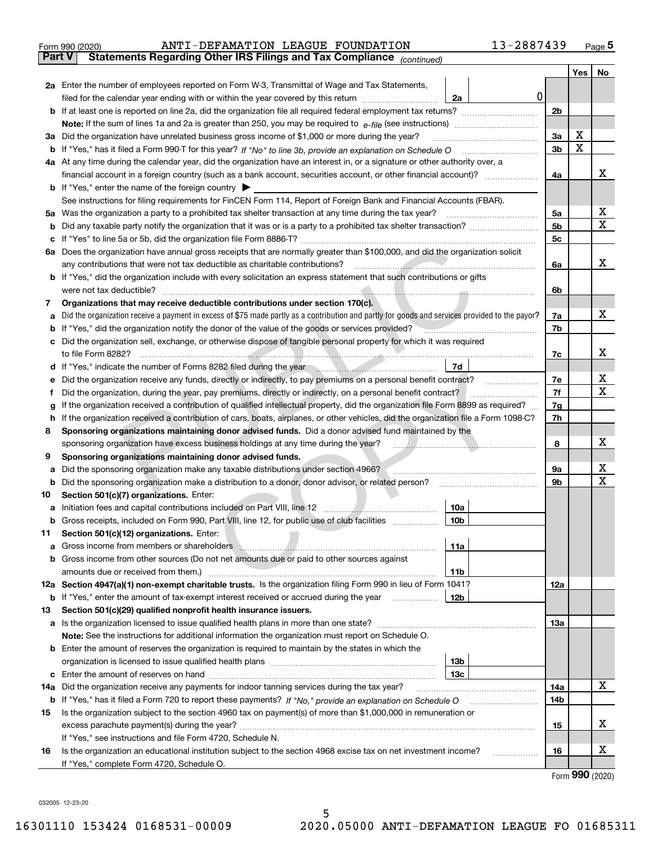|               | 13-2887439<br>ANTI-DEFAMATION LEAGUE FOUNDATION<br>Form 990 (2020)                                                                                                                                                                         |                |                   | <u>Page 5</u> |
|---------------|--------------------------------------------------------------------------------------------------------------------------------------------------------------------------------------------------------------------------------------------|----------------|-------------------|---------------|
| <b>Part V</b> | Statements Regarding Other IRS Filings and Tax Compliance (continued)                                                                                                                                                                      |                |                   |               |
|               |                                                                                                                                                                                                                                            |                | Yes               | No            |
|               | 2a Enter the number of employees reported on Form W-3, Transmittal of Wage and Tax Statements,                                                                                                                                             |                |                   |               |
|               | $\mathbf 0$<br>filed for the calendar year ending with or within the year covered by this return<br>2a                                                                                                                                     |                |                   |               |
|               |                                                                                                                                                                                                                                            | 2 <sub>b</sub> |                   |               |
|               |                                                                                                                                                                                                                                            |                |                   |               |
|               | 3a Did the organization have unrelated business gross income of \$1,000 or more during the year?                                                                                                                                           | 3a             | х                 |               |
|               |                                                                                                                                                                                                                                            | 3b             | X                 |               |
|               | 4a At any time during the calendar year, did the organization have an interest in, or a signature or other authority over, a                                                                                                               |                |                   |               |
|               |                                                                                                                                                                                                                                            | 4a             |                   | х             |
|               | <b>b</b> If "Yes," enter the name of the foreign country $\blacktriangleright$                                                                                                                                                             |                |                   |               |
|               | See instructions for filing requirements for FinCEN Form 114, Report of Foreign Bank and Financial Accounts (FBAR).                                                                                                                        |                |                   |               |
|               | 5a Was the organization a party to a prohibited tax shelter transaction at any time during the tax year?                                                                                                                                   | 5a             |                   | х             |
| b             |                                                                                                                                                                                                                                            | 5 <sub>b</sub> |                   | х             |
| c             |                                                                                                                                                                                                                                            | 5c             |                   |               |
|               | 6a Does the organization have annual gross receipts that are normally greater than \$100,000, and did the organization solicit                                                                                                             |                |                   |               |
|               | <u> El antico de la contrada de la contrada de la contrada de la contrada de la contrada de la contrada de la con</u><br>any contributions that were not tax deductible as charitable contributions?                                       | 6a             |                   | x             |
|               | <b>b</b> If "Yes," did the organization include with every solicitation an express statement that such contributions or gifts                                                                                                              |                |                   |               |
|               | were not tax deductible?                                                                                                                                                                                                                   | 6b             |                   |               |
| 7             | Organizations that may receive deductible contributions under section 170(c).                                                                                                                                                              |                |                   |               |
| а             | Did the organization receive a payment in excess of \$75 made partly as a contribution and partly for goods and services provided to the payor?                                                                                            | 7a             |                   | х             |
| b             | If "Yes," did the organization notify the donor of the value of the goods or services provided?                                                                                                                                            | 7b             |                   |               |
|               | c Did the organization sell, exchange, or otherwise dispose of tangible personal property for which it was required                                                                                                                        |                |                   |               |
|               |                                                                                                                                                                                                                                            | 7c             |                   | х             |
|               | d If "Yes," indicate the number of Forms 8282 filed during the year manuscription and the way and the way and the way and the way and the way and the way and the way and the way and the way are defined in the way and the w<br>7d       |                |                   |               |
| е             | Did the organization receive any funds, directly or indirectly, to pay premiums on a personal benefit contract?                                                                                                                            | 7e             |                   | X<br>x        |
| f             | Did the organization, during the year, pay premiums, directly or indirectly, on a personal benefit contract?                                                                                                                               | 7f             |                   |               |
| g             | If the organization received a contribution of qualified intellectual property, did the organization file Form 8899 as required?                                                                                                           | 7g<br>7h       |                   |               |
| h.<br>8       | If the organization received a contribution of cars, boats, airplanes, or other vehicles, did the organization file a Form 1098-C?<br>Sponsoring organizations maintaining donor advised funds. Did a donor advised fund maintained by the |                |                   |               |
|               | sponsoring organization have excess business holdings at any time during the year?                                                                                                                                                         | 8              |                   | х             |
| 9             | Sponsoring organizations maintaining donor advised funds.                                                                                                                                                                                  |                |                   |               |
| а             | Did the sponsoring organization make any taxable distributions under section 4966?                                                                                                                                                         | 9а             |                   | х             |
| b             | Did the sponsoring organization make a distribution to a donor, donor advisor, or related person?                                                                                                                                          | 9b             |                   | $\mathbf X$   |
| 10            | Section 501(c)(7) organizations. Enter:                                                                                                                                                                                                    |                |                   |               |
|               | 10a<br>a Initiation fees and capital contributions included on Part VIII, line 12 [11, 2010] [11, 2010] [11, 2010] [1                                                                                                                      |                |                   |               |
|               | 10 <sub>b</sub>  <br>Gross receipts, included on Form 990, Part VIII, line 12, for public use of club facilities                                                                                                                           |                |                   |               |
| 11            | Section 501(c)(12) organizations. Enter:                                                                                                                                                                                                   |                |                   |               |
| a             | 11a                                                                                                                                                                                                                                        |                |                   |               |
|               | b Gross income from other sources (Do not net amounts due or paid to other sources against                                                                                                                                                 |                |                   |               |
|               | 11b                                                                                                                                                                                                                                        |                |                   |               |
|               | 12a Section 4947(a)(1) non-exempt charitable trusts. Is the organization filing Form 990 in lieu of Form 1041?                                                                                                                             | <b>12a</b>     |                   |               |
|               | 12b<br><b>b</b> If "Yes," enter the amount of tax-exempt interest received or accrued during the year                                                                                                                                      |                |                   |               |
| 13            | Section 501(c)(29) qualified nonprofit health insurance issuers.                                                                                                                                                                           |                |                   |               |
|               | a Is the organization licensed to issue qualified health plans in more than one state?                                                                                                                                                     | <b>13a</b>     |                   |               |
|               | Note: See the instructions for additional information the organization must report on Schedule O.                                                                                                                                          |                |                   |               |
|               | <b>b</b> Enter the amount of reserves the organization is required to maintain by the states in which the                                                                                                                                  |                |                   |               |
|               | 13b                                                                                                                                                                                                                                        |                |                   |               |
|               | 13с                                                                                                                                                                                                                                        |                |                   |               |
| 14a           | Did the organization receive any payments for indoor tanning services during the tax year?                                                                                                                                                 | 14a            |                   | x             |
| b             |                                                                                                                                                                                                                                            | 14b            |                   |               |
| 15            | Is the organization subject to the section 4960 tax on payment(s) of more than \$1,000,000 in remuneration or                                                                                                                              |                |                   |               |
|               |                                                                                                                                                                                                                                            | 15             |                   | x             |
|               | If "Yes," see instructions and file Form 4720, Schedule N.                                                                                                                                                                                 |                |                   |               |
| 16            | Is the organization an educational institution subject to the section 4968 excise tax on net investment income?                                                                                                                            | 16             |                   | х             |
|               | If "Yes," complete Form 4720, Schedule O.                                                                                                                                                                                                  |                | $000 \text{ mas}$ |               |

Form (2020) **990**

032005 12-23-20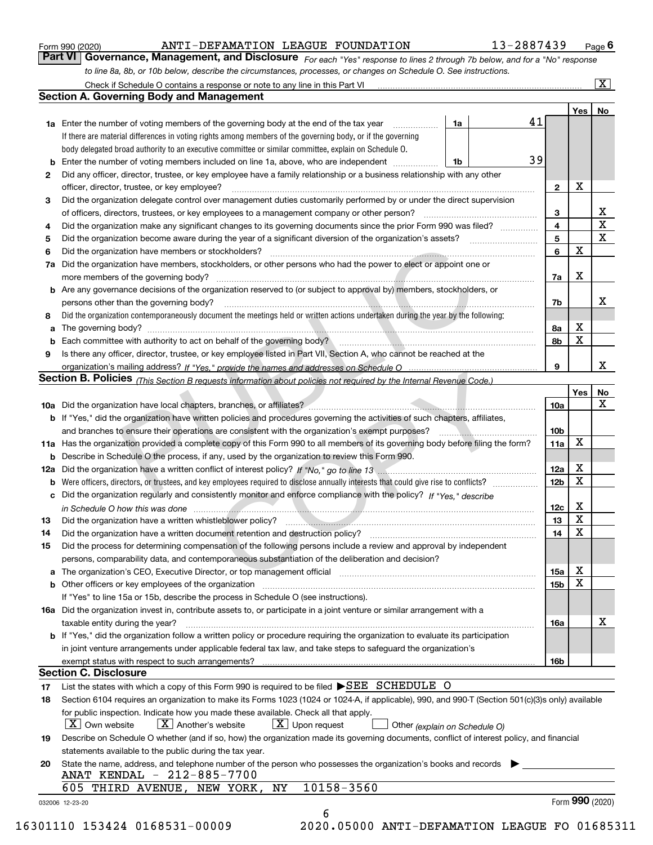|  | Form 990 (2020) |
|--|-----------------|
|  |                 |

### ANTI-DEFAMATION LEAGUE FOUNDATION 13-2887439

*For each "Yes" response to lines 2 through 7b below, and for a "No" response to line 8a, 8b, or 10b below, describe the circumstances, processes, or changes on Schedule O. See instructions.* Form 990 (2020) **ANTI-DEFAMATION LEAGUE FOUNDATION 13-2887439** Page 6<br>**Part VI Governance, Management, and Disclosure** For each "Yes" response to lines 2 through 7b below, and for a "No" response

| Yes <sub>1</sub><br>41<br>1a<br><b>1a</b> Enter the number of voting members of the governing body at the end of the tax year<br>.<br>If there are material differences in voting rights among members of the governing body, or if the governing<br>body delegated broad authority to an executive committee or similar committee, explain on Schedule O.<br>39<br><b>b</b> Enter the number of voting members included on line 1a, above, who are independent <i>manumum</i><br>1b<br>Did any officer, director, trustee, or key employee have a family relationship or a business relationship with any other<br>2<br>X<br>$\mathbf{2}$<br>officer, director, trustee, or key employee?<br>Did the organization delegate control over management duties customarily performed by or under the direct supervision<br>3<br>3<br>4<br>Did the organization make any significant changes to its governing documents since the prior Form 990 was filed?<br>4<br>5<br>5<br>X<br>6<br>Did the organization have members or stockholders?<br>6<br>Did the organization have members, stockholders, or other persons who had the power to elect or appoint one or<br>7a<br>x<br>7a<br><b>b</b> Are any governance decisions of the organization reserved to (or subject to approval by) members, stockholders, or<br>persons other than the governing body?<br>7b<br>Did the organization contemporaneously document the meetings held or written actions undertaken during the year by the following:<br>8<br>х<br>8a<br>a<br>$\mathbf X$<br>8b<br>Is there any officer, director, trustee, or key employee listed in Part VII, Section A, who cannot be reached at the<br>9<br>9<br>Section B. Policies (This Section B requests information about policies not required by the Internal Revenue Code.)<br>10a<br>b If "Yes," did the organization have written policies and procedures governing the activities of such chapters, affiliates,<br>10 <sub>b</sub><br>X<br>11a Has the organization provided a complete copy of this Form 990 to all members of its governing body before filing the form?<br>11a<br><b>b</b> Describe in Schedule O the process, if any, used by the organization to review this Form 990.<br>х<br>12a<br>12a<br>$\mathbf X$<br>12 <sub>b</sub><br>b<br>c Did the organization regularly and consistently monitor and enforce compliance with the policy? If "Yes." describe<br>х<br>12c<br>in Schedule O how this was done manufactured and contact the state of the state of the state of the state of the state of the state of the state of the state of the state of the state of the state of the state of the state<br>X<br>13<br>13<br>$\mathbf X$<br>14<br>Did the organization have a written document retention and destruction policy? manufactured and the organization have a written document retention and destruction policy?<br>14<br>Did the process for determining compensation of the following persons include a review and approval by independent<br>15<br>persons, comparability data, and contemporaneous substantiation of the deliberation and decision?<br>х<br>15a<br>$\mathbf X$<br>15b<br><b>b</b> Other officers or key employees of the organization<br>If "Yes" to line 15a or 15b, describe the process in Schedule O (see instructions).<br>16a Did the organization invest in, contribute assets to, or participate in a joint venture or similar arrangement with a<br>taxable entity during the year?<br>16a<br><b>b</b> If "Yes," did the organization follow a written policy or procedure requiring the organization to evaluate its participation<br>in joint venture arrangements under applicable federal tax law, and take steps to safequard the organization's<br>exempt status with respect to such arrangements?<br>16b<br><b>Section C. Disclosure</b><br>List the states with which a copy of this Form 990 is required to be filed ▶SEE SCHEDULE O<br>17<br>Section 6104 requires an organization to make its Forms 1023 (1024 or 1024-A, if applicable), 990, and 990-T (Section 501(c)(3)s only) available<br>18<br>for public inspection. Indicate how you made these available. Check all that apply.<br>$X$ Upon request<br>$ X $ Own website<br>$X$ Another's website<br>Other (explain on Schedule O)<br>Describe on Schedule O whether (and if so, how) the organization made its governing documents, conflict of interest policy, and financial<br>19<br>statements available to the public during the tax year.<br>State the name, address, and telephone number of the person who possesses the organization's books and records<br>20<br>ANAT KENDAL - 212-885-7700<br>10158-3560<br>605 THIRD AVENUE, NEW YORK, NY | <b>Section A. Governing Body and Management</b> |  |     | No                           |
|----------------------------------------------------------------------------------------------------------------------------------------------------------------------------------------------------------------------------------------------------------------------------------------------------------------------------------------------------------------------------------------------------------------------------------------------------------------------------------------------------------------------------------------------------------------------------------------------------------------------------------------------------------------------------------------------------------------------------------------------------------------------------------------------------------------------------------------------------------------------------------------------------------------------------------------------------------------------------------------------------------------------------------------------------------------------------------------------------------------------------------------------------------------------------------------------------------------------------------------------------------------------------------------------------------------------------------------------------------------------------------------------------------------------------------------------------------------------------------------------------------------------------------------------------------------------------------------------------------------------------------------------------------------------------------------------------------------------------------------------------------------------------------------------------------------------------------------------------------------------------------------------------------------------------------------------------------------------------------------------------------------------------------------------------------------------------------------------------------------------------------------------------------------------------------------------------------------------------------------------------------------------------------------------------------------------------------------------------------------------------------------------------------------------------------------------------------------------------------------------------------------------------------------------------------------------------------------------------------------------------------------------------------------------------------------------------------------------------------------------------------------------------------------------------------------------------------------------------------------------------------------------------------------------------------------------------------------------------------------------------------------------------------------------------------------------------------------------------------------------------------------------------------------------------------------------------------------------------------------------------------------------------------------------------------------------------------------------------------------------------------------------------------------------------------------------------------------------------------------------------------------------------------------------------------------------------------------------------------------------------------------------------------------------------------------------------------------------------------------------------------------------------------------------------------------------------------------------------------------------------------------------------------------------------------------------------------------------------------------------------------------------------------------------------------------------------------------------------------------------------------------------------------------------------------------------------------------------------------------------------------------------------------------------------------------------------------------------------------------------------------------------------------------------------------------------------------------------------------------------------------------------------------------------------------------------------------------------------------------------------------------------------------------------------------------------------------------------|-------------------------------------------------|--|-----|------------------------------|
|                                                                                                                                                                                                                                                                                                                                                                                                                                                                                                                                                                                                                                                                                                                                                                                                                                                                                                                                                                                                                                                                                                                                                                                                                                                                                                                                                                                                                                                                                                                                                                                                                                                                                                                                                                                                                                                                                                                                                                                                                                                                                                                                                                                                                                                                                                                                                                                                                                                                                                                                                                                                                                                                                                                                                                                                                                                                                                                                                                                                                                                                                                                                                                                                                                                                                                                                                                                                                                                                                                                                                                                                                                                                                                                                                                                                                                                                                                                                                                                                                                                                                                                                                                                                                                                                                                                                                                                                                                                                                                                                                                                                                                                                                                                      |                                                 |  |     |                              |
|                                                                                                                                                                                                                                                                                                                                                                                                                                                                                                                                                                                                                                                                                                                                                                                                                                                                                                                                                                                                                                                                                                                                                                                                                                                                                                                                                                                                                                                                                                                                                                                                                                                                                                                                                                                                                                                                                                                                                                                                                                                                                                                                                                                                                                                                                                                                                                                                                                                                                                                                                                                                                                                                                                                                                                                                                                                                                                                                                                                                                                                                                                                                                                                                                                                                                                                                                                                                                                                                                                                                                                                                                                                                                                                                                                                                                                                                                                                                                                                                                                                                                                                                                                                                                                                                                                                                                                                                                                                                                                                                                                                                                                                                                                                      |                                                 |  |     |                              |
|                                                                                                                                                                                                                                                                                                                                                                                                                                                                                                                                                                                                                                                                                                                                                                                                                                                                                                                                                                                                                                                                                                                                                                                                                                                                                                                                                                                                                                                                                                                                                                                                                                                                                                                                                                                                                                                                                                                                                                                                                                                                                                                                                                                                                                                                                                                                                                                                                                                                                                                                                                                                                                                                                                                                                                                                                                                                                                                                                                                                                                                                                                                                                                                                                                                                                                                                                                                                                                                                                                                                                                                                                                                                                                                                                                                                                                                                                                                                                                                                                                                                                                                                                                                                                                                                                                                                                                                                                                                                                                                                                                                                                                                                                                                      |                                                 |  |     |                              |
|                                                                                                                                                                                                                                                                                                                                                                                                                                                                                                                                                                                                                                                                                                                                                                                                                                                                                                                                                                                                                                                                                                                                                                                                                                                                                                                                                                                                                                                                                                                                                                                                                                                                                                                                                                                                                                                                                                                                                                                                                                                                                                                                                                                                                                                                                                                                                                                                                                                                                                                                                                                                                                                                                                                                                                                                                                                                                                                                                                                                                                                                                                                                                                                                                                                                                                                                                                                                                                                                                                                                                                                                                                                                                                                                                                                                                                                                                                                                                                                                                                                                                                                                                                                                                                                                                                                                                                                                                                                                                                                                                                                                                                                                                                                      |                                                 |  |     |                              |
|                                                                                                                                                                                                                                                                                                                                                                                                                                                                                                                                                                                                                                                                                                                                                                                                                                                                                                                                                                                                                                                                                                                                                                                                                                                                                                                                                                                                                                                                                                                                                                                                                                                                                                                                                                                                                                                                                                                                                                                                                                                                                                                                                                                                                                                                                                                                                                                                                                                                                                                                                                                                                                                                                                                                                                                                                                                                                                                                                                                                                                                                                                                                                                                                                                                                                                                                                                                                                                                                                                                                                                                                                                                                                                                                                                                                                                                                                                                                                                                                                                                                                                                                                                                                                                                                                                                                                                                                                                                                                                                                                                                                                                                                                                                      |                                                 |  |     |                              |
|                                                                                                                                                                                                                                                                                                                                                                                                                                                                                                                                                                                                                                                                                                                                                                                                                                                                                                                                                                                                                                                                                                                                                                                                                                                                                                                                                                                                                                                                                                                                                                                                                                                                                                                                                                                                                                                                                                                                                                                                                                                                                                                                                                                                                                                                                                                                                                                                                                                                                                                                                                                                                                                                                                                                                                                                                                                                                                                                                                                                                                                                                                                                                                                                                                                                                                                                                                                                                                                                                                                                                                                                                                                                                                                                                                                                                                                                                                                                                                                                                                                                                                                                                                                                                                                                                                                                                                                                                                                                                                                                                                                                                                                                                                                      |                                                 |  |     |                              |
|                                                                                                                                                                                                                                                                                                                                                                                                                                                                                                                                                                                                                                                                                                                                                                                                                                                                                                                                                                                                                                                                                                                                                                                                                                                                                                                                                                                                                                                                                                                                                                                                                                                                                                                                                                                                                                                                                                                                                                                                                                                                                                                                                                                                                                                                                                                                                                                                                                                                                                                                                                                                                                                                                                                                                                                                                                                                                                                                                                                                                                                                                                                                                                                                                                                                                                                                                                                                                                                                                                                                                                                                                                                                                                                                                                                                                                                                                                                                                                                                                                                                                                                                                                                                                                                                                                                                                                                                                                                                                                                                                                                                                                                                                                                      |                                                 |  |     |                              |
|                                                                                                                                                                                                                                                                                                                                                                                                                                                                                                                                                                                                                                                                                                                                                                                                                                                                                                                                                                                                                                                                                                                                                                                                                                                                                                                                                                                                                                                                                                                                                                                                                                                                                                                                                                                                                                                                                                                                                                                                                                                                                                                                                                                                                                                                                                                                                                                                                                                                                                                                                                                                                                                                                                                                                                                                                                                                                                                                                                                                                                                                                                                                                                                                                                                                                                                                                                                                                                                                                                                                                                                                                                                                                                                                                                                                                                                                                                                                                                                                                                                                                                                                                                                                                                                                                                                                                                                                                                                                                                                                                                                                                                                                                                                      |                                                 |  |     |                              |
|                                                                                                                                                                                                                                                                                                                                                                                                                                                                                                                                                                                                                                                                                                                                                                                                                                                                                                                                                                                                                                                                                                                                                                                                                                                                                                                                                                                                                                                                                                                                                                                                                                                                                                                                                                                                                                                                                                                                                                                                                                                                                                                                                                                                                                                                                                                                                                                                                                                                                                                                                                                                                                                                                                                                                                                                                                                                                                                                                                                                                                                                                                                                                                                                                                                                                                                                                                                                                                                                                                                                                                                                                                                                                                                                                                                                                                                                                                                                                                                                                                                                                                                                                                                                                                                                                                                                                                                                                                                                                                                                                                                                                                                                                                                      |                                                 |  |     | х<br>$\overline{\mathtt{x}}$ |
|                                                                                                                                                                                                                                                                                                                                                                                                                                                                                                                                                                                                                                                                                                                                                                                                                                                                                                                                                                                                                                                                                                                                                                                                                                                                                                                                                                                                                                                                                                                                                                                                                                                                                                                                                                                                                                                                                                                                                                                                                                                                                                                                                                                                                                                                                                                                                                                                                                                                                                                                                                                                                                                                                                                                                                                                                                                                                                                                                                                                                                                                                                                                                                                                                                                                                                                                                                                                                                                                                                                                                                                                                                                                                                                                                                                                                                                                                                                                                                                                                                                                                                                                                                                                                                                                                                                                                                                                                                                                                                                                                                                                                                                                                                                      |                                                 |  |     | $\overline{\mathbf{x}}$      |
|                                                                                                                                                                                                                                                                                                                                                                                                                                                                                                                                                                                                                                                                                                                                                                                                                                                                                                                                                                                                                                                                                                                                                                                                                                                                                                                                                                                                                                                                                                                                                                                                                                                                                                                                                                                                                                                                                                                                                                                                                                                                                                                                                                                                                                                                                                                                                                                                                                                                                                                                                                                                                                                                                                                                                                                                                                                                                                                                                                                                                                                                                                                                                                                                                                                                                                                                                                                                                                                                                                                                                                                                                                                                                                                                                                                                                                                                                                                                                                                                                                                                                                                                                                                                                                                                                                                                                                                                                                                                                                                                                                                                                                                                                                                      |                                                 |  |     |                              |
|                                                                                                                                                                                                                                                                                                                                                                                                                                                                                                                                                                                                                                                                                                                                                                                                                                                                                                                                                                                                                                                                                                                                                                                                                                                                                                                                                                                                                                                                                                                                                                                                                                                                                                                                                                                                                                                                                                                                                                                                                                                                                                                                                                                                                                                                                                                                                                                                                                                                                                                                                                                                                                                                                                                                                                                                                                                                                                                                                                                                                                                                                                                                                                                                                                                                                                                                                                                                                                                                                                                                                                                                                                                                                                                                                                                                                                                                                                                                                                                                                                                                                                                                                                                                                                                                                                                                                                                                                                                                                                                                                                                                                                                                                                                      |                                                 |  |     |                              |
|                                                                                                                                                                                                                                                                                                                                                                                                                                                                                                                                                                                                                                                                                                                                                                                                                                                                                                                                                                                                                                                                                                                                                                                                                                                                                                                                                                                                                                                                                                                                                                                                                                                                                                                                                                                                                                                                                                                                                                                                                                                                                                                                                                                                                                                                                                                                                                                                                                                                                                                                                                                                                                                                                                                                                                                                                                                                                                                                                                                                                                                                                                                                                                                                                                                                                                                                                                                                                                                                                                                                                                                                                                                                                                                                                                                                                                                                                                                                                                                                                                                                                                                                                                                                                                                                                                                                                                                                                                                                                                                                                                                                                                                                                                                      |                                                 |  |     |                              |
|                                                                                                                                                                                                                                                                                                                                                                                                                                                                                                                                                                                                                                                                                                                                                                                                                                                                                                                                                                                                                                                                                                                                                                                                                                                                                                                                                                                                                                                                                                                                                                                                                                                                                                                                                                                                                                                                                                                                                                                                                                                                                                                                                                                                                                                                                                                                                                                                                                                                                                                                                                                                                                                                                                                                                                                                                                                                                                                                                                                                                                                                                                                                                                                                                                                                                                                                                                                                                                                                                                                                                                                                                                                                                                                                                                                                                                                                                                                                                                                                                                                                                                                                                                                                                                                                                                                                                                                                                                                                                                                                                                                                                                                                                                                      |                                                 |  |     |                              |
|                                                                                                                                                                                                                                                                                                                                                                                                                                                                                                                                                                                                                                                                                                                                                                                                                                                                                                                                                                                                                                                                                                                                                                                                                                                                                                                                                                                                                                                                                                                                                                                                                                                                                                                                                                                                                                                                                                                                                                                                                                                                                                                                                                                                                                                                                                                                                                                                                                                                                                                                                                                                                                                                                                                                                                                                                                                                                                                                                                                                                                                                                                                                                                                                                                                                                                                                                                                                                                                                                                                                                                                                                                                                                                                                                                                                                                                                                                                                                                                                                                                                                                                                                                                                                                                                                                                                                                                                                                                                                                                                                                                                                                                                                                                      |                                                 |  |     |                              |
|                                                                                                                                                                                                                                                                                                                                                                                                                                                                                                                                                                                                                                                                                                                                                                                                                                                                                                                                                                                                                                                                                                                                                                                                                                                                                                                                                                                                                                                                                                                                                                                                                                                                                                                                                                                                                                                                                                                                                                                                                                                                                                                                                                                                                                                                                                                                                                                                                                                                                                                                                                                                                                                                                                                                                                                                                                                                                                                                                                                                                                                                                                                                                                                                                                                                                                                                                                                                                                                                                                                                                                                                                                                                                                                                                                                                                                                                                                                                                                                                                                                                                                                                                                                                                                                                                                                                                                                                                                                                                                                                                                                                                                                                                                                      |                                                 |  |     | х                            |
|                                                                                                                                                                                                                                                                                                                                                                                                                                                                                                                                                                                                                                                                                                                                                                                                                                                                                                                                                                                                                                                                                                                                                                                                                                                                                                                                                                                                                                                                                                                                                                                                                                                                                                                                                                                                                                                                                                                                                                                                                                                                                                                                                                                                                                                                                                                                                                                                                                                                                                                                                                                                                                                                                                                                                                                                                                                                                                                                                                                                                                                                                                                                                                                                                                                                                                                                                                                                                                                                                                                                                                                                                                                                                                                                                                                                                                                                                                                                                                                                                                                                                                                                                                                                                                                                                                                                                                                                                                                                                                                                                                                                                                                                                                                      |                                                 |  |     |                              |
|                                                                                                                                                                                                                                                                                                                                                                                                                                                                                                                                                                                                                                                                                                                                                                                                                                                                                                                                                                                                                                                                                                                                                                                                                                                                                                                                                                                                                                                                                                                                                                                                                                                                                                                                                                                                                                                                                                                                                                                                                                                                                                                                                                                                                                                                                                                                                                                                                                                                                                                                                                                                                                                                                                                                                                                                                                                                                                                                                                                                                                                                                                                                                                                                                                                                                                                                                                                                                                                                                                                                                                                                                                                                                                                                                                                                                                                                                                                                                                                                                                                                                                                                                                                                                                                                                                                                                                                                                                                                                                                                                                                                                                                                                                                      |                                                 |  |     |                              |
|                                                                                                                                                                                                                                                                                                                                                                                                                                                                                                                                                                                                                                                                                                                                                                                                                                                                                                                                                                                                                                                                                                                                                                                                                                                                                                                                                                                                                                                                                                                                                                                                                                                                                                                                                                                                                                                                                                                                                                                                                                                                                                                                                                                                                                                                                                                                                                                                                                                                                                                                                                                                                                                                                                                                                                                                                                                                                                                                                                                                                                                                                                                                                                                                                                                                                                                                                                                                                                                                                                                                                                                                                                                                                                                                                                                                                                                                                                                                                                                                                                                                                                                                                                                                                                                                                                                                                                                                                                                                                                                                                                                                                                                                                                                      |                                                 |  |     |                              |
|                                                                                                                                                                                                                                                                                                                                                                                                                                                                                                                                                                                                                                                                                                                                                                                                                                                                                                                                                                                                                                                                                                                                                                                                                                                                                                                                                                                                                                                                                                                                                                                                                                                                                                                                                                                                                                                                                                                                                                                                                                                                                                                                                                                                                                                                                                                                                                                                                                                                                                                                                                                                                                                                                                                                                                                                                                                                                                                                                                                                                                                                                                                                                                                                                                                                                                                                                                                                                                                                                                                                                                                                                                                                                                                                                                                                                                                                                                                                                                                                                                                                                                                                                                                                                                                                                                                                                                                                                                                                                                                                                                                                                                                                                                                      |                                                 |  |     |                              |
|                                                                                                                                                                                                                                                                                                                                                                                                                                                                                                                                                                                                                                                                                                                                                                                                                                                                                                                                                                                                                                                                                                                                                                                                                                                                                                                                                                                                                                                                                                                                                                                                                                                                                                                                                                                                                                                                                                                                                                                                                                                                                                                                                                                                                                                                                                                                                                                                                                                                                                                                                                                                                                                                                                                                                                                                                                                                                                                                                                                                                                                                                                                                                                                                                                                                                                                                                                                                                                                                                                                                                                                                                                                                                                                                                                                                                                                                                                                                                                                                                                                                                                                                                                                                                                                                                                                                                                                                                                                                                                                                                                                                                                                                                                                      |                                                 |  |     | x                            |
|                                                                                                                                                                                                                                                                                                                                                                                                                                                                                                                                                                                                                                                                                                                                                                                                                                                                                                                                                                                                                                                                                                                                                                                                                                                                                                                                                                                                                                                                                                                                                                                                                                                                                                                                                                                                                                                                                                                                                                                                                                                                                                                                                                                                                                                                                                                                                                                                                                                                                                                                                                                                                                                                                                                                                                                                                                                                                                                                                                                                                                                                                                                                                                                                                                                                                                                                                                                                                                                                                                                                                                                                                                                                                                                                                                                                                                                                                                                                                                                                                                                                                                                                                                                                                                                                                                                                                                                                                                                                                                                                                                                                                                                                                                                      |                                                 |  |     |                              |
|                                                                                                                                                                                                                                                                                                                                                                                                                                                                                                                                                                                                                                                                                                                                                                                                                                                                                                                                                                                                                                                                                                                                                                                                                                                                                                                                                                                                                                                                                                                                                                                                                                                                                                                                                                                                                                                                                                                                                                                                                                                                                                                                                                                                                                                                                                                                                                                                                                                                                                                                                                                                                                                                                                                                                                                                                                                                                                                                                                                                                                                                                                                                                                                                                                                                                                                                                                                                                                                                                                                                                                                                                                                                                                                                                                                                                                                                                                                                                                                                                                                                                                                                                                                                                                                                                                                                                                                                                                                                                                                                                                                                                                                                                                                      |                                                 |  | Yes | No                           |
|                                                                                                                                                                                                                                                                                                                                                                                                                                                                                                                                                                                                                                                                                                                                                                                                                                                                                                                                                                                                                                                                                                                                                                                                                                                                                                                                                                                                                                                                                                                                                                                                                                                                                                                                                                                                                                                                                                                                                                                                                                                                                                                                                                                                                                                                                                                                                                                                                                                                                                                                                                                                                                                                                                                                                                                                                                                                                                                                                                                                                                                                                                                                                                                                                                                                                                                                                                                                                                                                                                                                                                                                                                                                                                                                                                                                                                                                                                                                                                                                                                                                                                                                                                                                                                                                                                                                                                                                                                                                                                                                                                                                                                                                                                                      |                                                 |  |     | $\mathbf X$                  |
|                                                                                                                                                                                                                                                                                                                                                                                                                                                                                                                                                                                                                                                                                                                                                                                                                                                                                                                                                                                                                                                                                                                                                                                                                                                                                                                                                                                                                                                                                                                                                                                                                                                                                                                                                                                                                                                                                                                                                                                                                                                                                                                                                                                                                                                                                                                                                                                                                                                                                                                                                                                                                                                                                                                                                                                                                                                                                                                                                                                                                                                                                                                                                                                                                                                                                                                                                                                                                                                                                                                                                                                                                                                                                                                                                                                                                                                                                                                                                                                                                                                                                                                                                                                                                                                                                                                                                                                                                                                                                                                                                                                                                                                                                                                      |                                                 |  |     |                              |
|                                                                                                                                                                                                                                                                                                                                                                                                                                                                                                                                                                                                                                                                                                                                                                                                                                                                                                                                                                                                                                                                                                                                                                                                                                                                                                                                                                                                                                                                                                                                                                                                                                                                                                                                                                                                                                                                                                                                                                                                                                                                                                                                                                                                                                                                                                                                                                                                                                                                                                                                                                                                                                                                                                                                                                                                                                                                                                                                                                                                                                                                                                                                                                                                                                                                                                                                                                                                                                                                                                                                                                                                                                                                                                                                                                                                                                                                                                                                                                                                                                                                                                                                                                                                                                                                                                                                                                                                                                                                                                                                                                                                                                                                                                                      |                                                 |  |     |                              |
|                                                                                                                                                                                                                                                                                                                                                                                                                                                                                                                                                                                                                                                                                                                                                                                                                                                                                                                                                                                                                                                                                                                                                                                                                                                                                                                                                                                                                                                                                                                                                                                                                                                                                                                                                                                                                                                                                                                                                                                                                                                                                                                                                                                                                                                                                                                                                                                                                                                                                                                                                                                                                                                                                                                                                                                                                                                                                                                                                                                                                                                                                                                                                                                                                                                                                                                                                                                                                                                                                                                                                                                                                                                                                                                                                                                                                                                                                                                                                                                                                                                                                                                                                                                                                                                                                                                                                                                                                                                                                                                                                                                                                                                                                                                      |                                                 |  |     |                              |
|                                                                                                                                                                                                                                                                                                                                                                                                                                                                                                                                                                                                                                                                                                                                                                                                                                                                                                                                                                                                                                                                                                                                                                                                                                                                                                                                                                                                                                                                                                                                                                                                                                                                                                                                                                                                                                                                                                                                                                                                                                                                                                                                                                                                                                                                                                                                                                                                                                                                                                                                                                                                                                                                                                                                                                                                                                                                                                                                                                                                                                                                                                                                                                                                                                                                                                                                                                                                                                                                                                                                                                                                                                                                                                                                                                                                                                                                                                                                                                                                                                                                                                                                                                                                                                                                                                                                                                                                                                                                                                                                                                                                                                                                                                                      |                                                 |  |     |                              |
|                                                                                                                                                                                                                                                                                                                                                                                                                                                                                                                                                                                                                                                                                                                                                                                                                                                                                                                                                                                                                                                                                                                                                                                                                                                                                                                                                                                                                                                                                                                                                                                                                                                                                                                                                                                                                                                                                                                                                                                                                                                                                                                                                                                                                                                                                                                                                                                                                                                                                                                                                                                                                                                                                                                                                                                                                                                                                                                                                                                                                                                                                                                                                                                                                                                                                                                                                                                                                                                                                                                                                                                                                                                                                                                                                                                                                                                                                                                                                                                                                                                                                                                                                                                                                                                                                                                                                                                                                                                                                                                                                                                                                                                                                                                      |                                                 |  |     |                              |
|                                                                                                                                                                                                                                                                                                                                                                                                                                                                                                                                                                                                                                                                                                                                                                                                                                                                                                                                                                                                                                                                                                                                                                                                                                                                                                                                                                                                                                                                                                                                                                                                                                                                                                                                                                                                                                                                                                                                                                                                                                                                                                                                                                                                                                                                                                                                                                                                                                                                                                                                                                                                                                                                                                                                                                                                                                                                                                                                                                                                                                                                                                                                                                                                                                                                                                                                                                                                                                                                                                                                                                                                                                                                                                                                                                                                                                                                                                                                                                                                                                                                                                                                                                                                                                                                                                                                                                                                                                                                                                                                                                                                                                                                                                                      |                                                 |  |     |                              |
|                                                                                                                                                                                                                                                                                                                                                                                                                                                                                                                                                                                                                                                                                                                                                                                                                                                                                                                                                                                                                                                                                                                                                                                                                                                                                                                                                                                                                                                                                                                                                                                                                                                                                                                                                                                                                                                                                                                                                                                                                                                                                                                                                                                                                                                                                                                                                                                                                                                                                                                                                                                                                                                                                                                                                                                                                                                                                                                                                                                                                                                                                                                                                                                                                                                                                                                                                                                                                                                                                                                                                                                                                                                                                                                                                                                                                                                                                                                                                                                                                                                                                                                                                                                                                                                                                                                                                                                                                                                                                                                                                                                                                                                                                                                      |                                                 |  |     |                              |
|                                                                                                                                                                                                                                                                                                                                                                                                                                                                                                                                                                                                                                                                                                                                                                                                                                                                                                                                                                                                                                                                                                                                                                                                                                                                                                                                                                                                                                                                                                                                                                                                                                                                                                                                                                                                                                                                                                                                                                                                                                                                                                                                                                                                                                                                                                                                                                                                                                                                                                                                                                                                                                                                                                                                                                                                                                                                                                                                                                                                                                                                                                                                                                                                                                                                                                                                                                                                                                                                                                                                                                                                                                                                                                                                                                                                                                                                                                                                                                                                                                                                                                                                                                                                                                                                                                                                                                                                                                                                                                                                                                                                                                                                                                                      |                                                 |  |     |                              |
|                                                                                                                                                                                                                                                                                                                                                                                                                                                                                                                                                                                                                                                                                                                                                                                                                                                                                                                                                                                                                                                                                                                                                                                                                                                                                                                                                                                                                                                                                                                                                                                                                                                                                                                                                                                                                                                                                                                                                                                                                                                                                                                                                                                                                                                                                                                                                                                                                                                                                                                                                                                                                                                                                                                                                                                                                                                                                                                                                                                                                                                                                                                                                                                                                                                                                                                                                                                                                                                                                                                                                                                                                                                                                                                                                                                                                                                                                                                                                                                                                                                                                                                                                                                                                                                                                                                                                                                                                                                                                                                                                                                                                                                                                                                      |                                                 |  |     |                              |
|                                                                                                                                                                                                                                                                                                                                                                                                                                                                                                                                                                                                                                                                                                                                                                                                                                                                                                                                                                                                                                                                                                                                                                                                                                                                                                                                                                                                                                                                                                                                                                                                                                                                                                                                                                                                                                                                                                                                                                                                                                                                                                                                                                                                                                                                                                                                                                                                                                                                                                                                                                                                                                                                                                                                                                                                                                                                                                                                                                                                                                                                                                                                                                                                                                                                                                                                                                                                                                                                                                                                                                                                                                                                                                                                                                                                                                                                                                                                                                                                                                                                                                                                                                                                                                                                                                                                                                                                                                                                                                                                                                                                                                                                                                                      |                                                 |  |     |                              |
|                                                                                                                                                                                                                                                                                                                                                                                                                                                                                                                                                                                                                                                                                                                                                                                                                                                                                                                                                                                                                                                                                                                                                                                                                                                                                                                                                                                                                                                                                                                                                                                                                                                                                                                                                                                                                                                                                                                                                                                                                                                                                                                                                                                                                                                                                                                                                                                                                                                                                                                                                                                                                                                                                                                                                                                                                                                                                                                                                                                                                                                                                                                                                                                                                                                                                                                                                                                                                                                                                                                                                                                                                                                                                                                                                                                                                                                                                                                                                                                                                                                                                                                                                                                                                                                                                                                                                                                                                                                                                                                                                                                                                                                                                                                      |                                                 |  |     |                              |
|                                                                                                                                                                                                                                                                                                                                                                                                                                                                                                                                                                                                                                                                                                                                                                                                                                                                                                                                                                                                                                                                                                                                                                                                                                                                                                                                                                                                                                                                                                                                                                                                                                                                                                                                                                                                                                                                                                                                                                                                                                                                                                                                                                                                                                                                                                                                                                                                                                                                                                                                                                                                                                                                                                                                                                                                                                                                                                                                                                                                                                                                                                                                                                                                                                                                                                                                                                                                                                                                                                                                                                                                                                                                                                                                                                                                                                                                                                                                                                                                                                                                                                                                                                                                                                                                                                                                                                                                                                                                                                                                                                                                                                                                                                                      |                                                 |  |     |                              |
|                                                                                                                                                                                                                                                                                                                                                                                                                                                                                                                                                                                                                                                                                                                                                                                                                                                                                                                                                                                                                                                                                                                                                                                                                                                                                                                                                                                                                                                                                                                                                                                                                                                                                                                                                                                                                                                                                                                                                                                                                                                                                                                                                                                                                                                                                                                                                                                                                                                                                                                                                                                                                                                                                                                                                                                                                                                                                                                                                                                                                                                                                                                                                                                                                                                                                                                                                                                                                                                                                                                                                                                                                                                                                                                                                                                                                                                                                                                                                                                                                                                                                                                                                                                                                                                                                                                                                                                                                                                                                                                                                                                                                                                                                                                      |                                                 |  |     |                              |
|                                                                                                                                                                                                                                                                                                                                                                                                                                                                                                                                                                                                                                                                                                                                                                                                                                                                                                                                                                                                                                                                                                                                                                                                                                                                                                                                                                                                                                                                                                                                                                                                                                                                                                                                                                                                                                                                                                                                                                                                                                                                                                                                                                                                                                                                                                                                                                                                                                                                                                                                                                                                                                                                                                                                                                                                                                                                                                                                                                                                                                                                                                                                                                                                                                                                                                                                                                                                                                                                                                                                                                                                                                                                                                                                                                                                                                                                                                                                                                                                                                                                                                                                                                                                                                                                                                                                                                                                                                                                                                                                                                                                                                                                                                                      |                                                 |  |     |                              |
|                                                                                                                                                                                                                                                                                                                                                                                                                                                                                                                                                                                                                                                                                                                                                                                                                                                                                                                                                                                                                                                                                                                                                                                                                                                                                                                                                                                                                                                                                                                                                                                                                                                                                                                                                                                                                                                                                                                                                                                                                                                                                                                                                                                                                                                                                                                                                                                                                                                                                                                                                                                                                                                                                                                                                                                                                                                                                                                                                                                                                                                                                                                                                                                                                                                                                                                                                                                                                                                                                                                                                                                                                                                                                                                                                                                                                                                                                                                                                                                                                                                                                                                                                                                                                                                                                                                                                                                                                                                                                                                                                                                                                                                                                                                      |                                                 |  |     |                              |
|                                                                                                                                                                                                                                                                                                                                                                                                                                                                                                                                                                                                                                                                                                                                                                                                                                                                                                                                                                                                                                                                                                                                                                                                                                                                                                                                                                                                                                                                                                                                                                                                                                                                                                                                                                                                                                                                                                                                                                                                                                                                                                                                                                                                                                                                                                                                                                                                                                                                                                                                                                                                                                                                                                                                                                                                                                                                                                                                                                                                                                                                                                                                                                                                                                                                                                                                                                                                                                                                                                                                                                                                                                                                                                                                                                                                                                                                                                                                                                                                                                                                                                                                                                                                                                                                                                                                                                                                                                                                                                                                                                                                                                                                                                                      |                                                 |  |     |                              |
|                                                                                                                                                                                                                                                                                                                                                                                                                                                                                                                                                                                                                                                                                                                                                                                                                                                                                                                                                                                                                                                                                                                                                                                                                                                                                                                                                                                                                                                                                                                                                                                                                                                                                                                                                                                                                                                                                                                                                                                                                                                                                                                                                                                                                                                                                                                                                                                                                                                                                                                                                                                                                                                                                                                                                                                                                                                                                                                                                                                                                                                                                                                                                                                                                                                                                                                                                                                                                                                                                                                                                                                                                                                                                                                                                                                                                                                                                                                                                                                                                                                                                                                                                                                                                                                                                                                                                                                                                                                                                                                                                                                                                                                                                                                      |                                                 |  |     | х                            |
|                                                                                                                                                                                                                                                                                                                                                                                                                                                                                                                                                                                                                                                                                                                                                                                                                                                                                                                                                                                                                                                                                                                                                                                                                                                                                                                                                                                                                                                                                                                                                                                                                                                                                                                                                                                                                                                                                                                                                                                                                                                                                                                                                                                                                                                                                                                                                                                                                                                                                                                                                                                                                                                                                                                                                                                                                                                                                                                                                                                                                                                                                                                                                                                                                                                                                                                                                                                                                                                                                                                                                                                                                                                                                                                                                                                                                                                                                                                                                                                                                                                                                                                                                                                                                                                                                                                                                                                                                                                                                                                                                                                                                                                                                                                      |                                                 |  |     |                              |
|                                                                                                                                                                                                                                                                                                                                                                                                                                                                                                                                                                                                                                                                                                                                                                                                                                                                                                                                                                                                                                                                                                                                                                                                                                                                                                                                                                                                                                                                                                                                                                                                                                                                                                                                                                                                                                                                                                                                                                                                                                                                                                                                                                                                                                                                                                                                                                                                                                                                                                                                                                                                                                                                                                                                                                                                                                                                                                                                                                                                                                                                                                                                                                                                                                                                                                                                                                                                                                                                                                                                                                                                                                                                                                                                                                                                                                                                                                                                                                                                                                                                                                                                                                                                                                                                                                                                                                                                                                                                                                                                                                                                                                                                                                                      |                                                 |  |     |                              |
|                                                                                                                                                                                                                                                                                                                                                                                                                                                                                                                                                                                                                                                                                                                                                                                                                                                                                                                                                                                                                                                                                                                                                                                                                                                                                                                                                                                                                                                                                                                                                                                                                                                                                                                                                                                                                                                                                                                                                                                                                                                                                                                                                                                                                                                                                                                                                                                                                                                                                                                                                                                                                                                                                                                                                                                                                                                                                                                                                                                                                                                                                                                                                                                                                                                                                                                                                                                                                                                                                                                                                                                                                                                                                                                                                                                                                                                                                                                                                                                                                                                                                                                                                                                                                                                                                                                                                                                                                                                                                                                                                                                                                                                                                                                      |                                                 |  |     |                              |
|                                                                                                                                                                                                                                                                                                                                                                                                                                                                                                                                                                                                                                                                                                                                                                                                                                                                                                                                                                                                                                                                                                                                                                                                                                                                                                                                                                                                                                                                                                                                                                                                                                                                                                                                                                                                                                                                                                                                                                                                                                                                                                                                                                                                                                                                                                                                                                                                                                                                                                                                                                                                                                                                                                                                                                                                                                                                                                                                                                                                                                                                                                                                                                                                                                                                                                                                                                                                                                                                                                                                                                                                                                                                                                                                                                                                                                                                                                                                                                                                                                                                                                                                                                                                                                                                                                                                                                                                                                                                                                                                                                                                                                                                                                                      |                                                 |  |     |                              |
|                                                                                                                                                                                                                                                                                                                                                                                                                                                                                                                                                                                                                                                                                                                                                                                                                                                                                                                                                                                                                                                                                                                                                                                                                                                                                                                                                                                                                                                                                                                                                                                                                                                                                                                                                                                                                                                                                                                                                                                                                                                                                                                                                                                                                                                                                                                                                                                                                                                                                                                                                                                                                                                                                                                                                                                                                                                                                                                                                                                                                                                                                                                                                                                                                                                                                                                                                                                                                                                                                                                                                                                                                                                                                                                                                                                                                                                                                                                                                                                                                                                                                                                                                                                                                                                                                                                                                                                                                                                                                                                                                                                                                                                                                                                      |                                                 |  |     |                              |
|                                                                                                                                                                                                                                                                                                                                                                                                                                                                                                                                                                                                                                                                                                                                                                                                                                                                                                                                                                                                                                                                                                                                                                                                                                                                                                                                                                                                                                                                                                                                                                                                                                                                                                                                                                                                                                                                                                                                                                                                                                                                                                                                                                                                                                                                                                                                                                                                                                                                                                                                                                                                                                                                                                                                                                                                                                                                                                                                                                                                                                                                                                                                                                                                                                                                                                                                                                                                                                                                                                                                                                                                                                                                                                                                                                                                                                                                                                                                                                                                                                                                                                                                                                                                                                                                                                                                                                                                                                                                                                                                                                                                                                                                                                                      |                                                 |  |     |                              |
|                                                                                                                                                                                                                                                                                                                                                                                                                                                                                                                                                                                                                                                                                                                                                                                                                                                                                                                                                                                                                                                                                                                                                                                                                                                                                                                                                                                                                                                                                                                                                                                                                                                                                                                                                                                                                                                                                                                                                                                                                                                                                                                                                                                                                                                                                                                                                                                                                                                                                                                                                                                                                                                                                                                                                                                                                                                                                                                                                                                                                                                                                                                                                                                                                                                                                                                                                                                                                                                                                                                                                                                                                                                                                                                                                                                                                                                                                                                                                                                                                                                                                                                                                                                                                                                                                                                                                                                                                                                                                                                                                                                                                                                                                                                      |                                                 |  |     |                              |
|                                                                                                                                                                                                                                                                                                                                                                                                                                                                                                                                                                                                                                                                                                                                                                                                                                                                                                                                                                                                                                                                                                                                                                                                                                                                                                                                                                                                                                                                                                                                                                                                                                                                                                                                                                                                                                                                                                                                                                                                                                                                                                                                                                                                                                                                                                                                                                                                                                                                                                                                                                                                                                                                                                                                                                                                                                                                                                                                                                                                                                                                                                                                                                                                                                                                                                                                                                                                                                                                                                                                                                                                                                                                                                                                                                                                                                                                                                                                                                                                                                                                                                                                                                                                                                                                                                                                                                                                                                                                                                                                                                                                                                                                                                                      |                                                 |  |     |                              |
|                                                                                                                                                                                                                                                                                                                                                                                                                                                                                                                                                                                                                                                                                                                                                                                                                                                                                                                                                                                                                                                                                                                                                                                                                                                                                                                                                                                                                                                                                                                                                                                                                                                                                                                                                                                                                                                                                                                                                                                                                                                                                                                                                                                                                                                                                                                                                                                                                                                                                                                                                                                                                                                                                                                                                                                                                                                                                                                                                                                                                                                                                                                                                                                                                                                                                                                                                                                                                                                                                                                                                                                                                                                                                                                                                                                                                                                                                                                                                                                                                                                                                                                                                                                                                                                                                                                                                                                                                                                                                                                                                                                                                                                                                                                      |                                                 |  |     |                              |
|                                                                                                                                                                                                                                                                                                                                                                                                                                                                                                                                                                                                                                                                                                                                                                                                                                                                                                                                                                                                                                                                                                                                                                                                                                                                                                                                                                                                                                                                                                                                                                                                                                                                                                                                                                                                                                                                                                                                                                                                                                                                                                                                                                                                                                                                                                                                                                                                                                                                                                                                                                                                                                                                                                                                                                                                                                                                                                                                                                                                                                                                                                                                                                                                                                                                                                                                                                                                                                                                                                                                                                                                                                                                                                                                                                                                                                                                                                                                                                                                                                                                                                                                                                                                                                                                                                                                                                                                                                                                                                                                                                                                                                                                                                                      |                                                 |  |     |                              |
|                                                                                                                                                                                                                                                                                                                                                                                                                                                                                                                                                                                                                                                                                                                                                                                                                                                                                                                                                                                                                                                                                                                                                                                                                                                                                                                                                                                                                                                                                                                                                                                                                                                                                                                                                                                                                                                                                                                                                                                                                                                                                                                                                                                                                                                                                                                                                                                                                                                                                                                                                                                                                                                                                                                                                                                                                                                                                                                                                                                                                                                                                                                                                                                                                                                                                                                                                                                                                                                                                                                                                                                                                                                                                                                                                                                                                                                                                                                                                                                                                                                                                                                                                                                                                                                                                                                                                                                                                                                                                                                                                                                                                                                                                                                      |                                                 |  |     |                              |
|                                                                                                                                                                                                                                                                                                                                                                                                                                                                                                                                                                                                                                                                                                                                                                                                                                                                                                                                                                                                                                                                                                                                                                                                                                                                                                                                                                                                                                                                                                                                                                                                                                                                                                                                                                                                                                                                                                                                                                                                                                                                                                                                                                                                                                                                                                                                                                                                                                                                                                                                                                                                                                                                                                                                                                                                                                                                                                                                                                                                                                                                                                                                                                                                                                                                                                                                                                                                                                                                                                                                                                                                                                                                                                                                                                                                                                                                                                                                                                                                                                                                                                                                                                                                                                                                                                                                                                                                                                                                                                                                                                                                                                                                                                                      |                                                 |  |     |                              |
|                                                                                                                                                                                                                                                                                                                                                                                                                                                                                                                                                                                                                                                                                                                                                                                                                                                                                                                                                                                                                                                                                                                                                                                                                                                                                                                                                                                                                                                                                                                                                                                                                                                                                                                                                                                                                                                                                                                                                                                                                                                                                                                                                                                                                                                                                                                                                                                                                                                                                                                                                                                                                                                                                                                                                                                                                                                                                                                                                                                                                                                                                                                                                                                                                                                                                                                                                                                                                                                                                                                                                                                                                                                                                                                                                                                                                                                                                                                                                                                                                                                                                                                                                                                                                                                                                                                                                                                                                                                                                                                                                                                                                                                                                                                      |                                                 |  |     |                              |
| Form 990 (2020)<br>032006 12-23-20                                                                                                                                                                                                                                                                                                                                                                                                                                                                                                                                                                                                                                                                                                                                                                                                                                                                                                                                                                                                                                                                                                                                                                                                                                                                                                                                                                                                                                                                                                                                                                                                                                                                                                                                                                                                                                                                                                                                                                                                                                                                                                                                                                                                                                                                                                                                                                                                                                                                                                                                                                                                                                                                                                                                                                                                                                                                                                                                                                                                                                                                                                                                                                                                                                                                                                                                                                                                                                                                                                                                                                                                                                                                                                                                                                                                                                                                                                                                                                                                                                                                                                                                                                                                                                                                                                                                                                                                                                                                                                                                                                                                                                                                                   |                                                 |  |     |                              |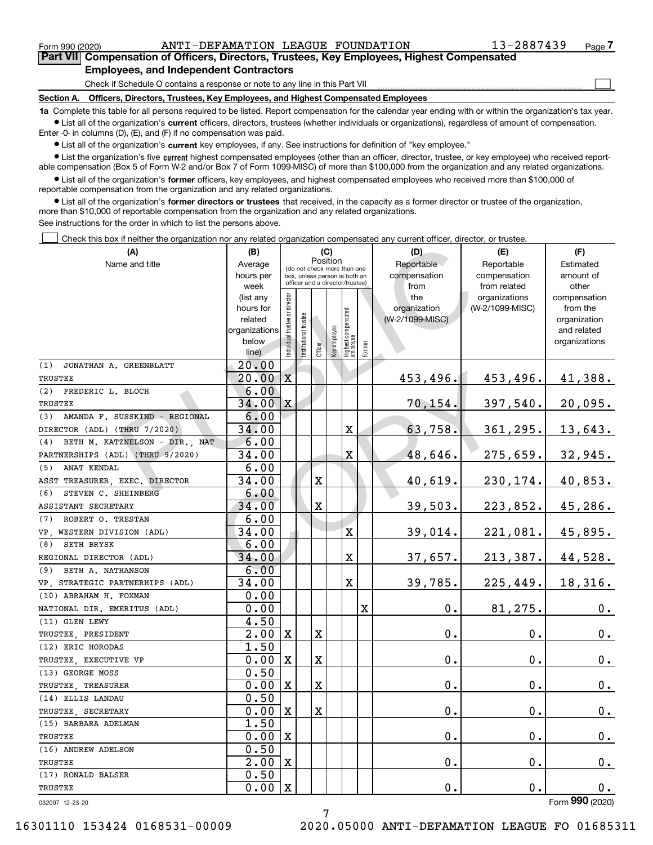$\mathcal{L}^{\text{max}}$ 

**7Part VII Compensation of Officers, Directors, Trustees, Key Employees, Highest Compensated Employees, and Independent Contractors**

Check if Schedule O contains a response or note to any line in this Part VII

**Section A. Officers, Directors, Trustees, Key Employees, and Highest Compensated Employees**

**1a**  Complete this table for all persons required to be listed. Report compensation for the calendar year ending with or within the organization's tax year. **•** List all of the organization's current officers, directors, trustees (whether individuals or organizations), regardless of amount of compensation.

Enter -0- in columns (D), (E), and (F) if no compensation was paid.

 $\bullet$  List all of the organization's  $\,$ current key employees, if any. See instructions for definition of "key employee."

**•** List the organization's five current highest compensated employees (other than an officer, director, trustee, or key employee) who received reportable compensation (Box 5 of Form W-2 and/or Box 7 of Form 1099-MISC) of more than \$100,000 from the organization and any related organizations.

**•** List all of the organization's former officers, key employees, and highest compensated employees who received more than \$100,000 of reportable compensation from the organization and any related organizations.

**former directors or trustees**  ¥ List all of the organization's that received, in the capacity as a former director or trustee of the organization, more than \$10,000 of reportable compensation from the organization and any related organizations.

See instructions for the order in which to list the persons above.

Check this box if neither the organization nor any related organization compensated any current officer, director, or trustee.  $\mathcal{L}^{\text{max}}$ 

| ן טווכטג נוווס טטג וו ווכונווכו נווכ טוקמווגמנוטו ווטו מוזץ וכומנכט טוקמווגמנוטוו טטוווטוסוסמכט מוזץ טטווכות טוווטכו, טוווכטנטו, טו נוטשנככ |                        |                                |                                                                  |         |                 |                                  |        |                     |                                  |                          |
|---------------------------------------------------------------------------------------------------------------------------------------------|------------------------|--------------------------------|------------------------------------------------------------------|---------|-----------------|----------------------------------|--------|---------------------|----------------------------------|--------------------------|
| (A)                                                                                                                                         | (B)                    |                                |                                                                  |         | (C)<br>Position |                                  |        | (D)                 | (E)                              | (F)                      |
| Name and title                                                                                                                              | Average                |                                | (do not check more than one                                      |         |                 |                                  |        | Reportable          | Reportable                       | Estimated                |
|                                                                                                                                             | hours per              |                                | box, unless person is both an<br>officer and a director/trustee) |         |                 |                                  |        | compensation        | compensation                     | amount of                |
|                                                                                                                                             | week                   |                                |                                                                  |         |                 |                                  |        | from                | from related                     | other                    |
|                                                                                                                                             | (list any<br>hours for |                                |                                                                  |         |                 |                                  |        | the<br>organization | organizations<br>(W-2/1099-MISC) | compensation<br>from the |
|                                                                                                                                             | related                |                                |                                                                  |         |                 |                                  |        | (W-2/1099-MISC)     |                                  | organization             |
|                                                                                                                                             | organizations          |                                |                                                                  |         |                 |                                  |        |                     |                                  | and related              |
|                                                                                                                                             | below                  |                                |                                                                  |         |                 |                                  |        |                     |                                  | organizations            |
|                                                                                                                                             | line)                  | Individual trustee or director | nstitutional trustee                                             | Officer | Key employee    | Highest compensated<br> employee | Former |                     |                                  |                          |
| (1)<br>JONATHAN A. GREENBLATT                                                                                                               | 20.00                  |                                |                                                                  |         |                 |                                  |        |                     |                                  |                          |
| TRUSTEE                                                                                                                                     | 20.00                  | $\mathbf X$                    |                                                                  |         |                 |                                  |        | 453,496.            | 453,496.                         | 41,388.                  |
| (2) FREDERIC L. BLOCH                                                                                                                       | 6.00                   |                                |                                                                  |         |                 |                                  |        |                     |                                  |                          |
| TRUSTEE                                                                                                                                     | 34.00                  | X                              |                                                                  |         |                 |                                  |        | 70,154.             | 397,540.                         | 20,095.                  |
| AMANDA F. SUSSKIND - REGIONAL<br>(3)                                                                                                        | 6.00                   |                                |                                                                  |         |                 |                                  |        |                     |                                  |                          |
| DIRECTOR (ADL) (THRU 7/2020)                                                                                                                | 34.00                  |                                |                                                                  |         |                 | X,                               |        | 63,758.             | 361,295.                         | 13,643.                  |
| (4)<br>BETH M. KATZNELSON - DIR., NAT                                                                                                       | 6.00                   |                                |                                                                  |         |                 |                                  |        |                     |                                  |                          |
| PARTNERSHIPS (ADL) (THRU 9/2020)                                                                                                            | 34.00                  |                                |                                                                  |         |                 | X                                |        | 48,646.             | 275,659.                         | 32,945.                  |
| ANAT KENDAL<br>(5)                                                                                                                          | 6.00                   |                                |                                                                  |         |                 |                                  |        |                     |                                  |                          |
| ASST TREASURER, EXEC. DIRECTOR                                                                                                              | 34.00                  |                                |                                                                  | X       |                 |                                  |        | 40,619.             | 230,174.                         | 40,853.                  |
| (6)<br>STEVEN C. SHEINBERG                                                                                                                  | 6.00                   |                                |                                                                  |         |                 |                                  |        |                     |                                  |                          |
| ASSISTANT SECRETARY                                                                                                                         | 34.00                  |                                |                                                                  | X       |                 |                                  |        | 39,503.             | 223,852.                         | 45,286.                  |
| (7)<br>ROBERT O. TRESTAN                                                                                                                    | 6.00                   |                                |                                                                  |         |                 |                                  |        |                     |                                  |                          |
| VP. WESTERN DIVISION (ADL)                                                                                                                  | 34.00                  |                                |                                                                  |         |                 | X                                |        | 39,014.             | 221,081.                         | 45,895.                  |
| (8)<br>SETH BRYSK                                                                                                                           | 6.00                   |                                |                                                                  |         |                 |                                  |        |                     |                                  |                          |
| REGIONAL DIRECTOR (ADL)                                                                                                                     | 34.00                  |                                |                                                                  |         |                 | X                                |        | 37,657.             | 213,387.                         | 44,528.                  |
| (9) BETH A. NATHANSON                                                                                                                       | 6.00                   |                                |                                                                  |         |                 |                                  |        |                     |                                  |                          |
| VP, STRATEGIC PARTNERHIPS (ADL)                                                                                                             | 34.00                  |                                |                                                                  |         |                 | $\mathbf X$                      |        | 39,785.             | 225,449.                         | 18,316.                  |
| (10) ABRAHAM H. FOXMAN                                                                                                                      | 0.00                   |                                |                                                                  |         |                 |                                  |        |                     |                                  |                          |
| NATIONAL DIR. EMERITUS (ADL)                                                                                                                | 0.00                   |                                |                                                                  |         |                 |                                  | X      | 0.                  | 81,275.                          | $0_{.}$                  |
| (11) GLEN LEWY                                                                                                                              | 4.50                   |                                |                                                                  |         |                 |                                  |        |                     |                                  |                          |
| TRUSTEE, PRESIDENT                                                                                                                          | $\overline{2}$ .00     | $\mathbf X$                    |                                                                  | X       |                 |                                  |        | 0.                  | 0.                               | 0.                       |
| (12) ERIC HORODAS                                                                                                                           | 1.50                   |                                |                                                                  |         |                 |                                  |        |                     |                                  |                          |
| TRUSTEE, EXECUTIVE VP                                                                                                                       | 0.00                   | $\mathbf X$                    |                                                                  | X       |                 |                                  |        | 0.                  | 0.                               | 0.                       |
| (13) GEORGE MOSS                                                                                                                            | 0.50                   |                                |                                                                  |         |                 |                                  |        |                     |                                  |                          |
| TRUSTEE, TREASURER                                                                                                                          | 0.00                   | $\mathbf X$                    |                                                                  | X       |                 |                                  |        | $\mathbf 0$ .       | 0.                               | 0.                       |
| (14) ELLIS LANDAU                                                                                                                           | 0.50                   |                                |                                                                  |         |                 |                                  |        |                     |                                  |                          |
| TRUSTEE, SECRETARY                                                                                                                          | 0.00                   | X                              |                                                                  | X       |                 |                                  |        | 0.                  | 0.                               | 0.                       |
| (15) BARBARA ADELMAN                                                                                                                        | 1.50                   |                                |                                                                  |         |                 |                                  |        |                     |                                  |                          |
| TRUSTEE                                                                                                                                     | 0.00                   | $\boldsymbol{\mathrm{X}}$      |                                                                  |         |                 |                                  |        | $\mathbf 0$ .       | $\mathbf 0$ .                    | $0$ .                    |
| (16) ANDREW ADELSON                                                                                                                         | 0.50                   |                                |                                                                  |         |                 |                                  |        |                     |                                  |                          |
| TRUSTEE                                                                                                                                     | 2.00                   | $\boldsymbol{\mathrm{X}}$      |                                                                  |         |                 |                                  |        | 0.                  | $\mathbf 0$ .                    | $0_{.}$                  |
| (17) RONALD BALSER                                                                                                                          | 0.50                   |                                |                                                                  |         |                 |                                  |        |                     |                                  |                          |
| TRUSTEE                                                                                                                                     | 0.00                   | X                              |                                                                  |         |                 |                                  |        | 0.                  | $\mathbf 0$ .                    | 0.                       |
| 032007 12-23-20                                                                                                                             |                        |                                |                                                                  |         |                 |                                  |        |                     |                                  | Form 990 (2020)          |

032007 12-23-20

7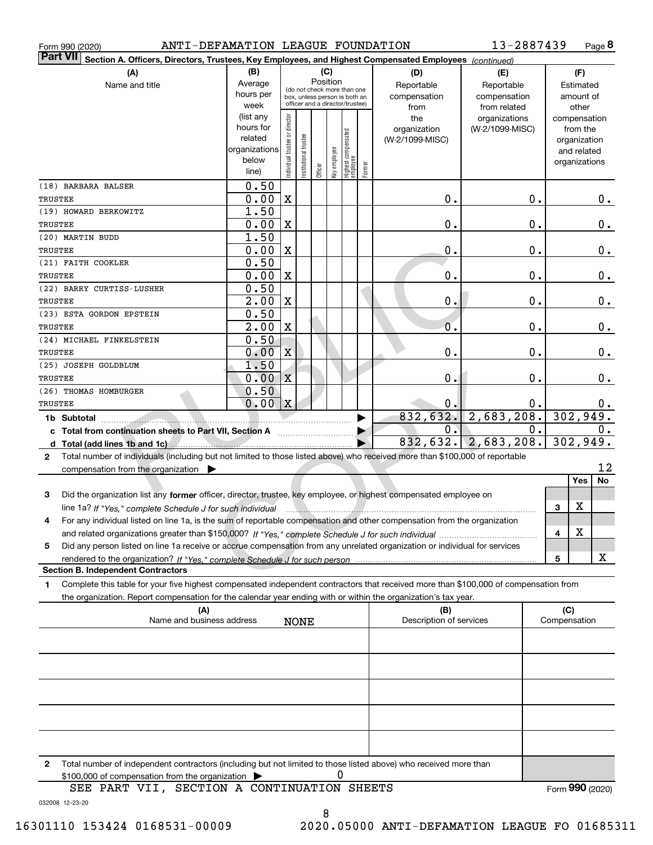| Form 990 (2020)                                                                                                                              | ANTI-DEFAMATION LEAGUE FOUNDATION |                                |                       |                                         |              |                                  |        |                                | 13-2887439               |              |           | Page 8        |  |
|----------------------------------------------------------------------------------------------------------------------------------------------|-----------------------------------|--------------------------------|-----------------------|-----------------------------------------|--------------|----------------------------------|--------|--------------------------------|--------------------------|--------------|-----------|---------------|--|
| Part VII <br>Section A. Officers, Directors, Trustees, Key Employees, and Highest Compensated Employees (continued)                          |                                   |                                |                       |                                         |              |                                  |        |                                |                          |              |           |               |  |
| (A)                                                                                                                                          | (B)                               |                                |                       |                                         | (C)          |                                  |        | (D)                            | (E)                      |              | (F)       |               |  |
| Name and title                                                                                                                               | Average                           |                                |                       | Position<br>(do not check more than one |              |                                  |        | Reportable                     | Reportable               |              | Estimated |               |  |
|                                                                                                                                              | hours per                         |                                |                       | box, unless person is both an           |              |                                  |        | compensation                   | compensation             |              | amount of |               |  |
|                                                                                                                                              | week                              |                                |                       | officer and a director/trustee)         |              |                                  |        | from                           | from related             |              | other     |               |  |
|                                                                                                                                              | (list any                         |                                |                       |                                         |              |                                  |        | the                            | organizations            |              |           | compensation  |  |
|                                                                                                                                              | hours for                         |                                |                       |                                         |              |                                  |        | organization                   | (W-2/1099-MISC)          |              | from the  |               |  |
|                                                                                                                                              | related                           |                                |                       |                                         |              |                                  |        | (W-2/1099-MISC)                |                          |              |           | organization  |  |
|                                                                                                                                              | organizations                     |                                |                       |                                         |              |                                  |        |                                |                          |              |           | and related   |  |
|                                                                                                                                              | below<br>line)                    | Individual trustee or director | Institutional trustee | Officer                                 | Key employee | Highest compensated<br> employee | Former |                                |                          |              |           | organizations |  |
|                                                                                                                                              |                                   |                                |                       |                                         |              |                                  |        |                                |                          |              |           |               |  |
| (18) BARBARA BALSER                                                                                                                          | 0.50                              |                                |                       |                                         |              |                                  |        |                                |                          |              |           |               |  |
| TRUSTEE                                                                                                                                      | 0.00                              | X                              |                       |                                         |              |                                  |        | 0.                             | $\mathbf 0$ .            |              |           | $0$ .         |  |
| (19) HOWARD BERKOWITZ                                                                                                                        | 1.50                              |                                |                       |                                         |              |                                  |        |                                |                          |              |           |               |  |
| TRUSTEE<br>(20) MARTIN BUDD                                                                                                                  | 0.00<br>1.50                      | X                              |                       |                                         |              |                                  |        | 0.                             | $\mathbf 0$ .            |              |           | $0$ .         |  |
| TRUSTEE                                                                                                                                      | 0.00                              | X                              |                       |                                         |              |                                  |        | 0.                             | $\mathbf 0$ .            |              |           | $0$ .         |  |
| (21) FAITH COOKLER                                                                                                                           | 0.50                              |                                |                       |                                         |              |                                  |        |                                |                          |              |           |               |  |
| TRUSTEE                                                                                                                                      | 0.00                              | X                              |                       |                                         |              |                                  |        | 0.                             | $\mathbf 0$ .            |              |           | 0.            |  |
| (22) BARRY CURTISS-LUSHER                                                                                                                    | 0.50                              |                                |                       |                                         |              |                                  |        |                                |                          |              |           |               |  |
| TRUSTEE                                                                                                                                      | 2.00                              | X                              |                       |                                         |              |                                  |        | 0.                             | $\mathbf 0$ .            |              |           | 0.            |  |
| (23) ESTA GORDON EPSTEIN                                                                                                                     | 0.50                              |                                |                       |                                         |              |                                  |        |                                |                          |              |           |               |  |
| TRUSTEE                                                                                                                                      | 2.00                              | X                              |                       |                                         |              |                                  |        | 0.                             | 0.                       |              |           | $0$ .         |  |
| (24) MICHAEL FINKELSTEIN                                                                                                                     | 0.50                              |                                |                       |                                         |              |                                  |        |                                |                          |              |           |               |  |
| TRUSTEE                                                                                                                                      | 0.00                              | X                              |                       |                                         |              |                                  |        | 0.                             | $\mathbf 0$ .            |              |           | 0.            |  |
| (25) JOSEPH GOLDBLUM                                                                                                                         | 1.50                              |                                |                       |                                         |              |                                  |        |                                |                          |              |           |               |  |
| TRUSTEE                                                                                                                                      | 0.00                              | $\boldsymbol{\mathrm{X}}$      |                       |                                         |              |                                  |        | 0.                             | Ο.                       |              |           | 0.            |  |
| (26) THOMAS HOMBURGER                                                                                                                        | 0.50                              |                                |                       |                                         |              |                                  |        |                                |                          |              |           |               |  |
| TRUSTEE                                                                                                                                      | 0.00<br> x<br>0.<br>0.            |                                |                       |                                         |              |                                  |        |                                |                          | $0$ .        |           |               |  |
| 1b Subtotal <b>Manual</b>                                                                                                                    | 2,683,208.<br>832,632.            |                                |                       |                                         |              |                                  |        |                                | 302,949.                 |              |           |               |  |
| c Total from continuation sheets to Part VII, Section A                                                                                      |                                   |                                |                       |                                         |              |                                  |        | $0$ .                          |                          | 0.           |           | $0$ .         |  |
|                                                                                                                                              |                                   |                                |                       |                                         |              |                                  |        |                                | 832, 632.   2, 683, 208. |              |           | 302,949.      |  |
| Total number of individuals (including but not limited to those listed above) who received more than \$100,000 of reportable<br>$\mathbf{2}$ |                                   |                                |                       |                                         |              |                                  |        |                                |                          |              |           |               |  |
| compensation from the organization $\blacktriangleright$                                                                                     |                                   |                                |                       |                                         |              |                                  |        |                                |                          |              |           | 12            |  |
|                                                                                                                                              |                                   |                                |                       |                                         |              |                                  |        |                                |                          |              | Yes       | No            |  |
| Did the organization list any former officer, director, trustee, key employee, or highest compensated employee on<br>3                       |                                   |                                |                       |                                         |              |                                  |        |                                |                          |              |           |               |  |
| line 1a? If "Yes," complete Schedule J for such individual manufactured contains and the container complete Schedule J for such individual   |                                   |                                |                       |                                         |              |                                  |        |                                |                          | 3            | х         |               |  |
| For any individual listed on line 1a, is the sum of reportable compensation and other compensation from the organization                     |                                   |                                |                       |                                         |              |                                  |        |                                |                          |              |           |               |  |
|                                                                                                                                              |                                   |                                |                       |                                         |              |                                  |        |                                |                          | 4            | х         |               |  |
| Did any person listed on line 1a receive or accrue compensation from any unrelated organization or individual for services<br>5              |                                   |                                |                       |                                         |              |                                  |        |                                |                          |              |           |               |  |
|                                                                                                                                              |                                   |                                |                       |                                         |              |                                  |        |                                |                          | 5            |           | x             |  |
| <b>Section B. Independent Contractors</b>                                                                                                    |                                   |                                |                       |                                         |              |                                  |        |                                |                          |              |           |               |  |
| Complete this table for your five highest compensated independent contractors that received more than \$100,000 of compensation from<br>1    |                                   |                                |                       |                                         |              |                                  |        |                                |                          |              |           |               |  |
| the organization. Report compensation for the calendar year ending with or within the organization's tax year.                               |                                   |                                |                       |                                         |              |                                  |        |                                |                          |              |           |               |  |
| (A)<br>Name and business address                                                                                                             |                                   |                                | <b>NONE</b>           |                                         |              |                                  |        | (B)<br>Description of services |                          | Compensation | (C)       |               |  |
|                                                                                                                                              |                                   |                                |                       |                                         |              |                                  |        |                                |                          |              |           |               |  |
|                                                                                                                                              |                                   |                                |                       |                                         |              |                                  |        |                                |                          |              |           |               |  |
|                                                                                                                                              |                                   |                                |                       |                                         |              |                                  |        |                                |                          |              |           |               |  |
|                                                                                                                                              |                                   |                                |                       |                                         |              |                                  |        |                                |                          |              |           |               |  |
|                                                                                                                                              |                                   |                                |                       |                                         |              |                                  |        |                                |                          |              |           |               |  |
|                                                                                                                                              |                                   |                                |                       |                                         |              |                                  |        |                                |                          |              |           |               |  |
|                                                                                                                                              |                                   |                                |                       |                                         |              |                                  |        |                                |                          |              |           |               |  |
|                                                                                                                                              |                                   |                                |                       |                                         |              |                                  |        |                                |                          |              |           |               |  |

**2**Total number of independent contractors (including but not limited to those listed above) who received more than \$100,000 of compensation from the organization 0

032008 12-23-20 SEE PART VII, SECTION A CONTINUATION SHEETS 8

Form (2020) **990**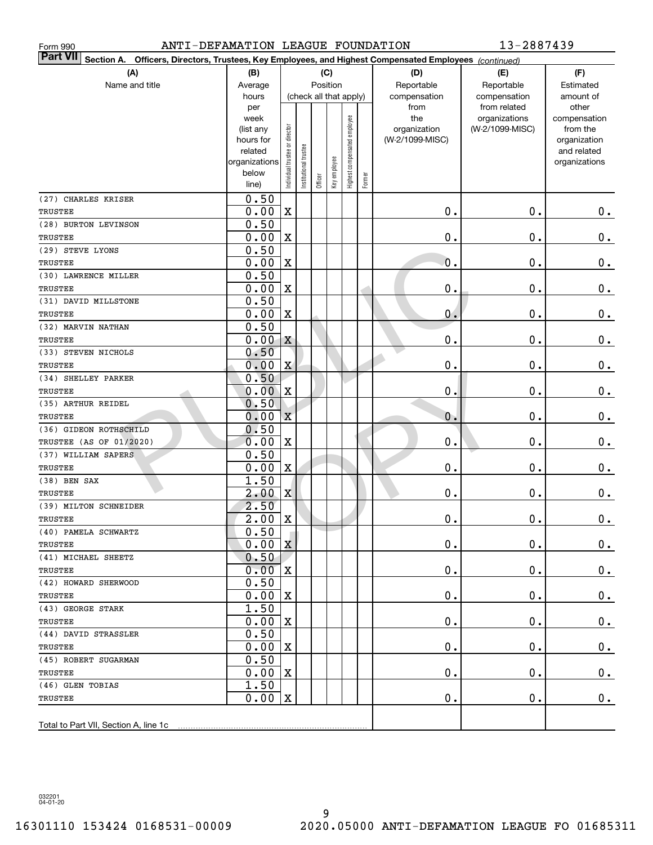| ANTI-DEFAMATION LEAGUE FOUNDATION<br>Form 990 |                  |                                |                       |                        |              |                              |                                                                                                        |                 | 13-2887439                    |                       |  |
|-----------------------------------------------|------------------|--------------------------------|-----------------------|------------------------|--------------|------------------------------|--------------------------------------------------------------------------------------------------------|-----------------|-------------------------------|-----------------------|--|
| <b>Part VII</b>                               |                  |                                |                       |                        |              |                              | Section A. Officers, Directors, Trustees, Key Employees, and Highest Compensated Employees (continued) |                 |                               |                       |  |
| (A)                                           | (B)              | (C)<br>(D)                     |                       |                        |              |                              |                                                                                                        | (E)             | (F)                           |                       |  |
| Name and title                                | Average          | Position                       |                       |                        |              |                              |                                                                                                        | Reportable      | Reportable                    | Estimated             |  |
|                                               | hours            |                                |                       | (check all that apply) |              |                              |                                                                                                        | compensation    | compensation                  | amount of             |  |
|                                               | per<br>week      |                                |                       |                        |              |                              |                                                                                                        | from<br>the     | from related<br>organizations | other<br>compensation |  |
|                                               | (list any        |                                |                       |                        |              |                              |                                                                                                        | organization    | (W-2/1099-MISC)               | from the              |  |
|                                               | hours for        |                                |                       |                        |              |                              |                                                                                                        | (W-2/1099-MISC) |                               | organization          |  |
|                                               | related          |                                |                       |                        |              |                              |                                                                                                        |                 |                               | and related           |  |
|                                               | organizations    |                                |                       |                        |              |                              |                                                                                                        |                 |                               | organizations         |  |
|                                               | below<br>line)   | Individual trustee or director | Institutional trustee | Officer                | Key employee | Highest compensated employee | Former                                                                                                 |                 |                               |                       |  |
| (27) CHARLES KRISER                           | 0.50             |                                |                       |                        |              |                              |                                                                                                        |                 |                               |                       |  |
| TRUSTEE                                       | 0.00             | $\mathbf X$                    |                       |                        |              |                              |                                                                                                        | $\mathbf 0$ .   | 0.                            | $0\cdot$              |  |
| (28) BURTON LEVINSON                          | 0.50             |                                |                       |                        |              |                              |                                                                                                        |                 |                               |                       |  |
| TRUSTEE                                       | 0.00             | $\mathbf X$                    |                       |                        |              |                              |                                                                                                        | $\mathbf 0$ .   | $\mathbf 0$ .                 | $\mathbf 0$ .         |  |
| (29) STEVE LYONS                              | 0.50             |                                |                       |                        |              |                              |                                                                                                        |                 |                               |                       |  |
| TRUSTEE                                       | 0.00             | $\mathbf X$                    |                       |                        |              |                              |                                                                                                        | $\mathbf 0$ .   | $\mathbf 0$ .                 | $\mathbf 0$ .         |  |
| (30) LAWRENCE MILLER                          | 0.50             |                                |                       |                        |              |                              |                                                                                                        |                 |                               |                       |  |
| TRUSTEE                                       | 0.00             | $\mathbf X$                    |                       |                        |              |                              |                                                                                                        | 0.              | $\mathbf 0$ .                 | $\mathbf 0$ .         |  |
| (31) DAVID MILLSTONE                          | 0.50             |                                |                       |                        |              |                              |                                                                                                        |                 |                               |                       |  |
| TRUSTEE                                       | 0.00             | $\mathbf X$                    |                       |                        |              |                              |                                                                                                        | 0.              | $\mathbf 0$ .                 | $\mathbf 0$ .         |  |
| (32) MARVIN NATHAN                            | 0.50             |                                |                       |                        |              |                              |                                                                                                        |                 |                               |                       |  |
| TRUSTEE                                       | 0.00             | X                              |                       |                        |              |                              |                                                                                                        | 0.              | $\mathbf 0$ .                 | $\mathbf 0$ .         |  |
| (33) STEVEN NICHOLS                           | 0.50             |                                |                       |                        |              |                              |                                                                                                        |                 |                               |                       |  |
| TRUSTEE                                       | 0.00             | X                              |                       |                        |              |                              |                                                                                                        | 0.              | $\mathbf 0$ .                 | $\mathbf 0$ .         |  |
| (34) SHELLEY PARKER                           | 0.50             |                                |                       |                        |              |                              |                                                                                                        |                 |                               |                       |  |
| TRUSTEE                                       | 0.00             | $\mathbf X$                    |                       |                        |              |                              |                                                                                                        | 0.              | $\mathbf 0$ .                 | $\mathbf 0$ .         |  |
| (35) ARTHUR REIDEL                            | 0.50             |                                |                       |                        |              |                              |                                                                                                        |                 |                               |                       |  |
| TRUSTEE                                       | 0.00             | $\mathbf X$                    |                       |                        |              |                              |                                                                                                        | $\mathbf{0}$ .  | $\mathbf 0$ .                 | $\mathbf 0$ .         |  |
| (36) GIDEON ROTHSCHILD                        | 0.50             |                                |                       |                        |              |                              |                                                                                                        |                 |                               |                       |  |
| TRUSTEE (AS OF 01/2020)                       | 0.00             | $\mathbf X$                    |                       |                        |              |                              |                                                                                                        | 0.              | $\mathbf 0$ .                 | $0\,.$                |  |
| (37) WILLIAM SAPERS                           | 0.50             |                                |                       |                        |              |                              |                                                                                                        |                 |                               |                       |  |
| TRUSTEE                                       | 0.00             | X,                             |                       |                        |              |                              |                                                                                                        | $\mathbf 0$ .   | $\mathbf 0$ .                 | $0\,.$                |  |
| $(38)$ BEN SAX                                | 1.50             |                                |                       |                        |              |                              |                                                                                                        |                 |                               |                       |  |
| TRUSTEE                                       | 2.00             | X                              |                       |                        |              |                              |                                                                                                        | О.              | $\mathbf 0$ .                 | 0.                    |  |
| (39) MILTON SCHNEIDER                         | 2.50             |                                |                       |                        |              |                              |                                                                                                        |                 |                               |                       |  |
| TRUSTEE                                       | $2.00 \text{ X}$ |                                |                       |                        |              |                              |                                                                                                        | $0$ .           | $\mathbf 0$ .                 | $0$ .                 |  |
| (40) PAMELA SCHWARTZ<br>TRUSTEE               | 0.50<br>0.00     | X                              |                       |                        |              |                              |                                                                                                        | О.              | 0.                            |                       |  |
| (41) MICHAEL SHEETZ                           | 0.50             |                                |                       |                        |              |                              |                                                                                                        |                 |                               | $0\cdot$              |  |
| TRUSTEE                                       | $0 - 00$         | X                              |                       |                        |              |                              |                                                                                                        | О.              | $\mathbf 0$ .                 | $0\,.$                |  |
| (42) HOWARD SHERWOOD                          | 0.50             |                                |                       |                        |              |                              |                                                                                                        |                 |                               |                       |  |
| TRUSTEE                                       | 0.00             | X                              |                       |                        |              |                              |                                                                                                        | О.              | $\mathbf 0$ .                 | $0\,.$                |  |
| (43) GEORGE STARK                             | 1.50             |                                |                       |                        |              |                              |                                                                                                        |                 |                               |                       |  |
| TRUSTEE                                       | 0.00             | X                              |                       |                        |              |                              |                                                                                                        | О.              | $\mathbf 0$ .                 | $0\,.$                |  |
| (44) DAVID STRASSLER                          | 0.50             |                                |                       |                        |              |                              |                                                                                                        |                 |                               |                       |  |
| TRUSTEE                                       | 0.00             | X                              |                       |                        |              |                              |                                                                                                        | О.              | $\mathbf 0$ .                 | $0\,.$                |  |
| (45) ROBERT SUGARMAN                          | 0.50             |                                |                       |                        |              |                              |                                                                                                        |                 |                               |                       |  |
| TRUSTEE                                       | 0.00             | $\mathbf X$                    |                       |                        |              |                              |                                                                                                        | О.              | $\mathbf 0$ .                 | $0\,.$                |  |
| (46) GLEN TOBIAS                              | 1.50             |                                |                       |                        |              |                              |                                                                                                        |                 |                               |                       |  |
| TRUSTEE                                       | 0.00             | $\mathbf X$                    |                       |                        |              |                              |                                                                                                        | О.              | $\mathbf 0$ .                 | 0.                    |  |
|                                               |                  |                                |                       |                        |              |                              |                                                                                                        |                 |                               |                       |  |
| Total to Part VII, Section A, line 1c         |                  |                                |                       |                        |              |                              |                                                                                                        |                 |                               |                       |  |

032201 04-01-20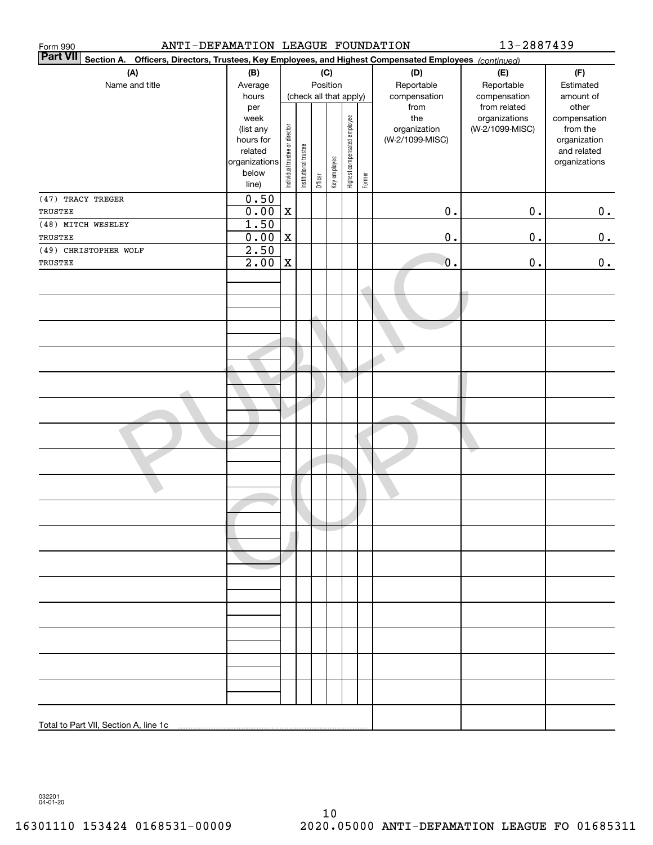| ANTI-DEFAMATION LEAGUE FOUNDATION<br>Form 990                                                                             |                                                                                              |                                |                       |         |                                        |                              |        |                                                                | 13-2887439                                       |                                                                                                |
|---------------------------------------------------------------------------------------------------------------------------|----------------------------------------------------------------------------------------------|--------------------------------|-----------------------|---------|----------------------------------------|------------------------------|--------|----------------------------------------------------------------|--------------------------------------------------|------------------------------------------------------------------------------------------------|
| <b>Part VII</b><br>Section A. Officers, Directors, Trustees, Key Employees, and Highest Compensated Employees (continued) |                                                                                              |                                |                       |         |                                        |                              |        |                                                                |                                                  |                                                                                                |
| (A)<br>Name and title                                                                                                     | (B)<br>Average                                                                               |                                |                       |         | (C)<br>Position                        |                              |        | (D)<br>Reportable                                              | (E)<br>Reportable<br>compensation                | (F)<br>Estimated                                                                               |
|                                                                                                                           | hours<br>per<br>week<br>(list any<br>hours for<br>related<br>organizations<br>below<br>line) | Individual trustee or director | Institutional trustee | Officer | (check all that apply)<br>Key employee | Highest compensated employee | Former | compensation<br>from<br>the<br>organization<br>(W-2/1099-MISC) | from related<br>organizations<br>(W-2/1099-MISC) | amount of<br>other<br>compensation<br>from the<br>organization<br>and related<br>organizations |
| (47) TRACY TREGER                                                                                                         | 0.50                                                                                         |                                |                       |         |                                        |                              |        |                                                                |                                                  |                                                                                                |
| TRUSTEE<br>(48) MITCH WESELEY                                                                                             | 0.00<br>1.50                                                                                 | $\mathbf X$                    |                       |         |                                        |                              |        | $0$ .                                                          | $0$ .                                            | 0.                                                                                             |
| TRUSTEE                                                                                                                   | 0.00                                                                                         | $\mathbf X$                    |                       |         |                                        |                              |        | $\mathbf 0$ .                                                  | 0.                                               | 0.                                                                                             |
| (49) CHRISTOPHER WOLF                                                                                                     | 2.50                                                                                         |                                |                       |         |                                        |                              |        |                                                                |                                                  |                                                                                                |
| TRUSTEE                                                                                                                   | 2.00                                                                                         | $\mathbf X$                    |                       |         |                                        |                              |        | $\mathbf 0$ .                                                  | 0.                                               | 0.                                                                                             |
|                                                                                                                           |                                                                                              |                                |                       |         |                                        |                              |        |                                                                |                                                  |                                                                                                |
|                                                                                                                           |                                                                                              |                                |                       |         |                                        |                              |        |                                                                |                                                  |                                                                                                |
|                                                                                                                           |                                                                                              |                                |                       |         |                                        |                              |        |                                                                |                                                  |                                                                                                |
|                                                                                                                           |                                                                                              |                                |                       |         |                                        |                              |        |                                                                |                                                  |                                                                                                |
|                                                                                                                           |                                                                                              |                                |                       |         |                                        |                              |        |                                                                |                                                  |                                                                                                |
|                                                                                                                           |                                                                                              |                                |                       |         |                                        |                              |        |                                                                |                                                  |                                                                                                |
|                                                                                                                           |                                                                                              |                                |                       |         |                                        |                              |        |                                                                |                                                  |                                                                                                |
|                                                                                                                           |                                                                                              |                                |                       |         |                                        |                              |        |                                                                |                                                  |                                                                                                |
|                                                                                                                           |                                                                                              |                                |                       |         |                                        |                              |        |                                                                |                                                  |                                                                                                |
|                                                                                                                           |                                                                                              |                                |                       |         |                                        |                              |        |                                                                |                                                  |                                                                                                |
|                                                                                                                           |                                                                                              |                                |                       |         |                                        |                              |        |                                                                |                                                  |                                                                                                |
|                                                                                                                           |                                                                                              |                                |                       |         |                                        |                              |        |                                                                |                                                  |                                                                                                |
|                                                                                                                           |                                                                                              |                                |                       |         |                                        |                              |        |                                                                |                                                  |                                                                                                |
|                                                                                                                           |                                                                                              |                                |                       |         |                                        |                              |        |                                                                |                                                  |                                                                                                |
|                                                                                                                           |                                                                                              |                                |                       |         |                                        |                              |        |                                                                |                                                  |                                                                                                |
|                                                                                                                           |                                                                                              |                                |                       |         |                                        |                              |        |                                                                |                                                  |                                                                                                |
|                                                                                                                           |                                                                                              |                                |                       |         |                                        |                              |        |                                                                |                                                  |                                                                                                |
|                                                                                                                           |                                                                                              |                                |                       |         |                                        |                              |        |                                                                |                                                  |                                                                                                |
| Total to Part VII, Section A, line 1c                                                                                     |                                                                                              |                                |                       |         |                                        |                              |        |                                                                |                                                  |                                                                                                |

032201 04-01-20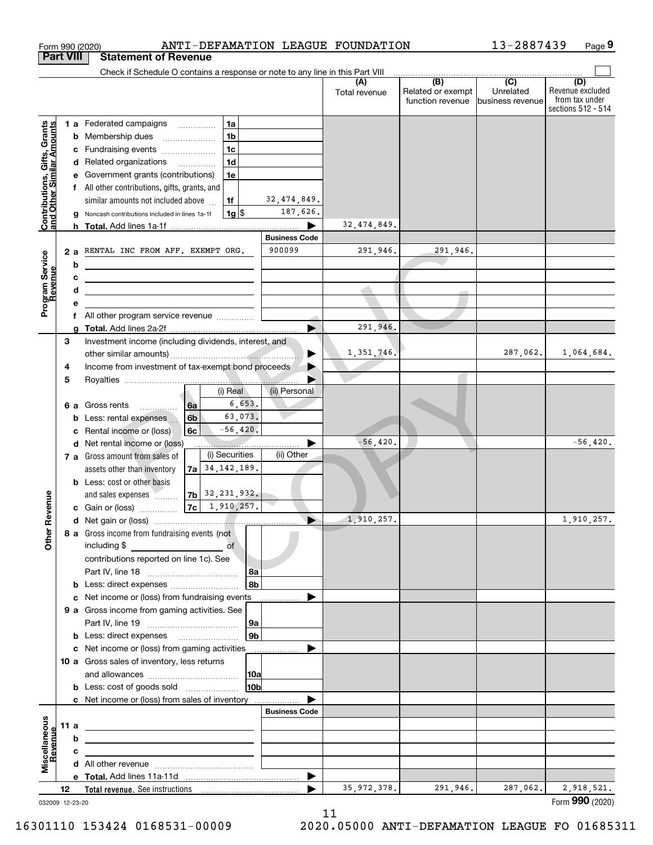| <b>Part VIII</b><br>Check if Schedule O contains a response or note to any line in this Part VIII<br>$\overline{(\mathsf{B})}$ $\overline{(\mathsf{C})}$<br>(D)<br>(A)<br>Related or exempt<br>Unrelated<br>Total revenue<br>function revenue<br>business revenue<br>Contributions, Gifts, Grants<br>and Other Similar Amounts<br>1 a Federated campaigns<br>1a<br>1 <sub>b</sub><br>Membership dues<br>b<br>$\ldots \ldots \ldots \ldots \ldots$<br>1 <sub>c</sub><br>c Fundraising events<br>1 <sub>d</sub><br>d Related organizations<br>e Government grants (contributions)<br>1e<br>f All other contributions, gifts, grants, and<br>32,474,849.<br>similar amounts not included above<br>1f<br>187,626.<br>$1g$ \$<br>Noncash contributions included in lines 1a-1f<br>g<br>32,474,849.<br><b>Business Code</b><br>900099<br>291,946.<br>291.946.<br>RENTAL INC FROM AFF. EXEMPT ORG.<br>2a<br>Program Service<br>Revenue<br>b<br><u> 1989 - Johann Barn, mars ann an t-Amhain an t-Amhain an t-Amhain an t-Amhain an t-Amhain an t-Amhain an t-A</u><br>с<br><u> 1989 - Johann Barbara, martin amerikan basar dan berasal dalam basa dalam pengaran basar dalam basa dalam pe</u><br>d<br><u> 1989 - Johann Stein, mars an deus Amerikaansk kommunister (</u><br>е<br>f All other program service revenue<br>291,946.<br>g<br>3<br>Investment income (including dividends, interest, and<br>1,351,746.<br>287,062.<br>▶<br>Income from investment of tax-exempt bond proceeds<br>4<br>5<br>(ii) Personal<br>(i) Real<br>6,653.<br>6a<br>6 a Gross rents<br>.<br>63,073.<br>6 <sub>b</sub><br>Less: rental expenses<br>b<br>$-56, 420.$<br>Rental income or (loss)<br>6c<br>c<br>$-56,420.$<br>$-56,420.$<br>Net rental income or (loss)<br>d<br>(i) Securities<br>(ii) Other<br>7 a Gross amount from sales of<br>$7a$ 34, 142, 189.<br>assets other than inventory<br><b>b</b> Less: cost or other basis<br>$ 7b $ 32, 231, 932.<br>evenue<br>and sales expenses<br>$ 7c $ 1, 910, 257.<br>c Gain or (loss)<br>1,910,257.<br>Other <sub>R</sub><br>8 a Gross income from fundraising events (not<br>including \$<br>of<br>contributions reported on line 1c). See<br>  8a<br>8b<br>c Net income or (loss) from fundraising events<br>9 a Gross income from gaming activities. See<br> 9a<br>9b<br><b>b</b> Less: direct expenses <b>manually</b><br>c Net income or (loss) from gaming activities<br>10 a Gross sales of inventory, less returns<br> 10a<br>10 <sub>b</sub><br><b>b</b> Less: cost of goods sold<br>c Net income or (loss) from sales of inventory<br><b>Business Code</b><br>Miscellaneous<br>11 a<br><u> 1989 - Johann Stein, marwolaethau a bhann an t-Amhain an t-Amhain an t-Amhain an t-Amhain an t-Amhain an t-A</u><br>evenue<br>b<br>the contract of the contract of the contract of the contract of the contract of<br>с<br>the control of the control of the control of the control of the control of<br>$\blacktriangleright$<br>291,946.<br>2,918,521.<br>35, 972, 378.<br>287,062.<br>12<br>032009 12-23-20 |  | ANTI-DEFAMATION LEAGUE FOUNDATION<br>Form 990 (2020) |  | 13-2887439 | Page 9                                                   |
|---------------------------------------------------------------------------------------------------------------------------------------------------------------------------------------------------------------------------------------------------------------------------------------------------------------------------------------------------------------------------------------------------------------------------------------------------------------------------------------------------------------------------------------------------------------------------------------------------------------------------------------------------------------------------------------------------------------------------------------------------------------------------------------------------------------------------------------------------------------------------------------------------------------------------------------------------------------------------------------------------------------------------------------------------------------------------------------------------------------------------------------------------------------------------------------------------------------------------------------------------------------------------------------------------------------------------------------------------------------------------------------------------------------------------------------------------------------------------------------------------------------------------------------------------------------------------------------------------------------------------------------------------------------------------------------------------------------------------------------------------------------------------------------------------------------------------------------------------------------------------------------------------------------------------------------------------------------------------------------------------------------------------------------------------------------------------------------------------------------------------------------------------------------------------------------------------------------------------------------------------------------------------------------------------------------------------------------------------------------------------------------------------------------------------------------------------------------------------------------------------------------------------------------------------------------------------------------------------------------------------------------------------------------------------------------------------------------------------------------------------------------------------------------------------------------------------------------------------------------------------------------------------------------------------------------------------------------------------------------------------------------------------------------------------|--|------------------------------------------------------|--|------------|----------------------------------------------------------|
|                                                                                                                                                                                                                                                                                                                                                                                                                                                                                                                                                                                                                                                                                                                                                                                                                                                                                                                                                                                                                                                                                                                                                                                                                                                                                                                                                                                                                                                                                                                                                                                                                                                                                                                                                                                                                                                                                                                                                                                                                                                                                                                                                                                                                                                                                                                                                                                                                                                                                                                                                                                                                                                                                                                                                                                                                                                                                                                                                                                                                                                   |  | <b>Statement of Revenue</b>                          |  |            |                                                          |
|                                                                                                                                                                                                                                                                                                                                                                                                                                                                                                                                                                                                                                                                                                                                                                                                                                                                                                                                                                                                                                                                                                                                                                                                                                                                                                                                                                                                                                                                                                                                                                                                                                                                                                                                                                                                                                                                                                                                                                                                                                                                                                                                                                                                                                                                                                                                                                                                                                                                                                                                                                                                                                                                                                                                                                                                                                                                                                                                                                                                                                                   |  |                                                      |  |            |                                                          |
|                                                                                                                                                                                                                                                                                                                                                                                                                                                                                                                                                                                                                                                                                                                                                                                                                                                                                                                                                                                                                                                                                                                                                                                                                                                                                                                                                                                                                                                                                                                                                                                                                                                                                                                                                                                                                                                                                                                                                                                                                                                                                                                                                                                                                                                                                                                                                                                                                                                                                                                                                                                                                                                                                                                                                                                                                                                                                                                                                                                                                                                   |  |                                                      |  |            | Revenue excluded<br>from tax under<br>sections 512 - 514 |
|                                                                                                                                                                                                                                                                                                                                                                                                                                                                                                                                                                                                                                                                                                                                                                                                                                                                                                                                                                                                                                                                                                                                                                                                                                                                                                                                                                                                                                                                                                                                                                                                                                                                                                                                                                                                                                                                                                                                                                                                                                                                                                                                                                                                                                                                                                                                                                                                                                                                                                                                                                                                                                                                                                                                                                                                                                                                                                                                                                                                                                                   |  |                                                      |  |            |                                                          |
|                                                                                                                                                                                                                                                                                                                                                                                                                                                                                                                                                                                                                                                                                                                                                                                                                                                                                                                                                                                                                                                                                                                                                                                                                                                                                                                                                                                                                                                                                                                                                                                                                                                                                                                                                                                                                                                                                                                                                                                                                                                                                                                                                                                                                                                                                                                                                                                                                                                                                                                                                                                                                                                                                                                                                                                                                                                                                                                                                                                                                                                   |  |                                                      |  |            |                                                          |
|                                                                                                                                                                                                                                                                                                                                                                                                                                                                                                                                                                                                                                                                                                                                                                                                                                                                                                                                                                                                                                                                                                                                                                                                                                                                                                                                                                                                                                                                                                                                                                                                                                                                                                                                                                                                                                                                                                                                                                                                                                                                                                                                                                                                                                                                                                                                                                                                                                                                                                                                                                                                                                                                                                                                                                                                                                                                                                                                                                                                                                                   |  |                                                      |  |            |                                                          |
|                                                                                                                                                                                                                                                                                                                                                                                                                                                                                                                                                                                                                                                                                                                                                                                                                                                                                                                                                                                                                                                                                                                                                                                                                                                                                                                                                                                                                                                                                                                                                                                                                                                                                                                                                                                                                                                                                                                                                                                                                                                                                                                                                                                                                                                                                                                                                                                                                                                                                                                                                                                                                                                                                                                                                                                                                                                                                                                                                                                                                                                   |  |                                                      |  |            |                                                          |
|                                                                                                                                                                                                                                                                                                                                                                                                                                                                                                                                                                                                                                                                                                                                                                                                                                                                                                                                                                                                                                                                                                                                                                                                                                                                                                                                                                                                                                                                                                                                                                                                                                                                                                                                                                                                                                                                                                                                                                                                                                                                                                                                                                                                                                                                                                                                                                                                                                                                                                                                                                                                                                                                                                                                                                                                                                                                                                                                                                                                                                                   |  |                                                      |  |            |                                                          |
|                                                                                                                                                                                                                                                                                                                                                                                                                                                                                                                                                                                                                                                                                                                                                                                                                                                                                                                                                                                                                                                                                                                                                                                                                                                                                                                                                                                                                                                                                                                                                                                                                                                                                                                                                                                                                                                                                                                                                                                                                                                                                                                                                                                                                                                                                                                                                                                                                                                                                                                                                                                                                                                                                                                                                                                                                                                                                                                                                                                                                                                   |  |                                                      |  |            |                                                          |
|                                                                                                                                                                                                                                                                                                                                                                                                                                                                                                                                                                                                                                                                                                                                                                                                                                                                                                                                                                                                                                                                                                                                                                                                                                                                                                                                                                                                                                                                                                                                                                                                                                                                                                                                                                                                                                                                                                                                                                                                                                                                                                                                                                                                                                                                                                                                                                                                                                                                                                                                                                                                                                                                                                                                                                                                                                                                                                                                                                                                                                                   |  |                                                      |  |            |                                                          |
|                                                                                                                                                                                                                                                                                                                                                                                                                                                                                                                                                                                                                                                                                                                                                                                                                                                                                                                                                                                                                                                                                                                                                                                                                                                                                                                                                                                                                                                                                                                                                                                                                                                                                                                                                                                                                                                                                                                                                                                                                                                                                                                                                                                                                                                                                                                                                                                                                                                                                                                                                                                                                                                                                                                                                                                                                                                                                                                                                                                                                                                   |  |                                                      |  |            |                                                          |
|                                                                                                                                                                                                                                                                                                                                                                                                                                                                                                                                                                                                                                                                                                                                                                                                                                                                                                                                                                                                                                                                                                                                                                                                                                                                                                                                                                                                                                                                                                                                                                                                                                                                                                                                                                                                                                                                                                                                                                                                                                                                                                                                                                                                                                                                                                                                                                                                                                                                                                                                                                                                                                                                                                                                                                                                                                                                                                                                                                                                                                                   |  |                                                      |  |            |                                                          |
|                                                                                                                                                                                                                                                                                                                                                                                                                                                                                                                                                                                                                                                                                                                                                                                                                                                                                                                                                                                                                                                                                                                                                                                                                                                                                                                                                                                                                                                                                                                                                                                                                                                                                                                                                                                                                                                                                                                                                                                                                                                                                                                                                                                                                                                                                                                                                                                                                                                                                                                                                                                                                                                                                                                                                                                                                                                                                                                                                                                                                                                   |  |                                                      |  |            |                                                          |
|                                                                                                                                                                                                                                                                                                                                                                                                                                                                                                                                                                                                                                                                                                                                                                                                                                                                                                                                                                                                                                                                                                                                                                                                                                                                                                                                                                                                                                                                                                                                                                                                                                                                                                                                                                                                                                                                                                                                                                                                                                                                                                                                                                                                                                                                                                                                                                                                                                                                                                                                                                                                                                                                                                                                                                                                                                                                                                                                                                                                                                                   |  |                                                      |  |            |                                                          |
|                                                                                                                                                                                                                                                                                                                                                                                                                                                                                                                                                                                                                                                                                                                                                                                                                                                                                                                                                                                                                                                                                                                                                                                                                                                                                                                                                                                                                                                                                                                                                                                                                                                                                                                                                                                                                                                                                                                                                                                                                                                                                                                                                                                                                                                                                                                                                                                                                                                                                                                                                                                                                                                                                                                                                                                                                                                                                                                                                                                                                                                   |  |                                                      |  |            |                                                          |
|                                                                                                                                                                                                                                                                                                                                                                                                                                                                                                                                                                                                                                                                                                                                                                                                                                                                                                                                                                                                                                                                                                                                                                                                                                                                                                                                                                                                                                                                                                                                                                                                                                                                                                                                                                                                                                                                                                                                                                                                                                                                                                                                                                                                                                                                                                                                                                                                                                                                                                                                                                                                                                                                                                                                                                                                                                                                                                                                                                                                                                                   |  |                                                      |  |            |                                                          |
|                                                                                                                                                                                                                                                                                                                                                                                                                                                                                                                                                                                                                                                                                                                                                                                                                                                                                                                                                                                                                                                                                                                                                                                                                                                                                                                                                                                                                                                                                                                                                                                                                                                                                                                                                                                                                                                                                                                                                                                                                                                                                                                                                                                                                                                                                                                                                                                                                                                                                                                                                                                                                                                                                                                                                                                                                                                                                                                                                                                                                                                   |  |                                                      |  |            |                                                          |
|                                                                                                                                                                                                                                                                                                                                                                                                                                                                                                                                                                                                                                                                                                                                                                                                                                                                                                                                                                                                                                                                                                                                                                                                                                                                                                                                                                                                                                                                                                                                                                                                                                                                                                                                                                                                                                                                                                                                                                                                                                                                                                                                                                                                                                                                                                                                                                                                                                                                                                                                                                                                                                                                                                                                                                                                                                                                                                                                                                                                                                                   |  |                                                      |  |            |                                                          |
|                                                                                                                                                                                                                                                                                                                                                                                                                                                                                                                                                                                                                                                                                                                                                                                                                                                                                                                                                                                                                                                                                                                                                                                                                                                                                                                                                                                                                                                                                                                                                                                                                                                                                                                                                                                                                                                                                                                                                                                                                                                                                                                                                                                                                                                                                                                                                                                                                                                                                                                                                                                                                                                                                                                                                                                                                                                                                                                                                                                                                                                   |  |                                                      |  |            |                                                          |
|                                                                                                                                                                                                                                                                                                                                                                                                                                                                                                                                                                                                                                                                                                                                                                                                                                                                                                                                                                                                                                                                                                                                                                                                                                                                                                                                                                                                                                                                                                                                                                                                                                                                                                                                                                                                                                                                                                                                                                                                                                                                                                                                                                                                                                                                                                                                                                                                                                                                                                                                                                                                                                                                                                                                                                                                                                                                                                                                                                                                                                                   |  |                                                      |  |            |                                                          |
|                                                                                                                                                                                                                                                                                                                                                                                                                                                                                                                                                                                                                                                                                                                                                                                                                                                                                                                                                                                                                                                                                                                                                                                                                                                                                                                                                                                                                                                                                                                                                                                                                                                                                                                                                                                                                                                                                                                                                                                                                                                                                                                                                                                                                                                                                                                                                                                                                                                                                                                                                                                                                                                                                                                                                                                                                                                                                                                                                                                                                                                   |  |                                                      |  |            | 1,064,684.                                               |
|                                                                                                                                                                                                                                                                                                                                                                                                                                                                                                                                                                                                                                                                                                                                                                                                                                                                                                                                                                                                                                                                                                                                                                                                                                                                                                                                                                                                                                                                                                                                                                                                                                                                                                                                                                                                                                                                                                                                                                                                                                                                                                                                                                                                                                                                                                                                                                                                                                                                                                                                                                                                                                                                                                                                                                                                                                                                                                                                                                                                                                                   |  |                                                      |  |            |                                                          |
|                                                                                                                                                                                                                                                                                                                                                                                                                                                                                                                                                                                                                                                                                                                                                                                                                                                                                                                                                                                                                                                                                                                                                                                                                                                                                                                                                                                                                                                                                                                                                                                                                                                                                                                                                                                                                                                                                                                                                                                                                                                                                                                                                                                                                                                                                                                                                                                                                                                                                                                                                                                                                                                                                                                                                                                                                                                                                                                                                                                                                                                   |  |                                                      |  |            |                                                          |
|                                                                                                                                                                                                                                                                                                                                                                                                                                                                                                                                                                                                                                                                                                                                                                                                                                                                                                                                                                                                                                                                                                                                                                                                                                                                                                                                                                                                                                                                                                                                                                                                                                                                                                                                                                                                                                                                                                                                                                                                                                                                                                                                                                                                                                                                                                                                                                                                                                                                                                                                                                                                                                                                                                                                                                                                                                                                                                                                                                                                                                                   |  |                                                      |  |            |                                                          |
|                                                                                                                                                                                                                                                                                                                                                                                                                                                                                                                                                                                                                                                                                                                                                                                                                                                                                                                                                                                                                                                                                                                                                                                                                                                                                                                                                                                                                                                                                                                                                                                                                                                                                                                                                                                                                                                                                                                                                                                                                                                                                                                                                                                                                                                                                                                                                                                                                                                                                                                                                                                                                                                                                                                                                                                                                                                                                                                                                                                                                                                   |  |                                                      |  |            |                                                          |
|                                                                                                                                                                                                                                                                                                                                                                                                                                                                                                                                                                                                                                                                                                                                                                                                                                                                                                                                                                                                                                                                                                                                                                                                                                                                                                                                                                                                                                                                                                                                                                                                                                                                                                                                                                                                                                                                                                                                                                                                                                                                                                                                                                                                                                                                                                                                                                                                                                                                                                                                                                                                                                                                                                                                                                                                                                                                                                                                                                                                                                                   |  |                                                      |  |            |                                                          |
|                                                                                                                                                                                                                                                                                                                                                                                                                                                                                                                                                                                                                                                                                                                                                                                                                                                                                                                                                                                                                                                                                                                                                                                                                                                                                                                                                                                                                                                                                                                                                                                                                                                                                                                                                                                                                                                                                                                                                                                                                                                                                                                                                                                                                                                                                                                                                                                                                                                                                                                                                                                                                                                                                                                                                                                                                                                                                                                                                                                                                                                   |  |                                                      |  |            |                                                          |
|                                                                                                                                                                                                                                                                                                                                                                                                                                                                                                                                                                                                                                                                                                                                                                                                                                                                                                                                                                                                                                                                                                                                                                                                                                                                                                                                                                                                                                                                                                                                                                                                                                                                                                                                                                                                                                                                                                                                                                                                                                                                                                                                                                                                                                                                                                                                                                                                                                                                                                                                                                                                                                                                                                                                                                                                                                                                                                                                                                                                                                                   |  |                                                      |  |            |                                                          |
|                                                                                                                                                                                                                                                                                                                                                                                                                                                                                                                                                                                                                                                                                                                                                                                                                                                                                                                                                                                                                                                                                                                                                                                                                                                                                                                                                                                                                                                                                                                                                                                                                                                                                                                                                                                                                                                                                                                                                                                                                                                                                                                                                                                                                                                                                                                                                                                                                                                                                                                                                                                                                                                                                                                                                                                                                                                                                                                                                                                                                                                   |  |                                                      |  |            |                                                          |
|                                                                                                                                                                                                                                                                                                                                                                                                                                                                                                                                                                                                                                                                                                                                                                                                                                                                                                                                                                                                                                                                                                                                                                                                                                                                                                                                                                                                                                                                                                                                                                                                                                                                                                                                                                                                                                                                                                                                                                                                                                                                                                                                                                                                                                                                                                                                                                                                                                                                                                                                                                                                                                                                                                                                                                                                                                                                                                                                                                                                                                                   |  |                                                      |  |            |                                                          |
|                                                                                                                                                                                                                                                                                                                                                                                                                                                                                                                                                                                                                                                                                                                                                                                                                                                                                                                                                                                                                                                                                                                                                                                                                                                                                                                                                                                                                                                                                                                                                                                                                                                                                                                                                                                                                                                                                                                                                                                                                                                                                                                                                                                                                                                                                                                                                                                                                                                                                                                                                                                                                                                                                                                                                                                                                                                                                                                                                                                                                                                   |  |                                                      |  |            |                                                          |
|                                                                                                                                                                                                                                                                                                                                                                                                                                                                                                                                                                                                                                                                                                                                                                                                                                                                                                                                                                                                                                                                                                                                                                                                                                                                                                                                                                                                                                                                                                                                                                                                                                                                                                                                                                                                                                                                                                                                                                                                                                                                                                                                                                                                                                                                                                                                                                                                                                                                                                                                                                                                                                                                                                                                                                                                                                                                                                                                                                                                                                                   |  |                                                      |  |            |                                                          |
|                                                                                                                                                                                                                                                                                                                                                                                                                                                                                                                                                                                                                                                                                                                                                                                                                                                                                                                                                                                                                                                                                                                                                                                                                                                                                                                                                                                                                                                                                                                                                                                                                                                                                                                                                                                                                                                                                                                                                                                                                                                                                                                                                                                                                                                                                                                                                                                                                                                                                                                                                                                                                                                                                                                                                                                                                                                                                                                                                                                                                                                   |  |                                                      |  |            | 1,910,257.                                               |
|                                                                                                                                                                                                                                                                                                                                                                                                                                                                                                                                                                                                                                                                                                                                                                                                                                                                                                                                                                                                                                                                                                                                                                                                                                                                                                                                                                                                                                                                                                                                                                                                                                                                                                                                                                                                                                                                                                                                                                                                                                                                                                                                                                                                                                                                                                                                                                                                                                                                                                                                                                                                                                                                                                                                                                                                                                                                                                                                                                                                                                                   |  |                                                      |  |            |                                                          |
|                                                                                                                                                                                                                                                                                                                                                                                                                                                                                                                                                                                                                                                                                                                                                                                                                                                                                                                                                                                                                                                                                                                                                                                                                                                                                                                                                                                                                                                                                                                                                                                                                                                                                                                                                                                                                                                                                                                                                                                                                                                                                                                                                                                                                                                                                                                                                                                                                                                                                                                                                                                                                                                                                                                                                                                                                                                                                                                                                                                                                                                   |  |                                                      |  |            |                                                          |
|                                                                                                                                                                                                                                                                                                                                                                                                                                                                                                                                                                                                                                                                                                                                                                                                                                                                                                                                                                                                                                                                                                                                                                                                                                                                                                                                                                                                                                                                                                                                                                                                                                                                                                                                                                                                                                                                                                                                                                                                                                                                                                                                                                                                                                                                                                                                                                                                                                                                                                                                                                                                                                                                                                                                                                                                                                                                                                                                                                                                                                                   |  |                                                      |  |            |                                                          |
|                                                                                                                                                                                                                                                                                                                                                                                                                                                                                                                                                                                                                                                                                                                                                                                                                                                                                                                                                                                                                                                                                                                                                                                                                                                                                                                                                                                                                                                                                                                                                                                                                                                                                                                                                                                                                                                                                                                                                                                                                                                                                                                                                                                                                                                                                                                                                                                                                                                                                                                                                                                                                                                                                                                                                                                                                                                                                                                                                                                                                                                   |  |                                                      |  |            |                                                          |
|                                                                                                                                                                                                                                                                                                                                                                                                                                                                                                                                                                                                                                                                                                                                                                                                                                                                                                                                                                                                                                                                                                                                                                                                                                                                                                                                                                                                                                                                                                                                                                                                                                                                                                                                                                                                                                                                                                                                                                                                                                                                                                                                                                                                                                                                                                                                                                                                                                                                                                                                                                                                                                                                                                                                                                                                                                                                                                                                                                                                                                                   |  |                                                      |  |            |                                                          |
|                                                                                                                                                                                                                                                                                                                                                                                                                                                                                                                                                                                                                                                                                                                                                                                                                                                                                                                                                                                                                                                                                                                                                                                                                                                                                                                                                                                                                                                                                                                                                                                                                                                                                                                                                                                                                                                                                                                                                                                                                                                                                                                                                                                                                                                                                                                                                                                                                                                                                                                                                                                                                                                                                                                                                                                                                                                                                                                                                                                                                                                   |  |                                                      |  |            |                                                          |
|                                                                                                                                                                                                                                                                                                                                                                                                                                                                                                                                                                                                                                                                                                                                                                                                                                                                                                                                                                                                                                                                                                                                                                                                                                                                                                                                                                                                                                                                                                                                                                                                                                                                                                                                                                                                                                                                                                                                                                                                                                                                                                                                                                                                                                                                                                                                                                                                                                                                                                                                                                                                                                                                                                                                                                                                                                                                                                                                                                                                                                                   |  |                                                      |  |            |                                                          |
|                                                                                                                                                                                                                                                                                                                                                                                                                                                                                                                                                                                                                                                                                                                                                                                                                                                                                                                                                                                                                                                                                                                                                                                                                                                                                                                                                                                                                                                                                                                                                                                                                                                                                                                                                                                                                                                                                                                                                                                                                                                                                                                                                                                                                                                                                                                                                                                                                                                                                                                                                                                                                                                                                                                                                                                                                                                                                                                                                                                                                                                   |  |                                                      |  |            |                                                          |
|                                                                                                                                                                                                                                                                                                                                                                                                                                                                                                                                                                                                                                                                                                                                                                                                                                                                                                                                                                                                                                                                                                                                                                                                                                                                                                                                                                                                                                                                                                                                                                                                                                                                                                                                                                                                                                                                                                                                                                                                                                                                                                                                                                                                                                                                                                                                                                                                                                                                                                                                                                                                                                                                                                                                                                                                                                                                                                                                                                                                                                                   |  |                                                      |  |            |                                                          |
|                                                                                                                                                                                                                                                                                                                                                                                                                                                                                                                                                                                                                                                                                                                                                                                                                                                                                                                                                                                                                                                                                                                                                                                                                                                                                                                                                                                                                                                                                                                                                                                                                                                                                                                                                                                                                                                                                                                                                                                                                                                                                                                                                                                                                                                                                                                                                                                                                                                                                                                                                                                                                                                                                                                                                                                                                                                                                                                                                                                                                                                   |  |                                                      |  |            |                                                          |
|                                                                                                                                                                                                                                                                                                                                                                                                                                                                                                                                                                                                                                                                                                                                                                                                                                                                                                                                                                                                                                                                                                                                                                                                                                                                                                                                                                                                                                                                                                                                                                                                                                                                                                                                                                                                                                                                                                                                                                                                                                                                                                                                                                                                                                                                                                                                                                                                                                                                                                                                                                                                                                                                                                                                                                                                                                                                                                                                                                                                                                                   |  |                                                      |  |            |                                                          |
|                                                                                                                                                                                                                                                                                                                                                                                                                                                                                                                                                                                                                                                                                                                                                                                                                                                                                                                                                                                                                                                                                                                                                                                                                                                                                                                                                                                                                                                                                                                                                                                                                                                                                                                                                                                                                                                                                                                                                                                                                                                                                                                                                                                                                                                                                                                                                                                                                                                                                                                                                                                                                                                                                                                                                                                                                                                                                                                                                                                                                                                   |  |                                                      |  |            |                                                          |
|                                                                                                                                                                                                                                                                                                                                                                                                                                                                                                                                                                                                                                                                                                                                                                                                                                                                                                                                                                                                                                                                                                                                                                                                                                                                                                                                                                                                                                                                                                                                                                                                                                                                                                                                                                                                                                                                                                                                                                                                                                                                                                                                                                                                                                                                                                                                                                                                                                                                                                                                                                                                                                                                                                                                                                                                                                                                                                                                                                                                                                                   |  |                                                      |  |            |                                                          |
|                                                                                                                                                                                                                                                                                                                                                                                                                                                                                                                                                                                                                                                                                                                                                                                                                                                                                                                                                                                                                                                                                                                                                                                                                                                                                                                                                                                                                                                                                                                                                                                                                                                                                                                                                                                                                                                                                                                                                                                                                                                                                                                                                                                                                                                                                                                                                                                                                                                                                                                                                                                                                                                                                                                                                                                                                                                                                                                                                                                                                                                   |  |                                                      |  |            |                                                          |
|                                                                                                                                                                                                                                                                                                                                                                                                                                                                                                                                                                                                                                                                                                                                                                                                                                                                                                                                                                                                                                                                                                                                                                                                                                                                                                                                                                                                                                                                                                                                                                                                                                                                                                                                                                                                                                                                                                                                                                                                                                                                                                                                                                                                                                                                                                                                                                                                                                                                                                                                                                                                                                                                                                                                                                                                                                                                                                                                                                                                                                                   |  |                                                      |  |            |                                                          |
|                                                                                                                                                                                                                                                                                                                                                                                                                                                                                                                                                                                                                                                                                                                                                                                                                                                                                                                                                                                                                                                                                                                                                                                                                                                                                                                                                                                                                                                                                                                                                                                                                                                                                                                                                                                                                                                                                                                                                                                                                                                                                                                                                                                                                                                                                                                                                                                                                                                                                                                                                                                                                                                                                                                                                                                                                                                                                                                                                                                                                                                   |  |                                                      |  |            |                                                          |
|                                                                                                                                                                                                                                                                                                                                                                                                                                                                                                                                                                                                                                                                                                                                                                                                                                                                                                                                                                                                                                                                                                                                                                                                                                                                                                                                                                                                                                                                                                                                                                                                                                                                                                                                                                                                                                                                                                                                                                                                                                                                                                                                                                                                                                                                                                                                                                                                                                                                                                                                                                                                                                                                                                                                                                                                                                                                                                                                                                                                                                                   |  |                                                      |  |            |                                                          |
|                                                                                                                                                                                                                                                                                                                                                                                                                                                                                                                                                                                                                                                                                                                                                                                                                                                                                                                                                                                                                                                                                                                                                                                                                                                                                                                                                                                                                                                                                                                                                                                                                                                                                                                                                                                                                                                                                                                                                                                                                                                                                                                                                                                                                                                                                                                                                                                                                                                                                                                                                                                                                                                                                                                                                                                                                                                                                                                                                                                                                                                   |  |                                                      |  |            |                                                          |
|                                                                                                                                                                                                                                                                                                                                                                                                                                                                                                                                                                                                                                                                                                                                                                                                                                                                                                                                                                                                                                                                                                                                                                                                                                                                                                                                                                                                                                                                                                                                                                                                                                                                                                                                                                                                                                                                                                                                                                                                                                                                                                                                                                                                                                                                                                                                                                                                                                                                                                                                                                                                                                                                                                                                                                                                                                                                                                                                                                                                                                                   |  |                                                      |  |            |                                                          |
|                                                                                                                                                                                                                                                                                                                                                                                                                                                                                                                                                                                                                                                                                                                                                                                                                                                                                                                                                                                                                                                                                                                                                                                                                                                                                                                                                                                                                                                                                                                                                                                                                                                                                                                                                                                                                                                                                                                                                                                                                                                                                                                                                                                                                                                                                                                                                                                                                                                                                                                                                                                                                                                                                                                                                                                                                                                                                                                                                                                                                                                   |  |                                                      |  |            | Form 990 (2020)                                          |

11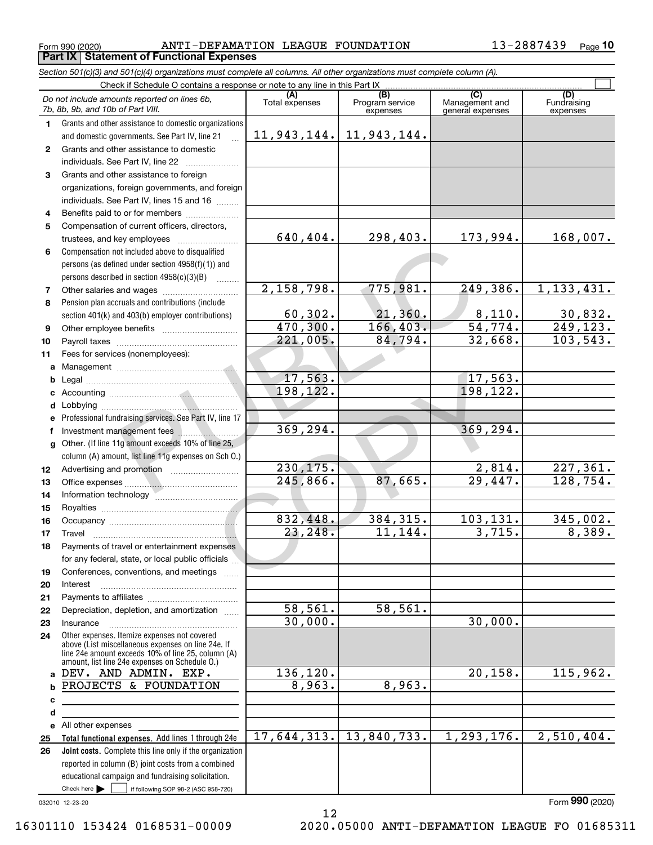Form 990 (2020) ANTI-DEFAMATION LEAGUE FOUNDATION 13-2887439 <sub>Page</sub> **Part IX Statement of Functional Expenses**

*Section 501(c)(3) and 501(c)(4) organizations must complete all columns. All other organizations must complete column (A).*

|              | Check if Schedule O contains a response or note to any line in this Part IX                                |                       |                                    |                                           |                                |
|--------------|------------------------------------------------------------------------------------------------------------|-----------------------|------------------------------------|-------------------------------------------|--------------------------------|
|              | Do not include amounts reported on lines 6b,<br>7b, 8b, 9b, and 10b of Part VIII.                          | (A)<br>Total expenses | (B)<br>Program service<br>expenses | (C)<br>Management and<br>general expenses | (D)<br>Fundraising<br>expenses |
| 1.           | Grants and other assistance to domestic organizations                                                      |                       |                                    |                                           |                                |
|              | and domestic governments. See Part IV, line 21                                                             | 11,943,144.           | 11,943,144.                        |                                           |                                |
| $\mathbf{2}$ | Grants and other assistance to domestic                                                                    |                       |                                    |                                           |                                |
|              | individuals. See Part IV, line 22                                                                          |                       |                                    |                                           |                                |
| 3            | Grants and other assistance to foreign                                                                     |                       |                                    |                                           |                                |
|              | organizations, foreign governments, and foreign                                                            |                       |                                    |                                           |                                |
|              | individuals. See Part IV, lines 15 and 16                                                                  |                       |                                    |                                           |                                |
| 4            | Benefits paid to or for members                                                                            |                       |                                    |                                           |                                |
| 5            | Compensation of current officers, directors,                                                               |                       |                                    |                                           |                                |
|              |                                                                                                            | 640,404.              | 298,403.                           | 173,994.                                  | 168,007.                       |
| 6            | Compensation not included above to disqualified                                                            |                       |                                    |                                           |                                |
|              | persons (as defined under section 4958(f)(1)) and                                                          |                       |                                    |                                           |                                |
|              | persons described in section 4958(c)(3)(B)                                                                 |                       |                                    |                                           |                                |
| 7            |                                                                                                            | 2,158,798.            | 775,981.                           | 249,386.                                  | 1, 133, 431.                   |
| 8            | Pension plan accruals and contributions (include                                                           |                       |                                    |                                           |                                |
|              | section 401(k) and 403(b) employer contributions)                                                          | 60, 302.              | 21,360.                            | 8,110.                                    | $\frac{30,832}{249,123}$       |
| 9            |                                                                                                            | 470, 300.             | 166, 403.                          | 54,774.                                   |                                |
| 10           |                                                                                                            | 221,005.              | 84,794.                            | 32,668.                                   | 103, 543.                      |
| 11           | Fees for services (nonemployees):                                                                          |                       |                                    |                                           |                                |
|              |                                                                                                            |                       |                                    |                                           |                                |
|              |                                                                                                            | 17,563.               |                                    | 17,563.                                   |                                |
|              |                                                                                                            | 198,122.              |                                    | 198, 122.                                 |                                |
|              |                                                                                                            |                       |                                    |                                           |                                |
| е            | Professional fundraising services. See Part IV, line 17                                                    |                       |                                    |                                           |                                |
| f            |                                                                                                            | 369,294.              |                                    | 369,294.                                  |                                |
|              | g Other. (If line 11g amount exceeds 10% of line 25,                                                       |                       |                                    |                                           |                                |
|              | column (A) amount, list line 11g expenses on Sch 0.)                                                       |                       |                                    |                                           |                                |
| 12           |                                                                                                            | 230,175.              |                                    | 2,814.                                    | 227, 361.                      |
| 13           |                                                                                                            | 245,866.              | 87,665.                            | 29,447.                                   | 128, 754.                      |
| 14           |                                                                                                            |                       |                                    |                                           |                                |
| 15           |                                                                                                            |                       |                                    |                                           |                                |
| 16           |                                                                                                            | 832,448.              | 384, 315.                          | 103,131.                                  | 345,002.                       |
| 17           | Travel                                                                                                     | 23,248.               | 11,144.                            | $\overline{3,715}$ .                      | 8,389.                         |
| 18           | Payments of travel or entertainment expenses                                                               |                       |                                    |                                           |                                |
|              | for any federal, state, or local public officials                                                          |                       |                                    |                                           |                                |
| 19           | Conferences, conventions, and meetings                                                                     |                       |                                    |                                           |                                |
| 20           | Interest                                                                                                   |                       |                                    |                                           |                                |
| 21           |                                                                                                            |                       |                                    |                                           |                                |
| 22           | Depreciation, depletion, and amortization                                                                  | 58, 561.              | 58, 561.                           |                                           |                                |
| 23           | Insurance                                                                                                  | 30,000.               |                                    | 30,000.                                   |                                |
| 24           | Other expenses. Itemize expenses not covered<br>above (List miscellaneous expenses on line 24e. If         |                       |                                    |                                           |                                |
|              | line 24e amount exceeds 10% of line 25, column (A)                                                         |                       |                                    |                                           |                                |
|              | amount, list line 24e expenses on Schedule O.)                                                             |                       |                                    |                                           |                                |
|              | a DEV. AND ADMIN. EXP.                                                                                     | 136,120.              |                                    | 20, 158.                                  | 115,962.                       |
| b            | PROJECTS & FOUNDATION                                                                                      | 8,963.                | 8,963.                             |                                           |                                |
| c            |                                                                                                            |                       |                                    |                                           |                                |
| d            |                                                                                                            |                       |                                    |                                           |                                |
|              | e All other expenses                                                                                       | 17,644,313.           | 13,840,733.                        | 1,293,176.                                | 2,510,404.                     |
| 25           | Total functional expenses. Add lines 1 through 24e                                                         |                       |                                    |                                           |                                |
| 26           | Joint costs. Complete this line only if the organization                                                   |                       |                                    |                                           |                                |
|              | reported in column (B) joint costs from a combined                                                         |                       |                                    |                                           |                                |
|              | educational campaign and fundraising solicitation.<br>Check here       if following SOP 98-2 (ASC 958-720) |                       |                                    |                                           |                                |
|              |                                                                                                            |                       |                                    |                                           |                                |

12

032010 12-23-20

Form (2020) **990**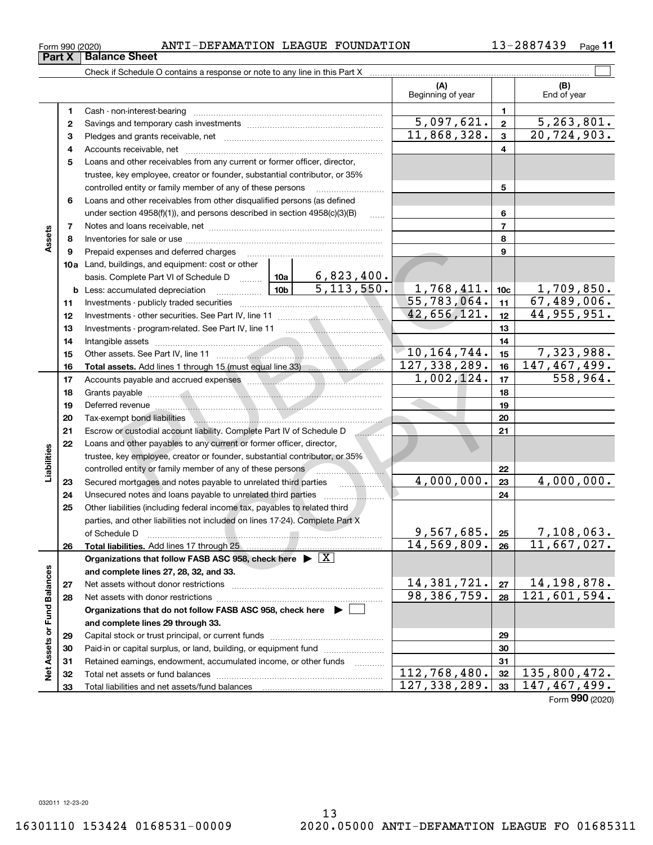| Form 990 (2020) |  | I-DEFAMATION LEAGUE FOUNDATION<br><b>ANTI</b> |  |  | 2887439 | Page |
|-----------------|--|-----------------------------------------------|--|--|---------|------|
|-----------------|--|-----------------------------------------------|--|--|---------|------|

|                             |          | Check if Schedule O contains a response or note to any line in this Part X                                                                                                                                                          |                                          |                          |                         |                           |
|-----------------------------|----------|-------------------------------------------------------------------------------------------------------------------------------------------------------------------------------------------------------------------------------------|------------------------------------------|--------------------------|-------------------------|---------------------------|
|                             |          |                                                                                                                                                                                                                                     |                                          | (A)<br>Beginning of year |                         | (B)<br>End of year        |
|                             | 1        |                                                                                                                                                                                                                                     |                                          |                          | $\mathbf{1}$            |                           |
|                             | 2        |                                                                                                                                                                                                                                     |                                          | 5,097,621.               | $\overline{\mathbf{2}}$ | $\overline{5,263,801.}$   |
|                             | з        |                                                                                                                                                                                                                                     |                                          | 11,868,328.              | $\mathbf{3}$            | 20, 724, 903.             |
|                             | 4        |                                                                                                                                                                                                                                     |                                          |                          | 4                       |                           |
|                             | 5        | Loans and other receivables from any current or former officer, director,                                                                                                                                                           |                                          |                          |                         |                           |
|                             |          | trustee, key employee, creator or founder, substantial contributor, or 35%                                                                                                                                                          |                                          |                          |                         |                           |
|                             |          | controlled entity or family member of any of these persons                                                                                                                                                                          |                                          |                          | 5                       |                           |
|                             | 6        | Loans and other receivables from other disqualified persons (as defined                                                                                                                                                             |                                          |                          |                         |                           |
|                             |          | under section 4958(f)(1)), and persons described in section 4958(c)(3)(B)                                                                                                                                                           | 1.1.1.1                                  |                          | 6                       |                           |
|                             | 7        |                                                                                                                                                                                                                                     |                                          |                          | $\overline{7}$          |                           |
| Assets                      | 8        |                                                                                                                                                                                                                                     |                                          |                          | 8                       |                           |
|                             | 9        | Prepaid expenses and deferred charges                                                                                                                                                                                               |                                          |                          | 9                       |                           |
|                             |          | <b>10a</b> Land, buildings, and equipment: cost or other                                                                                                                                                                            |                                          |                          |                         |                           |
|                             |          | basis. Complete Part VI of Schedule D  10a                                                                                                                                                                                          | 6,823,400.                               |                          |                         |                           |
|                             |          | <b>b</b> Less: accumulated depreciation                                                                                                                                                                                             | 5, 113, 550.                             | 1,768,411.               | 10 <sub>c</sub>         | 1,709,850.                |
|                             | 11       |                                                                                                                                                                                                                                     |                                          | 55,783,064.              | 11                      | 67,489,006.               |
|                             | 12       |                                                                                                                                                                                                                                     |                                          | 42,656,121.              | 12                      | 44, 955, 951.             |
|                             | 13       |                                                                                                                                                                                                                                     |                                          |                          | 13                      |                           |
|                             | 14       |                                                                                                                                                                                                                                     |                                          |                          | 14                      |                           |
|                             | 15       |                                                                                                                                                                                                                                     |                                          | 10, 164, 744.            | 15                      | 7,323,988.                |
|                             | 16       |                                                                                                                                                                                                                                     |                                          | 127, 338, 289.           | 16                      | 147,467,499.              |
|                             | 17       |                                                                                                                                                                                                                                     |                                          | 1,002,124.               | 17                      | 558,964.                  |
|                             | 18       |                                                                                                                                                                                                                                     |                                          |                          | 18                      |                           |
|                             | 19       | Deferred revenue <b>construction of the construction of the construction</b> of the construction of the construction of the construction of the construction of the construction of the construction of the construction of the con |                                          |                          | 19                      |                           |
|                             | 20       |                                                                                                                                                                                                                                     |                                          |                          | 20                      |                           |
|                             | 21       | Escrow or custodial account liability. Complete Part IV of Schedule D                                                                                                                                                               |                                          |                          | 21                      |                           |
|                             | 22       | Loans and other payables to any current or former officer, director,                                                                                                                                                                |                                          |                          |                         |                           |
| Liabilities                 |          | trustee, key employee, creator or founder, substantial contributor, or 35%                                                                                                                                                          |                                          |                          |                         |                           |
|                             |          | controlled entity or family member of any of these persons <b>controlled</b> entity or family member of any of these persons                                                                                                        |                                          |                          | 22                      |                           |
|                             | 23       | Secured mortgages and notes payable to unrelated third parties                                                                                                                                                                      | <b><i>Contract Contract Contract</i></b> | 4,000,000.               | 23                      | 4,000,000.                |
|                             | 24       | Unsecured notes and loans payable to unrelated third parties                                                                                                                                                                        |                                          |                          | 24                      |                           |
|                             | 25       | Other liabilities (including federal income tax, payables to related third                                                                                                                                                          |                                          |                          |                         |                           |
|                             |          | parties, and other liabilities not included on lines 17-24). Complete Part X                                                                                                                                                        |                                          | 9,567,685.               |                         |                           |
|                             |          | of Schedule D                                                                                                                                                                                                                       |                                          | $14,569,809.$ 26         | 25                      | 7,108,063.<br>11,667,027. |
|                             | 26       |                                                                                                                                                                                                                                     |                                          |                          |                         |                           |
|                             |          | Organizations that follow FASB ASC 958, check here $\triangleright$ $\lfloor X \rfloor$                                                                                                                                             |                                          |                          |                         |                           |
|                             |          | and complete lines 27, 28, 32, and 33.                                                                                                                                                                                              |                                          | 14,381,721.              | 27                      | 14, 198, 878.             |
|                             | 27<br>28 |                                                                                                                                                                                                                                     |                                          | 98, 386, 759.            | 28                      | 121,601,594.              |
|                             |          | Organizations that do not follow FASB ASC 958, check here $\blacktriangleright$                                                                                                                                                     |                                          |                          |                         |                           |
|                             |          | and complete lines 29 through 33.                                                                                                                                                                                                   |                                          |                          |                         |                           |
|                             | 29       |                                                                                                                                                                                                                                     |                                          |                          | 29                      |                           |
|                             | 30       | Paid-in or capital surplus, or land, building, or equipment fund                                                                                                                                                                    |                                          |                          | 30                      |                           |
|                             | 31       | Retained earnings, endowment, accumulated income, or other funds                                                                                                                                                                    |                                          |                          | 31                      |                           |
| Net Assets or Fund Balances | 32       |                                                                                                                                                                                                                                     |                                          | 112,768,480.             | 32                      | 135,800,472.              |
|                             | 33       |                                                                                                                                                                                                                                     |                                          | 127, 338, 289.           | 33                      | 147,467,499.              |
|                             |          |                                                                                                                                                                                                                                     |                                          |                          |                         |                           |

Form (2020) **990**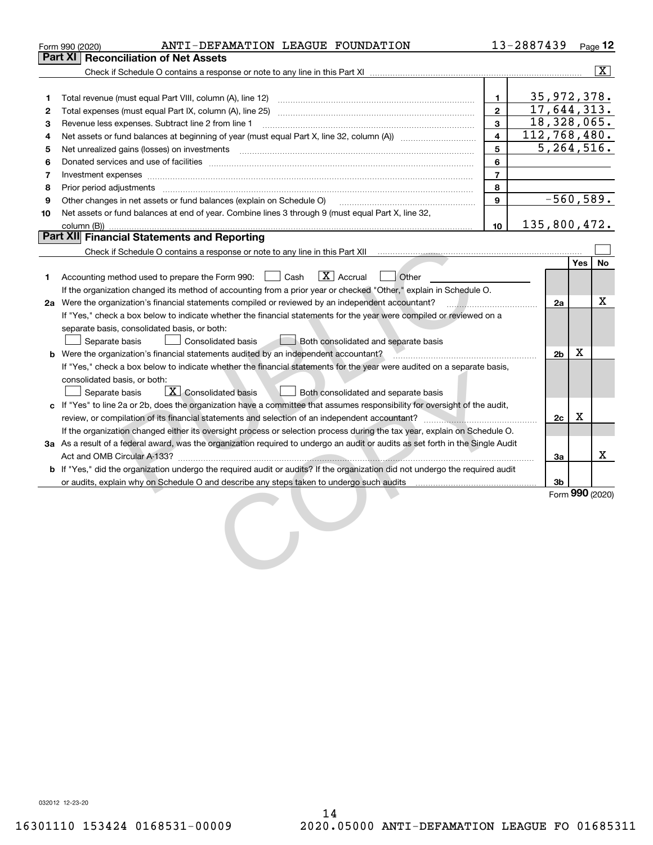|    | ANTI-DEFAMATION LEAGUE FOUNDATION<br>Form 990 (2020)                                                                                                                                                                                                         |                         | 13-2887439 |                           |     | <u>Page</u> 12  |
|----|--------------------------------------------------------------------------------------------------------------------------------------------------------------------------------------------------------------------------------------------------------------|-------------------------|------------|---------------------------|-----|-----------------|
|    | Part XI I<br><b>Reconciliation of Net Assets</b>                                                                                                                                                                                                             |                         |            |                           |     |                 |
|    |                                                                                                                                                                                                                                                              |                         |            |                           |     | $\vert X \vert$ |
|    |                                                                                                                                                                                                                                                              |                         |            |                           |     |                 |
| 1  |                                                                                                                                                                                                                                                              | $\mathbf{1}$            |            | 35, 972, 378.             |     |                 |
| 2  |                                                                                                                                                                                                                                                              | $\overline{2}$          |            | $\overline{17,644,313}$ . |     |                 |
| 3  | Revenue less expenses. Subtract line 2 from line 1                                                                                                                                                                                                           | 3                       |            | 18,328,065.               |     |                 |
| 4  |                                                                                                                                                                                                                                                              | $\overline{\mathbf{4}}$ |            | 112,768,480.              |     |                 |
| 5  | Net unrealized gains (losses) on investments [11] matter continuum matter is a set of the set of the set of the                                                                                                                                              | 5                       |            | $\overline{5,264,516}$ .  |     |                 |
| 6  |                                                                                                                                                                                                                                                              | 6                       |            |                           |     |                 |
| 7  | Investment expenses www.communication.com/www.communication.com/www.communication.com/www.communication.com                                                                                                                                                  | $\overline{7}$          |            |                           |     |                 |
| 8  | Prior period adjustments                                                                                                                                                                                                                                     | 8                       |            |                           |     |                 |
| 9  | Other changes in net assets or fund balances (explain on Schedule O)                                                                                                                                                                                         | 9                       |            | $-560,589.$               |     |                 |
| 10 | Net assets or fund balances at end of year. Combine lines 3 through 9 (must equal Part X, line 32,                                                                                                                                                           |                         |            |                           |     |                 |
|    | column (B))                                                                                                                                                                                                                                                  | 10                      |            | 135,800,472.              |     |                 |
|    | Part XII Financial Statements and Reporting                                                                                                                                                                                                                  |                         |            |                           |     |                 |
|    |                                                                                                                                                                                                                                                              |                         |            |                           |     |                 |
|    |                                                                                                                                                                                                                                                              |                         |            |                           | Yes | No              |
| 1. | $\boxed{\text{X}}$ Accrual<br>  Other<br>Accounting method used to prepare the Form 990: [130] Cash                                                                                                                                                          |                         |            |                           |     |                 |
|    | If the organization changed its method of accounting from a prior year or checked "Other," explain in Schedule O.                                                                                                                                            |                         |            |                           |     |                 |
|    | 2a Were the organization's financial statements compiled or reviewed by an independent accountant?                                                                                                                                                           |                         |            | 2a                        |     | x               |
|    | If "Yes," check a box below to indicate whether the financial statements for the year were compiled or reviewed on a                                                                                                                                         |                         |            |                           |     |                 |
|    | separate basis, consolidated basis, or both:                                                                                                                                                                                                                 |                         |            |                           |     |                 |
|    | Separate basis<br><b>Consolidated basis</b><br>Both consolidated and separate basis                                                                                                                                                                          |                         |            |                           |     |                 |
|    | <b>b</b> Were the organization's financial statements audited by an independent accountant?                                                                                                                                                                  |                         |            | 2 <sub>b</sub>            | х   |                 |
|    | If "Yes," check a box below to indicate whether the financial statements for the year were audited on a separate basis,                                                                                                                                      |                         |            |                           |     |                 |
|    | consolidated basis, or both:                                                                                                                                                                                                                                 |                         |            |                           |     |                 |
|    | $\overline{X}$ Consolidated basis<br>Separate basis<br>Both consolidated and separate basis                                                                                                                                                                  |                         |            |                           |     |                 |
|    | c If "Yes" to line 2a or 2b, does the organization have a committee that assumes responsibility for oversight of the audit,                                                                                                                                  |                         |            |                           | X   |                 |
|    |                                                                                                                                                                                                                                                              |                         |            | 2c                        |     |                 |
|    | If the organization changed either its oversight process or selection process during the tax year, explain on Schedule O.<br>3a As a result of a federal award, was the organization required to undergo an audit or audits as set forth in the Single Audit |                         |            |                           |     |                 |
|    |                                                                                                                                                                                                                                                              |                         |            | 3a                        |     | x.              |
|    | <b>b</b> If "Yes," did the organization undergo the required audit or audits? If the organization did not undergo the required audit                                                                                                                         |                         |            |                           |     |                 |
|    | or audits, explain why on Schedule O and describe any steps taken to undergo such audits                                                                                                                                                                     |                         |            | 3b                        |     |                 |
|    |                                                                                                                                                                                                                                                              |                         |            |                           |     | Form 990 (2020) |
|    |                                                                                                                                                                                                                                                              |                         |            |                           |     |                 |
|    |                                                                                                                                                                                                                                                              |                         |            |                           |     |                 |
|    |                                                                                                                                                                                                                                                              |                         |            |                           |     |                 |
|    |                                                                                                                                                                                                                                                              |                         |            |                           |     |                 |
|    |                                                                                                                                                                                                                                                              |                         |            |                           |     |                 |
|    |                                                                                                                                                                                                                                                              |                         |            |                           |     |                 |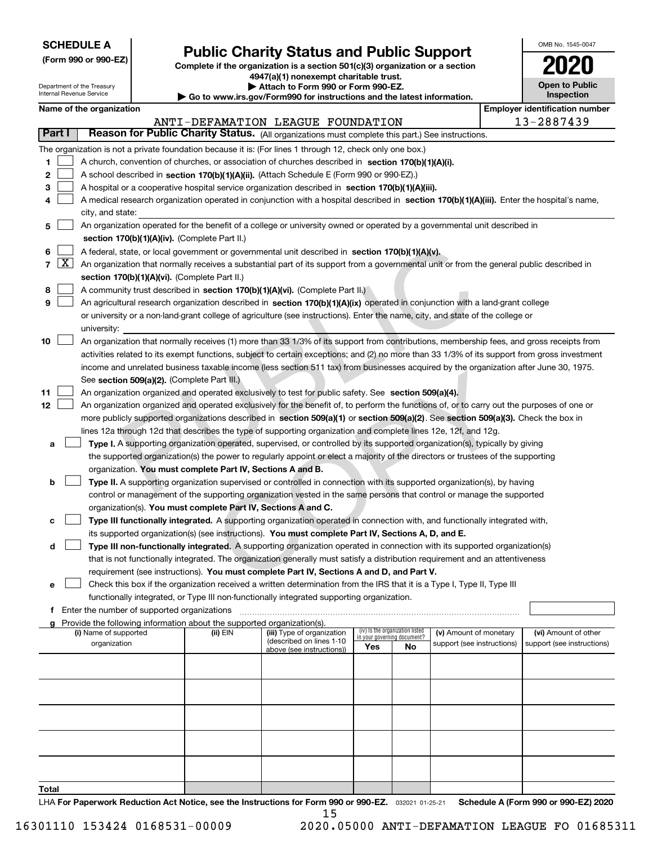| <b>SCHEDULE A</b> |
|-------------------|
|-------------------|

Department of the Treasury Internal Revenue Service

**(Form 990 or 990-EZ)**

# **Public Charity Status and Public Support**

**Complete if the organization is a section 501(c)(3) organization or a section 4947(a)(1) nonexempt charitable trust. | Attach to Form 990 or Form 990-EZ.** 

| Go to www.irs.gov/Form990 for instructions and the latest information. |  |  |  |  |  |  |  |  |  |  |  |  |  |  |  |  |
|------------------------------------------------------------------------|--|--|--|--|--|--|--|--|--|--|--|--|--|--|--|--|
|------------------------------------------------------------------------|--|--|--|--|--|--|--|--|--|--|--|--|--|--|--|--|

| OMB No. 1545-0047                   |
|-------------------------------------|
| 2020                                |
| <b>Open to Public</b><br>Inspection |

| Name of the organization |  |
|--------------------------|--|
|--------------------------|--|

|        | <b>Employer identification number</b><br>Name of the organization |                                                                                                                                              |          |                                                        |                             |                                 |                                                      |                                                    |
|--------|-------------------------------------------------------------------|----------------------------------------------------------------------------------------------------------------------------------------------|----------|--------------------------------------------------------|-----------------------------|---------------------------------|------------------------------------------------------|----------------------------------------------------|
|        |                                                                   |                                                                                                                                              |          | ANTI-DEFAMATION LEAGUE FOUNDATION                      |                             |                                 |                                                      | 13-2887439                                         |
| Part I |                                                                   | Reason for Public Charity Status. (All organizations must complete this part.) See instructions.                                             |          |                                                        |                             |                                 |                                                      |                                                    |
|        |                                                                   | The organization is not a private foundation because it is: (For lines 1 through 12, check only one box.)                                    |          |                                                        |                             |                                 |                                                      |                                                    |
| 1      |                                                                   | A church, convention of churches, or association of churches described in section 170(b)(1)(A)(i).                                           |          |                                                        |                             |                                 |                                                      |                                                    |
| 2      |                                                                   | A school described in section 170(b)(1)(A)(ii). (Attach Schedule E (Form 990 or 990-EZ).)                                                    |          |                                                        |                             |                                 |                                                      |                                                    |
| З      |                                                                   | A hospital or a cooperative hospital service organization described in section 170(b)(1)(A)(iii).                                            |          |                                                        |                             |                                 |                                                      |                                                    |
|        |                                                                   | A medical research organization operated in conjunction with a hospital described in section 170(b)(1)(A)(iii). Enter the hospital's name,   |          |                                                        |                             |                                 |                                                      |                                                    |
|        |                                                                   | city, and state:                                                                                                                             |          |                                                        |                             |                                 |                                                      |                                                    |
| 5      |                                                                   | An organization operated for the benefit of a college or university owned or operated by a governmental unit described in                    |          |                                                        |                             |                                 |                                                      |                                                    |
|        |                                                                   | section 170(b)(1)(A)(iv). (Complete Part II.)                                                                                                |          |                                                        |                             |                                 |                                                      |                                                    |
| 6      |                                                                   | A federal, state, or local government or governmental unit described in section 170(b)(1)(A)(v).                                             |          |                                                        |                             |                                 |                                                      |                                                    |
| 7      | $\lfloor x \rfloor$                                               | An organization that normally receives a substantial part of its support from a governmental unit or from the general public described in    |          |                                                        |                             |                                 |                                                      |                                                    |
|        |                                                                   | section 170(b)(1)(A)(vi). (Complete Part II.)                                                                                                |          |                                                        |                             |                                 |                                                      |                                                    |
| 8      |                                                                   | A community trust described in section 170(b)(1)(A)(vi). (Complete Part II.)                                                                 |          |                                                        |                             |                                 |                                                      |                                                    |
| 9      |                                                                   | An agricultural research organization described in section 170(b)(1)(A)(ix) operated in conjunction with a land-grant college                |          |                                                        |                             |                                 |                                                      |                                                    |
|        |                                                                   | or university or a non-land-grant college of agriculture (see instructions). Enter the name, city, and state of the college or               |          |                                                        |                             |                                 |                                                      |                                                    |
|        |                                                                   | university:                                                                                                                                  |          |                                                        |                             |                                 |                                                      |                                                    |
| 10     |                                                                   | An organization that normally receives (1) more than 33 1/3% of its support from contributions, membership fees, and gross receipts from     |          |                                                        |                             |                                 |                                                      |                                                    |
|        |                                                                   | activities related to its exempt functions, subject to certain exceptions; and (2) no more than 33 1/3% of its support from gross investment |          |                                                        |                             |                                 |                                                      |                                                    |
|        |                                                                   | income and unrelated business taxable income (less section 511 tax) from businesses acquired by the organization after June 30, 1975.        |          |                                                        |                             |                                 |                                                      |                                                    |
|        |                                                                   | See section 509(a)(2). (Complete Part III.)                                                                                                  |          |                                                        |                             |                                 |                                                      |                                                    |
| 11     |                                                                   | An organization organized and operated exclusively to test for public safety. See section 509(a)(4).                                         |          |                                                        |                             |                                 |                                                      |                                                    |
| 12     |                                                                   | An organization organized and operated exclusively for the benefit of, to perform the functions of, or to carry out the purposes of one or   |          |                                                        |                             |                                 |                                                      |                                                    |
|        |                                                                   | more publicly supported organizations described in section 509(a)(1) or section 509(a)(2). See section 509(a)(3). Check the box in           |          |                                                        |                             |                                 |                                                      |                                                    |
|        |                                                                   | lines 12a through 12d that describes the type of supporting organization and complete lines 12e, 12f, and 12g.                               |          |                                                        |                             |                                 |                                                      |                                                    |
| а      |                                                                   | Type I. A supporting organization operated, supervised, or controlled by its supported organization(s), typically by giving                  |          |                                                        |                             |                                 |                                                      |                                                    |
|        |                                                                   | the supported organization(s) the power to regularly appoint or elect a majority of the directors or trustees of the supporting              |          |                                                        |                             |                                 |                                                      |                                                    |
|        |                                                                   | organization. You must complete Part IV, Sections A and B.                                                                                   |          |                                                        |                             |                                 |                                                      |                                                    |
| b      |                                                                   | Type II. A supporting organization supervised or controlled in connection with its supported organization(s), by having                      |          |                                                        |                             |                                 |                                                      |                                                    |
|        |                                                                   | control or management of the supporting organization vested in the same persons that control or manage the supported                         |          |                                                        |                             |                                 |                                                      |                                                    |
|        |                                                                   | organization(s). You must complete Part IV, Sections A and C.                                                                                |          |                                                        |                             |                                 |                                                      |                                                    |
| с      |                                                                   | Type III functionally integrated. A supporting organization operated in connection with, and functionally integrated with,                   |          |                                                        |                             |                                 |                                                      |                                                    |
|        |                                                                   | its supported organization(s) (see instructions). You must complete Part IV, Sections A, D, and E.                                           |          |                                                        |                             |                                 |                                                      |                                                    |
| d      |                                                                   | Type III non-functionally integrated. A supporting organization operated in connection with its supported organization(s)                    |          |                                                        |                             |                                 |                                                      |                                                    |
|        |                                                                   | that is not functionally integrated. The organization generally must satisfy a distribution requirement and an attentiveness                 |          |                                                        |                             |                                 |                                                      |                                                    |
|        |                                                                   | requirement (see instructions). You must complete Part IV, Sections A and D, and Part V.                                                     |          |                                                        |                             |                                 |                                                      |                                                    |
| е      |                                                                   | Check this box if the organization received a written determination from the IRS that it is a Type I, Type II, Type III                      |          |                                                        |                             |                                 |                                                      |                                                    |
|        |                                                                   | functionally integrated, or Type III non-functionally integrated supporting organization.                                                    |          |                                                        |                             |                                 |                                                      |                                                    |
| f      |                                                                   | Enter the number of supported organizations                                                                                                  |          |                                                        |                             |                                 |                                                      |                                                    |
|        |                                                                   | Provide the following information about the supported organization(s).                                                                       |          |                                                        |                             | (iv) Is the organization listed |                                                      |                                                    |
|        |                                                                   | (i) Name of supported<br>organization                                                                                                        | (ii) EIN | (iii) Type of organization<br>(described on lines 1-10 | in your governing document? |                                 | (v) Amount of monetary<br>support (see instructions) | (vi) Amount of other<br>support (see instructions) |
|        |                                                                   |                                                                                                                                              |          | above (see instructions))                              | Yes                         | No.                             |                                                      |                                                    |
|        |                                                                   |                                                                                                                                              |          |                                                        |                             |                                 |                                                      |                                                    |
|        |                                                                   |                                                                                                                                              |          |                                                        |                             |                                 |                                                      |                                                    |
|        |                                                                   |                                                                                                                                              |          |                                                        |                             |                                 |                                                      |                                                    |
|        |                                                                   |                                                                                                                                              |          |                                                        |                             |                                 |                                                      |                                                    |
|        |                                                                   |                                                                                                                                              |          |                                                        |                             |                                 |                                                      |                                                    |
|        |                                                                   |                                                                                                                                              |          |                                                        |                             |                                 |                                                      |                                                    |
|        |                                                                   |                                                                                                                                              |          |                                                        |                             |                                 |                                                      |                                                    |
|        |                                                                   |                                                                                                                                              |          |                                                        |                             |                                 |                                                      |                                                    |
|        |                                                                   |                                                                                                                                              |          |                                                        |                             |                                 |                                                      |                                                    |
|        |                                                                   |                                                                                                                                              |          |                                                        |                             |                                 |                                                      |                                                    |
| Total  |                                                                   |                                                                                                                                              |          |                                                        |                             |                                 |                                                      |                                                    |

LHA For Paperwork Reduction Act Notice, see the Instructions for Form 990 or 990-EZ. <sub>032021</sub> o1-25-21 Schedule A (Form 990 or 990-EZ) 2020 15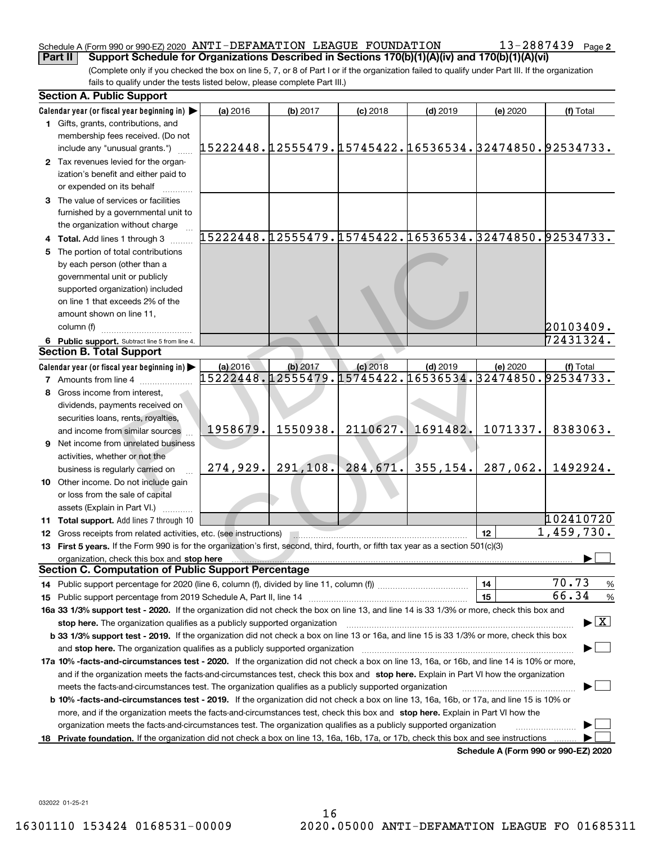### Schedule A (Form 990 or 990-EZ) 2020 Page ANTI-DEFAMATION LEAGUE FOUNDATION 13-2887439 **Part II Support Schedule for Organizations Described in Sections 170(b)(1)(A)(iv) and 170(b)(1)(A)(vi)**

(Complete only if you checked the box on line 5, 7, or 8 of Part I or if the organization failed to qualify under Part III. If the organization fails to qualify under the tests listed below, please complete Part III.)

|    | <b>Section A. Public Support</b>                                                                                                               |                                                        |           |            |            |                                      |                                          |
|----|------------------------------------------------------------------------------------------------------------------------------------------------|--------------------------------------------------------|-----------|------------|------------|--------------------------------------|------------------------------------------|
|    | Calendar year (or fiscal year beginning in)                                                                                                    | (a) 2016                                               | (b) 2017  | $(c)$ 2018 | $(d)$ 2019 | (e) 2020                             | (f) Total                                |
|    | 1 Gifts, grants, contributions, and                                                                                                            |                                                        |           |            |            |                                      |                                          |
|    | membership fees received. (Do not                                                                                                              |                                                        |           |            |            |                                      |                                          |
|    | include any "unusual grants.")                                                                                                                 | 15222448.12555479.15745422.16536534.32474850.92534733. |           |            |            |                                      |                                          |
|    | 2 Tax revenues levied for the organ-                                                                                                           |                                                        |           |            |            |                                      |                                          |
|    | ization's benefit and either paid to                                                                                                           |                                                        |           |            |            |                                      |                                          |
|    | or expended on its behalf                                                                                                                      |                                                        |           |            |            |                                      |                                          |
|    | 3 The value of services or facilities                                                                                                          |                                                        |           |            |            |                                      |                                          |
|    | furnished by a governmental unit to                                                                                                            |                                                        |           |            |            |                                      |                                          |
|    | the organization without charge                                                                                                                |                                                        |           |            |            |                                      |                                          |
|    | 4 Total. Add lines 1 through 3                                                                                                                 | 15222448.12555479.15745422.16536534.32474850.92534733. |           |            |            |                                      |                                          |
| 5. | The portion of total contributions                                                                                                             |                                                        |           |            |            |                                      |                                          |
|    | by each person (other than a                                                                                                                   |                                                        |           |            |            |                                      |                                          |
|    | governmental unit or publicly                                                                                                                  |                                                        |           |            |            |                                      |                                          |
|    | supported organization) included                                                                                                               |                                                        |           |            |            |                                      |                                          |
|    | on line 1 that exceeds 2% of the                                                                                                               |                                                        |           |            |            |                                      |                                          |
|    | amount shown on line 11,                                                                                                                       |                                                        |           |            |            |                                      |                                          |
|    | column (f)                                                                                                                                     |                                                        |           |            |            |                                      | 20103409.                                |
|    | 6 Public support. Subtract line 5 from line 4.                                                                                                 |                                                        |           |            |            |                                      | 72431324.                                |
|    | <b>Section B. Total Support</b>                                                                                                                |                                                        |           |            |            |                                      |                                          |
|    | Calendar year (or fiscal year beginning in)                                                                                                    | (a) 2016                                               | (b) 2017  | $(c)$ 2018 | $(d)$ 2019 | (e) 2020                             | (f) Total                                |
|    | <b>7</b> Amounts from line 4                                                                                                                   | 15222448.12555479.15745422.16536534.32474850.92534733. |           |            |            |                                      |                                          |
| 8  | Gross income from interest,                                                                                                                    |                                                        |           |            |            |                                      |                                          |
|    | dividends, payments received on                                                                                                                |                                                        |           |            |            |                                      |                                          |
|    | securities loans, rents, royalties,                                                                                                            |                                                        |           |            |            |                                      |                                          |
|    | and income from similar sources                                                                                                                | 1958679.                                               | 1550938.  | 2110627.   | 1691482.   | 1071337.                             | 8383063.                                 |
|    | <b>9</b> Net income from unrelated business                                                                                                    |                                                        |           |            |            |                                      |                                          |
|    | activities, whether or not the                                                                                                                 |                                                        |           |            |            |                                      |                                          |
|    | business is regularly carried on                                                                                                               | 274,929.                                               | 291, 108. | 284,671.   | 355, 154.  | 287,062.                             | 1492924.                                 |
|    | 10 Other income. Do not include gain                                                                                                           |                                                        |           |            |            |                                      |                                          |
|    | or loss from the sale of capital                                                                                                               |                                                        |           |            |            |                                      |                                          |
|    | assets (Explain in Part VI.)                                                                                                                   |                                                        |           |            |            |                                      |                                          |
|    | 11 Total support. Add lines 7 through 10                                                                                                       |                                                        |           |            |            |                                      | 102410720                                |
|    | <b>12</b> Gross receipts from related activities, etc. (see instructions)                                                                      |                                                        |           |            |            | 12                                   | $\overline{1,459,730}$ .                 |
|    | 13 First 5 years. If the Form 990 is for the organization's first, second, third, fourth, or fifth tax year as a section 501(c)(3)             |                                                        |           |            |            |                                      |                                          |
|    |                                                                                                                                                |                                                        |           |            |            |                                      |                                          |
|    | <b>Section C. Computation of Public Support Percentage</b>                                                                                     |                                                        |           |            |            |                                      |                                          |
|    |                                                                                                                                                |                                                        |           |            |            | 14                                   | 70.73<br>%                               |
|    |                                                                                                                                                |                                                        |           |            |            | 15                                   | 66.34<br>$\%$                            |
|    | 16a 33 1/3% support test - 2020. If the organization did not check the box on line 13, and line 14 is 33 1/3% or more, check this box and      |                                                        |           |            |            |                                      |                                          |
|    | stop here. The organization qualifies as a publicly supported organization                                                                     |                                                        |           |            |            |                                      | $\blacktriangleright$ $\boxed{\text{X}}$ |
|    | b 33 1/3% support test - 2019. If the organization did not check a box on line 13 or 16a, and line 15 is 33 1/3% or more, check this box       |                                                        |           |            |            |                                      |                                          |
|    | and stop here. The organization qualifies as a publicly supported organization                                                                 |                                                        |           |            |            |                                      |                                          |
|    | 17a 10% -facts-and-circumstances test - 2020. If the organization did not check a box on line 13, 16a, or 16b, and line 14 is 10% or more,     |                                                        |           |            |            |                                      |                                          |
|    | and if the organization meets the facts-and-circumstances test, check this box and stop here. Explain in Part VI how the organization          |                                                        |           |            |            |                                      |                                          |
|    | meets the facts-and-circumstances test. The organization qualifies as a publicly supported organization                                        |                                                        |           |            |            |                                      |                                          |
|    | <b>b 10% -facts-and-circumstances test - 2019.</b> If the organization did not check a box on line 13, 16a, 16b, or 17a, and line 15 is 10% or |                                                        |           |            |            |                                      |                                          |
|    | more, and if the organization meets the facts-and-circumstances test, check this box and stop here. Explain in Part VI how the                 |                                                        |           |            |            |                                      |                                          |
|    | organization meets the facts-and-circumstances test. The organization qualifies as a publicly supported organization                           |                                                        |           |            |            |                                      |                                          |
|    | 18 Private foundation. If the organization did not check a box on line 13, 16a, 16b, 17a, or 17b, check this box and see instructions          |                                                        |           |            |            |                                      |                                          |
|    |                                                                                                                                                |                                                        |           |            |            | Schedule A (Form 990 or 990-F7) 2020 |                                          |

**Schedule A (Form 990 or 990-EZ) 2020**

032022 01-25-21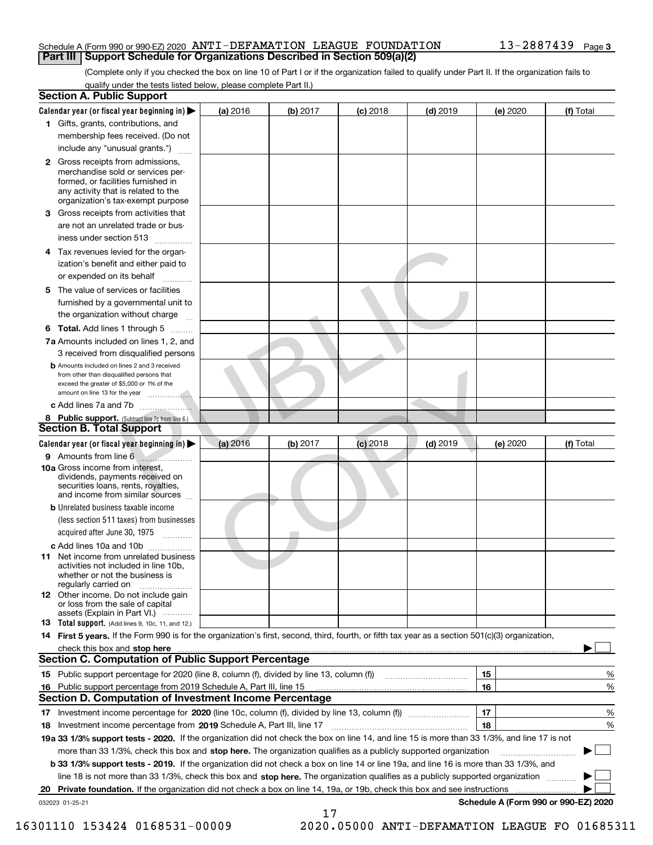#### Schedule A (Form 990 or 990-EZ) 2020 Page ANTI-DEFAMATION LEAGUE FOUNDATION 13-2887439 **Part III Support Schedule for Organizations Described in Section 509(a)(2)**

(Complete only if you checked the box on line 10 of Part I or if the organization failed to qualify under Part II. If the organization fails to qualify under the tests listed below, please complete Part II.)

|    | <b>Section A. Public Support</b>                                                                                                                                                                                                                                   |          |          |            |            |          |                                      |
|----|--------------------------------------------------------------------------------------------------------------------------------------------------------------------------------------------------------------------------------------------------------------------|----------|----------|------------|------------|----------|--------------------------------------|
|    | Calendar year (or fiscal year beginning in) $\blacktriangleright$                                                                                                                                                                                                  | (a) 2016 | (b) 2017 | $(c)$ 2018 | $(d)$ 2019 | (e) 2020 | (f) Total                            |
|    | 1 Gifts, grants, contributions, and                                                                                                                                                                                                                                |          |          |            |            |          |                                      |
|    | membership fees received. (Do not                                                                                                                                                                                                                                  |          |          |            |            |          |                                      |
|    | include any "unusual grants.")                                                                                                                                                                                                                                     |          |          |            |            |          |                                      |
|    | <b>2</b> Gross receipts from admissions,<br>merchandise sold or services per-<br>formed, or facilities furnished in<br>any activity that is related to the<br>organization's tax-exempt purpose                                                                    |          |          |            |            |          |                                      |
|    | 3 Gross receipts from activities that<br>are not an unrelated trade or bus-                                                                                                                                                                                        |          |          |            |            |          |                                      |
|    | iness under section 513                                                                                                                                                                                                                                            |          |          |            |            |          |                                      |
| 4  | Tax revenues levied for the organ-<br>ization's benefit and either paid to                                                                                                                                                                                         |          |          |            |            |          |                                      |
|    | or expended on its behalf                                                                                                                                                                                                                                          |          |          |            |            |          |                                      |
|    | 5 The value of services or facilities<br>furnished by a governmental unit to<br>the organization without charge                                                                                                                                                    |          |          |            |            |          |                                      |
|    | <b>6 Total.</b> Add lines 1 through 5                                                                                                                                                                                                                              |          |          |            |            |          |                                      |
|    | 7a Amounts included on lines 1, 2, and<br>3 received from disqualified persons                                                                                                                                                                                     |          |          |            |            |          |                                      |
|    | <b>b</b> Amounts included on lines 2 and 3 received<br>from other than disqualified persons that<br>exceed the greater of \$5,000 or 1% of the                                                                                                                     |          |          |            |            |          |                                      |
|    | c Add lines 7a and 7b                                                                                                                                                                                                                                              |          |          |            |            |          |                                      |
|    | 8 Public support. (Subtract line 7c from line 6.)                                                                                                                                                                                                                  |          |          |            |            |          |                                      |
|    | <b>Section B. Total Support</b>                                                                                                                                                                                                                                    |          |          |            |            |          |                                      |
|    | Calendar year (or fiscal year beginning in)                                                                                                                                                                                                                        | (a) 2016 | (b) 2017 | $(c)$ 2018 | $(d)$ 2019 | (e) 2020 | (f) Total                            |
|    |                                                                                                                                                                                                                                                                    |          |          |            |            |          |                                      |
|    | 10a Gross income from interest,<br>dividends, payments received on<br>securities loans, rents, royalties,<br>and income from similar sources                                                                                                                       |          |          |            |            |          |                                      |
|    | <b>b</b> Unrelated business taxable income<br>(less section 511 taxes) from businesses<br>acquired after June 30, 1975                                                                                                                                             |          |          |            |            |          |                                      |
|    | c Add lines 10a and 10b                                                                                                                                                                                                                                            |          |          |            |            |          |                                      |
|    | 11 Net income from unrelated business<br>activities not included in line 10b,<br>whether or not the business is<br>regularly carried on                                                                                                                            |          |          |            |            |          |                                      |
|    | 12 Other income. Do not include gain<br>or loss from the sale of capital<br>assets (Explain in Part VI.)                                                                                                                                                           |          |          |            |            |          |                                      |
|    | <b>13</b> Total support. (Add lines 9, 10c, 11, and 12.)                                                                                                                                                                                                           |          |          |            |            |          |                                      |
|    | 14 First 5 years. If the Form 990 is for the organization's first, second, third, fourth, or fifth tax year as a section 501(c)(3) organization,                                                                                                                   |          |          |            |            |          |                                      |
|    | check this box and stop here measured and contained a state of the state of the state of the state of the state of the state of the state of the state of the state of the state of the state of the state of the state of the                                     |          |          |            |            |          |                                      |
|    | <b>Section C. Computation of Public Support Percentage</b>                                                                                                                                                                                                         |          |          |            |            |          |                                      |
|    | 15 Public support percentage for 2020 (line 8, column (f), divided by line 13, column (f))                                                                                                                                                                         |          |          |            |            | 15       | %                                    |
|    | 16 Public support percentage from 2019 Schedule A, Part III, line 15                                                                                                                                                                                               |          |          |            |            | 16       | %                                    |
|    | <b>Section D. Computation of Investment Income Percentage</b>                                                                                                                                                                                                      |          |          |            |            |          |                                      |
|    | 17 Investment income percentage for 2020 (line 10c, column (f), divided by line 13, column (f))                                                                                                                                                                    |          |          |            |            | 17       | %                                    |
|    | <b>18</b> Investment income percentage from <b>2019</b> Schedule A, Part III, line 17                                                                                                                                                                              |          |          |            |            | 18       | %                                    |
|    | 19a 33 1/3% support tests - 2020. If the organization did not check the box on line 14, and line 15 is more than 33 1/3%, and line 17 is not                                                                                                                       |          |          |            |            |          |                                      |
|    | more than 33 1/3%, check this box and stop here. The organization qualifies as a publicly supported organization                                                                                                                                                   |          |          |            |            |          | ▶                                    |
|    | b 33 1/3% support tests - 2019. If the organization did not check a box on line 14 or line 19a, and line 16 is more than 33 1/3%, and                                                                                                                              |          |          |            |            |          |                                      |
|    | line 18 is not more than 33 1/3%, check this box and stop here. The organization qualifies as a publicly supported organization<br><b>Private foundation.</b> If the organization did not check a box on line 14, 19a, or 19b, check this box and see instructions |          |          |            |            |          |                                      |
| 20 | 032023 01-25-21                                                                                                                                                                                                                                                    |          |          |            |            |          | Schedule A (Form 990 or 990-EZ) 2020 |
|    |                                                                                                                                                                                                                                                                    |          | 17       |            |            |          |                                      |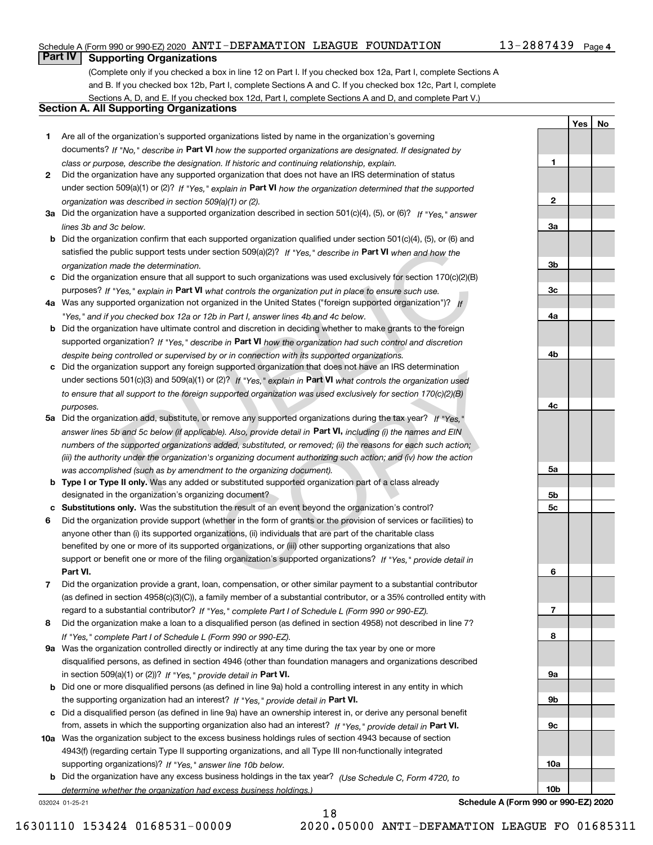### Schedule A (Form 990 or 990-EZ) 2020 Page ANTI-DEFAMATION LEAGUE FOUNDATION 13-2887439

### 13-2887439 Page 4

**1**

**2**

**3a**

**3b**

**3c**

**4a**

**4b**

**4c**

**5a**

**5b5c**

**6**

**7**

**8**

**9a**

**9b**

**9c**

**10a**

**10b**

**YesNo**

## **Part IV Supporting Organizations**

(Complete only if you checked a box in line 12 on Part I. If you checked box 12a, Part I, complete Sections A and B. If you checked box 12b, Part I, complete Sections A and C. If you checked box 12c, Part I, complete Sections A, D, and E. If you checked box 12d, Part I, complete Sections A and D, and complete Part V.)

### **Section A. All Supporting Organizations**

- **1** Are all of the organization's supported organizations listed by name in the organization's governing documents? If "No," describe in **Part VI** how the supported organizations are designated. If designated by *class or purpose, describe the designation. If historic and continuing relationship, explain.*
- **2** Did the organization have any supported organization that does not have an IRS determination of status under section 509(a)(1) or (2)? If "Yes," explain in Part VI how the organization determined that the supported *organization was described in section 509(a)(1) or (2).*
- **3a** Did the organization have a supported organization described in section 501(c)(4), (5), or (6)? If "Yes," answer *lines 3b and 3c below.*
- **b** Did the organization confirm that each supported organization qualified under section 501(c)(4), (5), or (6) and satisfied the public support tests under section 509(a)(2)? If "Yes," describe in **Part VI** when and how the *organization made the determination.*
- **c**Did the organization ensure that all support to such organizations was used exclusively for section 170(c)(2)(B) purposes? If "Yes," explain in **Part VI** what controls the organization put in place to ensure such use.
- **4a**Was any supported organization not organized in the United States ("foreign supported organization")? *If "Yes," and if you checked box 12a or 12b in Part I, answer lines 4b and 4c below.*
- **b** Did the organization have ultimate control and discretion in deciding whether to make grants to the foreign supported organization? If "Yes," describe in Part VI how the organization had such control and discretion *despite being controlled or supervised by or in connection with its supported organizations.*
- **c** Did the organization support any foreign supported organization that does not have an IRS determination under sections 501(c)(3) and 509(a)(1) or (2)? If "Yes," explain in **Part VI** what controls the organization used *to ensure that all support to the foreign supported organization was used exclusively for section 170(c)(2)(B) purposes.*
- **5a** Did the organization add, substitute, or remove any supported organizations during the tax year? If "Yes," answer lines 5b and 5c below (if applicable). Also, provide detail in **Part VI,** including (i) the names and EIN *numbers of the supported organizations added, substituted, or removed; (ii) the reasons for each such action; (iii) the authority under the organization's organizing document authorizing such action; and (iv) how the action was accomplished (such as by amendment to the organizing document).* about commin that each supported organization vast used exclusively for section and for the discussively for section and the defermination.<br>
Bublic support tests under section 509(a)(2)? If "Yes," describe in **Part VI** whe
- **b** Type I or Type II only. Was any added or substituted supported organization part of a class already designated in the organization's organizing document?
- **cSubstitutions only.**  Was the substitution the result of an event beyond the organization's control?
- **6** Did the organization provide support (whether in the form of grants or the provision of services or facilities) to **Part VI.** *If "Yes," provide detail in* support or benefit one or more of the filing organization's supported organizations? anyone other than (i) its supported organizations, (ii) individuals that are part of the charitable class benefited by one or more of its supported organizations, or (iii) other supporting organizations that also In supported organization trial does not nave an instancement (2)? If "Yes," explain in **Part VI** what controls the organization used supported organization was used exclusively for section 170(c)(2)(B) remove any support
- **7**Did the organization provide a grant, loan, compensation, or other similar payment to a substantial contributor *If "Yes," complete Part I of Schedule L (Form 990 or 990-EZ).* regard to a substantial contributor? (as defined in section 4958(c)(3)(C)), a family member of a substantial contributor, or a 35% controlled entity with
- **8** Did the organization make a loan to a disqualified person (as defined in section 4958) not described in line 7? *If "Yes," complete Part I of Schedule L (Form 990 or 990-EZ).*
- **9a** Was the organization controlled directly or indirectly at any time during the tax year by one or more in section 509(a)(1) or (2))? If "Yes," *provide detail in* <code>Part VI.</code> disqualified persons, as defined in section 4946 (other than foundation managers and organizations described
- **b** Did one or more disqualified persons (as defined in line 9a) hold a controlling interest in any entity in which the supporting organization had an interest? If "Yes," provide detail in P**art VI**.
- **c**Did a disqualified person (as defined in line 9a) have an ownership interest in, or derive any personal benefit from, assets in which the supporting organization also had an interest? If "Yes," provide detail in P**art VI.**
- **10a** Was the organization subject to the excess business holdings rules of section 4943 because of section supporting organizations)? If "Yes," answer line 10b below. 4943(f) (regarding certain Type II supporting organizations, and all Type III non-functionally integrated
- **b** Did the organization have any excess business holdings in the tax year? (Use Schedule C, Form 4720, to *determine whether the organization had excess business holdings.)*

18

032024 01-25-21

**Schedule A (Form 990 or 990-EZ) 2020**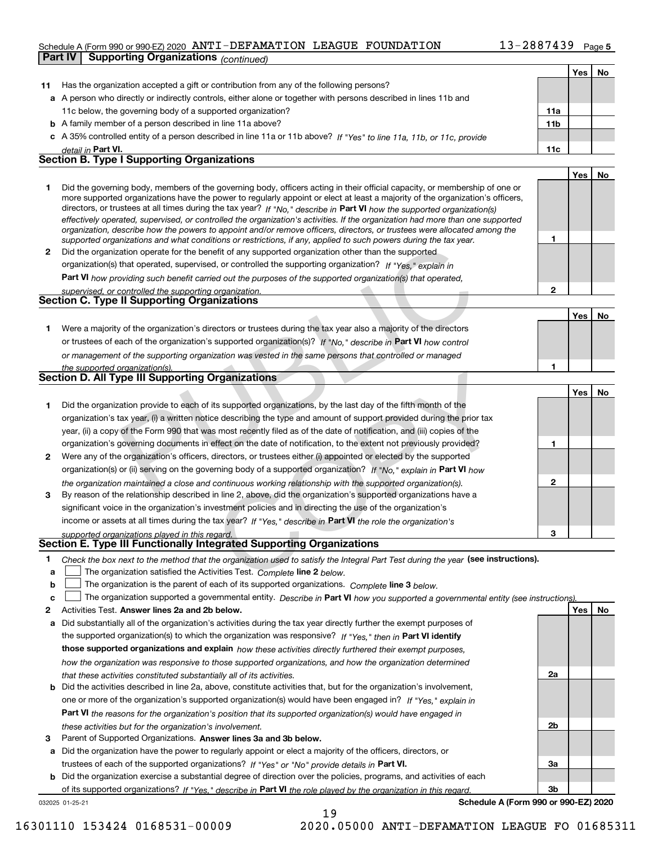### Schedule A (Form 990 or 990-EZ) 2020 Page ANTI-DEFAMATION LEAGUE FOUNDATION 13-2887439 **Part IV Supporting Organizations** *(continued)*

|        |                                                                                                                                                                                                                                                           |              | Yes | No |
|--------|-----------------------------------------------------------------------------------------------------------------------------------------------------------------------------------------------------------------------------------------------------------|--------------|-----|----|
| 11     | Has the organization accepted a gift or contribution from any of the following persons?                                                                                                                                                                   |              |     |    |
|        | a A person who directly or indirectly controls, either alone or together with persons described in lines 11b and                                                                                                                                          |              |     |    |
|        | 11c below, the governing body of a supported organization?                                                                                                                                                                                                | 11a          |     |    |
|        | <b>b</b> A family member of a person described in line 11a above?                                                                                                                                                                                         | 11b          |     |    |
|        | c A 35% controlled entity of a person described in line 11a or 11b above? If "Yes" to line 11a, 11b, or 11c, provide                                                                                                                                      |              |     |    |
|        | detail in Part VI.                                                                                                                                                                                                                                        | 11c          |     |    |
|        | <b>Section B. Type I Supporting Organizations</b>                                                                                                                                                                                                         |              |     |    |
|        |                                                                                                                                                                                                                                                           |              | Yes | No |
| 1      | Did the governing body, members of the governing body, officers acting in their official capacity, or membership of one or                                                                                                                                |              |     |    |
|        | more supported organizations have the power to regularly appoint or elect at least a majority of the organization's officers,                                                                                                                             |              |     |    |
|        | directors, or trustees at all times during the tax year? If "No," describe in Part VI how the supported organization(s)<br>effectively operated, supervised, or controlled the organization's activities. If the organization had more than one supported |              |     |    |
|        | organization, describe how the powers to appoint and/or remove officers, directors, or trustees were allocated among the                                                                                                                                  |              |     |    |
|        | supported organizations and what conditions or restrictions, if any, applied to such powers during the tax year.                                                                                                                                          | 1            |     |    |
| 2      | Did the organization operate for the benefit of any supported organization other than the supported                                                                                                                                                       |              |     |    |
|        | organization(s) that operated, supervised, or controlled the supporting organization? If "Yes," explain in                                                                                                                                                |              |     |    |
|        | <b>Part VI</b> how providing such benefit carried out the purposes of the supported organization(s) that operated,                                                                                                                                        |              |     |    |
|        | supervised, or controlled the supporting organization.                                                                                                                                                                                                    | $\mathbf{2}$ |     |    |
|        | <b>Section C. Type II Supporting Organizations</b>                                                                                                                                                                                                        |              |     |    |
|        |                                                                                                                                                                                                                                                           |              | Yes | No |
| 1      | Were a majority of the organization's directors or trustees during the tax year also a majority of the directors                                                                                                                                          |              |     |    |
|        | or trustees of each of the organization's supported organization(s)? If "No." describe in Part VI how control                                                                                                                                             |              |     |    |
|        | or management of the supporting organization was vested in the same persons that controlled or managed                                                                                                                                                    |              |     |    |
|        | the supported organization(s).<br><b>Section D. All Type III Supporting Organizations</b>                                                                                                                                                                 | 1            |     |    |
|        |                                                                                                                                                                                                                                                           |              |     |    |
|        |                                                                                                                                                                                                                                                           |              | Yes | No |
| 1      | Did the organization provide to each of its supported organizations, by the last day of the fifth month of the                                                                                                                                            |              |     |    |
|        | organization's tax year, (i) a written notice describing the type and amount of support provided during the prior tax                                                                                                                                     |              |     |    |
|        | year, (ii) a copy of the Form 990 that was most recently filed as of the date of notification, and (iii) copies of the                                                                                                                                    |              |     |    |
|        | organization's governing documents in effect on the date of notification, to the extent not previously provided?                                                                                                                                          | 1            |     |    |
| 2      | Were any of the organization's officers, directors, or trustees either (i) appointed or elected by the supported                                                                                                                                          |              |     |    |
|        | organization(s) or (ii) serving on the governing body of a supported organization? If "No," explain in Part VI how                                                                                                                                        |              |     |    |
|        | the organization maintained a close and continuous working relationship with the supported organization(s).                                                                                                                                               | $\mathbf{2}$ |     |    |
| 3      | By reason of the relationship described in line 2, above, did the organization's supported organizations have a                                                                                                                                           |              |     |    |
|        | significant voice in the organization's investment policies and in directing the use of the organization's                                                                                                                                                |              |     |    |
|        | income or assets at all times during the tax year? If "Yes," describe in Part VI the role the organization's                                                                                                                                              |              |     |    |
|        | supported organizations played in this regard.<br>Section E. Type III Functionally Integrated Supporting Organizations                                                                                                                                    | 3            |     |    |
|        |                                                                                                                                                                                                                                                           |              |     |    |
| 1.     | Check the box next to the method that the organization used to satisfy the Integral Part Test during the year (see instructions).                                                                                                                         |              |     |    |
| a<br>b | The organization satisfied the Activities Test. Complete line 2 below.<br>The organization is the parent of each of its supported organizations. Complete line 3 below.                                                                                   |              |     |    |
| c      | The organization supported a governmental entity. Describe in Part VI how you supported a governmental entity (see instructions)                                                                                                                          |              |     |    |
| 2      | Activities Test. Answer lines 2a and 2b below.                                                                                                                                                                                                            |              | Yes | No |
| a      | Did substantially all of the organization's activities during the tax year directly further the exempt purposes of                                                                                                                                        |              |     |    |
|        | the supported organization(s) to which the organization was responsive? If "Yes." then in Part VI identify                                                                                                                                                |              |     |    |
|        | those supported organizations and explain how these activities directly furthered their exempt purposes,                                                                                                                                                  |              |     |    |
|        | how the organization was responsive to those supported organizations, and how the organization determined                                                                                                                                                 |              |     |    |
|        | that these activities constituted substantially all of its activities.                                                                                                                                                                                    | 2a           |     |    |
| b      | Did the activities described in line 2a, above, constitute activities that, but for the organization's involvement,                                                                                                                                       |              |     |    |
|        | one or more of the organization's supported organization(s) would have been engaged in? If "Yes," explain in                                                                                                                                              |              |     |    |
|        | Part VI the reasons for the organization's position that its supported organization(s) would have engaged in                                                                                                                                              |              |     |    |
|        | these activities but for the organization's involvement.                                                                                                                                                                                                  | 2b           |     |    |
| з      | Parent of Supported Organizations. Answer lines 3a and 3b below.                                                                                                                                                                                          |              |     |    |
| а      | Did the organization have the power to regularly appoint or elect a majority of the officers, directors, or                                                                                                                                               |              |     |    |
|        | trustees of each of the supported organizations? If "Yes" or "No" provide details in Part VI.                                                                                                                                                             | За           |     |    |
| b      | Did the organization exercise a substantial degree of direction over the policies, programs, and activities of each                                                                                                                                       |              |     |    |
|        | of its supported organizations? If "Yes." describe in Part VI the role played by the organization in this regard.                                                                                                                                         | 3b           |     |    |

19

032025 01-25-21

**Schedule A (Form 990 or 990-EZ) 2020**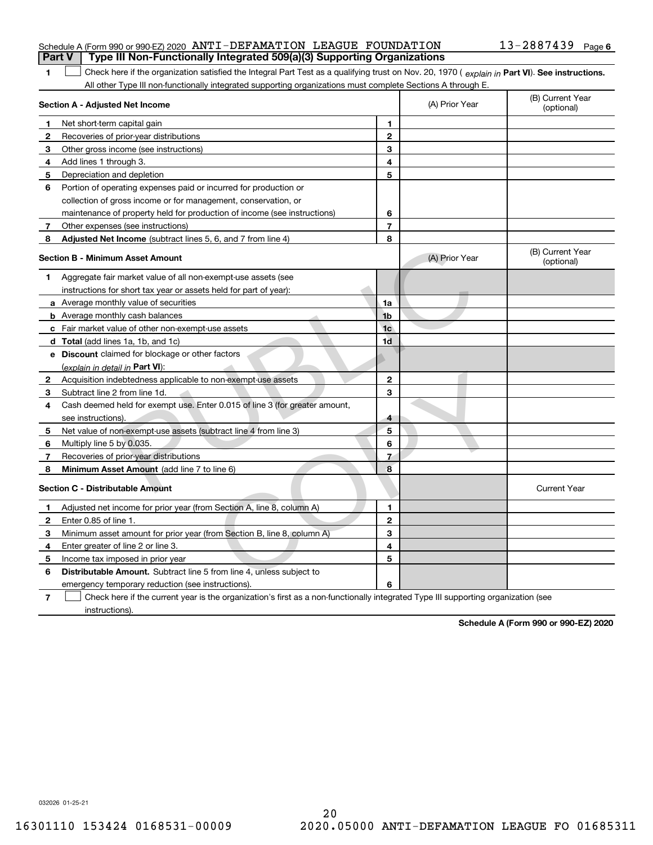|  | Part V   Type III Non-Functionally Integrated 509(a)(3) Supporting Organizations |                       |  |
|--|----------------------------------------------------------------------------------|-----------------------|--|
|  | Schedule A (Form 990 or 990-EZ) 2020 ANTI-DEFAMATION LEAGUE FOUNDATION           | $13 - 2887439$ Page 6 |  |

| 1 Check here if the organization satisfied the Integral Part Test as a qualifying trust on Nov. 20, 1970 (explain in Part VI). See instructions. |
|--------------------------------------------------------------------------------------------------------------------------------------------------|
| All other Type III non-functionally integrated supporting organizations must complete Sections A through E.                                      |

|                          | Section A - Adjusted Net Income                                                                                                   | (A) Prior Year          | (B) Current Year<br>(optional) |                                |
|--------------------------|-----------------------------------------------------------------------------------------------------------------------------------|-------------------------|--------------------------------|--------------------------------|
| 1                        | Net short-term capital gain                                                                                                       | 1                       |                                |                                |
| $\mathbf{2}$             | Recoveries of prior-year distributions                                                                                            | $\mathbf{2}$            |                                |                                |
| 3                        | Other gross income (see instructions)                                                                                             | 3                       |                                |                                |
| 4                        | Add lines 1 through 3.                                                                                                            | 4                       |                                |                                |
| 5                        | Depreciation and depletion                                                                                                        | 5                       |                                |                                |
| 6                        | Portion of operating expenses paid or incurred for production or                                                                  |                         |                                |                                |
|                          | collection of gross income or for management, conservation, or                                                                    |                         |                                |                                |
|                          | maintenance of property held for production of income (see instructions)                                                          | 6                       |                                |                                |
| 7                        | Other expenses (see instructions)                                                                                                 | $\overline{7}$          |                                |                                |
| 8                        | Adjusted Net Income (subtract lines 5, 6, and 7 from line 4)                                                                      | 8                       |                                |                                |
|                          | <b>Section B - Minimum Asset Amount</b>                                                                                           |                         | (A) Prior Year                 | (B) Current Year<br>(optional) |
| 1                        | Aggregate fair market value of all non-exempt-use assets (see                                                                     |                         |                                |                                |
|                          | instructions for short tax year or assets held for part of year):                                                                 |                         | a.                             |                                |
|                          | a Average monthly value of securities                                                                                             | 1a                      |                                |                                |
|                          | <b>b</b> Average monthly cash balances                                                                                            | 1 <sub>b</sub>          |                                |                                |
|                          | c Fair market value of other non-exempt-use assets                                                                                | 1 <sub>c</sub>          |                                |                                |
|                          | d Total (add lines 1a, 1b, and 1c)                                                                                                | 1d                      |                                |                                |
|                          | e Discount claimed for blockage or other factors                                                                                  |                         |                                |                                |
|                          | (explain in detail in <b>Part VI</b> ):                                                                                           |                         |                                |                                |
| 2                        | Acquisition indebtedness applicable to non-exempt-use assets                                                                      | $\mathbf{2}$            |                                |                                |
| 3                        | Subtract line 2 from line 1d.                                                                                                     | 3                       |                                |                                |
| 4                        | Cash deemed held for exempt use. Enter 0.015 of line 3 (for greater amount,                                                       |                         |                                |                                |
|                          | see instructions).                                                                                                                | $\overline{\mathbf{4}}$ |                                |                                |
| 5                        | Net value of non-exempt-use assets (subtract line 4 from line 3)                                                                  | 5                       |                                |                                |
| 6                        | Multiply line 5 by 0.035.                                                                                                         | 6                       |                                |                                |
| 7                        | Recoveries of prior-year distributions                                                                                            | $\overline{7}$          |                                |                                |
| 8                        | Minimum Asset Amount (add line 7 to line 6)                                                                                       | 8                       |                                |                                |
|                          | <b>Section C - Distributable Amount</b>                                                                                           |                         |                                | <b>Current Year</b>            |
| 1                        | Adjusted net income for prior year (from Section A, line 8, column A)                                                             | 1                       |                                |                                |
| $\mathbf{2}$             | Enter 0.85 of line 1.                                                                                                             | $\overline{2}$          |                                |                                |
| 3                        | Minimum asset amount for prior year (from Section B, line 8, column A)                                                            | 3                       |                                |                                |
| 4                        | Enter greater of line 2 or line 3.                                                                                                | 4                       |                                |                                |
| 5                        | Income tax imposed in prior year                                                                                                  | 5                       |                                |                                |
| 6                        | <b>Distributable Amount.</b> Subtract line 5 from line 4, unless subject to                                                       |                         |                                |                                |
|                          | emergency temporary reduction (see instructions).                                                                                 | 6                       |                                |                                |
| $\overline{\phantom{a}}$ | Check here if the current year is the organization's first as a non-functionally integrated Type III supporting organization (see |                         |                                |                                |

instructions).

**Schedule A (Form 990 or 990-EZ) 2020**

032026 01-25-21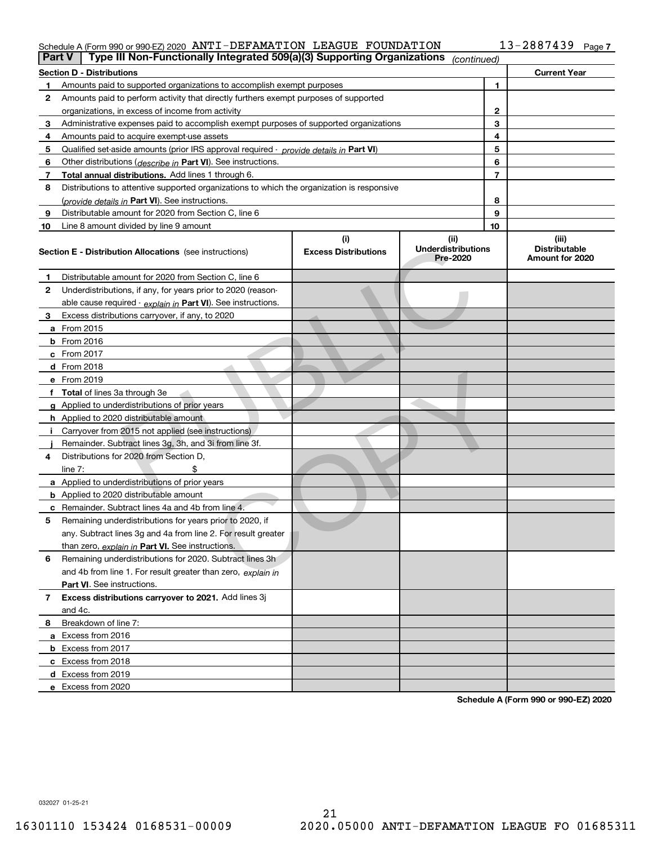## Schedule A (Form 990 or 990-EZ) 2020 Page ANTI-DEFAMATION LEAGUE FOUNDATION 13-2887439

| <b>Part V</b>  | Type III Non-Functionally Integrated 509(a)(3) Supporting Organizations                    |                                    | (continued)                                   |                |                                                  |
|----------------|--------------------------------------------------------------------------------------------|------------------------------------|-----------------------------------------------|----------------|--------------------------------------------------|
|                | <b>Section D - Distributions</b>                                                           |                                    |                                               |                | <b>Current Year</b>                              |
| 1.             | Amounts paid to supported organizations to accomplish exempt purposes                      |                                    | 1                                             |                |                                                  |
| 2              | Amounts paid to perform activity that directly furthers exempt purposes of supported       |                                    |                                               |                |                                                  |
|                | organizations, in excess of income from activity                                           |                                    | 2                                             |                |                                                  |
| 3              | Administrative expenses paid to accomplish exempt purposes of supported organizations      |                                    | 3                                             |                |                                                  |
| 4              | Amounts paid to acquire exempt-use assets                                                  |                                    |                                               | 4              |                                                  |
| 5              | Qualified set-aside amounts (prior IRS approval required - provide details in Part VI)     |                                    |                                               | 5              |                                                  |
| 6              | Other distributions ( <i>describe in</i> Part VI). See instructions.                       |                                    |                                               | 6              |                                                  |
| 7              | Total annual distributions. Add lines 1 through 6.                                         |                                    |                                               | $\overline{7}$ |                                                  |
| 8              | Distributions to attentive supported organizations to which the organization is responsive |                                    |                                               |                |                                                  |
|                | (provide details in Part VI). See instructions.                                            |                                    |                                               | 8              |                                                  |
| 9              | Distributable amount for 2020 from Section C, line 6                                       |                                    |                                               | 9              |                                                  |
| 10             | Line 8 amount divided by line 9 amount                                                     |                                    |                                               | 10             |                                                  |
|                | <b>Section E - Distribution Allocations</b> (see instructions)                             | (i)<br><b>Excess Distributions</b> | (ii)<br><b>Underdistributions</b><br>Pre-2020 |                | (iii)<br><b>Distributable</b><br>Amount for 2020 |
| 1              | Distributable amount for 2020 from Section C, line 6                                       |                                    |                                               |                |                                                  |
| 2              | Underdistributions, if any, for years prior to 2020 (reason-                               |                                    |                                               |                |                                                  |
|                | able cause required - explain in Part VI). See instructions.                               |                                    |                                               |                |                                                  |
| 3              | Excess distributions carryover, if any, to 2020                                            |                                    |                                               |                |                                                  |
|                | a From 2015                                                                                |                                    |                                               |                |                                                  |
|                | <b>b</b> From 2016                                                                         |                                    |                                               |                |                                                  |
|                | c From 2017                                                                                |                                    |                                               |                |                                                  |
|                | d From 2018                                                                                |                                    |                                               |                |                                                  |
|                | e From 2019                                                                                |                                    |                                               |                |                                                  |
|                | f Total of lines 3a through 3e                                                             |                                    |                                               |                |                                                  |
|                | g Applied to underdistributions of prior years                                             |                                    |                                               |                |                                                  |
|                | h Applied to 2020 distributable amount                                                     |                                    |                                               |                |                                                  |
|                | Carryover from 2015 not applied (see instructions)                                         |                                    |                                               |                |                                                  |
|                | Remainder. Subtract lines 3g, 3h, and 3i from line 3f.                                     |                                    |                                               |                |                                                  |
| 4              | Distributions for 2020 from Section D,                                                     |                                    |                                               |                |                                                  |
|                | line $7:$                                                                                  |                                    |                                               |                |                                                  |
|                | a Applied to underdistributions of prior years                                             |                                    |                                               |                |                                                  |
|                | <b>b</b> Applied to 2020 distributable amount                                              |                                    |                                               |                |                                                  |
|                | c Remainder. Subtract lines 4a and 4b from line 4.                                         |                                    |                                               |                |                                                  |
| 5              | Remaining underdistributions for years prior to 2020, if                                   |                                    |                                               |                |                                                  |
|                | any. Subtract lines 3g and 4a from line 2. For result greater                              |                                    |                                               |                |                                                  |
|                | than zero, explain in Part VI. See instructions.                                           |                                    |                                               |                |                                                  |
| 6              | Remaining underdistributions for 2020. Subtract lines 3h                                   |                                    |                                               |                |                                                  |
|                | and 4b from line 1. For result greater than zero, explain in                               |                                    |                                               |                |                                                  |
|                | Part VI. See instructions.                                                                 |                                    |                                               |                |                                                  |
| $\overline{7}$ | Excess distributions carryover to 2021. Add lines 3j                                       |                                    |                                               |                |                                                  |
|                | and 4c.                                                                                    |                                    |                                               |                |                                                  |
| 8              | Breakdown of line 7:                                                                       |                                    |                                               |                |                                                  |
|                | a Excess from 2016                                                                         |                                    |                                               |                |                                                  |
|                | <b>b</b> Excess from 2017                                                                  |                                    |                                               |                |                                                  |
|                | c Excess from 2018                                                                         |                                    |                                               |                |                                                  |
|                | d Excess from 2019                                                                         |                                    |                                               |                |                                                  |
|                | e Excess from 2020                                                                         |                                    |                                               |                |                                                  |

**Schedule A (Form 990 or 990-EZ) 2020**

032027 01-25-21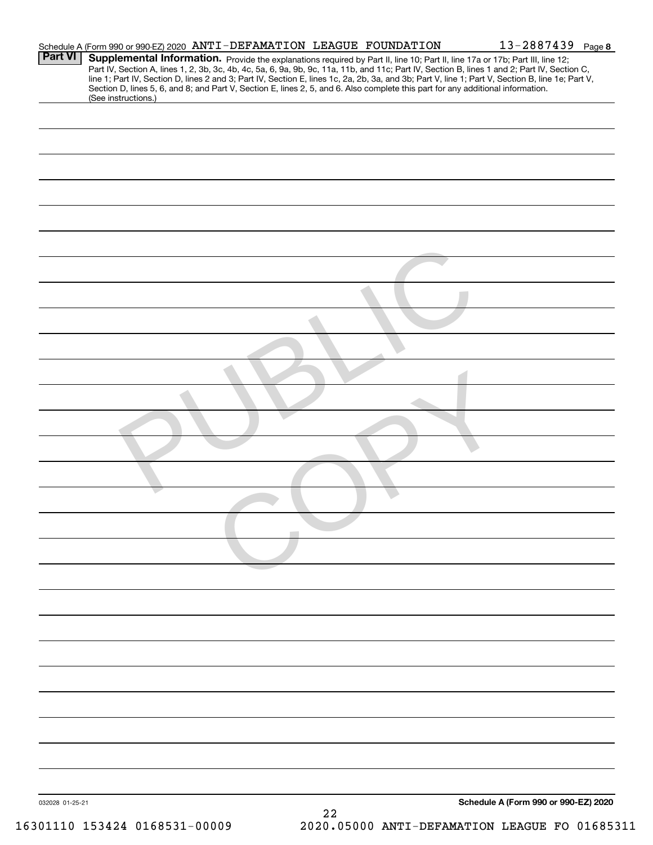|                 | Schedule A (Form 990 or 990-EZ) 2020 ANTI-DEFAMATION LEAGUE FOUNDATION                                                                                                                                                                                                                  |    | 13-2887439 Page 8                                                                                                                                                                                                                                                                                |
|-----------------|-----------------------------------------------------------------------------------------------------------------------------------------------------------------------------------------------------------------------------------------------------------------------------------------|----|--------------------------------------------------------------------------------------------------------------------------------------------------------------------------------------------------------------------------------------------------------------------------------------------------|
| <b>Part VI</b>  | Supplemental Information. Provide the explanations required by Part II, line 10; Part II, line 17a or 17b; Part III, line 12;<br>Section D, lines 5, 6, and 8; and Part V, Section E, lines 2, 5, and 6. Also complete this part for any additional information.<br>(See instructions.) |    | Part IV, Section A, lines 1, 2, 3b, 3c, 4b, 4c, 5a, 6, 9a, 9b, 9c, 11a, 11b, and 11c; Part IV, Section B, lines 1 and 2; Part IV, Section C,<br>line 1; Part IV, Section D, lines 2 and 3; Part IV, Section E, lines 1c, 2a, 2b, 3a, and 3b; Part V, line 1; Part V, Section B, line 1e; Part V, |
|                 |                                                                                                                                                                                                                                                                                         |    |                                                                                                                                                                                                                                                                                                  |
|                 |                                                                                                                                                                                                                                                                                         |    |                                                                                                                                                                                                                                                                                                  |
|                 |                                                                                                                                                                                                                                                                                         |    |                                                                                                                                                                                                                                                                                                  |
|                 |                                                                                                                                                                                                                                                                                         |    |                                                                                                                                                                                                                                                                                                  |
|                 |                                                                                                                                                                                                                                                                                         |    |                                                                                                                                                                                                                                                                                                  |
|                 |                                                                                                                                                                                                                                                                                         |    |                                                                                                                                                                                                                                                                                                  |
|                 |                                                                                                                                                                                                                                                                                         |    |                                                                                                                                                                                                                                                                                                  |
|                 |                                                                                                                                                                                                                                                                                         |    |                                                                                                                                                                                                                                                                                                  |
|                 |                                                                                                                                                                                                                                                                                         |    |                                                                                                                                                                                                                                                                                                  |
|                 |                                                                                                                                                                                                                                                                                         |    |                                                                                                                                                                                                                                                                                                  |
|                 |                                                                                                                                                                                                                                                                                         |    |                                                                                                                                                                                                                                                                                                  |
|                 |                                                                                                                                                                                                                                                                                         |    |                                                                                                                                                                                                                                                                                                  |
|                 |                                                                                                                                                                                                                                                                                         |    |                                                                                                                                                                                                                                                                                                  |
|                 |                                                                                                                                                                                                                                                                                         |    |                                                                                                                                                                                                                                                                                                  |
|                 |                                                                                                                                                                                                                                                                                         |    |                                                                                                                                                                                                                                                                                                  |
|                 |                                                                                                                                                                                                                                                                                         |    |                                                                                                                                                                                                                                                                                                  |
|                 |                                                                                                                                                                                                                                                                                         |    |                                                                                                                                                                                                                                                                                                  |
|                 |                                                                                                                                                                                                                                                                                         |    |                                                                                                                                                                                                                                                                                                  |
|                 |                                                                                                                                                                                                                                                                                         |    |                                                                                                                                                                                                                                                                                                  |
|                 |                                                                                                                                                                                                                                                                                         |    |                                                                                                                                                                                                                                                                                                  |
|                 |                                                                                                                                                                                                                                                                                         |    |                                                                                                                                                                                                                                                                                                  |
|                 |                                                                                                                                                                                                                                                                                         |    |                                                                                                                                                                                                                                                                                                  |
|                 |                                                                                                                                                                                                                                                                                         |    |                                                                                                                                                                                                                                                                                                  |
|                 |                                                                                                                                                                                                                                                                                         |    |                                                                                                                                                                                                                                                                                                  |
|                 |                                                                                                                                                                                                                                                                                         |    |                                                                                                                                                                                                                                                                                                  |
| 032028 01-25-21 |                                                                                                                                                                                                                                                                                         | 22 | Schedule A (Form 990 or 990-EZ) 2020                                                                                                                                                                                                                                                             |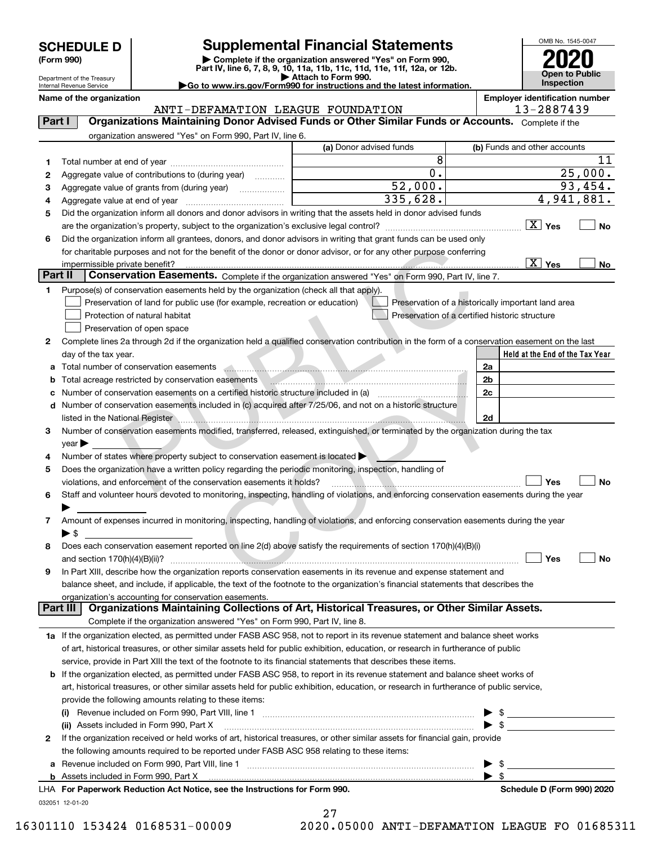|  | <b>SCHEDULE D</b> |
|--|-------------------|
|  |                   |

Department of the Treasury

| (Form 990) |
|------------|
|            |

# **SCHEDULE D Supplemental Financial Statements**

(Form 990)<br>
Pepartment of the Treasury<br>
Department of the Treasury<br>
Department of the Treasury<br>
Department of the Treasury<br> **Co to www.irs.gov/Form990 for instructions and the latest information.**<br> **Co to www.irs.gov/Form9** 



| Name of the organization |  |
|--------------------------|--|
|--------------------------|--|

|         | Internal Revenue Service   |                                                                                                                                                       | $\blacktriangleright$ Go to www.irs.gov/Form990 for instructions and the latest information. | <b>Inspection</b>                                  |
|---------|----------------------------|-------------------------------------------------------------------------------------------------------------------------------------------------------|----------------------------------------------------------------------------------------------|----------------------------------------------------|
|         | Name of the organization   |                                                                                                                                                       |                                                                                              | <b>Employer identification number</b>              |
| Part I  |                            | ANTI-DEFAMATION LEAGUE FOUNDATION<br>Organizations Maintaining Donor Advised Funds or Other Similar Funds or Accounts. Complete if the                |                                                                                              | 13-2887439                                         |
|         |                            | organization answered "Yes" on Form 990, Part IV, line 6.                                                                                             |                                                                                              |                                                    |
|         |                            |                                                                                                                                                       | (a) Donor advised funds                                                                      | (b) Funds and other accounts                       |
| 1       |                            |                                                                                                                                                       | 8                                                                                            | 11                                                 |
| 2       |                            | Aggregate value of contributions to (during year)                                                                                                     | 0.                                                                                           | 25,000.                                            |
| з       |                            |                                                                                                                                                       | $\overline{52,000}.$                                                                         | 93,454.                                            |
| 4       |                            |                                                                                                                                                       | 335,628.                                                                                     | $\overline{4,941,881.}$                            |
| 5       |                            | Did the organization inform all donors and donor advisors in writing that the assets held in donor advised funds                                      |                                                                                              |                                                    |
|         |                            |                                                                                                                                                       |                                                                                              | $\boxed{\text{X}}$ Yes<br>No                       |
| 6       |                            | Did the organization inform all grantees, donors, and donor advisors in writing that grant funds can be used only                                     |                                                                                              |                                                    |
|         |                            | for charitable purposes and not for the benefit of the donor or donor advisor, or for any other purpose conferring                                    |                                                                                              |                                                    |
|         |                            |                                                                                                                                                       |                                                                                              | $\boxed{X}$ Yes<br>No                              |
| Part II |                            | Conservation Easements. Complete if the organization answered "Yes" on Form 990, Part IV, line 7.                                                     |                                                                                              |                                                    |
| 1       |                            | Purpose(s) of conservation easements held by the organization (check all that apply).                                                                 |                                                                                              |                                                    |
|         |                            | Preservation of land for public use (for example, recreation or education)                                                                            |                                                                                              | Preservation of a historically important land area |
|         |                            | Protection of natural habitat                                                                                                                         |                                                                                              | Preservation of a certified historic structure     |
|         |                            | Preservation of open space                                                                                                                            |                                                                                              |                                                    |
| 2       |                            | Complete lines 2a through 2d if the organization held a qualified conservation contribution in the form of a conservation easement on the last        |                                                                                              |                                                    |
|         | day of the tax year.       |                                                                                                                                                       |                                                                                              | Held at the End of the Tax Year                    |
| а       |                            | Total number of conservation easements www.communication.com/www.communication.com/www.communication.com/www.com                                      |                                                                                              | 2a                                                 |
| b       |                            |                                                                                                                                                       |                                                                                              | 2 <sub>b</sub><br>2c                               |
| с       |                            | Number of conservation easements included in (c) acquired after 7/25/06, and not on a historic structure                                              |                                                                                              |                                                    |
| d       |                            |                                                                                                                                                       |                                                                                              | 2d                                                 |
| 3       |                            | Number of conservation easements modified, transferred, released, extinguished, or terminated by the organization during the tax                      |                                                                                              |                                                    |
|         | $year \blacktriangleright$ |                                                                                                                                                       |                                                                                              |                                                    |
|         |                            | Number of states where property subject to conservation easement is located >                                                                         |                                                                                              |                                                    |
| 5       |                            | Does the organization have a written policy regarding the periodic monitoring, inspection, handling of                                                |                                                                                              |                                                    |
|         |                            | violations, and enforcement of the conservation easements it holds?                                                                                   |                                                                                              | Yes<br>No                                          |
| 6       |                            | Staff and volunteer hours devoted to monitoring, inspecting, handling of violations, and enforcing conservation easements during the year             |                                                                                              |                                                    |
|         |                            |                                                                                                                                                       |                                                                                              |                                                    |
| 7       |                            | Amount of expenses incurred in monitoring, inspecting, handling of violations, and enforcing conservation easements during the year                   |                                                                                              |                                                    |
|         | ▶ \$                       |                                                                                                                                                       |                                                                                              |                                                    |
|         |                            | Does each conservation easement reported on line 2(d) above satisfy the requirements of section 170(h)(4)(B)(i)                                       |                                                                                              |                                                    |
|         |                            |                                                                                                                                                       |                                                                                              | Yes<br>Nο                                          |
| 9       |                            | In Part XIII, describe how the organization reports conservation easements in its revenue and expense statement and                                   |                                                                                              |                                                    |
|         |                            | balance sheet, and include, if applicable, the text of the footnote to the organization's financial statements that describes the                     |                                                                                              |                                                    |
|         | Part III                   | organization's accounting for conservation easements.<br>Organizations Maintaining Collections of Art, Historical Treasures, or Other Similar Assets. |                                                                                              |                                                    |
|         |                            | Complete if the organization answered "Yes" on Form 990, Part IV, line 8.                                                                             |                                                                                              |                                                    |
|         |                            | 1a If the organization elected, as permitted under FASB ASC 958, not to report in its revenue statement and balance sheet works                       |                                                                                              |                                                    |
|         |                            | of art, historical treasures, or other similar assets held for public exhibition, education, or research in furtherance of public                     |                                                                                              |                                                    |
|         |                            | service, provide in Part XIII the text of the footnote to its financial statements that describes these items.                                        |                                                                                              |                                                    |
| b       |                            | If the organization elected, as permitted under FASB ASC 958, to report in its revenue statement and balance sheet works of                           |                                                                                              |                                                    |
|         |                            | art, historical treasures, or other similar assets held for public exhibition, education, or research in furtherance of public service,               |                                                                                              |                                                    |
|         |                            | provide the following amounts relating to these items:                                                                                                |                                                                                              |                                                    |
|         | $\left( 1\right)$          |                                                                                                                                                       |                                                                                              | - \$                                               |
|         |                            | (ii) Assets included in Form 990, Part X                                                                                                              |                                                                                              | - \$                                               |
| 2       |                            | If the organization received or held works of art, historical treasures, or other similar assets for financial gain, provide                          |                                                                                              |                                                    |
|         |                            | the following amounts required to be reported under FASB ASC 958 relating to these items:                                                             |                                                                                              |                                                    |
| а       |                            |                                                                                                                                                       |                                                                                              | -\$                                                |
|         |                            |                                                                                                                                                       |                                                                                              | -\$                                                |

|                 |  | ETT, TOIT aper work ricaaotion Aochouogo |  |
|-----------------|--|------------------------------------------|--|
| 032051 12-01-20 |  |                                          |  |

| LHA For Paperwork Reduction Act Notice, see the Instructions for Form 990. | Schedule D (Form 990) 2020 |
|----------------------------------------------------------------------------|----------------------------|
|                                                                            |                            |

27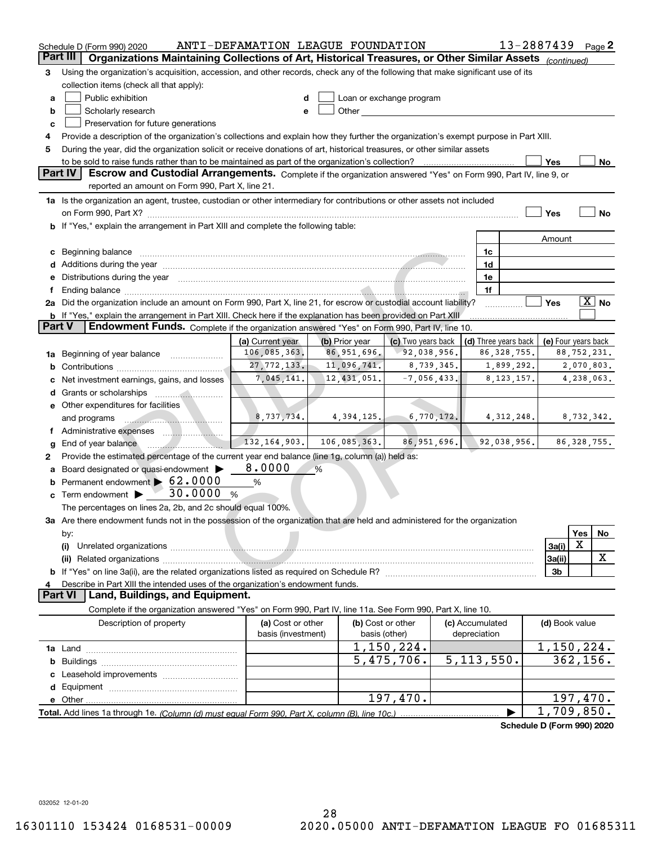|          | Schedule D (Form 990) 2020                                                                                                                                                                                                                           | ANTI-DEFAMATION LEAGUE FOUNDATION |                                 |                                                                                                                                                                                                                               |                 |    | 13-2887439                            |                     |             | Page $2$              |
|----------|------------------------------------------------------------------------------------------------------------------------------------------------------------------------------------------------------------------------------------------------------|-----------------------------------|---------------------------------|-------------------------------------------------------------------------------------------------------------------------------------------------------------------------------------------------------------------------------|-----------------|----|---------------------------------------|---------------------|-------------|-----------------------|
| Part III | Organizations Maintaining Collections of Art, Historical Treasures, or Other Similar Assets (continued)                                                                                                                                              |                                   |                                 |                                                                                                                                                                                                                               |                 |    |                                       |                     |             |                       |
| 3        | Using the organization's acquisition, accession, and other records, check any of the following that make significant use of its                                                                                                                      |                                   |                                 |                                                                                                                                                                                                                               |                 |    |                                       |                     |             |                       |
|          | collection items (check all that apply):                                                                                                                                                                                                             |                                   |                                 |                                                                                                                                                                                                                               |                 |    |                                       |                     |             |                       |
| a        | Public exhibition                                                                                                                                                                                                                                    |                                   |                                 | Loan or exchange program                                                                                                                                                                                                      |                 |    |                                       |                     |             |                       |
| b        | Scholarly research                                                                                                                                                                                                                                   | e                                 |                                 | Other and the contract of the contract of the contract of the contract of the contract of the contract of the contract of the contract of the contract of the contract of the contract of the contract of the contract of the |                 |    |                                       |                     |             |                       |
| c        | Preservation for future generations                                                                                                                                                                                                                  |                                   |                                 |                                                                                                                                                                                                                               |                 |    |                                       |                     |             |                       |
| 4        | Provide a description of the organization's collections and explain how they further the organization's exempt purpose in Part XIII.                                                                                                                 |                                   |                                 |                                                                                                                                                                                                                               |                 |    |                                       |                     |             |                       |
| 5        | During the year, did the organization solicit or receive donations of art, historical treasures, or other similar assets                                                                                                                             |                                   |                                 |                                                                                                                                                                                                                               |                 |    |                                       |                     |             |                       |
|          | to be sold to raise funds rather than to be maintained as part of the organization's collection?                                                                                                                                                     |                                   |                                 |                                                                                                                                                                                                                               |                 |    |                                       | Yes                 |             | No                    |
|          | <b>Part IV</b><br>Escrow and Custodial Arrangements. Complete if the organization answered "Yes" on Form 990, Part IV, line 9, or                                                                                                                    |                                   |                                 |                                                                                                                                                                                                                               |                 |    |                                       |                     |             |                       |
|          | reported an amount on Form 990, Part X, line 21.                                                                                                                                                                                                     |                                   |                                 |                                                                                                                                                                                                                               |                 |    |                                       |                     |             |                       |
|          | 1a Is the organization an agent, trustee, custodian or other intermediary for contributions or other assets not included                                                                                                                             |                                   |                                 |                                                                                                                                                                                                                               |                 |    |                                       |                     |             |                       |
|          | on Form 990, Part X? [11] matter contracts and contracts and contracts are contracted to the set of the set of                                                                                                                                       |                                   |                                 |                                                                                                                                                                                                                               |                 |    |                                       | Yes                 |             | No                    |
|          | <b>b</b> If "Yes," explain the arrangement in Part XIII and complete the following table:                                                                                                                                                            |                                   |                                 |                                                                                                                                                                                                                               |                 |    |                                       |                     |             |                       |
|          |                                                                                                                                                                                                                                                      |                                   |                                 |                                                                                                                                                                                                                               |                 |    |                                       | Amount              |             |                       |
| c        | Beginning balance material continuum contracts and contact the contract of contracts and contact and contact and contact and contact and contact and contact and contact and contact and contact and contact and contact and c                       |                                   |                                 |                                                                                                                                                                                                                               |                 | 1c |                                       |                     |             |                       |
| d        | Additions during the year manufactured and an account of the state of the state of the state of the state of the state of the state of the state of the state of the state of the state of the state of the state of the state                       |                                   |                                 |                                                                                                                                                                                                                               |                 | 1d |                                       |                     |             |                       |
|          | Distributions during the year manufactured and an extra distributions during the year manufactured and the set                                                                                                                                       |                                   |                                 |                                                                                                                                                                                                                               |                 | 1e |                                       |                     |             |                       |
|          |                                                                                                                                                                                                                                                      |                                   |                                 |                                                                                                                                                                                                                               |                 | 1f |                                       |                     |             |                       |
|          | 2a Did the organization include an amount on Form 990, Part X, line 21, for escrow or custodial account liability?                                                                                                                                   |                                   |                                 |                                                                                                                                                                                                                               |                 |    |                                       | Yes                 |             | $\boxed{\text{X}}$ No |
| Part V   | b If "Yes," explain the arrangement in Part XIII. Check here if the explanation has been provided on Part XIII                                                                                                                                       |                                   |                                 |                                                                                                                                                                                                                               |                 |    |                                       |                     |             |                       |
|          | Endowment Funds. Complete if the organization answered "Yes" on Form 990, Part IV, line 10.                                                                                                                                                          |                                   |                                 |                                                                                                                                                                                                                               |                 |    |                                       |                     |             |                       |
|          |                                                                                                                                                                                                                                                      | (a) Current year<br>106,085,363.  | (b) Prior year<br>86, 951, 696. | (c) Two years back<br>92,038,956.                                                                                                                                                                                             |                 |    | (d) Three years back<br>86, 328, 755. | (e) Four years back | 88,752,231. |                       |
| 1a       | Beginning of year balance <i></i>                                                                                                                                                                                                                    | 27, 772, 133.                     | 11,096,741.                     | 8,739,345.                                                                                                                                                                                                                    |                 |    | 1,899,292.                            |                     | 2,070,803.  |                       |
| b        |                                                                                                                                                                                                                                                      | 7,045,141.                        | 12,431,051.                     | $-7,056,433.$                                                                                                                                                                                                                 |                 |    | 8, 123, 157.                          |                     | 4,238,063.  |                       |
|          | Net investment earnings, gains, and losses                                                                                                                                                                                                           |                                   |                                 |                                                                                                                                                                                                                               |                 |    |                                       |                     |             |                       |
| d        |                                                                                                                                                                                                                                                      |                                   |                                 |                                                                                                                                                                                                                               |                 |    |                                       |                     |             |                       |
|          | e Other expenditures for facilities                                                                                                                                                                                                                  | 8,737,734.                        | 4,394,125.                      | 6,770,172.                                                                                                                                                                                                                    |                 |    | 4, 312, 248.                          |                     |             |                       |
|          | and programs<br><u> 2000 - Januar Stein, Stein Stein Stein Stein Stein Stein Stein Stein Stein Stein Stein Stein Stein Stein Stein Stein Stein Stein Stein Stein Stein Stein Stein Stein Stein Stein Stein Stein Stein Stein Stein Stein Stein S</u> |                                   |                                 |                                                                                                                                                                                                                               |                 |    |                                       |                     | 8,732,342.  |                       |
|          | End of year balance                                                                                                                                                                                                                                  | 132, 164, 903.                    | 106,085,363.                    | 86, 951, 696.                                                                                                                                                                                                                 |                 |    | 92,038,956.                           |                     |             | 86, 328, 755.         |
| g<br>2   | Provide the estimated percentage of the current year end balance (line 1g, column (a)) held as:                                                                                                                                                      |                                   |                                 |                                                                                                                                                                                                                               |                 |    |                                       |                     |             |                       |
|          | Board designated or quasi-endowment >                                                                                                                                                                                                                | 8.0000                            | %                               |                                                                                                                                                                                                                               |                 |    |                                       |                     |             |                       |
|          | Permanent endowment > 62.0000                                                                                                                                                                                                                        | $\%$                              |                                 |                                                                                                                                                                                                                               |                 |    |                                       |                     |             |                       |
| c        | 30.0000<br>Term endowment ><br>%                                                                                                                                                                                                                     |                                   |                                 |                                                                                                                                                                                                                               |                 |    |                                       |                     |             |                       |
|          | The percentages on lines 2a, 2b, and 2c should equal 100%.                                                                                                                                                                                           |                                   |                                 |                                                                                                                                                                                                                               |                 |    |                                       |                     |             |                       |
|          | 3a Are there endowment funds not in the possession of the organization that are held and administered for the organization                                                                                                                           |                                   |                                 |                                                                                                                                                                                                                               |                 |    |                                       |                     |             |                       |
|          | by:                                                                                                                                                                                                                                                  |                                   |                                 |                                                                                                                                                                                                                               |                 |    |                                       |                     | Yes         | No                    |
|          | (i)                                                                                                                                                                                                                                                  |                                   |                                 |                                                                                                                                                                                                                               |                 |    |                                       | 3a(i)               | Х           |                       |
|          |                                                                                                                                                                                                                                                      |                                   |                                 |                                                                                                                                                                                                                               |                 |    |                                       | 3a(ii)              |             | х                     |
|          | If "Yes" on line 3a(ii), are the related organizations listed as required on Schedule R?                                                                                                                                                             |                                   |                                 |                                                                                                                                                                                                                               |                 |    |                                       | 3b                  |             |                       |
|          | Describe in Part XIII the intended uses of the organization's endowment funds.                                                                                                                                                                       |                                   |                                 |                                                                                                                                                                                                                               |                 |    |                                       |                     |             |                       |
|          | Land, Buildings, and Equipment.<br><b>Part VI</b>                                                                                                                                                                                                    |                                   |                                 |                                                                                                                                                                                                                               |                 |    |                                       |                     |             |                       |
|          | Complete if the organization answered "Yes" on Form 990, Part IV, line 11a. See Form 990, Part X, line 10.                                                                                                                                           |                                   |                                 |                                                                                                                                                                                                                               |                 |    |                                       |                     |             |                       |
|          | Description of property                                                                                                                                                                                                                              | (a) Cost or other                 |                                 | (b) Cost or other                                                                                                                                                                                                             | (c) Accumulated |    |                                       | (d) Book value      |             |                       |
|          |                                                                                                                                                                                                                                                      | basis (investment)                |                                 | basis (other)                                                                                                                                                                                                                 | depreciation    |    |                                       |                     |             |                       |
|          |                                                                                                                                                                                                                                                      |                                   |                                 | $\overline{1,150,224}$ .                                                                                                                                                                                                      |                 |    |                                       | 1,150,224.          |             |                       |
| b        |                                                                                                                                                                                                                                                      |                                   |                                 | 5,475,706.                                                                                                                                                                                                                    | 5, 113, 550.    |    |                                       |                     | 362,156.    |                       |
|          |                                                                                                                                                                                                                                                      |                                   |                                 |                                                                                                                                                                                                                               |                 |    |                                       |                     |             |                       |
|          |                                                                                                                                                                                                                                                      |                                   |                                 |                                                                                                                                                                                                                               |                 |    |                                       |                     |             |                       |
|          | e Other                                                                                                                                                                                                                                              |                                   |                                 | 197,470.                                                                                                                                                                                                                      |                 |    |                                       |                     |             | 197,470.              |
|          | Total. Add lines 1a through 1e. (Column (d) must equal Form 990. Part X, column (B), line 10c.)                                                                                                                                                      |                                   |                                 |                                                                                                                                                                                                                               |                 |    |                                       | 1,709,850.          |             |                       |
|          |                                                                                                                                                                                                                                                      |                                   |                                 |                                                                                                                                                                                                                               |                 |    | Schedule D (Form 990) 2020            |                     |             |                       |

032052 12-01-20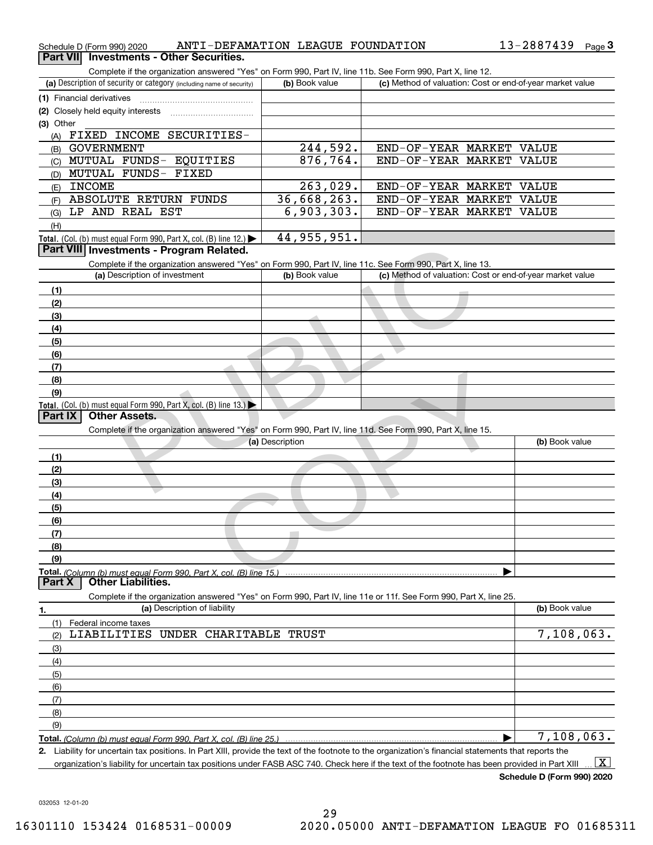| Schedule D (Form 990) 2020                                                                                                                           | ANTI-DEFAMATION LEAGUE FOUNDATION |                          | 13-2887439<br>Page $3$                                    |
|------------------------------------------------------------------------------------------------------------------------------------------------------|-----------------------------------|--------------------------|-----------------------------------------------------------|
| Part VII Investments - Other Securities.                                                                                                             |                                   |                          |                                                           |
| Complete if the organization answered "Yes" on Form 990, Part IV, line 11b. See Form 990, Part X, line 12.                                           |                                   |                          |                                                           |
| (a) Description of security or category (including name of security)                                                                                 | (b) Book value                    |                          | (c) Method of valuation: Cost or end-of-year market value |
| (1) Financial derivatives                                                                                                                            |                                   |                          |                                                           |
| (2) Closely held equity interests [11] [12] Closely held equity interests                                                                            |                                   |                          |                                                           |
| (3) Other                                                                                                                                            |                                   |                          |                                                           |
| FIXED INCOME SECURITIES-<br>(A)                                                                                                                      |                                   |                          |                                                           |
| <b>GOVERNMENT</b><br>(B)                                                                                                                             | 244,592.                          | END-OF-YEAR MARKET VALUE |                                                           |
| (C) MUTUAL FUNDS- EQUITIES                                                                                                                           | 876, 764.                         | END-OF-YEAR MARKET VALUE |                                                           |
| MUTUAL FUNDS- FIXED<br>(D)                                                                                                                           |                                   |                          |                                                           |
| <b>INCOME</b>                                                                                                                                        | 263,029.                          | END-OF-YEAR MARKET VALUE |                                                           |
| (E)<br>ABSOLUTE RETURN FUNDS                                                                                                                         | 36,668,263.                       | END-OF-YEAR MARKET VALUE |                                                           |
| (F)<br>LP AND REAL EST                                                                                                                               | 6,903,303.                        | END-OF-YEAR MARKET VALUE |                                                           |
| (G)                                                                                                                                                  |                                   |                          |                                                           |
| (H)                                                                                                                                                  |                                   |                          |                                                           |
| Total. (Col. (b) must equal Form 990, Part X, col. (B) line 12.) $\blacktriangleright$                                                               | 44, 955, 951.                     |                          |                                                           |
| Part VIII Investments - Program Related.                                                                                                             |                                   |                          |                                                           |
| Complete if the organization answered "Yes" on Form 990, Part IV, line 11c. See Form 990, Part X, line 13.                                           |                                   |                          |                                                           |
| (a) Description of investment                                                                                                                        | (b) Book value                    |                          | (c) Method of valuation: Cost or end-of-year market value |
| (1)                                                                                                                                                  |                                   |                          |                                                           |
| (2)                                                                                                                                                  |                                   |                          |                                                           |
| (3)                                                                                                                                                  |                                   |                          |                                                           |
| (4)                                                                                                                                                  |                                   |                          |                                                           |
| (5)                                                                                                                                                  |                                   |                          |                                                           |
| (6)                                                                                                                                                  |                                   |                          |                                                           |
| (7)                                                                                                                                                  |                                   |                          |                                                           |
| (8)                                                                                                                                                  |                                   |                          |                                                           |
| (9)                                                                                                                                                  |                                   |                          |                                                           |
| Total. (Col. (b) must equal Form 990, Part X, col. (B) line $13.$ )                                                                                  |                                   |                          |                                                           |
| <b>Other Assets.</b><br><b>Part IX</b>                                                                                                               |                                   |                          |                                                           |
| Complete if the organization answered "Yes" on Form 990, Part IV, line 11d. See Form 990, Part X, line 15.                                           |                                   |                          |                                                           |
|                                                                                                                                                      | (a) Description                   |                          | (b) Book value                                            |
| (1)                                                                                                                                                  |                                   |                          |                                                           |
| (2)                                                                                                                                                  |                                   |                          |                                                           |
| (3)                                                                                                                                                  |                                   |                          |                                                           |
| (4)                                                                                                                                                  |                                   |                          |                                                           |
| (5)                                                                                                                                                  |                                   |                          |                                                           |
| (6)                                                                                                                                                  |                                   |                          |                                                           |
| (7)                                                                                                                                                  |                                   |                          |                                                           |
| (8)                                                                                                                                                  |                                   |                          |                                                           |
| (9)                                                                                                                                                  |                                   |                          |                                                           |
|                                                                                                                                                      |                                   |                          |                                                           |
| Total. (Column (b) must equal Form 990. Part X, col. (B) line 15.)<br><b>Other Liabilities.</b><br>Part X                                            |                                   |                          |                                                           |
| Complete if the organization answered "Yes" on Form 990, Part IV, line 11e or 11f. See Form 990, Part X, line 25.                                    |                                   |                          |                                                           |
| (a) Description of liability                                                                                                                         |                                   |                          | (b) Book value                                            |
| 1.                                                                                                                                                   |                                   |                          |                                                           |
| Federal income taxes<br>(1)                                                                                                                          |                                   |                          |                                                           |
| LIABILITIES<br>UNDER CHARITABLE TRUST<br>(2)                                                                                                         |                                   |                          | 7,108,063.                                                |
| (3)                                                                                                                                                  |                                   |                          |                                                           |
| (4)                                                                                                                                                  |                                   |                          |                                                           |
| (5)                                                                                                                                                  |                                   |                          |                                                           |
| (6)                                                                                                                                                  |                                   |                          |                                                           |
| (7)                                                                                                                                                  |                                   |                          |                                                           |
| (8)                                                                                                                                                  |                                   |                          |                                                           |
| (9)                                                                                                                                                  |                                   |                          |                                                           |
| Total. (Column (b) must equal Form 990. Part X, col. (B) line 25.)                                                                                   |                                   |                          | 7,108,063.                                                |
| 2. Liability for uncertain tax positions. In Part XIII, provide the text of the footnote to the organization's financial statements that reports the |                                   |                          |                                                           |

organization's liability for uncertain tax positions under FASB ASC 740. Check here if the text of the footnote has been provided in Part XIII  $\,$  ...  $\overline{\rm X}$ 

**Schedule D (Form 990) 2020**

032053 12-01-20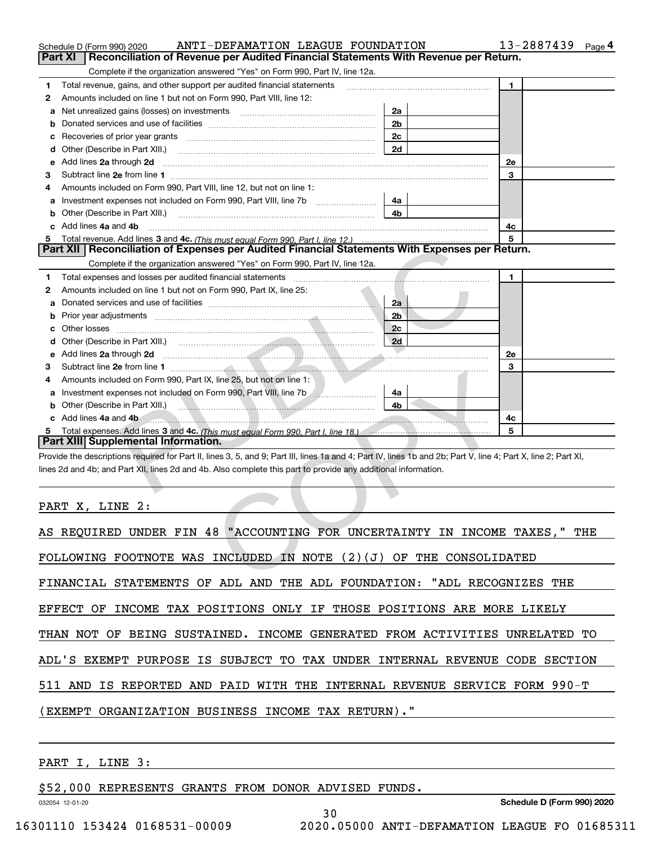|    | ANTI-DEFAMATION LEAGUE FOUNDATION<br>Schedule D (Form 990) 2020                                                                                                                                                                |                |    | 13-2887439 | Page 4 |
|----|--------------------------------------------------------------------------------------------------------------------------------------------------------------------------------------------------------------------------------|----------------|----|------------|--------|
|    | Reconciliation of Revenue per Audited Financial Statements With Revenue per Return.<br>Part XI                                                                                                                                 |                |    |            |        |
|    | Complete if the organization answered "Yes" on Form 990, Part IV, line 12a.                                                                                                                                                    |                |    |            |        |
| 1  | Total revenue, gains, and other support per audited financial statements                                                                                                                                                       |                | 1  |            |        |
| 2  | Amounts included on line 1 but not on Form 990, Part VIII, line 12:                                                                                                                                                            |                |    |            |        |
| a  | Net unrealized gains (losses) on investments                                                                                                                                                                                   | 2a             |    |            |        |
| b  |                                                                                                                                                                                                                                | 2 <sub>b</sub> |    |            |        |
|    |                                                                                                                                                                                                                                | 2c             |    |            |        |
| d  | Other (Describe in Part XIII.) [100] [100] [100] [100] [100] [100] [100] [100] [100] [100] [100] [100] [100] [                                                                                                                 | 2d             |    |            |        |
| е  | Add lines 2a through 2d                                                                                                                                                                                                        |                | 2e |            |        |
| 3  |                                                                                                                                                                                                                                |                | 3  |            |        |
| 4  | Amounts included on Form 990, Part VIII, line 12, but not on line 1:                                                                                                                                                           |                |    |            |        |
| а  | Investment expenses not included on Form 990, Part VIII, line 7b                                                                                                                                                               | 4a             |    |            |        |
| b  | Other (Describe in Part XIII.)                                                                                                                                                                                                 | 4 <sub>b</sub> |    |            |        |
| c  | Add lines 4a and 4b                                                                                                                                                                                                            |                | 4с |            |        |
| 5. | Total revenue. Add lines 3 and 4c. (This must equal Form 990. Part I. line 12.)                                                                                                                                                |                | 5  |            |        |
|    | Part XII   Reconciliation of Expenses per Audited Financial Statements With Expenses per Return.                                                                                                                               |                |    |            |        |
|    | Complete if the organization answered "Yes" on Form 990, Part IV, line 12a.                                                                                                                                                    |                |    |            |        |
| 1  | Total expenses and losses per audited financial statements [11, 11] manuscription control expenses and losses per audited financial statements [11, 11] manuscription of the statements [11] manuscription of the statements a |                | 1  |            |        |
| 2  | Amounts included on line 1 but not on Form 990, Part IX, line 25:                                                                                                                                                              |                |    |            |        |
| a  |                                                                                                                                                                                                                                | 2a             |    |            |        |
| b  |                                                                                                                                                                                                                                | 2 <sub>b</sub> |    |            |        |
| с  | Other losses                                                                                                                                                                                                                   | 2c             |    |            |        |
| d  |                                                                                                                                                                                                                                | 2d             |    |            |        |
| е  | Add lines 2a through 2d<br><u> Estados de la contrada de la contrada de la contrada de la contrada de la contrada de la contrada de la contrad</u>                                                                             |                | 2e |            |        |
| 3  |                                                                                                                                                                                                                                |                | 3  |            |        |
| 4  | Amounts included on Form 990, Part IX, line 25, but not on line 1:                                                                                                                                                             |                |    |            |        |
| a  | Investment expenses not included on Form 990, Part VIII, line 7b                                                                                                                                                               | 4a             |    |            |        |
| b  | Other (Describe in Part XIII.) (2008) 2014 12:30 and 2014 12:30 and 2014 12:30 and 2014 12:30 and 2014 12:30 and 2014 12:30 and 2014 12:30 and 2014 12:30 and 2014 12:30 and 2014 12:30 and 2014 12:30 and 2014 12:30 and 2014 | 4b             |    |            |        |
| c  | Add lines 4a and 4b                                                                                                                                                                                                            |                | 4c |            |        |
|    |                                                                                                                                                                                                                                |                | 5  |            |        |
|    | Part XIII Supplemental Information.                                                                                                                                                                                            |                |    |            |        |
|    | Provide the descriptions required for Part II, lines 3, 5, and 9; Part III, lines 1a and 4; Part IV, lines 1b and 2b; Part V, line 4; Part X, line 2; Part XI,                                                                 |                |    |            |        |
|    | lines 2d and 4b; and Part XII, lines 2d and 4b. Also complete this part to provide any additional information.                                                                                                                 |                |    |            |        |
|    |                                                                                                                                                                                                                                |                |    |            |        |
|    |                                                                                                                                                                                                                                |                |    |            |        |
|    | PART X, LINE 2:                                                                                                                                                                                                                |                |    |            |        |
|    |                                                                                                                                                                                                                                |                |    |            |        |
|    | AS REQUIRED UNDER FIN 48 "ACCOUNTING FOR UNCERTAINTY IN INCOME TAXES, "                                                                                                                                                        |                |    |            | THE    |
|    |                                                                                                                                                                                                                                |                |    |            |        |
|    | FOLLOWING FOOTNOTE WAS INCLUDED IN NOTE $(2)(J)$ OF THE CONSOLIDATED                                                                                                                                                           |                |    |            |        |
|    | ᇚᆍᅒᅒᅒᇬᅮᅕ<br>⌒℡<br>דרד גד<br><b>7.1TD</b><br>$F \cap T \cap T \cap R$                                                                                                                                                           | דרד גיי        |    |            |        |

| AS REQUIRED UNDER FIN 48 "ACCOUNTING FOR UNCERTAINTY IN INCOME TAXES," THE |
|----------------------------------------------------------------------------|
| FOLLOWING FOOTNOTE WAS INCLUDED IN NOTE $(2)(J)$ OF THE CONSOLIDATED       |
| FINANCIAL STATEMENTS OF ADL AND THE ADL FOUNDATION: "ADL RECOGNIZES THE    |
| EFFECT OF INCOME TAX POSITIONS ONLY IF THOSE POSITIONS ARE MORE LIKELY     |
| THAN NOT OF BEING SUSTAINED. INCOME GENERATED FROM ACTIVITIES UNRELATED TO |
| ADL'S EXEMPT PURPOSE IS SUBJECT TO TAX UNDER INTERNAL REVENUE CODE SECTION |
| 511 AND IS REPORTED AND PAID WITH THE INTERNAL REVENUE SERVICE FORM 990-T  |
| (EXEMPT ORGANIZATION BUSINESS INCOME TAX RETURN)."                         |
|                                                                            |

30

### PART I, LINE 3:

\$52,000 REPRESENTS GRANTS FROM DONOR ADVISED FUNDS.

032054 12-01-20

**Schedule D (Form 990) 2020**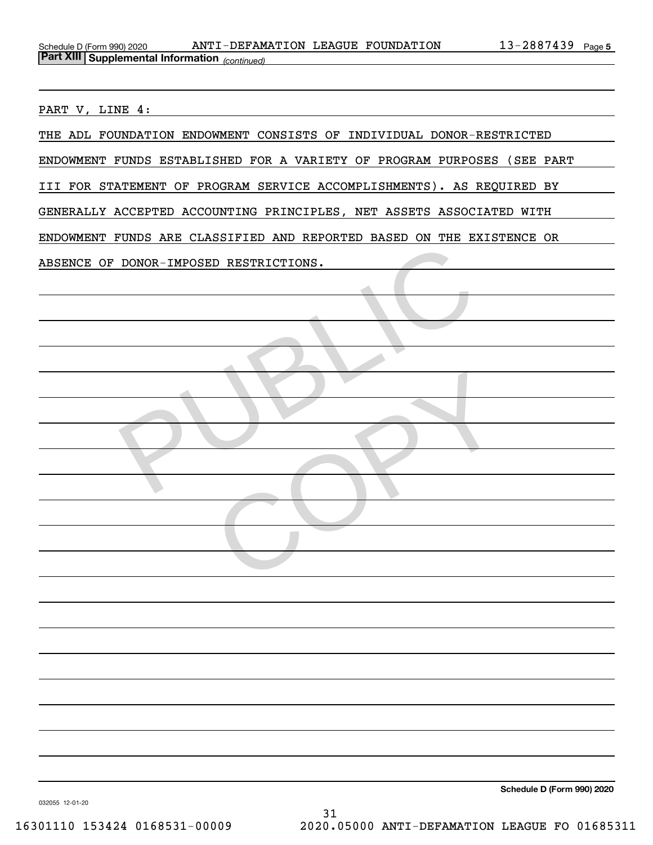| Schedule D (Form 990) 2020 |                                                       | ANTI-DEFAMATION LEAGUE FOUNDATION | 2887439<br>$\mathbf{R} =$ | Page 5 |
|----------------------------|-------------------------------------------------------|-----------------------------------|---------------------------|--------|
|                            | <b>Part XIII Supplemental Information</b> (continued) |                                   |                           |        |

PART V, LINE 4:

| THE ADL FOUNDATION ENDOWMENT CONSISTS OF INDIVIDUAL DONOR-RESTRICTED    |
|-------------------------------------------------------------------------|
| ENDOWMENT FUNDS ESTABLISHED FOR A VARIETY OF PROGRAM PURPOSES (SEE PART |
| III FOR STATEMENT OF PROGRAM SERVICE ACCOMPLISHMENTS). AS REQUIRED BY   |
| GENERALLY ACCEPTED ACCOUNTING PRINCIPLES, NET ASSETS ASSOCIATED WITH    |
| ENDOWMENT FUNDS ARE CLASSIFIED AND REPORTED BASED ON THE EXISTENCE OR   |
| ABSENCE OF DONOR-IMPOSED RESTRICTIONS.                                  |
| <b>COLLEGE</b>                                                          |
|                                                                         |
|                                                                         |
|                                                                         |
|                                                                         |
|                                                                         |
|                                                                         |
|                                                                         |
|                                                                         |
|                                                                         |
|                                                                         |
|                                                                         |
|                                                                         |
|                                                                         |
|                                                                         |
|                                                                         |
|                                                                         |
|                                                                         |
|                                                                         |

**Schedule D (Form 990) 2020**

032055 12-01-20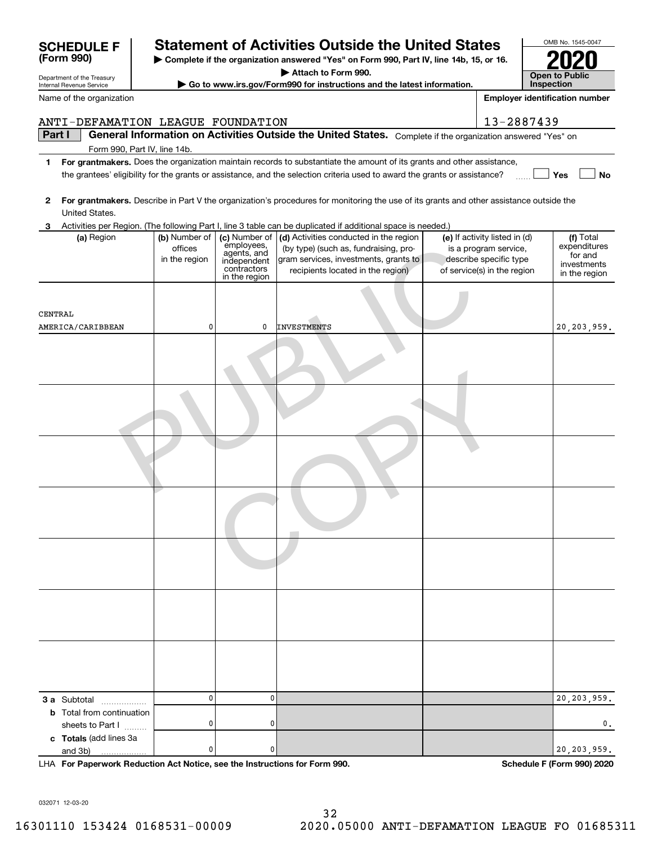| General Information on Activities Outside the United States. Complete if the organization answered "Yes" on<br>Part I<br>Form 990, Part IV, line 14b.<br>For grantmakers. Does the organization maintain records to substantiate the amount of its grants and other assistance,<br>1.<br>Yes<br>the grantees' eligibility for the grants or assistance, and the selection criteria used to award the grants or assistance?<br>For grantmakers. Describe in Part V the organization's procedures for monitoring the use of its grants and other assistance outside the<br>$\mathbf{2}$<br>United States.<br>Activities per Region. (The following Part I, line 3 table can be duplicated if additional space is needed.)<br>3<br>(b) Number of<br>(c) Number of<br>(d) Activities conducted in the region<br>(e) If activity listed in (d)<br>(f) Total<br>(a) Region<br>employees,<br>offices<br>(by type) (such as, fundraising, pro-<br>is a program service,<br>agents, and<br>for and<br>gram services, investments, grants to<br>describe specific type<br>in the region<br>independent<br>contractors<br>of service(s) in the region<br>recipients located in the region)<br>in the region<br>CENTRAL<br>0<br>AMERICA/CARIBBEAN<br><b>INVESTMENTS</b><br>0<br>$\mathbf 0$<br>0<br>3 a Subtotal<br><b>b</b> Total from continuation<br>0<br>0<br>sheets to Part I | ANTI-DEFAMATION LEAGUE FOUNDATION |  |  | 13-2887439 |                                              |
|------------------------------------------------------------------------------------------------------------------------------------------------------------------------------------------------------------------------------------------------------------------------------------------------------------------------------------------------------------------------------------------------------------------------------------------------------------------------------------------------------------------------------------------------------------------------------------------------------------------------------------------------------------------------------------------------------------------------------------------------------------------------------------------------------------------------------------------------------------------------------------------------------------------------------------------------------------------------------------------------------------------------------------------------------------------------------------------------------------------------------------------------------------------------------------------------------------------------------------------------------------------------------------------------------------------------------------------------------------------------|-----------------------------------|--|--|------------|----------------------------------------------|
|                                                                                                                                                                                                                                                                                                                                                                                                                                                                                                                                                                                                                                                                                                                                                                                                                                                                                                                                                                                                                                                                                                                                                                                                                                                                                                                                                                        |                                   |  |  |            |                                              |
|                                                                                                                                                                                                                                                                                                                                                                                                                                                                                                                                                                                                                                                                                                                                                                                                                                                                                                                                                                                                                                                                                                                                                                                                                                                                                                                                                                        |                                   |  |  |            |                                              |
|                                                                                                                                                                                                                                                                                                                                                                                                                                                                                                                                                                                                                                                                                                                                                                                                                                                                                                                                                                                                                                                                                                                                                                                                                                                                                                                                                                        |                                   |  |  |            | No                                           |
|                                                                                                                                                                                                                                                                                                                                                                                                                                                                                                                                                                                                                                                                                                                                                                                                                                                                                                                                                                                                                                                                                                                                                                                                                                                                                                                                                                        |                                   |  |  |            |                                              |
|                                                                                                                                                                                                                                                                                                                                                                                                                                                                                                                                                                                                                                                                                                                                                                                                                                                                                                                                                                                                                                                                                                                                                                                                                                                                                                                                                                        |                                   |  |  |            | expenditures<br>investments<br>in the region |
|                                                                                                                                                                                                                                                                                                                                                                                                                                                                                                                                                                                                                                                                                                                                                                                                                                                                                                                                                                                                                                                                                                                                                                                                                                                                                                                                                                        |                                   |  |  |            | 20, 203, 959.                                |
|                                                                                                                                                                                                                                                                                                                                                                                                                                                                                                                                                                                                                                                                                                                                                                                                                                                                                                                                                                                                                                                                                                                                                                                                                                                                                                                                                                        |                                   |  |  |            |                                              |
|                                                                                                                                                                                                                                                                                                                                                                                                                                                                                                                                                                                                                                                                                                                                                                                                                                                                                                                                                                                                                                                                                                                                                                                                                                                                                                                                                                        |                                   |  |  |            |                                              |
|                                                                                                                                                                                                                                                                                                                                                                                                                                                                                                                                                                                                                                                                                                                                                                                                                                                                                                                                                                                                                                                                                                                                                                                                                                                                                                                                                                        |                                   |  |  |            |                                              |
|                                                                                                                                                                                                                                                                                                                                                                                                                                                                                                                                                                                                                                                                                                                                                                                                                                                                                                                                                                                                                                                                                                                                                                                                                                                                                                                                                                        |                                   |  |  |            |                                              |
|                                                                                                                                                                                                                                                                                                                                                                                                                                                                                                                                                                                                                                                                                                                                                                                                                                                                                                                                                                                                                                                                                                                                                                                                                                                                                                                                                                        |                                   |  |  |            |                                              |
|                                                                                                                                                                                                                                                                                                                                                                                                                                                                                                                                                                                                                                                                                                                                                                                                                                                                                                                                                                                                                                                                                                                                                                                                                                                                                                                                                                        |                                   |  |  |            |                                              |
|                                                                                                                                                                                                                                                                                                                                                                                                                                                                                                                                                                                                                                                                                                                                                                                                                                                                                                                                                                                                                                                                                                                                                                                                                                                                                                                                                                        |                                   |  |  |            |                                              |
|                                                                                                                                                                                                                                                                                                                                                                                                                                                                                                                                                                                                                                                                                                                                                                                                                                                                                                                                                                                                                                                                                                                                                                                                                                                                                                                                                                        |                                   |  |  |            | 20, 203, 959.                                |
|                                                                                                                                                                                                                                                                                                                                                                                                                                                                                                                                                                                                                                                                                                                                                                                                                                                                                                                                                                                                                                                                                                                                                                                                                                                                                                                                                                        |                                   |  |  |            | 0.                                           |
| 0<br>0<br>and 3b)                                                                                                                                                                                                                                                                                                                                                                                                                                                                                                                                                                                                                                                                                                                                                                                                                                                                                                                                                                                                                                                                                                                                                                                                                                                                                                                                                      | c Totals (add lines 3a            |  |  |            | 20, 203, 959.                                |

Name of the organization

Department of the Treasury Internal Revenue Service

**| Go to www.irs.gov/Form990 for instructions and the latest information.**

**| Attach to Form 990.**

**For Paperwork Reduction Act Notice, see the Instructions for Form 990. Schedule F (Form 990) 2020** LHA

032071 12-03-20

**| Complete if the organization answered "Yes" on Form 990, Part IV, line 14b, 15, or 16. (Form 990) SCHEDULE F Statement of Activities Outside the United States**

| <b>Open to Public</b> |
|-----------------------|
| <b>Inspection</b>     |

OMB No. 1545-0047

**2020**

**Employer identification number**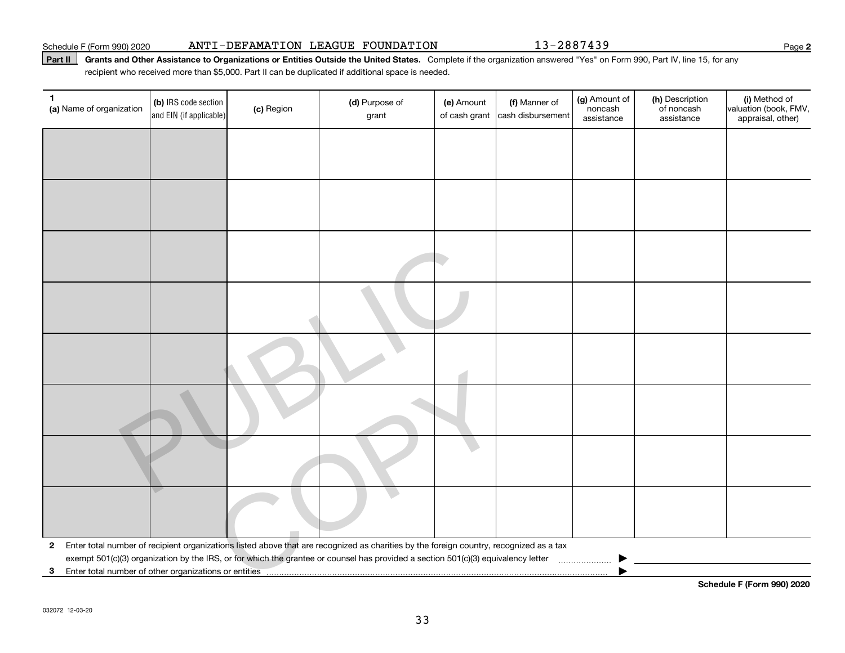#### Schedule F (Form 990) 2020 **ANTI-DEFAMATION LEAGUE FOUNDATION Page**

### Part II | Grants and Other Assistance to Organizations or Entities Outside the United States. Complete if the organization answered "Yes" on Form 990, Part IV, line 15, for any recipient who received more than \$5,000. Part II can be duplicated if additional space is needed.

| (a) Name of organization | (b) IRS code section<br>and EIN (if applicable) | (c) Region | (d) Purpose of<br>grant                                                                                                                                                                                                                                                      | (e) Amount<br>of cash grant | (f) Manner of<br>cash disbursement | (g) Amount of<br>noncash<br>assistance | (h) Description<br>of noncash<br>assistance | (i) Method of<br>valuation (book, FMV,<br>appraisal, other) |
|--------------------------|-------------------------------------------------|------------|------------------------------------------------------------------------------------------------------------------------------------------------------------------------------------------------------------------------------------------------------------------------------|-----------------------------|------------------------------------|----------------------------------------|---------------------------------------------|-------------------------------------------------------------|
|                          |                                                 |            |                                                                                                                                                                                                                                                                              |                             |                                    |                                        |                                             |                                                             |
|                          |                                                 |            |                                                                                                                                                                                                                                                                              |                             |                                    |                                        |                                             |                                                             |
|                          |                                                 |            |                                                                                                                                                                                                                                                                              |                             |                                    |                                        |                                             |                                                             |
|                          |                                                 |            |                                                                                                                                                                                                                                                                              |                             |                                    |                                        |                                             |                                                             |
|                          |                                                 |            |                                                                                                                                                                                                                                                                              |                             |                                    |                                        |                                             |                                                             |
|                          |                                                 |            |                                                                                                                                                                                                                                                                              |                             |                                    |                                        |                                             |                                                             |
|                          |                                                 |            |                                                                                                                                                                                                                                                                              |                             |                                    |                                        |                                             |                                                             |
|                          |                                                 |            |                                                                                                                                                                                                                                                                              |                             |                                    |                                        |                                             |                                                             |
|                          |                                                 |            |                                                                                                                                                                                                                                                                              |                             |                                    |                                        |                                             |                                                             |
|                          |                                                 |            |                                                                                                                                                                                                                                                                              |                             |                                    |                                        |                                             |                                                             |
|                          |                                                 |            |                                                                                                                                                                                                                                                                              |                             |                                    |                                        |                                             |                                                             |
| $\mathbf{2}$             |                                                 |            | Enter total number of recipient organizations listed above that are recognized as charities by the foreign country, recognized as a tax<br>exempt 501(c)(3) organization by the IRS, or for which the grantee or counsel has provided a section 501(c)(3) equivalency letter |                             |                                    |                                        |                                             |                                                             |
| 3                        |                                                 |            |                                                                                                                                                                                                                                                                              |                             |                                    |                                        |                                             |                                                             |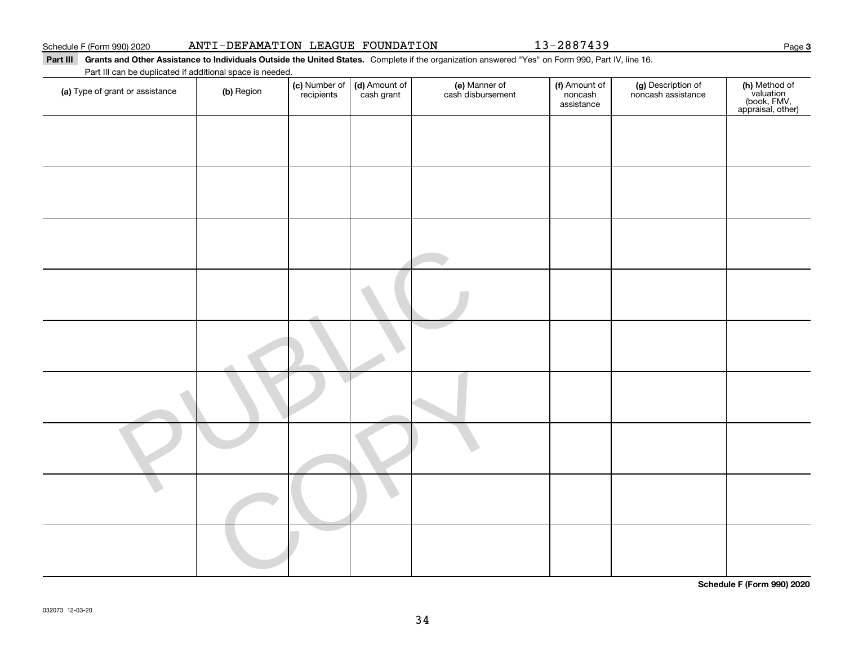$\overline{a}$ 

#### Part III Grants and Other Assistance to Individuals Outside the United States. Complete if the organization answered "Yes" on Form 990, Part IV, line 16. Part III can be duplicated if additional space is needed.

| Fait in call be duplicated if additional space is heeded. |            |                             |                             |                                    |                                        |                                          |                                                                |
|-----------------------------------------------------------|------------|-----------------------------|-----------------------------|------------------------------------|----------------------------------------|------------------------------------------|----------------------------------------------------------------|
| (a) Type of grant or assistance                           | (b) Region | (c) Number of<br>recipients | (d) Amount of<br>cash grant | (e) Manner of<br>cash disbursement | (f) Amount of<br>noncash<br>assistance | (g) Description of<br>noncash assistance | (h) Method of<br>valuation<br>(book, FMV,<br>appraisal, other) |
|                                                           |            |                             |                             |                                    |                                        |                                          |                                                                |
|                                                           |            |                             |                             |                                    |                                        |                                          |                                                                |
|                                                           |            |                             |                             |                                    |                                        |                                          |                                                                |
|                                                           |            |                             |                             |                                    |                                        |                                          |                                                                |
|                                                           |            |                             |                             |                                    |                                        |                                          |                                                                |
|                                                           |            |                             |                             |                                    |                                        |                                          |                                                                |
|                                                           |            |                             |                             |                                    |                                        |                                          |                                                                |
|                                                           |            |                             |                             |                                    |                                        |                                          |                                                                |
|                                                           |            |                             |                             |                                    |                                        |                                          |                                                                |
|                                                           |            |                             |                             |                                    |                                        |                                          |                                                                |
|                                                           |            |                             |                             |                                    |                                        |                                          | - - - - <i>- -</i>                                             |

**Schedule F (Form 990) 2020**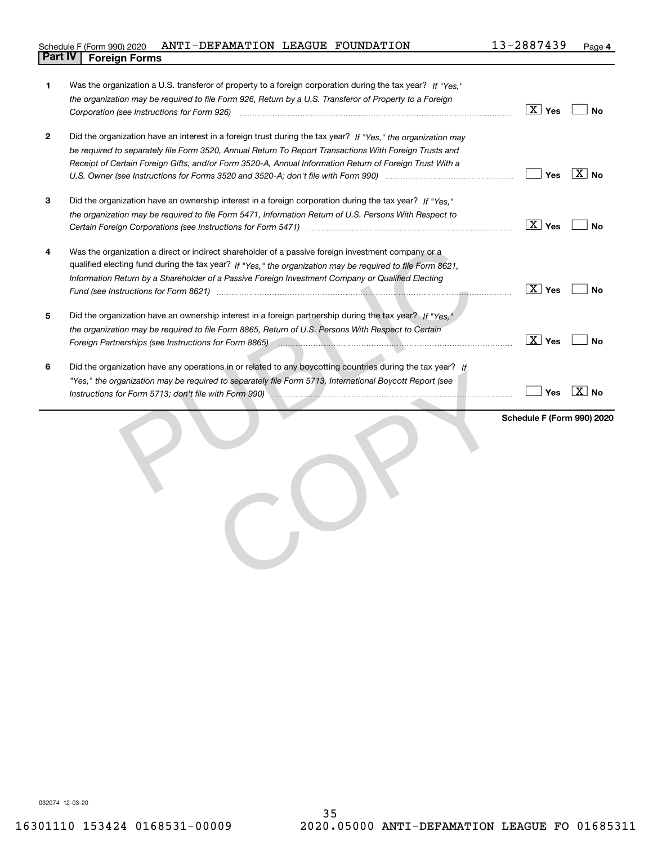### Schedule F (Form 990) 2020  $\,$  <code>ANTI-DEFAMATION</code>  $\,$  <code>LEAGUE FOUNDATION</code>  $\,$  <code>13-2887439</code>  $\,$  <code>Page</code> **Part IV Foreign Forms**

| 1            | Was the organization a U.S. transferor of property to a foreign corporation during the tax year? If "Yes."<br>the organization may be required to file Form 926, Return by a U.S. Transferor of Property to a Foreign<br>Corporation (see Instructions for Form 926) manufactured contract the control of the control of the control of   | $\boxed{\text{X}}$ Yes     | No                  |
|--------------|-------------------------------------------------------------------------------------------------------------------------------------------------------------------------------------------------------------------------------------------------------------------------------------------------------------------------------------------|----------------------------|---------------------|
| $\mathbf{2}$ | Did the organization have an interest in a foreign trust during the tax year? If "Yes." the organization may<br>be required to separately file Form 3520, Annual Return To Report Transactions With Foreign Trusts and<br>Receipt of Certain Foreign Gifts, and/or Form 3520-A, Annual Information Return of Foreign Trust With a         | <b>Yes</b>                 | $ \overline{X} $ No |
| 3            | Did the organization have an ownership interest in a foreign corporation during the tax year? If "Yes."<br>the organization may be required to file Form 5471, Information Return of U.S. Persons With Respect to                                                                                                                         | $\boxed{\text{X}}$ Yes     | No                  |
| 4            | Was the organization a direct or indirect shareholder of a passive foreign investment company or a<br>qualified electing fund during the tax year? If "Yes," the organization may be required to file Form 8621,<br>Information Return by a Shareholder of a Passive Foreign Investment Company or Qualified Electing                     | $\boxed{\text{X}}$ Yes     | <b>No</b>           |
| 5            | Did the organization have an ownership interest in a foreign partnership during the tax year? If "Yes."<br>the organization may be required to file Form 8865, Return of U.S. Persons With Respect to Certain<br>Foreign Partnerships (see Instructions for Form 8865) <i>manufacture content content content and content and content</i> | $\boxed{\text{X}}$ Yes     | No                  |
| 6            | Did the organization have any operations in or related to any boycotting countries during the tax year? If<br>"Yes," the organization may be required to separately file Form 5713, International Boycott Report (see<br>Instructions for Form 5713; don't file with Form 990) manufactured contains an according to the contact of the   | Yes                        | $ \overline{X} $ No |
|              |                                                                                                                                                                                                                                                                                                                                           | Schedule F (Form 990) 2020 |                     |
|              |                                                                                                                                                                                                                                                                                                                                           |                            |                     |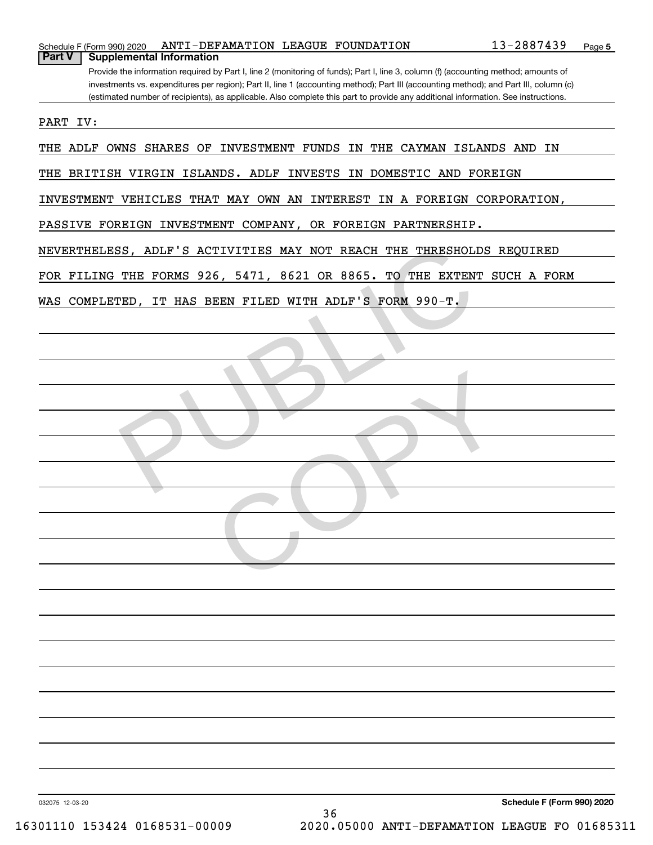| ANTI-DEFAMATION LEAGUE FOUNDATION<br>Schedule F (Form 990) 2020                                                                       | 13-2887439 | Page 5 |
|---------------------------------------------------------------------------------------------------------------------------------------|------------|--------|
| <b>Part V</b><br><b>Supplemental Information</b>                                                                                      |            |        |
| Provide the information required by Part I, line 2 (monitoring of funds); Part I, line 3, column (f) (accounting method; amounts of   |            |        |
| investments vs. expenditures per region); Part II, line 1 (accounting method); Part III (accounting method); and Part III, column (c) |            |        |
| (estimated number of recipients), as applicable. Also complete this part to provide any additional information. See instructions.     |            |        |
|                                                                                                                                       |            |        |
| PART IV:                                                                                                                              |            |        |
|                                                                                                                                       |            |        |
| THE ADLF OWNS SHARES OF INVESTMENT FUNDS IN THE CAYMAN ISLANDS AND IN                                                                 |            |        |
|                                                                                                                                       |            |        |
| THE BRITISH VIRGIN ISLANDS. ADLF INVESTS IN DOMESTIC AND FOREIGN                                                                      |            |        |
|                                                                                                                                       |            |        |
| INVESTMENT VEHICLES THAT MAY OWN AN INTEREST IN A FOREIGN CORPORATION,                                                                |            |        |
|                                                                                                                                       |            |        |
| PASSIVE FOREIGN INVESTMENT COMPANY, OR FOREIGN PARTNERSHIP.                                                                           |            |        |
|                                                                                                                                       |            |        |
| NEVERTHELESS, ADLF'S ACTIVITIES MAY NOT REACH THE THRESHOLDS REQUIRED                                                                 |            |        |
| FOR FILING THE FORMS 926, 5471, 8621 OR 8865. TO THE EXTENT SUCH A FORM                                                               |            |        |
|                                                                                                                                       |            |        |
| WAS COMPLETED, IT HAS BEEN FILED WITH ADLF'S FORM 990-T.                                                                              |            |        |
|                                                                                                                                       |            |        |
|                                                                                                                                       |            |        |
|                                                                                                                                       |            |        |
|                                                                                                                                       |            |        |
|                                                                                                                                       |            |        |
|                                                                                                                                       |            |        |
|                                                                                                                                       |            |        |
|                                                                                                                                       |            |        |
|                                                                                                                                       |            |        |
|                                                                                                                                       |            |        |
|                                                                                                                                       |            |        |
|                                                                                                                                       |            |        |
|                                                                                                                                       |            |        |
|                                                                                                                                       |            |        |
|                                                                                                                                       |            |        |
|                                                                                                                                       |            |        |
|                                                                                                                                       |            |        |
|                                                                                                                                       |            |        |
|                                                                                                                                       |            |        |
|                                                                                                                                       |            |        |
|                                                                                                                                       |            |        |
|                                                                                                                                       |            |        |
|                                                                                                                                       |            |        |
|                                                                                                                                       |            |        |
|                                                                                                                                       |            |        |
|                                                                                                                                       |            |        |
|                                                                                                                                       |            |        |
|                                                                                                                                       |            |        |
|                                                                                                                                       |            |        |
|                                                                                                                                       |            |        |
|                                                                                                                                       |            |        |
|                                                                                                                                       |            |        |
|                                                                                                                                       |            |        |
|                                                                                                                                       |            |        |
|                                                                                                                                       |            |        |
|                                                                                                                                       |            |        |

032075 12-03-20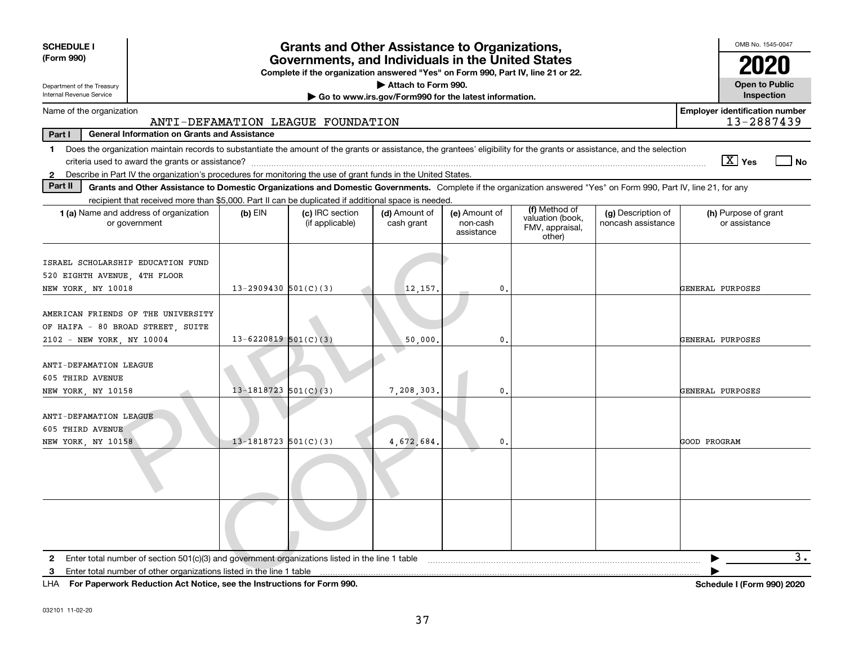| <b>SCHEDULE I</b><br>(Form 990)                                                                                                                                                | <b>Grants and Other Assistance to Organizations,</b><br>Governments, and Individuals in the United States |                                                                                  |                             |                                         |                                               |                                          |                                                     |  |  |  |
|--------------------------------------------------------------------------------------------------------------------------------------------------------------------------------|-----------------------------------------------------------------------------------------------------------|----------------------------------------------------------------------------------|-----------------------------|-----------------------------------------|-----------------------------------------------|------------------------------------------|-----------------------------------------------------|--|--|--|
|                                                                                                                                                                                |                                                                                                           | Complete if the organization answered "Yes" on Form 990, Part IV, line 21 or 22. |                             |                                         |                                               |                                          | 2020                                                |  |  |  |
| Department of the Treasury                                                                                                                                                     |                                                                                                           |                                                                                  | Attach to Form 990.         |                                         |                                               |                                          | <b>Open to Public</b>                               |  |  |  |
| Internal Revenue Service                                                                                                                                                       | Go to www.irs.gov/Form990 for the latest information.                                                     |                                                                                  |                             |                                         |                                               |                                          |                                                     |  |  |  |
| Name of the organization                                                                                                                                                       |                                                                                                           | ANTI-DEFAMATION LEAGUE FOUNDATION                                                |                             |                                         |                                               |                                          | <b>Employer identification number</b><br>13-2887439 |  |  |  |
| Part I<br><b>General Information on Grants and Assistance</b>                                                                                                                  |                                                                                                           |                                                                                  |                             |                                         |                                               |                                          |                                                     |  |  |  |
| Does the organization maintain records to substantiate the amount of the grants or assistance, the grantees' eligibility for the grants or assistance, and the selection<br>1. |                                                                                                           |                                                                                  |                             |                                         |                                               |                                          | $\boxed{\text{X}}$ Yes<br>  No                      |  |  |  |
| Describe in Part IV the organization's procedures for monitoring the use of grant funds in the United States.<br>$\mathbf{2}$                                                  |                                                                                                           |                                                                                  |                             |                                         |                                               |                                          |                                                     |  |  |  |
| Part II<br>Grants and Other Assistance to Domestic Organizations and Domestic Governments. Complete if the organization answered "Yes" on Form 990, Part IV, line 21, for any  |                                                                                                           |                                                                                  |                             |                                         |                                               |                                          |                                                     |  |  |  |
| recipient that received more than \$5,000. Part II can be duplicated if additional space is needed.                                                                            |                                                                                                           |                                                                                  |                             |                                         | (f) Method of                                 |                                          |                                                     |  |  |  |
| 1 (a) Name and address of organization<br>or government                                                                                                                        | $(b)$ EIN                                                                                                 | (c) IRC section<br>(if applicable)                                               | (d) Amount of<br>cash grant | (e) Amount of<br>non-cash<br>assistance | valuation (book,<br>FMV, appraisal,<br>other) | (g) Description of<br>noncash assistance | (h) Purpose of grant<br>or assistance               |  |  |  |
| ISRAEL SCHOLARSHIP EDUCATION FUND                                                                                                                                              |                                                                                                           |                                                                                  |                             |                                         |                                               |                                          |                                                     |  |  |  |
| 520 EIGHTH AVENUE, 4TH FLOOR                                                                                                                                                   | $13 - 2909430$ 501(C)(3)                                                                                  |                                                                                  |                             | $\mathbf{0}$                            |                                               |                                          | GENERAL PURPOSES                                    |  |  |  |
| NEW YORK, NY 10018                                                                                                                                                             |                                                                                                           |                                                                                  | 12,157.                     |                                         |                                               |                                          |                                                     |  |  |  |
| AMERICAN FRIENDS OF THE UNIVERSITY<br>OF HAIFA - 80 BROAD STREET, SUITE                                                                                                        |                                                                                                           |                                                                                  |                             |                                         |                                               |                                          |                                                     |  |  |  |
| 2102 - NEW YORK, NY 10004                                                                                                                                                      | $13 - 6220819$ 501(C)(3)                                                                                  |                                                                                  | 50,000                      | $\mathbf{0}$                            |                                               |                                          | GENERAL PURPOSES                                    |  |  |  |
| ANTI-DEFAMATION LEAGUE<br>605 THIRD AVENUE                                                                                                                                     | $13 - 1818723$ 501(C)(3)                                                                                  |                                                                                  |                             | $\mathbf{0}$                            |                                               |                                          | GENERAL PURPOSES                                    |  |  |  |
| NEW YORK, NY 10158                                                                                                                                                             |                                                                                                           |                                                                                  | 7,208,303.                  |                                         |                                               |                                          |                                                     |  |  |  |
| ANTI-DEFAMATION LEAGUE<br>605 THIRD AVENUE                                                                                                                                     |                                                                                                           |                                                                                  |                             |                                         |                                               |                                          |                                                     |  |  |  |
| NEW YORK, NY 10158                                                                                                                                                             | $13 - 1818723$ 501(C)(3)                                                                                  |                                                                                  | 4,672,684                   | $\mathbf{0}$                            |                                               |                                          | GOOD PROGRAM                                        |  |  |  |
|                                                                                                                                                                                |                                                                                                           |                                                                                  |                             |                                         |                                               |                                          |                                                     |  |  |  |
|                                                                                                                                                                                |                                                                                                           |                                                                                  |                             |                                         |                                               |                                          |                                                     |  |  |  |
| Enter total number of section 501(c)(3) and government organizations listed in the line 1 table<br>2                                                                           |                                                                                                           |                                                                                  |                             |                                         |                                               |                                          | 3.                                                  |  |  |  |
| З.                                                                                                                                                                             |                                                                                                           |                                                                                  |                             |                                         |                                               |                                          |                                                     |  |  |  |

**For Paperwork Reduction Act Notice, see the Instructions for Form 990. Schedule I (Form 990) 2020** LHA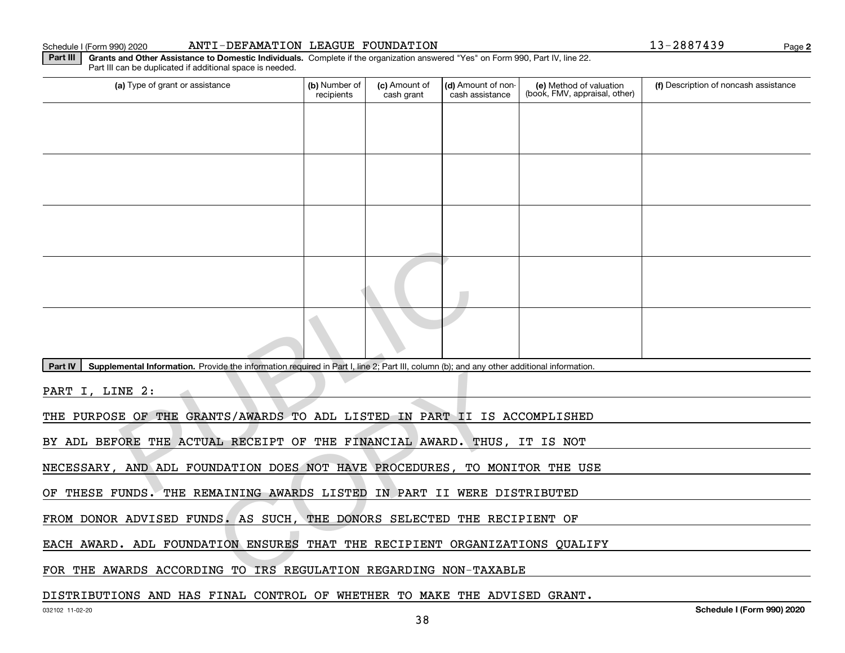#### Schedule I (Form 990) 2020 ANTI-DEFAMATION LEAGUE FOUNDATION Page

**Part III | Grants and Other Assistance to Domestic Individuals. Complete if the organization answered "Yes" on Form 990, Part IV, line 22.** 

(a) Type of grant or assistance **Audity Commet Audio Commet Commet Commet Commet Commet Commet Commet Commet Comme** Part III can be duplicated if additional space is needed. (e) Method of valuation (book, FMV, appraisal, other) recipients(c) Amount of cash grant (d) Amount of noncash assistance **(f)** Description of noncash assistance Mental Information. Provide the information required in Part I, line 2, Part III, column (b); and any on NE 2 :<br>
RE OF THE GRANTS/AWARDS TO ADL LISTED IN PART II IS<br>
ORE THE ACTUAL RECEIPT OF THE FINANCIAL AWARD. THE<br>
AND

Part IV | Supplemental Information. Provide the information required in Part I, line 2; Part III, column (b); and any other additional information.

PART I, LINE 2:

THE PURPOSE OF THE GRANTS/AWARDS TO ADL LISTED IN PART II IS ACCOMPLISHED

BY ADL BEFORE THE ACTUAL RECEIPT OF THE FINANCIAL AWARD. THUS, IT IS NOT NTS/AWARDS TO ADL LISTED IN PART II IS AND ANY CONSIDERATION IN THE PERIMANCIAL AWARD. THUS ALL RECEIPT OF THE FINANCIAL AWARD. THUS NDATION DOES NOT HAVE PROCEDURES, TO MONATION DOES NOT HAVE PROCEDURES, TO MONATION ENSUR

NECESSARY, AND ADL FOUNDATION DOES NOT HAVE PROCEDURES, TO MONITOR THE USE

OF THESE FUNDS. THE REMAINING AWARDS LISTED IN PART II WERE DISTRIBUTED

FROM DONOR ADVISED FUNDS. AS SUCH, THE DONORS SELECTED THE RECIPIENT OF

EACH AWARD. ADL FOUNDATION ENSURES THAT THE RECIPIENT ORGANIZATIONS QUALIFY

FOR THE AWARDS ACCORDING TO IRS REGULATION REGARDING NON-TAXABLE

#### DISTRIBUTIONS AND HAS FINAL CONTROL OF WHETHER TO MAKE THE ADVISED GRANT.

**2**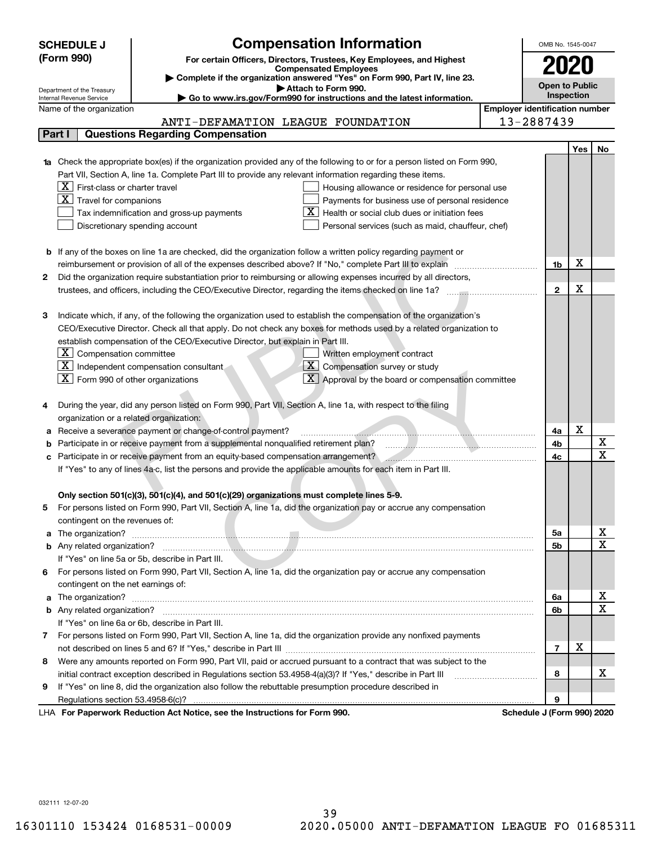|    | <b>SCHEDULE J</b>                                      | <b>Compensation Information</b>                                                                                                  |                                       | OMB No. 1545-0047          |            |                            |
|----|--------------------------------------------------------|----------------------------------------------------------------------------------------------------------------------------------|---------------------------------------|----------------------------|------------|----------------------------|
|    | (Form 990)                                             | For certain Officers, Directors, Trustees, Key Employees, and Highest                                                            |                                       |                            |            |                            |
|    |                                                        | <b>Compensated Employees</b>                                                                                                     |                                       |                            |            |                            |
|    |                                                        | Complete if the organization answered "Yes" on Form 990, Part IV, line 23.<br>Attach to Form 990.                                |                                       | <b>Open to Public</b>      |            |                            |
|    | Department of the Treasury<br>Internal Revenue Service | Go to www.irs.gov/Form990 for instructions and the latest information.                                                           |                                       | Inspection                 |            |                            |
|    | Name of the organization                               |                                                                                                                                  | <b>Employer identification number</b> |                            |            |                            |
|    |                                                        | ANTI-DEFAMATION LEAGUE FOUNDATION                                                                                                |                                       | 13-2887439                 |            |                            |
|    | Part I                                                 | <b>Questions Regarding Compensation</b>                                                                                          |                                       |                            |            |                            |
|    |                                                        |                                                                                                                                  |                                       |                            | <b>Yes</b> | No                         |
|    |                                                        | <b>1a</b> Check the appropriate box(es) if the organization provided any of the following to or for a person listed on Form 990, |                                       |                            |            |                            |
|    |                                                        | Part VII, Section A, line 1a. Complete Part III to provide any relevant information regarding these items.                       |                                       |                            |            |                            |
|    | $X$   First-class or charter travel                    | Housing allowance or residence for personal use                                                                                  |                                       |                            |            |                            |
|    | $X$ Travel for companions                              | Payments for business use of personal residence                                                                                  |                                       |                            |            |                            |
|    |                                                        | Health or social club dues or initiation fees<br>Tax indemnification and gross-up payments                                       |                                       |                            |            |                            |
|    |                                                        | Discretionary spending account<br>Personal services (such as maid, chauffeur, chef)                                              |                                       |                            |            |                            |
|    |                                                        |                                                                                                                                  |                                       |                            |            |                            |
|    |                                                        | <b>b</b> If any of the boxes on line 1a are checked, did the organization follow a written policy regarding payment or           |                                       |                            |            |                            |
|    |                                                        | reimbursement or provision of all of the expenses described above? If "No," complete Part III to explain                         |                                       | 1b                         | х          |                            |
| 2  |                                                        | Did the organization require substantiation prior to reimbursing or allowing expenses incurred by all directors,                 |                                       |                            |            |                            |
|    |                                                        |                                                                                                                                  |                                       | $\mathbf{2}$               | X          |                            |
|    |                                                        |                                                                                                                                  |                                       |                            |            |                            |
| з  |                                                        | Indicate which, if any, of the following the organization used to establish the compensation of the organization's               |                                       |                            |            |                            |
|    |                                                        | CEO/Executive Director. Check all that apply. Do not check any boxes for methods used by a related organization to               |                                       |                            |            |                            |
|    |                                                        | establish compensation of the CEO/Executive Director, but explain in Part III.                                                   |                                       |                            |            |                            |
|    | $\boxed{\textbf{X}}$ Compensation committee            | Written employment contract                                                                                                      |                                       |                            |            |                            |
|    |                                                        | X <br>$ \mathbf{X} $ Independent compensation consultant<br>Compensation survey or study                                         |                                       |                            |            |                            |
|    | $\boxed{\text{X}}$ Form 990 of other organizations     | $\overline{X}$ Approval by the board or compensation committee                                                                   |                                       |                            |            |                            |
|    |                                                        |                                                                                                                                  |                                       |                            |            |                            |
|    |                                                        | During the year, did any person listed on Form 990, Part VII, Section A, line 1a, with respect to the filing                     |                                       |                            |            |                            |
|    | organization or a related organization:                |                                                                                                                                  |                                       |                            |            |                            |
|    |                                                        | Receive a severance payment or change-of-control payment?                                                                        |                                       | 4a                         | х          |                            |
|    |                                                        | Participate in or receive payment from a supplemental nonqualified retirement plan?                                              |                                       | 4b                         |            | х<br>$\overline{\text{x}}$ |
|    |                                                        | Participate in or receive payment from an equity-based compensation arrangement?                                                 |                                       | 4c                         |            |                            |
|    |                                                        | If "Yes" to any of lines 4a-c, list the persons and provide the applicable amounts for each item in Part III.                    |                                       |                            |            |                            |
|    |                                                        |                                                                                                                                  |                                       |                            |            |                            |
|    |                                                        | Only section 501(c)(3), 501(c)(4), and 501(c)(29) organizations must complete lines 5-9.                                         |                                       |                            |            |                            |
| 5. |                                                        | For persons listed on Form 990, Part VII, Section A, line 1a, did the organization pay or accrue any compensation                |                                       |                            |            |                            |
|    | contingent on the revenues of:                         | a The organization? <b>Example 20</b> in the organization?                                                                       |                                       | 5a                         |            | <u>x</u>                   |
|    |                                                        |                                                                                                                                  |                                       | 5b                         |            | $\overline{\mathbf{x}}$    |
|    |                                                        | If "Yes" on line 5a or 5b, describe in Part III.                                                                                 |                                       |                            |            |                            |
| 6. |                                                        | For persons listed on Form 990, Part VII, Section A, line 1a, did the organization pay or accrue any compensation                |                                       |                            |            |                            |
|    | contingent on the net earnings of:                     |                                                                                                                                  |                                       |                            |            |                            |
|    |                                                        |                                                                                                                                  |                                       | 6a                         |            | <u>x</u>                   |
|    |                                                        |                                                                                                                                  |                                       | 6b                         |            | $\overline{\mathbf{x}}$    |
|    |                                                        | If "Yes" on line 6a or 6b, describe in Part III.                                                                                 |                                       |                            |            |                            |
|    |                                                        | 7 For persons listed on Form 990, Part VII, Section A, line 1a, did the organization provide any nonfixed payments               |                                       |                            |            |                            |
|    |                                                        |                                                                                                                                  |                                       | $\overline{7}$             | х          |                            |
| 8  |                                                        | Were any amounts reported on Form 990, Part VII, paid or accrued pursuant to a contract that was subject to the                  |                                       |                            |            |                            |
|    |                                                        | initial contract exception described in Regulations section 53.4958-4(a)(3)? If "Yes," describe in Part III                      |                                       | 8                          |            | х                          |
| 9  |                                                        | If "Yes" on line 8, did the organization also follow the rebuttable presumption procedure described in                           |                                       |                            |            |                            |
|    |                                                        |                                                                                                                                  |                                       | 9                          |            |                            |
|    |                                                        | LHA For Paperwork Reduction Act Notice, see the Instructions for Form 990.                                                       |                                       | Schedule J (Form 990) 2020 |            |                            |

032111 12-07-20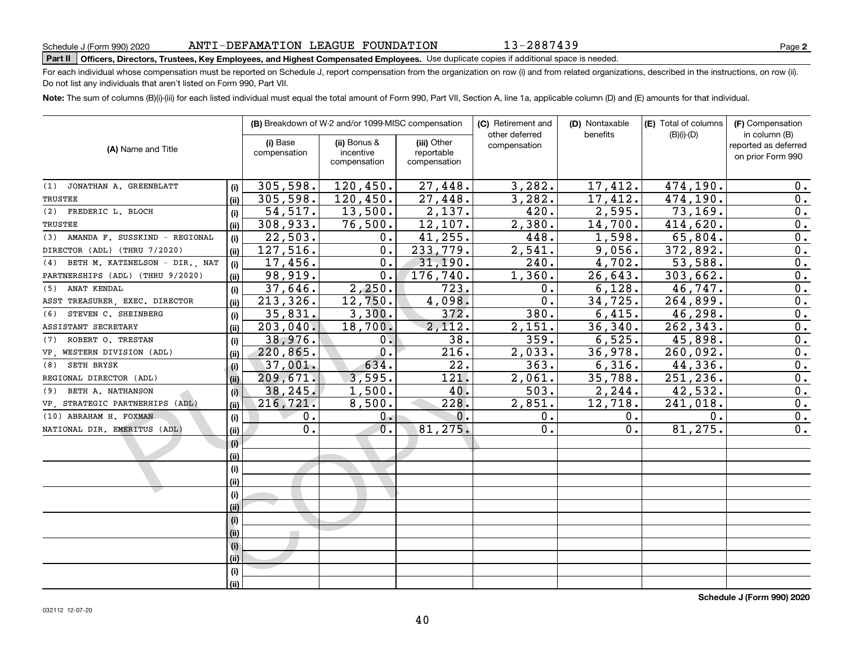| 14.IL |  |  |  |  |
|-------|--|--|--|--|
| (i)   |  |  |  |  |
| (ii)  |  |  |  |  |
| (i)   |  |  |  |  |
| (ii)  |  |  |  |  |
| (i)   |  |  |  |  |
| (i)   |  |  |  |  |
| (i)   |  |  |  |  |
| (iii) |  |  |  |  |
| (i)   |  |  |  |  |
| (i)   |  |  |  |  |

ANTI-DEFAMATION LEAGUE FOUNDATION

# **Part II Officers, Directors, Trustees, Key Employees, and Highest Compensated Employees.**  Schedule J (Form 990) 2020 Page Use duplicate copies if additional space is needed.

For each individual whose compensation must be reported on Schedule J, report compensation from the organization on row (i) and from related organizations, described in the instructions, on row (ii). Do not list any individuals that aren't listed on Form 990, Part VII.

**Note:**  The sum of columns (B)(i)-(iii) for each listed individual must equal the total amount of Form 990, Part VII, Section A, line 1a, applicable column (D) and (E) amounts for that individual.

|                                       |       |              | <b>(B)</b> Breakdown of W-2 and/or 1099-MISC compensation |              | (C) Retirement and             | (D) Nontaxable        | <b>(E)</b> Total of columns | (F) Compensation<br>in column (B) |  |
|---------------------------------------|-------|--------------|-----------------------------------------------------------|--------------|--------------------------------|-----------------------|-----------------------------|-----------------------------------|--|
|                                       |       | (i) Base     | (ii) Bonus &                                              | (iii) Other  | other deferred<br>compensation | benefits              | $(B)(i)-(D)$                | reported as deferred              |  |
| (A) Name and Title                    |       | compensation | incentive                                                 | reportable   |                                |                       |                             | on prior Form 990                 |  |
|                                       |       |              | compensation                                              | compensation |                                |                       |                             |                                   |  |
| (1) JONATHAN A. GREENBLATT            | (i)   | 305,598.     | 120,450.                                                  | 27,448.      | 3,282.                         | $\overline{17, 412.}$ | 474,190.                    | 0.                                |  |
| <b>TRUSTEE</b>                        | (ii)  | 305,598.     | 120,450.                                                  | 27,448.      | 3,282.                         | 17,412.               | 474,190.                    | 0.                                |  |
| (2) FREDERIC L. BLOCH                 | (i)   | 54, 517.     | 13,500.                                                   | 2,137.       | 420.                           | 2,595.                | 73, 169.                    | 0.                                |  |
| <b>TRUSTEE</b>                        | (iii) | 308,933.     | 76,500.                                                   | 12,107.      | 2,380.                         | 14,700.               | 414,620.                    | 0.                                |  |
| AMANDA F. SUSSKIND - REGIONAL<br>(3)  | (i)   | 22,503.      | 0.                                                        | 41,255.      | 448.                           | 1,598.                | 65,804.                     | 0.                                |  |
| DIRECTOR (ADL) (THRU 7/2020)          | (ii)  | 127,516.     | 0.                                                        | 233,779.     | 2,541.                         | 9,056.                | 372,892.                    | 0.                                |  |
| BETH M. KATZNELSON - DIR., NAT<br>(4) | (i)   | 17,456.      | $\mathbf 0$ .                                             | 31,190.      | 240.                           | 4,702.                | 53,588.                     | 0.                                |  |
| PARTNERSHIPS (ADL) (THRU 9/2020)      | (ii)  | 98,919.      | 0.                                                        | 176, 740.    | 1,360.                         | 26,643.               | 303,662.                    | $0$ .                             |  |
| ANAT KENDAL<br>(5)                    | (i)   | 37,646.      | 2,250.                                                    | 723.         | 0.                             | 6,128.                | 46,747.                     | $0$ .                             |  |
| ASST TREASURER, EXEC. DIRECTOR        | (iii) | 213, 326.    | 12,750.                                                   | 4,098.       | 0.                             | 34,725.               | 264,899.                    | $\overline{0}$ .                  |  |
| STEVEN C. SHEINBERG<br>(6)            | (i)   | 35,831.      | 3,300.                                                    | 372.         | 380.                           | 6,415.                | 46,298.                     | 0.                                |  |
| ASSISTANT SECRETARY                   | (iii) | 203,040.     | 18,700.                                                   | 2,112.       | 2,151.                         | 36, 340.              | 262,343.                    | 0.                                |  |
| (7) ROBERT O. TRESTAN                 | (i)   | 38,976.      | 0.                                                        | 38.          | 359.                           | 6, 525.               | 45,898.                     | 0.                                |  |
| VP, WESTERN DIVISION (ADL)            | (ii)  | 220,865.     | $\overline{0}$ .                                          | 216.         | 2,033.                         | 36,978.               | 260,092.                    | $\overline{0}$ .                  |  |
| (8) SETH BRYSK                        | (i)   | 37,001.      | 634.                                                      | 22.          | 363.                           | 6,316.                | 44,336.                     | 0.                                |  |
| REGIONAL DIRECTOR (ADL)               | (ii)  | 209,671.     | 3,595.                                                    | 121.         | 2,061.                         | 35,788.               | 251,236.                    | $\overline{0}$ .                  |  |
| (9) BETH A. NATHANSON                 | (i)   | 38,245.      | 1,500.                                                    | 40.          | $\overline{503}$ .             | 2, 244.               | 42,532.                     | $\overline{0}$ .                  |  |
| VP, STRATEGIC PARTNERHIPS (ADL)       | (ii)  | 216,721.     | 8,500.                                                    | 228.         | 2,851.                         | 12,718.               | 241,018.                    | $\overline{0}$ .                  |  |
| (10) ABRAHAM H. FOXMAN                | (i)   | 0.           | 0.                                                        | 0.           | 0.                             | 0.                    | 0.                          | 0.                                |  |
| NATIONAL DIR. EMERITUS (ADL)          | (ii)  | 0.           | 0.                                                        | 81,275.      | О.                             | 0.                    | 81,275.                     | 0.                                |  |
|                                       | (i)   |              |                                                           |              |                                |                       |                             |                                   |  |
|                                       | (ii)  |              |                                                           |              |                                |                       |                             |                                   |  |
|                                       | (i)   |              |                                                           |              |                                |                       |                             |                                   |  |
|                                       | (iii) |              |                                                           |              |                                |                       |                             |                                   |  |
|                                       | (i)   |              |                                                           |              |                                |                       |                             |                                   |  |
|                                       | (ii)  |              |                                                           |              |                                |                       |                             |                                   |  |
|                                       | (i)   |              |                                                           |              |                                |                       |                             |                                   |  |
|                                       | (ii)  |              |                                                           |              |                                |                       |                             |                                   |  |
|                                       | (i)   |              |                                                           |              |                                |                       |                             |                                   |  |
|                                       | (i)   |              |                                                           |              |                                |                       |                             |                                   |  |
|                                       | (i)   |              |                                                           |              |                                |                       |                             |                                   |  |
|                                       | (iii) |              |                                                           |              |                                |                       |                             |                                   |  |

**2**

13-2887439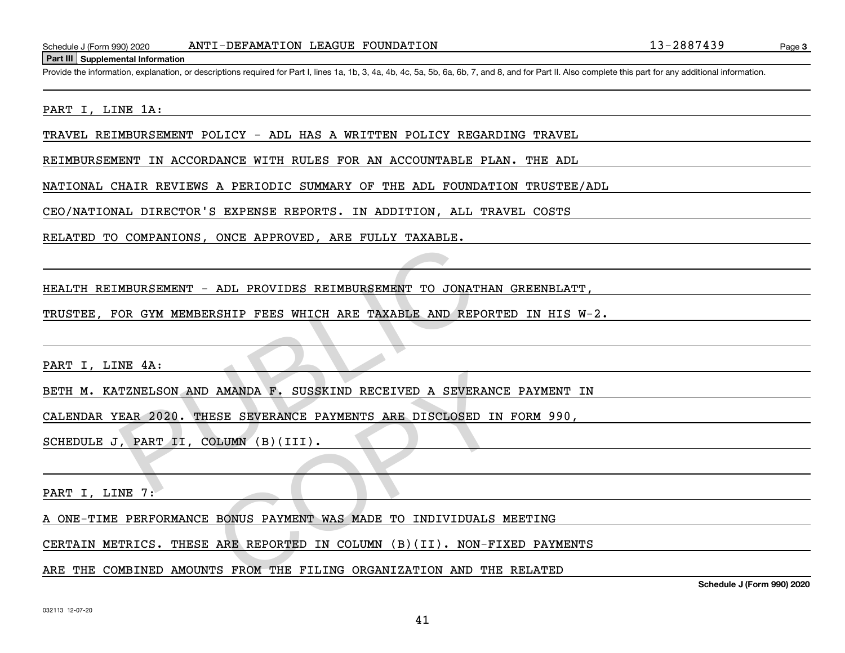#### **Part III Supplemental Information**

Schedule J (Form 990) 2020 ANTI-DEFAMATION LEAGUE FOUNDATION 41 D. 13 - 2887439<br>Part III Supplemental Information<br>Provide the information, explanation, or descriptions required for Part I. lines 1a, 1b, 3, 4a, 4b, 4c, 5a,

#### PART I, LINE 1A:

TRAVEL REIMBURSEMENT POLICY - ADL HAS A WRITTEN POLICY REGARDING TRAVEL

REIMBURSEMENT IN ACCORDANCE WITH RULES FOR AN ACCOUNTABLE PLAN. THE ADL

NATIONAL CHAIR REVIEWS A PERIODIC SUMMARY OF THE ADL FOUNDATION TRUSTEE/ADL

CEO/NATIONAL DIRECTOR'S EXPENSE REPORTS. IN ADDITION, ALL TRAVEL COSTS

RELATED TO COMPANIONS, ONCE APPROVED, ARE FULLY TAXABLE.

HEALTH REIMBURSEMENT - ADL PROVIDES REIMBURSEMENT TO JONATHAN GREENBLATT,

TRUSTEE, FOR GYM MEMBERSHIP FEES WHICH ARE TAXABLE AND REPORTED IN HIS W-2. MBURSEMENT - ADL PROVIDES REIMBURSEMENT TO JONATHAND CR GYM MEMBERSHIP FEES WHICH ARE TAXABLE AND REPORTED ASSEMBLE AND ANANDA F. SUSSKIND RECEIVED A SEVERANCE PATHENTS ARE DISCLOSED IN PART II, COLUMN (B) (III).

PART I, LINE 4A:

BETH M. KATZNELSON AND AMANDA F. SUSSKIND RECEIVED A SEVERANCE PAYMENT IN AMANDA F. SUSSKIND RECEIVED A SEVERANCI<br>ESE SEVERANCE PAYMENTS ARE DISCLOSED IN<br>OLUMN (B)(III).<br>BONUS PAYMENT WAS MADE TO INDIVIDUALS I<br>ARE REPORTED IN COLUMN (B)(II). NON-FII<br>TS FROM THE FILING ORGANIZATION AND THE

CALENDAR YEAR 2020. THESE SEVERANCE PAYMENTS ARE DISCLOSED IN FORM 990,

SCHEDULE J, PART II, COLUMN (B)(III).

PART I, LINE 7:

A ONE-TIME PERFORMANCE BONUS PAYMENT WAS MADE TO INDIVIDUALS MEETING

CERTAIN METRICS. THESE ARE REPORTED IN COLUMN (B)(II). NON-FIXED PAYMENTS

ARE THE COMBINED AMOUNTS FROM THE FILING ORGANIZATION AND THE RELATED

**Schedule J (Form 990) 2020**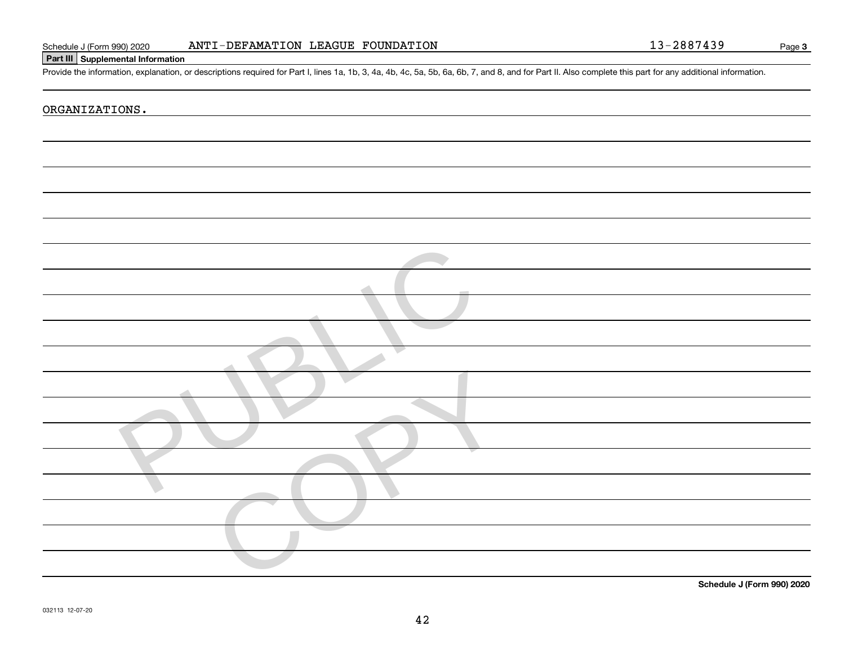| Schedule J (Form 990) 2020 |
|----------------------------|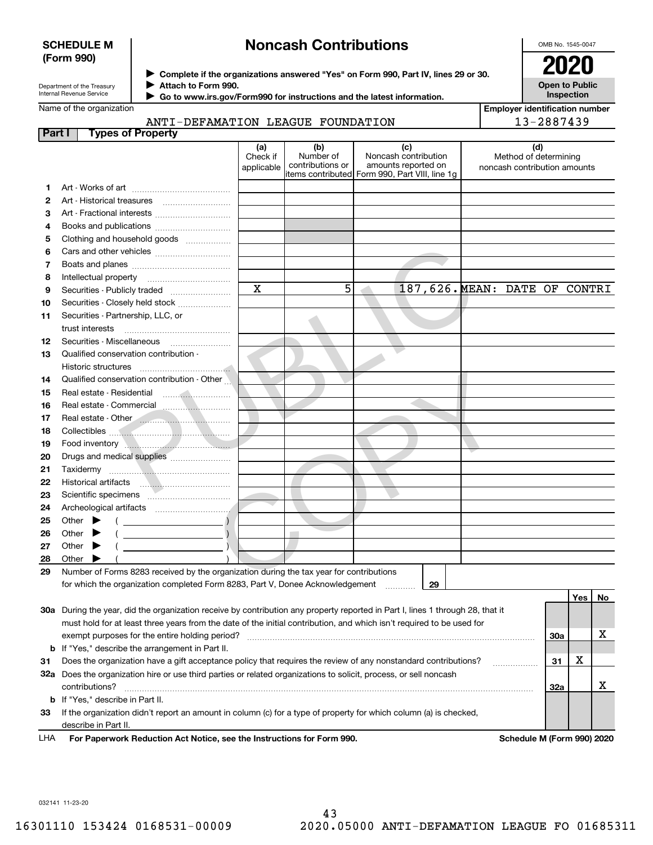### **SCHEDULE M (Form 990)**

# **Noncash Contributions**

OMB No. 1545-0047

**Open to Public Inspection**

| Department of the Treasury |
|----------------------------|
| Internal Revenue Service   |

**Complete if the organizations answered "Yes" on Form 990, Part IV, lines 29 or 30.** <sup>J</sup>**2020 Attach to Form 990.** J

 **Go to www.irs.gov/Form990 for instructions and the latest information.** J

| Name of the organization |  |
|--------------------------|--|
|--------------------------|--|

**Employer identification number** 13-2887439

| ANTI-DEFAMATION LEAGUE FOUNDATION |  |  |
|-----------------------------------|--|--|
|                                   |  |  |

| Part I |       | <b>Types of Property</b>                                                                                                                                                                                                                                                                                                                                |                         |                               |                                                |                                                       |     |         |    |
|--------|-------|---------------------------------------------------------------------------------------------------------------------------------------------------------------------------------------------------------------------------------------------------------------------------------------------------------------------------------------------------------|-------------------------|-------------------------------|------------------------------------------------|-------------------------------------------------------|-----|---------|----|
|        |       |                                                                                                                                                                                                                                                                                                                                                         | (a)                     | (b)                           | (c)                                            | (d)                                                   |     |         |    |
|        |       |                                                                                                                                                                                                                                                                                                                                                         | Check if<br>applicable  | Number of<br>contributions or | Noncash contribution<br>amounts reported on    | Method of determining<br>noncash contribution amounts |     |         |    |
|        |       |                                                                                                                                                                                                                                                                                                                                                         |                         |                               | items contributed Form 990, Part VIII, line 1g |                                                       |     |         |    |
| 1.     |       |                                                                                                                                                                                                                                                                                                                                                         |                         |                               |                                                |                                                       |     |         |    |
| 2      |       |                                                                                                                                                                                                                                                                                                                                                         |                         |                               |                                                |                                                       |     |         |    |
| З      |       |                                                                                                                                                                                                                                                                                                                                                         |                         |                               |                                                |                                                       |     |         |    |
| 4      |       |                                                                                                                                                                                                                                                                                                                                                         |                         |                               |                                                |                                                       |     |         |    |
| 5      |       | Clothing and household goods                                                                                                                                                                                                                                                                                                                            |                         |                               |                                                |                                                       |     |         |    |
| 6      |       |                                                                                                                                                                                                                                                                                                                                                         |                         |                               |                                                |                                                       |     |         |    |
| 7      |       |                                                                                                                                                                                                                                                                                                                                                         |                         |                               |                                                |                                                       |     |         |    |
| 8      |       | Intellectual property                                                                                                                                                                                                                                                                                                                                   |                         |                               |                                                |                                                       |     |         |    |
| 9      |       | Securities - Publicly traded                                                                                                                                                                                                                                                                                                                            | $\overline{\mathbf{x}}$ | 5                             |                                                | 187,626. MEAN: DATE OF CONTRI                         |     |         |    |
| 10     |       | Securities - Closely held stock                                                                                                                                                                                                                                                                                                                         |                         |                               |                                                |                                                       |     |         |    |
| 11     |       | Securities - Partnership, LLC, or                                                                                                                                                                                                                                                                                                                       |                         |                               |                                                |                                                       |     |         |    |
|        |       | trust interests                                                                                                                                                                                                                                                                                                                                         |                         |                               |                                                |                                                       |     |         |    |
| 12     |       |                                                                                                                                                                                                                                                                                                                                                         |                         |                               |                                                |                                                       |     |         |    |
| 13     |       | Qualified conservation contribution -                                                                                                                                                                                                                                                                                                                   |                         |                               |                                                |                                                       |     |         |    |
|        |       | Historic structures                                                                                                                                                                                                                                                                                                                                     |                         |                               |                                                |                                                       |     |         |    |
| 14     |       | Qualified conservation contribution - Other                                                                                                                                                                                                                                                                                                             |                         |                               |                                                |                                                       |     |         |    |
| 15     |       |                                                                                                                                                                                                                                                                                                                                                         |                         |                               |                                                |                                                       |     |         |    |
| 16     |       |                                                                                                                                                                                                                                                                                                                                                         |                         |                               |                                                |                                                       |     |         |    |
| 17     |       | Real estate - Other <b>Communication</b>                                                                                                                                                                                                                                                                                                                |                         |                               |                                                |                                                       |     |         |    |
| 18     |       |                                                                                                                                                                                                                                                                                                                                                         |                         |                               |                                                |                                                       |     |         |    |
| 19     |       | Food inventory <b>Authorities Container Authorities</b>                                                                                                                                                                                                                                                                                                 |                         |                               |                                                |                                                       |     |         |    |
| 20     |       | Drugs and medical supplies                                                                                                                                                                                                                                                                                                                              |                         |                               |                                                |                                                       |     |         |    |
| 21     |       | Taxidermy                                                                                                                                                                                                                                                                                                                                               |                         |                               |                                                |                                                       |     |         |    |
| 22     |       |                                                                                                                                                                                                                                                                                                                                                         |                         |                               |                                                |                                                       |     |         |    |
| 23     |       | Scientific specimens <b>continued and set of the second set of the set of the set of the set of the set of the set of the set of the set of the set of the set of the set of the set of the set of the set of the set of the set</b>                                                                                                                    |                         |                               |                                                |                                                       |     |         |    |
| 24     |       |                                                                                                                                                                                                                                                                                                                                                         |                         |                               |                                                |                                                       |     |         |    |
| 25     |       | Other $\blacktriangleright$<br>$\left($ $\frac{1}{2}$ $\frac{1}{2}$ $\frac{1}{2}$ $\frac{1}{2}$ $\frac{1}{2}$ $\frac{1}{2}$ $\frac{1}{2}$ $\frac{1}{2}$ $\frac{1}{2}$ $\frac{1}{2}$ $\frac{1}{2}$ $\frac{1}{2}$ $\frac{1}{2}$ $\frac{1}{2}$ $\frac{1}{2}$ $\frac{1}{2}$ $\frac{1}{2}$ $\frac{1}{2}$ $\frac{1}{2}$ $\frac{1}{2}$ $\frac{1}{2}$ $\frac{1$ |                         |                               |                                                |                                                       |     |         |    |
| 26     |       | $\lambda$<br>Other $\blacktriangleright$<br><u> The Communication of the Communication</u>                                                                                                                                                                                                                                                              |                         |                               |                                                |                                                       |     |         |    |
| 27     |       | Other $\blacktriangleright$<br>$\mathcal{L}$ and $\mathcal{L}$ and $\mathcal{L}$ and $\mathcal{L}$                                                                                                                                                                                                                                                      |                         |                               |                                                |                                                       |     |         |    |
| 28     | Other |                                                                                                                                                                                                                                                                                                                                                         |                         |                               |                                                |                                                       |     |         |    |
| 29     |       | Number of Forms 8283 received by the organization during the tax year for contributions                                                                                                                                                                                                                                                                 |                         |                               |                                                |                                                       |     |         |    |
|        |       | for which the organization completed Form 8283, Part V, Donee Acknowledgement                                                                                                                                                                                                                                                                           |                         |                               | 29                                             |                                                       |     |         |    |
|        |       |                                                                                                                                                                                                                                                                                                                                                         |                         |                               |                                                |                                                       |     | Yes $ $ | No |
|        |       | 30a During the year, did the organization receive by contribution any property reported in Part I, lines 1 through 28, that it                                                                                                                                                                                                                          |                         |                               |                                                |                                                       |     |         |    |
|        |       | must hold for at least three years from the date of the initial contribution, and which isn't required to be used for                                                                                                                                                                                                                                   |                         |                               |                                                |                                                       |     |         |    |
|        |       | exempt purposes for the entire holding period?                                                                                                                                                                                                                                                                                                          |                         |                               |                                                |                                                       | 30a |         | х  |
|        |       | <b>b</b> If "Yes," describe the arrangement in Part II.                                                                                                                                                                                                                                                                                                 |                         |                               |                                                |                                                       |     |         |    |
| 31     |       | Does the organization have a gift acceptance policy that requires the review of any nonstandard contributions?                                                                                                                                                                                                                                          |                         |                               |                                                |                                                       | 31  | х       |    |
|        |       | 32a Does the organization hire or use third parties or related organizations to solicit, process, or sell noncash                                                                                                                                                                                                                                       |                         |                               |                                                |                                                       |     |         |    |
|        |       | contributions?                                                                                                                                                                                                                                                                                                                                          |                         |                               |                                                |                                                       | 32a |         | х  |
|        |       | <b>b</b> If "Yes," describe in Part II.                                                                                                                                                                                                                                                                                                                 |                         |                               |                                                |                                                       |     |         |    |
| 33     |       | If the organization didn't report an amount in column (c) for a type of property for which column (a) is checked,                                                                                                                                                                                                                                       |                         |                               |                                                |                                                       |     |         |    |
|        |       | describe in Part II.                                                                                                                                                                                                                                                                                                                                    |                         |                               |                                                |                                                       |     |         |    |

For Paperwork Reduction Act Notice, see the Instructions for Form 990. **Schedule M** (Form 990) 2020 LHA

032141 11-23-20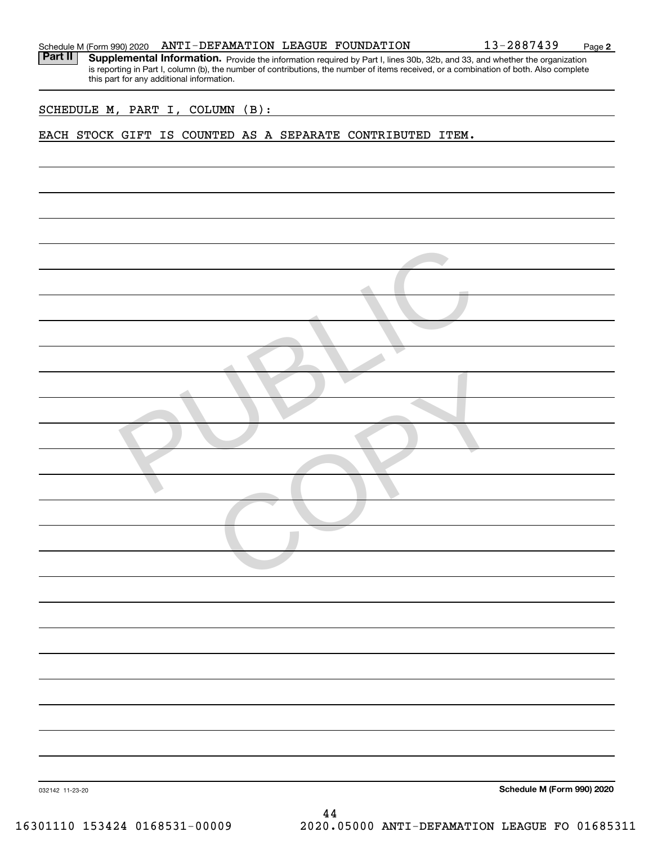|  | Schedule M (Form 990) 2020 |  | ANTI-DEFAMATION LEAGUE FOUNDATION |  |  | 13-2887439 | Page |  |
|--|----------------------------|--|-----------------------------------|--|--|------------|------|--|
|--|----------------------------|--|-----------------------------------|--|--|------------|------|--|

Part II | Supplemental Information. Provide the information required by Part I, lines 30b, 32b, and 33, and whether the organization is reporting in Part I, column (b), the number of contributions, the number of items received, or a combination of both. Also complete this part for any additional information.

**2**

SCHEDULE M, PART I, COLUMN (B):

EACH STOCK GIFT IS COUNTED AS A SEPARATE CONTRIBUTED ITEM.

| Schedule M (Form 990) 2020 |                 |
|----------------------------|-----------------|
|                            |                 |
|                            |                 |
|                            |                 |
|                            |                 |
|                            |                 |
|                            |                 |
|                            |                 |
|                            |                 |
|                            |                 |
|                            |                 |
|                            |                 |
|                            |                 |
|                            |                 |
|                            |                 |
|                            |                 |
|                            |                 |
|                            |                 |
|                            |                 |
|                            |                 |
|                            |                 |
|                            |                 |
|                            |                 |
|                            |                 |
|                            |                 |
|                            |                 |
|                            |                 |
|                            |                 |
|                            |                 |
|                            |                 |
|                            | 032142 11-23-20 |
|                            | 44              |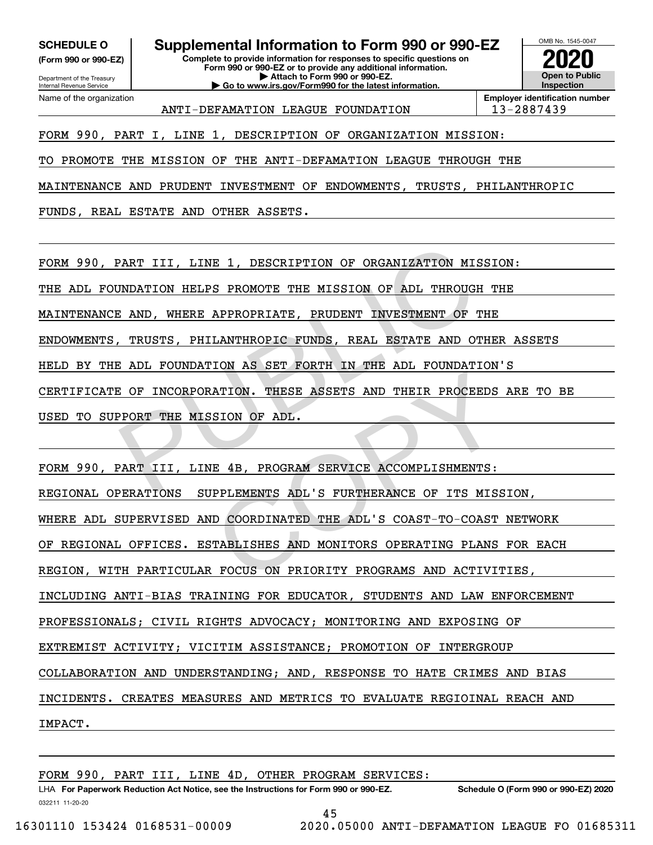**(Form 990 or 990-EZ)**

Department of the Treasury Internal Revenue Service Name of the organization

## **SCHEDULE O Supplemental Information to Form 990 or 990-EZ**

**Complete to provide information for responses to specific questions on Form 990 or 990-EZ or to provide any additional information. | Attach to Form 990 or 990-EZ. | Go to www.irs.gov/Form990 for the latest information.**



**Employer identification number** ANTI-DEFAMATION LEAGUE FOUNDATION | 13-2887439

FORM 990, PART I, LINE 1, DESCRIPTION OF ORGANIZATION MISSION:

TO PROMOTE THE MISSION OF THE ANTI-DEFAMATION LEAGUE THROUGH THE

MAINTENANCE AND PRUDENT INVESTMENT OF ENDOWMENTS, TRUSTS, PHILANTHROPIC

FUNDS, REAL ESTATE AND OTHER ASSETS.

FORM 990, PART III, LINE 1, DESCRIPTION OF ORGANIZATION MISSION: PART III, LINE 1, DESCRIPTION OF ORGANIZATION MISS<br>
NNDATION HELPS PROMOTE THE MISSION OF ADL THROUGH<br>
E AND, WHERE APPROPRIATE, PRUDENT INVESTMENT OF TH<br>
TRUSTS, PHILANTHROPIC FUNDS, REAL ESTATE AND OTH<br>
E ADL FOUNDATION

THE ADL FOUNDATION HELPS PROMOTE THE MISSION OF ADL THROUGH THE

MAINTENANCE AND, WHERE APPROPRIATE, PRUDENT INVESTMENT OF THE

ENDOWMENTS, TRUSTS, PHILANTHROPIC FUNDS, REAL ESTATE AND OTHER ASSETS

HELD BY THE ADL FOUNDATION AS SET FORTH IN THE ADL FOUNDATION'S

CERTIFICATE OF INCORPORATION. THESE ASSETS AND THEIR PROCEEDS ARE TO BE

USED TO SUPPORT THE MISSION OF ADL.

FORM 990, PART III, LINE 4B, PROGRAM SERVICE ACCOMPLISHMENTS:

REGIONAL OPERATIONS SUPPLEMENTS ADL'S FURTHERANCE OF ITS MISSION, NATION. THESE ASSETS AND THEIR PROCEEDS<br>SION OF ADL.<br>IE 4B, PROGRAM SERVICE ACCOMPLISHMENTS:<br>IPPLEMENTS ADL'S FURTHERANCE OF ITS MISS<br>ID COORDINATED THE ADL'S COAST-TO-COAST<br>STABLISHES AND MONITORS OPERATING PLANS<br>REPOCUS

WHERE ADL SUPERVISED AND COORDINATED THE ADL'S COAST-TO-COAST NETWORK

OF REGIONAL OFFICES. ESTABLISHES AND MONITORS OPERATING PLANS FOR EACH

REGION, WITH PARTICULAR FOCUS ON PRIORITY PROGRAMS AND ACTIVITIES,

INCLUDING ANTI-BIAS TRAINING FOR EDUCATOR, STUDENTS AND LAW ENFORCEMENT

PROFESSIONALS; CIVIL RIGHTS ADVOCACY; MONITORING AND EXPOSING OF

EXTREMIST ACTIVITY; VICITIM ASSISTANCE; PROMOTION OF INTERGROUP

COLLABORATION AND UNDERSTANDING; AND, RESPONSE TO HATE CRIMES AND BIAS

INCIDENTS. CREATES MEASURES AND METRICS TO EVALUATE REGIOINAL REACH AND

IMPACT.

FORM 990, PART III, LINE 4D, OTHER PROGRAM SERVICES: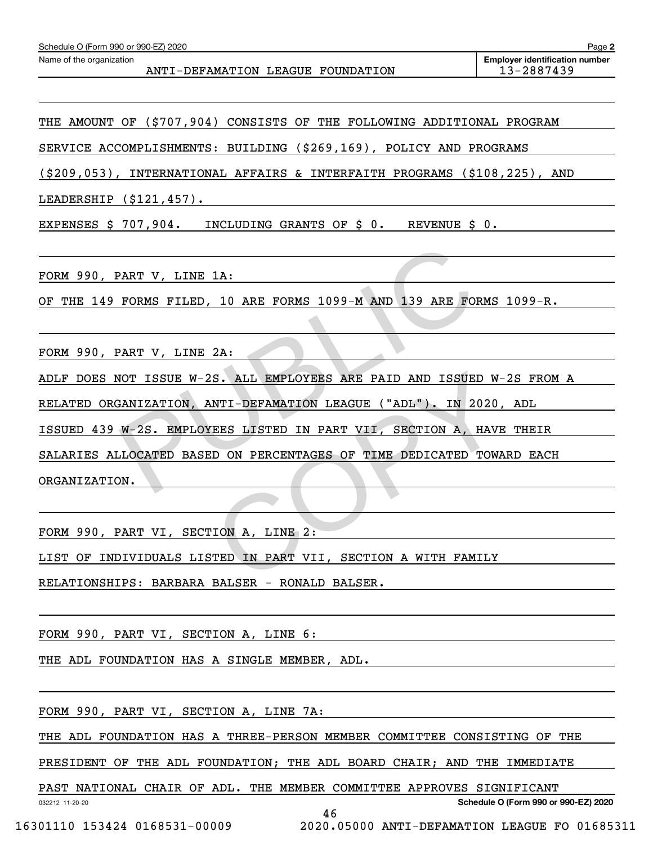| Schedule O (Form 990 or 990-EZ) 2020                          | Page 2                                              |
|---------------------------------------------------------------|-----------------------------------------------------|
| Name of the organization<br>ANTI-DEFAMATION LEAGUE FOUNDATION | <b>Employer identification number</b><br>13-2887439 |
|                                                               |                                                     |

THE AMOUNT OF (\$707,904) CONSISTS OF THE FOLLOWING ADDITIONAL PROGRAM

SERVICE ACCOMPLISHMENTS: BUILDING (\$269,169), POLICY AND PROGRAMS

(\$209,053), INTERNATIONAL AFFAIRS & INTERFAITH PROGRAMS (\$108,225), AND

LEADERSHIP (\$121,457).

EXPENSES \$ 707,904. INCLUDING GRANTS OF \$ 0. REVENUE \$ 0.

FORM 990, PART V, LINE 1A:

OF THE 149 FORMS FILED, 10 ARE FORMS 1099-M AND 139 ARE FORMS 1099-R.

FORM 990, PART V, LINE 2A:

ADLF DOES NOT ISSUE W-2S. ALL EMPLOYEES ARE PAID AND ISSUED W-2S FROM A

RELATED ORGANIZATION, ANTI-DEFAMATION LEAGUE ("ADL"). IN 2020, ADL

ISSUED 439 W-2S. EMPLOYEES LISTED IN PART VII, SECTION A, HAVE THEIR

SALARIES ALLOCATED BASED ON PERCENTAGES OF TIME DEDICATED TOWARD EACH PART V, LINE 1A:<br>
FORMS FILED, 10 ARE FORMS 1099-M AND 139 ARE FORM<br>
PART V, LINE 2A:<br>
NOT ISSUE W-2S. ALL EMPLOYEES ARE PAID AND ISSUED<br>
BANIZATION, ANTI-DEFAMATION LEAGUE ("ADL"). IN 202<br>
W-2S. EMPLOYEES LISTED IN PART V S. ALL EMPLOYEES ARE PAID AND ISSUED W-<br>NTI-DEFAMATION LEAGUE ("ADL"). IN 2020,<br>TEES LISTED IN PART VII, SECTION A, HAVE<br>CD ON PERCENTAGES OF TIME DEDICATED TOWA<br>TON A, LINE 2:<br>TED IN PART VII, SECTION A WITH FAMILY

ORGANIZATION.

FORM 990, PART VI, SECTION A, LINE 2:

LIST OF INDIVIDUALS LISTED IN PART VII, SECTION A WITH FAMILY

RELATIONSHIPS: BARBARA BALSER - RONALD BALSER.

FORM 990, PART VI, SECTION A, LINE 6:

THE ADL FOUNDATION HAS A SINGLE MEMBER, ADL.

FORM 990, PART VI, SECTION A, LINE 7A:

THE ADL FOUNDATION HAS A THREE-PERSON MEMBER COMMITTEE CONSISTING OF THE

PRESIDENT OF THE ADL FOUNDATION; THE ADL BOARD CHAIR; AND THE IMMEDIATE

PAST NATIONAL CHAIR OF ADL. THE MEMBER COMMITTEE APPROVES SIGNIFICANT

**Schedule O (Form 990 or 990-EZ) 2020**

032212 11-20-20

46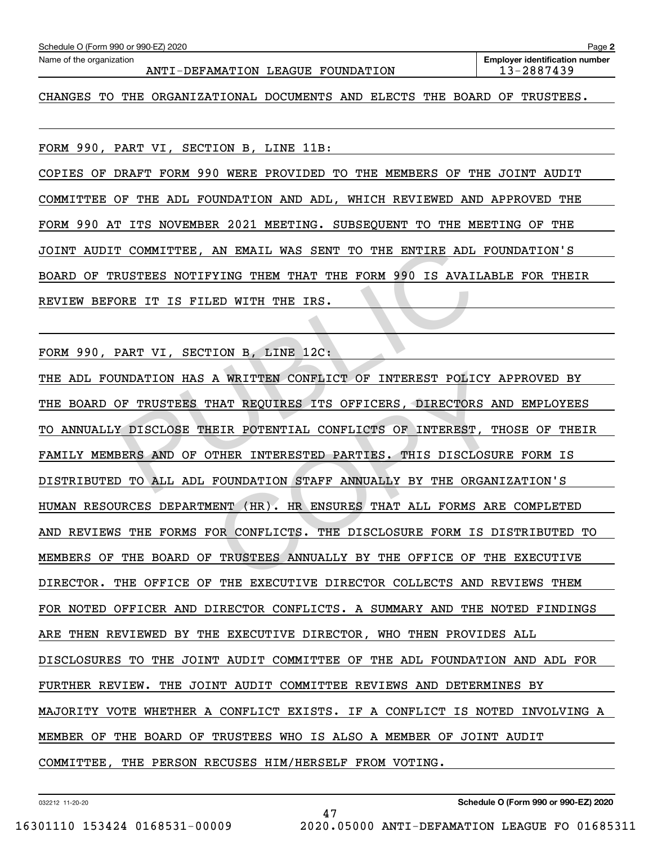| Schedule O (Form 990 or 990-EZ) 2020                                             | Page 2                                              |
|----------------------------------------------------------------------------------|-----------------------------------------------------|
| Name of the organization<br>ANTI-DEFAMATION LEAGUE FOUNDATION                    | <b>Employer identification number</b><br>13-2887439 |
| THE ORGANIZATIONAL DOCUMENTS AND ELECTS THE BOARD OF TRUSTEES.<br>TO.<br>CHANGES |                                                     |

FORM 990, PART VI, SECTION B, LINE 11B:

COPIES OF DRAFT FORM 990 WERE PROVIDED TO THE MEMBERS OF THE JOINT AUDIT COMMITTEE OF THE ADL FOUNDATION AND ADL, WHICH REVIEWED AND APPROVED THE FORM 990 AT ITS NOVEMBER 2021 MEETING. SUBSEQUENT TO THE MEETING OF THE JOINT AUDIT COMMITTEE, AN EMAIL WAS SENT TO THE ENTIRE ADL FOUNDATION'S BOARD OF TRUSTEES NOTIFYING THEM THAT THE FORM 990 IS AVAILABLE FOR THEIR REVIEW BEFORE IT IS FILED WITH THE IRS.

FORM 990, PART VI, SECTION B, LINE 12C:

THE ADL FOUNDATION HAS A WRITTEN CONFLICT OF INTEREST POLICY APPROVED BY THE BOARD OF TRUSTEES THAT REQUIRES ITS OFFICERS, DIRECTORS AND EMPLOYEES TO ANNUALLY DISCLOSE THEIR POTENTIAL CONFLICTS OF INTEREST, THOSE OF THEIR FAMILY MEMBERS AND OF OTHER INTERESTED PARTIES. THIS DISCLOSURE FORM IS DISTRIBUTED TO ALL ADL FOUNDATION STAFF ANNUALLY BY THE ORGANIZATION'S HUMAN RESOURCES DEPARTMENT (HR). HR ENSURES THAT ALL FORMS ARE COMPLETED AND REVIEWS THE FORMS FOR CONFLICTS. THE DISCLOSURE FORM IS DISTRIBUTED TO MEMBERS OF THE BOARD OF TRUSTEES ANNUALLY BY THE OFFICE OF THE EXECUTIVE DIRECTOR. THE OFFICE OF THE EXECUTIVE DIRECTOR COLLECTS AND REVIEWS THEM FOR NOTED OFFICER AND DIRECTOR CONFLICTS. A SUMMARY AND THE NOTED FINDINGS ARE THEN REVIEWED BY THE EXECUTIVE DIRECTOR, WHO THEN PROVIDES ALL DISCLOSURES TO THE JOINT AUDIT COMMITTEE OF THE ADL FOUNDATION AND ADL FOR FURTHER REVIEW. THE JOINT AUDIT COMMITTEE REVIEWS AND DETERMINES BY MAJORITY VOTE WHETHER A CONFLICT EXISTS. IF A CONFLICT IS NOTED INVOLVING A MEMBER OF THE BOARD OF TRUSTEES WHO IS ALSO A MEMBER OF JOINT AUDIT COMMITTEE, THE PERSON RECUSES HIM/HERSELF FROM VOTING. TO COMMITTEE, AN EMAIL WAS SENT TO THE ENTIRE ADL FRUSTEES NOTIFYING THEM THAT THE FORM 990 IS AVAILA<br>DRE IT IS FILED WITH THE IRS.<br>PART VI, SECTION B, LINE 12C:<br>MDATION HAS A WRITTEN CONFLICT OF INTEREST POLICY<br>DF TRUSTEE A WRITTEN CONFLICT OF INTEREST POLICY A<br>THAT REQUIRES ITS OFFICERS, DIRECTORS AN<br>EIR POTENTIAL CONFLICTS OF INTEREST, TH<br>THER INTERESTED PARTIES. THIS DISCLOSUR<br>FOUNDATION STAFF ANNUALLY BY THE ORGANI<br>ENT (HR). HR ENSURES

47

032212 11-20-20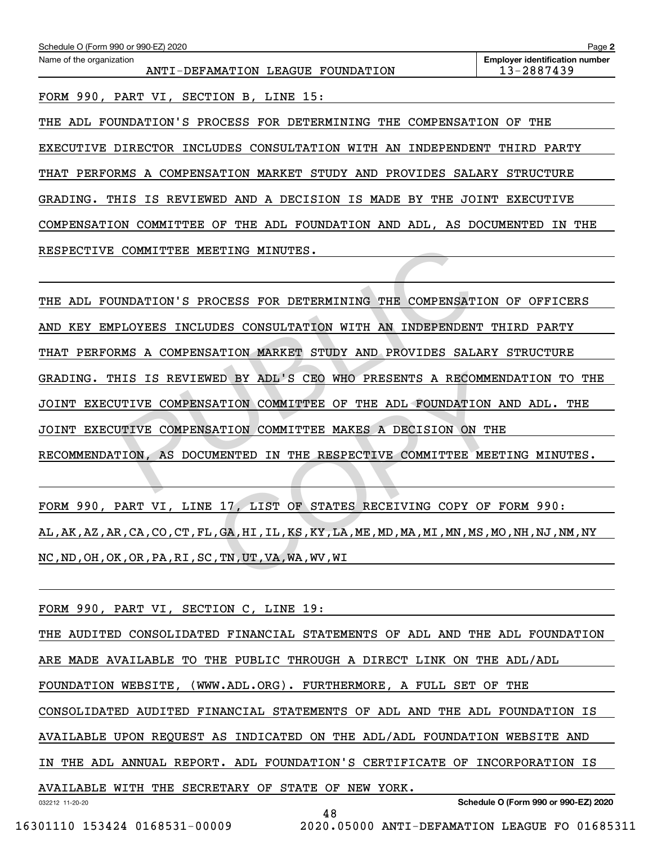| Schedule O (Form 990 or 990-EZ) 2020<br>Page 2                |                                                     |  |  |  |  |  |  |  |  |
|---------------------------------------------------------------|-----------------------------------------------------|--|--|--|--|--|--|--|--|
| Name of the organization<br>ANTI-DEFAMATION LEAGUE FOUNDATION | <b>Employer identification number</b><br>13-2887439 |  |  |  |  |  |  |  |  |
| FORM 990, PART VI, SECTION B, LINE 15:                        |                                                     |  |  |  |  |  |  |  |  |

THE ADL FOUNDATION'S PROCESS FOR DETERMINING THE COMPENSATION OF THE EXECUTIVE DIRECTOR INCLUDES CONSULTATION WITH AN INDEPENDENT THIRD PARTY THAT PERFORMS A COMPENSATION MARKET STUDY AND PROVIDES SALARY STRUCTURE GRADING. THIS IS REVIEWED AND A DECISION IS MADE BY THE JOINT EXECUTIVE COMPENSATION COMMITTEE OF THE ADL FOUNDATION AND ADL, AS DOCUMENTED IN THE RESPECTIVE COMMITTEE MEETING MINUTES.

THE ADL FOUNDATION'S PROCESS FOR DETERMINING THE COMPENSATION OF OFFICERS AND KEY EMPLOYEES INCLUDES CONSULTATION WITH AN INDEPENDENT THIRD PARTY THAT PERFORMS A COMPENSATION MARKET STUDY AND PROVIDES SALARY STRUCTURE GRADING. THIS IS REVIEWED BY ADL'S CEO WHO PRESENTS A RECOMMENDATION TO THE JOINT EXECUTIVE COMPENSATION COMMITTEE OF THE ADL FOUNDATION AND ADL. THE JOINT EXECUTIVE COMPENSATION COMMITTEE MAKES A DECISION ON THE RECOMMENDATION, AS DOCUMENTED IN THE RESPECTIVE COMMITTEE MEETING MINUTES. COMMITTEE MEETING MINUTES.<br>
NDATION'S PROCESS FOR DETERMINING THE COMPENSATION<br>
PLOYEES INCLUDES CONSULTATION WITH AN INDEPENDENT<br>
RMS A COMPENSATION MARKET STUDY AND PROVIDES SALAR<br>
HIS IS REVIEWED BY ADL'S CEO WHO PRESEN ED BY ADL'S CEO WHO PRESENTS A RECOMMENT (NATION COMMITTEE OF THE ADL FOUNDATION ANTION COMMITTEE MAKES A DECISION ON THE MENTED IN THE RESPECTIVE COMMITTEE MEET

FORM 990, PART VI, LINE 17, LIST OF STATES RECEIVING COPY OF FORM 990: AL,AK,AZ,AR,CA,CO,CT,FL,GA,HI,IL,KS,KY,LA,ME,MD,MA,MI,MN,MS,MO,NH,NJ,NM,NY NC,ND,OH,OK,OR,PA,RI,SC,TN,UT,VA,WA,WV,WI

FORM 990, PART VI, SECTION C, LINE 19:

032212 11-20-20 **Schedule O (Form 990 or 990-EZ) 2020** THE AUDITED CONSOLIDATED FINANCIAL STATEMENTS OF ADL AND THE ADL FOUNDATION ARE MADE AVAILABLE TO THE PUBLIC THROUGH A DIRECT LINK ON THE ADL/ADL FOUNDATION WEBSITE, (WWW.ADL.ORG). FURTHERMORE, A FULL SET OF THE CONSOLIDATED AUDITED FINANCIAL STATEMENTS OF ADL AND THE ADL FOUNDATION IS AVAILABLE UPON REQUEST AS INDICATED ON THE ADL/ADL FOUNDATION WEBSITE AND IN THE ADL ANNUAL REPORT. ADL FOUNDATION'S CERTIFICATE OF INCORPORATION IS AVAILABLE WITH THE SECRETARY OF STATE OF NEW YORK.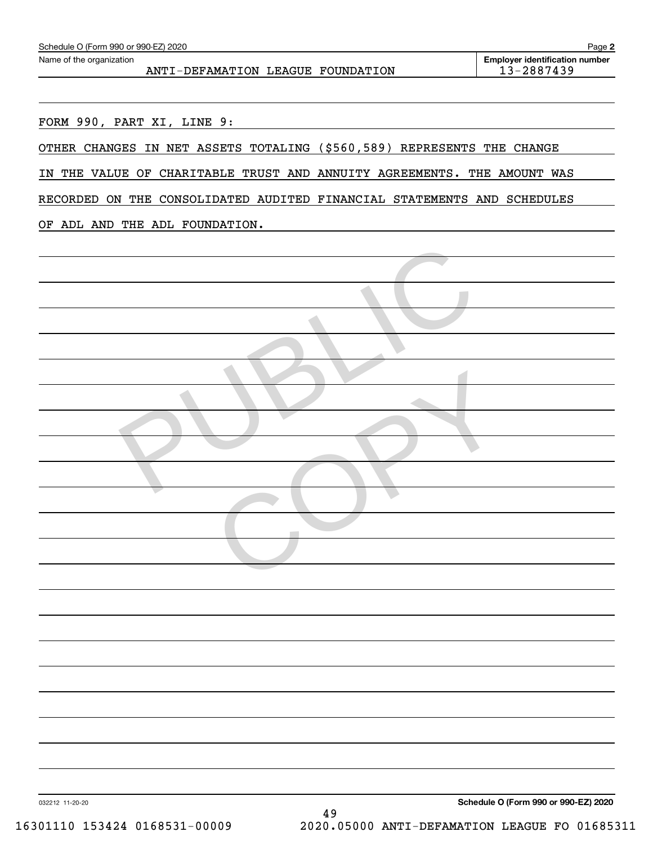| FORM 990, PART XI, LINE 9:     |                                                                         |  |
|--------------------------------|-------------------------------------------------------------------------|--|
|                                | OTHER CHANGES IN NET ASSETS TOTALING (\$560,589) REPRESENTS THE CHANGE  |  |
|                                | IN THE VALUE OF CHARITABLE TRUST AND ANNUITY AGREEMENTS. THE AMOUNT WAS |  |
|                                | RECORDED ON THE CONSOLIDATED AUDITED FINANCIAL STATEMENTS AND SCHEDULES |  |
| OF ADL AND THE ADL FOUNDATION. |                                                                         |  |
|                                |                                                                         |  |
|                                |                                                                         |  |
|                                |                                                                         |  |
|                                |                                                                         |  |
|                                |                                                                         |  |
|                                |                                                                         |  |
|                                |                                                                         |  |
|                                |                                                                         |  |
|                                |                                                                         |  |
|                                |                                                                         |  |
|                                |                                                                         |  |
|                                |                                                                         |  |
|                                |                                                                         |  |
|                                |                                                                         |  |
|                                |                                                                         |  |
|                                |                                                                         |  |
|                                |                                                                         |  |
|                                |                                                                         |  |
|                                |                                                                         |  |
|                                |                                                                         |  |
|                                |                                                                         |  |
|                                |                                                                         |  |

Echedule O (Form 990 or 990-EZ) 2020<br>Name of the organization **number** Name of the organization **number** 

**2**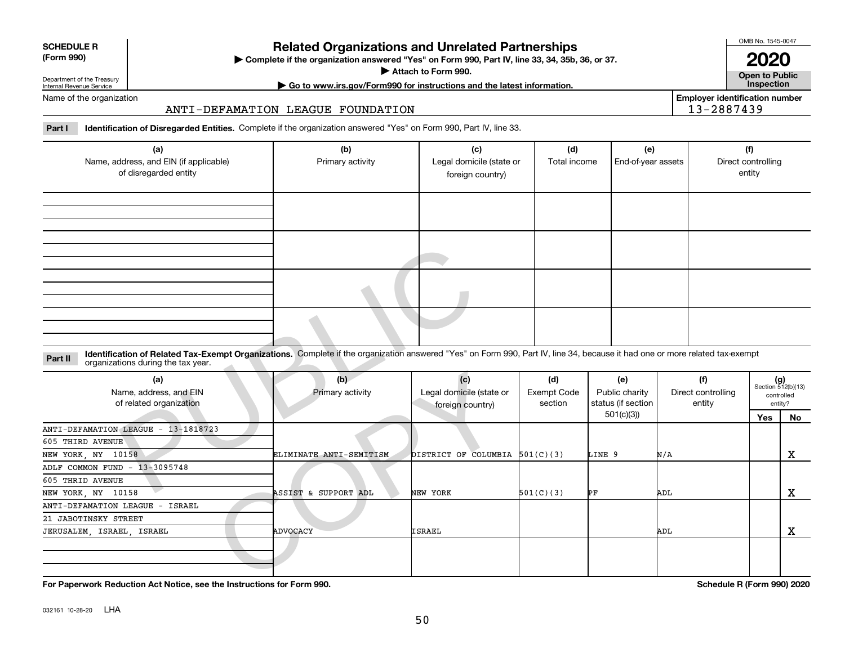|  | _____ |
|--|-------|
|  | ____  |

#### **SCHEDULE R (Form 990)**

# **Related Organizations and Unrelated Partnerships**

**Complete if the organization answered "Yes" on Form 990, Part IV, line 33, 34, 35b, 36, or 37.** |

**Attach to Form 990.**  |

OMB No. 1545-0047

**Open to Public | Go to www.irs.gov/Form990 for instructions and the latest information. Inspection 2020**

**Employer identification number**

13-2887439

Department of the Treasury Internal Revenue Service Name of the organization

# ANTI-DEFAMATION LEAGUE FOUNDATION

**Part I Identification of Disregarded Entities.**  Complete if the organization answered "Yes" on Form 990, Part IV, line 33.

| (a)                                    | (b)              | (c)                      | (d)          | (e)                | (f)                |
|----------------------------------------|------------------|--------------------------|--------------|--------------------|--------------------|
| Name, address, and EIN (if applicable) | Primary activity | Legal domicile (state or | Total income | End-of-year assets | Direct controlling |
| of disregarded entity                  |                  | foreign country)         |              |                    | entity             |
|                                        |                  |                          |              |                    |                    |
|                                        |                  |                          |              |                    |                    |
|                                        |                  |                          |              |                    |                    |
|                                        |                  |                          |              |                    |                    |
|                                        |                  |                          |              |                    |                    |
|                                        |                  |                          |              |                    |                    |
|                                        |                  |                          |              |                    |                    |
|                                        |                  |                          |              |                    |                    |
|                                        |                  |                          |              |                    |                    |
|                                        |                  |                          |              |                    |                    |
|                                        |                  |                          |              |                    |                    |
|                                        |                  |                          |              |                    |                    |
|                                        |                  |                          |              |                    |                    |

| Identification of Related Tax-Exempt Organizations. Complete if the organization answered "Yes" on Form 990, Part IV, line 34, because it had one or more related tax-exempt<br>Part II<br>organizations during the tax year. |                         |                                                     |                               |                                             |                                     |     |                                                      |
|-------------------------------------------------------------------------------------------------------------------------------------------------------------------------------------------------------------------------------|-------------------------|-----------------------------------------------------|-------------------------------|---------------------------------------------|-------------------------------------|-----|------------------------------------------------------|
| (a)<br>Name, address, and EIN<br>of related organization                                                                                                                                                                      | (b)<br>Primary activity | (c)<br>Legal domicile (state or<br>foreign country) | (d)<br>Exempt Code<br>section | (e)<br>Public charity<br>status (if section | (f)<br>Direct controlling<br>entity |     | $(g)$<br>Section 512(b)(13)<br>controlled<br>entity? |
|                                                                                                                                                                                                                               |                         |                                                     |                               | 501(c)(3)                                   |                                     | Yes | No                                                   |
| ANTI-DEFAMATION LEAGUE - 13-1818723<br>605 THIRD AVENUE                                                                                                                                                                       |                         |                                                     |                               |                                             |                                     |     |                                                      |
| NEW YORK, NY 10158                                                                                                                                                                                                            | ELIMINATE ANTI-SEMITISM | DISTRICT OF COLUMBIA $501(C)(3)$                    |                               | LINE 9                                      | N/A                                 |     | X                                                    |
| ADLF COMMON FUND - 13-3095748<br>605 THRID AVENUE                                                                                                                                                                             |                         |                                                     |                               |                                             |                                     |     |                                                      |
| NEW YORK, NY 10158                                                                                                                                                                                                            | ASSIST & SUPPORT ADL    | NEW YORK                                            | 501(C)(3)                     | ÞF                                          | ADL                                 |     | X                                                    |
| ANTI-DEFAMATION LEAGUE - ISRAEL                                                                                                                                                                                               |                         |                                                     |                               |                                             |                                     |     |                                                      |
| 21 JABOTINSKY STREET                                                                                                                                                                                                          |                         |                                                     |                               |                                             |                                     |     |                                                      |
| JERUSALEM, ISRAEL, ISRAEL                                                                                                                                                                                                     | <b>ADVOCACY</b>         | <b>ISRAEL</b>                                       |                               |                                             | ADL                                 |     | х                                                    |
|                                                                                                                                                                                                                               |                         |                                                     |                               |                                             |                                     |     |                                                      |
|                                                                                                                                                                                                                               |                         |                                                     |                               |                                             | $2.1 \tImes = 2.00100$              |     |                                                      |

**For Paperwork Reduction Act Notice, see the Instructions for Form 990. Schedule R (Form 990) 2020**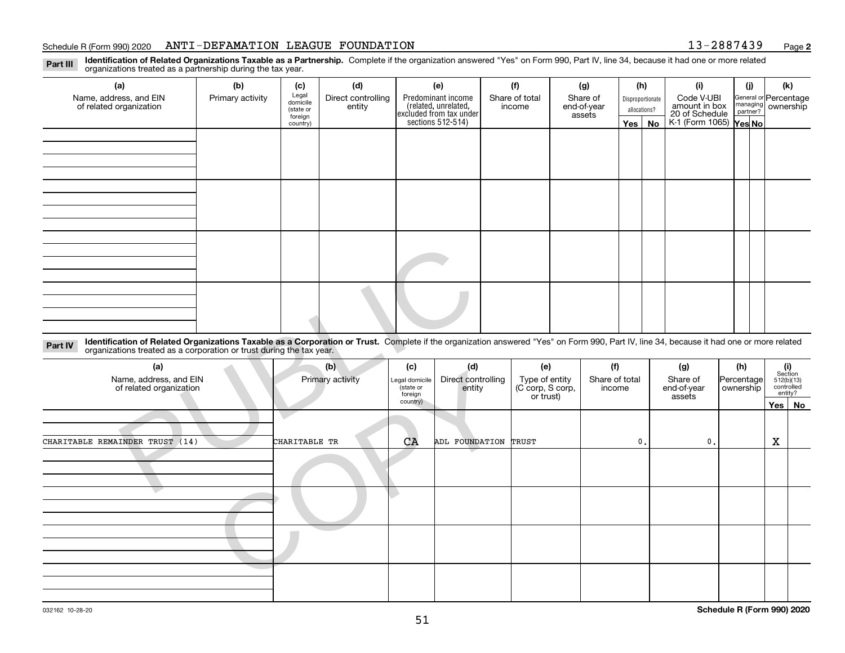#### Schedule R (Form 990) 2020 Page ANTI-DEFAMATION LEAGUE FOUNDATION 13-2887439

**2**

**Identification of Related Organizations Taxable as a Partnership.** Complete if the organization answered "Yes" on Form 990, Part IV, line 34, because it had one or more related **Part III** organizations treated as a partnership during the tax year.

| (a)                                                                                                                                                                                                              | (b)              | (c)                                       | (d)                          | (e)                                                                   | (f)                      | (g)                               | (h)     |                                  | (i)                                           | (j) | (k)                                         |
|------------------------------------------------------------------------------------------------------------------------------------------------------------------------------------------------------------------|------------------|-------------------------------------------|------------------------------|-----------------------------------------------------------------------|--------------------------|-----------------------------------|---------|----------------------------------|-----------------------------------------------|-----|---------------------------------------------|
| Name, address, and EIN<br>of related organization                                                                                                                                                                | Primary activity | Legal<br>domicile<br>(state or<br>foreign | Direct controlling<br>entity | Predominant income<br>(related, unrelated,<br>excluded from tax under | Share of total<br>income | Share of<br>end-of-year<br>assets |         | Disproportionate<br>allocations? | Code V-UBI<br>amount in box<br>20 of Schedule |     | General or Percentage<br>managing ownership |
|                                                                                                                                                                                                                  |                  | country)                                  |                              | sections 512-514)                                                     |                          |                                   | Yes $ $ | No                               | K-1 (Form 1065) Yes No                        |     |                                             |
|                                                                                                                                                                                                                  |                  |                                           |                              |                                                                       |                          |                                   |         |                                  |                                               |     |                                             |
|                                                                                                                                                                                                                  |                  |                                           |                              |                                                                       |                          |                                   |         |                                  |                                               |     |                                             |
|                                                                                                                                                                                                                  |                  |                                           |                              |                                                                       |                          |                                   |         |                                  |                                               |     |                                             |
|                                                                                                                                                                                                                  |                  |                                           |                              |                                                                       |                          |                                   |         |                                  |                                               |     |                                             |
|                                                                                                                                                                                                                  |                  |                                           |                              |                                                                       |                          |                                   |         |                                  |                                               |     |                                             |
|                                                                                                                                                                                                                  |                  |                                           |                              |                                                                       |                          |                                   |         |                                  |                                               |     |                                             |
|                                                                                                                                                                                                                  |                  |                                           |                              |                                                                       |                          |                                   |         |                                  |                                               |     |                                             |
|                                                                                                                                                                                                                  |                  |                                           |                              |                                                                       |                          |                                   |         |                                  |                                               |     |                                             |
|                                                                                                                                                                                                                  |                  |                                           |                              |                                                                       |                          |                                   |         |                                  |                                               |     |                                             |
|                                                                                                                                                                                                                  |                  |                                           |                              |                                                                       |                          |                                   |         |                                  |                                               |     |                                             |
|                                                                                                                                                                                                                  |                  |                                           |                              |                                                                       |                          |                                   |         |                                  |                                               |     |                                             |
|                                                                                                                                                                                                                  |                  |                                           |                              |                                                                       |                          |                                   |         |                                  |                                               |     |                                             |
|                                                                                                                                                                                                                  |                  |                                           |                              |                                                                       |                          |                                   |         |                                  |                                               |     |                                             |
|                                                                                                                                                                                                                  |                  |                                           |                              |                                                                       |                          |                                   |         |                                  |                                               |     |                                             |
|                                                                                                                                                                                                                  |                  |                                           |                              |                                                                       |                          |                                   |         |                                  |                                               |     |                                             |
|                                                                                                                                                                                                                  |                  |                                           |                              |                                                                       |                          |                                   |         |                                  |                                               |     |                                             |
| Identification of Related Organizations Taxable as a Corporation or Trust. Complete if the organization answered "Yes" on Form 990, Part IV, line 34, because it had one or more related<br>$D_{\alpha r}$ + $N$ |                  |                                           |                              |                                                                       |                          |                                   |         |                                  |                                               |     |                                             |

| Identification of Related Organizations Taxable as a Corporation or Trust. Complete if the organization answered "Yes" on Form 990, Part IV, line 34, because it had one or more related<br>Part IV<br>organizations treated as a corporation or trust during the tax year. |                         |                                                          |                                     |                                                        |                                 |    |                                          |                                |                |                                               |
|-----------------------------------------------------------------------------------------------------------------------------------------------------------------------------------------------------------------------------------------------------------------------------|-------------------------|----------------------------------------------------------|-------------------------------------|--------------------------------------------------------|---------------------------------|----|------------------------------------------|--------------------------------|----------------|-----------------------------------------------|
| (a)<br>Name, address, and EIN<br>of related organization                                                                                                                                                                                                                    | (b)<br>Primary activity | (c)<br>Legal domicile<br>state or<br>foreign<br>country) | (d)<br>Direct controlling<br>entity | (e)<br>Type of entity<br>(C corp, S corp,<br>or trust) | (f)<br>Share of total<br>income |    | (g)<br>Share of<br>end-of-year<br>assets | (h)<br>Percentage<br>ownership | (i)<br>Section | 512(b)(13)<br>controlled<br>entity?<br>Yes No |
| CHARITABLE REMAINDER TRUST (14)                                                                                                                                                                                                                                             | CHARITABLE TR           | CA                                                       | ADL FOUNDATION TRUST                |                                                        |                                 | 0. | $\mathbf{0}$ .                           |                                | X              |                                               |
|                                                                                                                                                                                                                                                                             |                         |                                                          |                                     |                                                        |                                 |    |                                          |                                |                |                                               |
|                                                                                                                                                                                                                                                                             |                         |                                                          |                                     |                                                        |                                 |    |                                          |                                |                |                                               |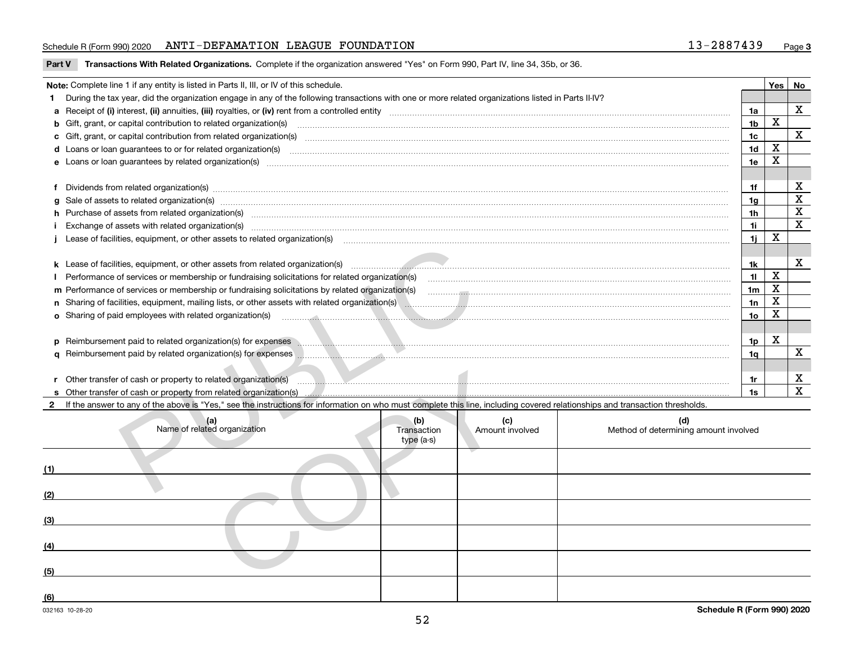### Schedule R (Form 990) 2020 Page ANTI-DEFAMATION LEAGUE FOUNDATION 13-2887439

|  | Part V Transactions With Related Organizations. Complete if the organization answered "Yes" on Form 990, Part IV, line 34, 35b, or 36. |  |  |
|--|----------------------------------------------------------------------------------------------------------------------------------------|--|--|
|--|----------------------------------------------------------------------------------------------------------------------------------------|--|--|

|     | Note: Complete line 1 if any entity is listed in Parts II, III, or IV of this schedule.                                                                                                                                        |                                  |                        |                                                                      |                 | Yes   No    |                         |
|-----|--------------------------------------------------------------------------------------------------------------------------------------------------------------------------------------------------------------------------------|----------------------------------|------------------------|----------------------------------------------------------------------|-----------------|-------------|-------------------------|
|     | During the tax year, did the organization engage in any of the following transactions with one or more related organizations listed in Parts II-IV?                                                                            |                                  |                        |                                                                      |                 |             | X                       |
|     |                                                                                                                                                                                                                                |                                  |                        |                                                                      | 1a              | $\mathbf x$ |                         |
|     |                                                                                                                                                                                                                                |                                  |                        |                                                                      | 1 <sub>b</sub>  |             | $\mathbf x$             |
|     |                                                                                                                                                                                                                                |                                  |                        |                                                                      | 1 <sub>c</sub>  |             |                         |
|     | d Loans or loan guarantees to or for related organization(s) committion contracts are constructed as a control or contract or contract or contract or contract or contract or contract or contract or contract or contract or  |                                  |                        |                                                                      | 1 <sub>d</sub>  | $\mathbf X$ |                         |
|     |                                                                                                                                                                                                                                |                                  |                        |                                                                      | 1e              | $\mathbf X$ |                         |
| f   | Dividends from related organization(s) www.assession.com/www.assession.com/www.assession.com/www.assession.com/www.assession.com/www.assession.com/www.assession.com/www.assession.com/www.assession.com/www.assession.com/www |                                  |                        |                                                                      | 1f              |             | X                       |
|     | Sale of assets to related organization(s) www.assettion.com/www.assettion.com/www.assettion.com/www.assettion.com/www.assettion.com/www.assettion.com/www.assettion.com/www.assettion.com/www.assettion.com/www.assettion.com/ |                                  |                        |                                                                      | 1g              |             | $\overline{\mathbf{x}}$ |
|     | h Purchase of assets from related organization(s) www.assettion.com/www.assettion.com/www.assettion.com/www.assettion.com/www.assettion.com/www.assettion.com/www.assettion.com/www.assettion.com/www.assettion.com/www.assett |                                  |                        |                                                                      | 1 <sub>h</sub>  |             | $\overline{\textbf{X}}$ |
|     |                                                                                                                                                                                                                                |                                  |                        |                                                                      | 1i.             |             | $\overline{\mathbf{X}}$ |
|     | Exchange of assets with related organization(s) www.assettion.com/www.assettion.com/www.assettion.com/www.assettion.com/www.assettion.com/www.assettion.com/www.assettion.com/www.assettion.com/www.assettion.com/www.assettio |                                  |                        |                                                                      | 1j              | X           |                         |
|     | Lease of facilities, equipment, or other assets to related organization(s) <b>componentation and contain a construct</b>                                                                                                       |                                  |                        |                                                                      |                 |             |                         |
|     |                                                                                                                                                                                                                                |                                  |                        |                                                                      | 1k              |             | $\mathbf X$             |
|     |                                                                                                                                                                                                                                |                                  |                        |                                                                      | 11              | $\mathbf X$ |                         |
|     |                                                                                                                                                                                                                                |                                  |                        |                                                                      | 1 <sub>m</sub>  | X           |                         |
|     | n Sharing of facilities, equipment, mailing lists, or other assets with related organization(s) encourage manuscription and content and the state of facilities, equipment, mailing lists, or other assets with related organi |                                  |                        |                                                                      | 1n              | X           |                         |
|     | <b>o</b> Sharing of paid employees with related organization(s)                                                                                                                                                                |                                  |                        | <u> 1990 - Andrea Stadt British, Amerikaansk politiker (d. 1980)</u> | 10 <sub>o</sub> | X           |                         |
|     |                                                                                                                                                                                                                                |                                  |                        |                                                                      |                 |             |                         |
|     | p Reimbursement paid to related organization(s) for expenses Manuscription and the content of the content of the content of the content of the content of the content of the content of the content of the content of the cont |                                  |                        |                                                                      | 1p              | X           |                         |
|     | q Reimbursement paid by related organization(s) for expenses <b>with an allegan contract to contract an allegan contract or expenses</b>                                                                                       |                                  |                        |                                                                      | 1q              |             | X                       |
|     |                                                                                                                                                                                                                                |                                  |                        |                                                                      |                 |             |                         |
|     | r Other transfer of cash or property to related organization(s) manufactured and content to the content of the content of the content of the content of the content of the content of the content of the content of the conten |                                  |                        |                                                                      | 1r              |             | X                       |
|     |                                                                                                                                                                                                                                |                                  |                        |                                                                      | 1s              |             | $\overline{\mathbf{x}}$ |
|     | If the answer to any of the above is "Yes," see the instructions for information on who must complete this line, including covered relationships and transaction thresholds.                                                   |                                  |                        |                                                                      |                 |             |                         |
|     |                                                                                                                                                                                                                                |                                  |                        |                                                                      |                 |             |                         |
|     | (a)<br>Name of related organization                                                                                                                                                                                            | (b)<br>Transaction<br>type (a-s) | (c)<br>Amount involved | (d)<br>Method of determining amount involved                         |                 |             |                         |
|     |                                                                                                                                                                                                                                |                                  |                        |                                                                      |                 |             |                         |
|     |                                                                                                                                                                                                                                |                                  |                        |                                                                      |                 |             |                         |
|     |                                                                                                                                                                                                                                |                                  |                        |                                                                      |                 |             |                         |
| (3) |                                                                                                                                                                                                                                |                                  |                        |                                                                      |                 |             |                         |
| (4) |                                                                                                                                                                                                                                |                                  |                        |                                                                      |                 |             |                         |
| (5) |                                                                                                                                                                                                                                |                                  |                        |                                                                      |                 |             |                         |
|     |                                                                                                                                                                                                                                |                                  |                        |                                                                      |                 |             |                         |

**(6)**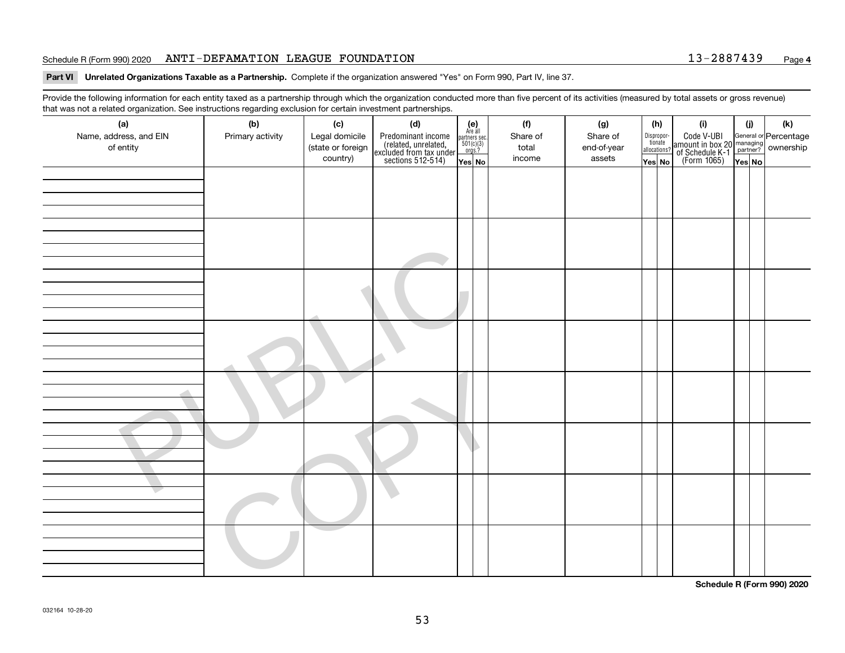### Schedule R (Form 990) 2020 Page ANTI-DEFAMATION LEAGUE FOUNDATION 13-2887439

#### **Part VI Unrelated Organizations Taxable as a Partnership. Complete if the organization answered "Yes" on Form 990, Part IV, line 37.**

Provide the following information for each entity taxed as a partnership through which the organization conducted more than five percent of its activities (measured by total assets or gross revenue) that was not a related organization. See instructions regarding exclusion for certain investment partnerships.

| (a)<br>Name, address, and EIN<br>of entity | (b)<br>Primary activity | (c)<br>Legal domicile<br>(state or foreign<br>country) | (d)<br>Predominant income<br>(related, unrelated,<br>excluded from tax under<br>sections 512-514) | $(e)$<br>Are all<br>partners sec.<br>501(c)(3)<br>orgs.?<br>Yes No | (f)<br>Share of<br>total<br>income | (g)<br>Share of<br>end-of-year<br>assets | (h)<br>Dispropor-<br>tionate<br>allocations?<br>Yes No | (i)<br>Code V-UBI<br>amount in box 20 managing<br>of Schedule K-1<br>(Form 1065)<br>$\overline{Yes}$ No | (i)<br>Yes No | (k) |
|--------------------------------------------|-------------------------|--------------------------------------------------------|---------------------------------------------------------------------------------------------------|--------------------------------------------------------------------|------------------------------------|------------------------------------------|--------------------------------------------------------|---------------------------------------------------------------------------------------------------------|---------------|-----|
|                                            |                         |                                                        |                                                                                                   |                                                                    |                                    |                                          |                                                        |                                                                                                         |               |     |
|                                            |                         |                                                        |                                                                                                   |                                                                    |                                    |                                          |                                                        |                                                                                                         |               |     |
|                                            |                         |                                                        |                                                                                                   |                                                                    |                                    |                                          |                                                        |                                                                                                         |               |     |
|                                            |                         |                                                        |                                                                                                   |                                                                    |                                    |                                          |                                                        |                                                                                                         |               |     |
|                                            |                         |                                                        |                                                                                                   |                                                                    |                                    |                                          |                                                        |                                                                                                         |               |     |

**Schedule R (Form 990) 2020**